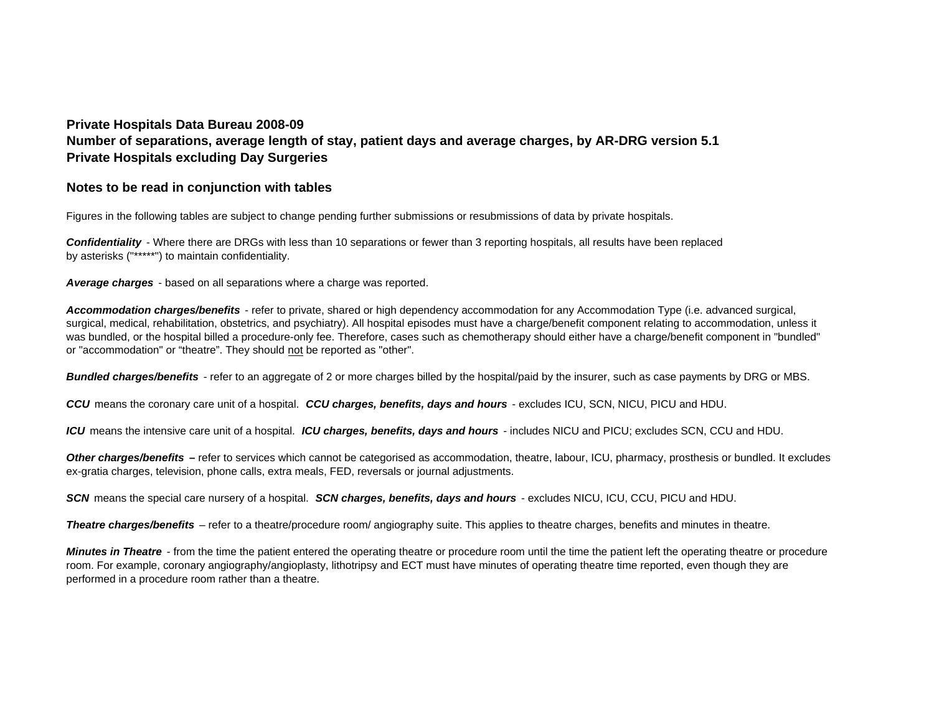## **Private Hospitals Data Bureau 2008-09 Number of separations, average length of stay, patient days and average charges, by AR-DRG version 5.1 Private Hospitals excluding Day Surgeries**

## **Notes to be read in conjunction with tables**

Figures in the following tables are subject to change pending further submissions or resubmissions of data by private hospitals.

*Confidentiality* - Where there are DRGs with less than 10 separations or fewer than 3 reporting hospitals, all results have been replaced by asterisks ("\*\*\*\*\*") to maintain confidentiality.

*Average charges* - based on all separations where a charge was reported.

*Accommodation charges/benefits* - refer to private, shared or high dependency accommodation for any Accommodation Type (i.e. advanced surgical, surgical, medical, rehabilitation, obstetrics, and psychiatry). All hospital episodes must have a charge/benefit component relating to accommodation, unless it was bundled, or the hospital billed a procedure-only fee. Therefore, cases such as chemotherapy should either have a charge/benefit component in "bundled" or "accommodation" or "theatre". They should not be reported as "other".

*Bundled charges/benefits* - refer to an aggregate of 2 or more charges billed by the hospital/paid by the insurer, such as case payments by DRG or MBS.

*CCU* means the coronary care unit of a hospital. *CCU charges, benefits, days and hours* - excludes ICU, SCN, NICU, PICU and HDU.

*ICU* means the intensive care unit of a hospital. *ICU charges, benefits, days and hours* - includes NICU and PICU; excludes SCN, CCU and HDU.

**Other charges/benefits** – refer to services which cannot be categorised as accommodation, theatre, labour, ICU, pharmacy, prosthesis or bundled. It excludes ex-gratia charges, television, phone calls, extra meals, FED, reversals or journal adjustments.

*SCN* means the special care nursery of a hospital. *SCN charges, benefits, days and hours* - excludes NICU, ICU, CCU, PICU and HDU.

*Theatre charges/benefits* – refer to a theatre/procedure room/ angiography suite. This applies to theatre charges, benefits and minutes in theatre.

*Minutes in Theatre* - from the time the patient entered the operating theatre or procedure room until the time the patient left the operating theatre or procedure room. For example, coronary angiography/angioplasty, lithotripsy and ECT must have minutes of operating theatre time reported, even though they are performed in a procedure room rather than a theatre.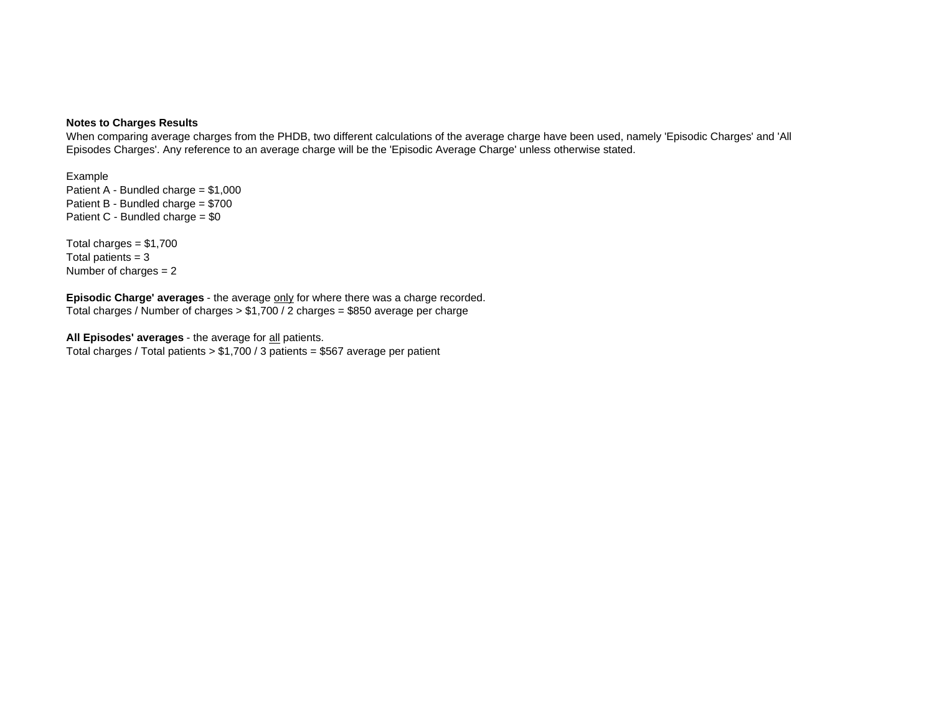## **Notes to Charges Results**

When comparing average charges from the PHDB, two different calculations of the average charge have been used, namely 'Episodic Charges' and 'All Episodes Charges'. Any reference to an average charge will be the 'Episodic Average Charge' unless otherwise stated.

Patient A - Bundled charge = \$1,000 Patient B - Bundled charge =  $$700$ Patient C - Bundled charge = \$0 Example

Total patients  $= 3$ Number of charges  $= 2$ Total charges  $= $1,700$ 

Total charges / Number of charges > \$1,700 / 2 charges = \$850 average per charge **Episodic Charge' averages** - the average only for where there was a charge recorded.

Total charges / Total patients > \$1,700 / 3 patients = \$567 average per patient **All Episodes' averages** - the average for all patients.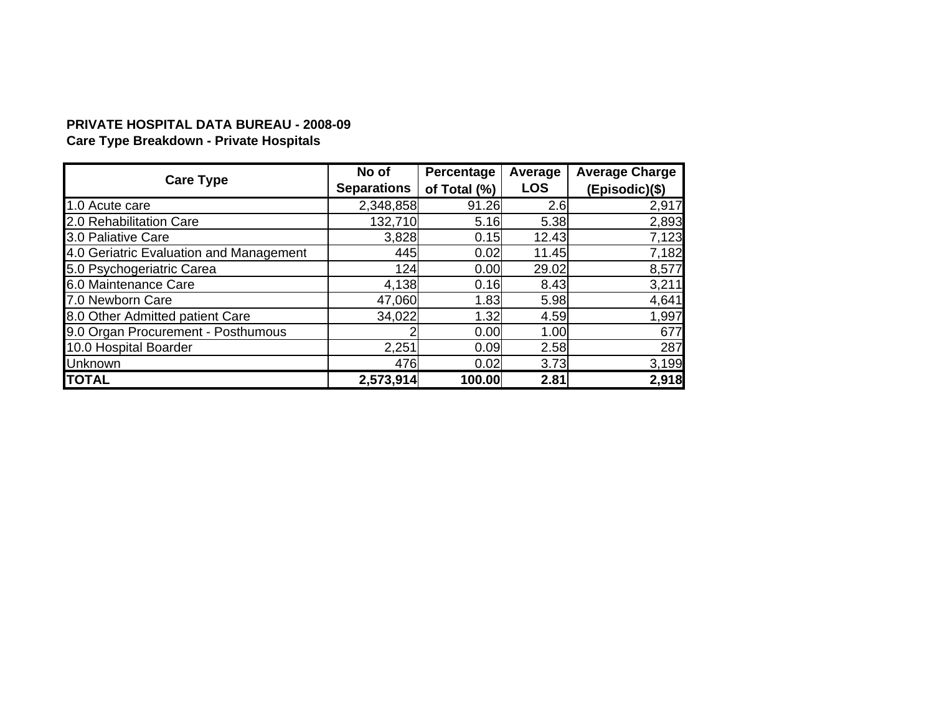# **PRIVATE HOSPITAL DATA BUREAU - 2008-09**

# **Care Type Breakdown - Private Hospitals**

| <b>Care Type</b>                        | No of              | Percentage   | Average    | <b>Average Charge</b> |
|-----------------------------------------|--------------------|--------------|------------|-----------------------|
|                                         | <b>Separations</b> | of Total (%) | <b>LOS</b> | (Episodic)(\$)        |
| 1.0 Acute care                          | 2,348,858          | 91.26        | 2.6        | 2,917                 |
| 2.0 Rehabilitation Care                 | 132,710            | 5.16         | 5.38       | 2,893                 |
| 3.0 Paliative Care                      | 3,828              | 0.15         | 12.43      | 7,123                 |
| 4.0 Geriatric Evaluation and Management | 445                | 0.02         | 11.45      | 7,182                 |
| 5.0 Psychogeriatric Carea               | 124                | 0.00         | 29.02      | 8,577                 |
| 6.0 Maintenance Care                    | 4,138              | 0.16         | 8.43       | 3,211                 |
| 7.0 Newborn Care                        | 47,060             | 1.83         | 5.98       | 4,641                 |
| 8.0 Other Admitted patient Care         | 34,022             | 1.32         | 4.59       | 1,997                 |
| 9.0 Organ Procurement - Posthumous      |                    | 0.00         | 1.00       | 677                   |
| 10.0 Hospital Boarder                   | 2,251              | 0.09         | 2.58       | 287                   |
| <b>Unknown</b>                          | 476                | 0.02         | 3.73       | 3,199                 |
| <b>TOTAL</b>                            | 2,573,914          | 100.00       | 2.81       | 2,918                 |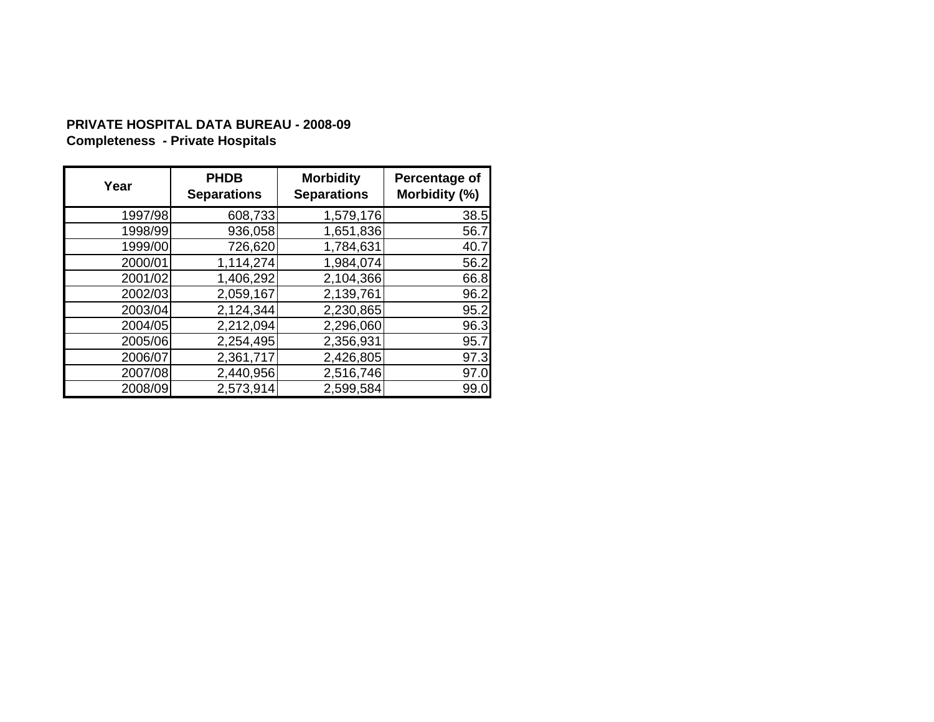# **PRIVATE HOSPITAL DATA BUREAU - 2008-09 Completeness - Private Hospitals**

| Year    | <b>PHDB</b><br><b>Separations</b> | <b>Morbidity</b><br><b>Separations</b> | Percentage of<br>Morbidity (%) |
|---------|-----------------------------------|----------------------------------------|--------------------------------|
| 1997/98 | 608,733                           | 1,579,176                              | 38.5                           |
| 1998/99 | 936,058                           | 1,651,836                              | 56.7                           |
| 1999/00 | 726,620                           | 1,784,631                              | 40.7                           |
| 2000/01 | 1,114,274                         | 1,984,074                              | 56.2                           |
| 2001/02 | 1,406,292                         | 2,104,366                              | 66.8                           |
| 2002/03 | 2,059,167                         | 2,139,761                              | 96.2                           |
| 2003/04 | 2,124,344                         | 2,230,865                              | 95.2                           |
| 2004/05 | 2,212,094                         | 2,296,060                              | 96.3                           |
| 2005/06 | 2,254,495                         | 2,356,931                              | 95.7                           |
| 2006/07 | 2,361,717                         | 2,426,805                              | 97.3                           |
| 2007/08 | 2,440,956                         | 2,516,746                              | 97.0                           |
| 2008/09 | 2,573,914                         | 2,599,584                              | 99.0                           |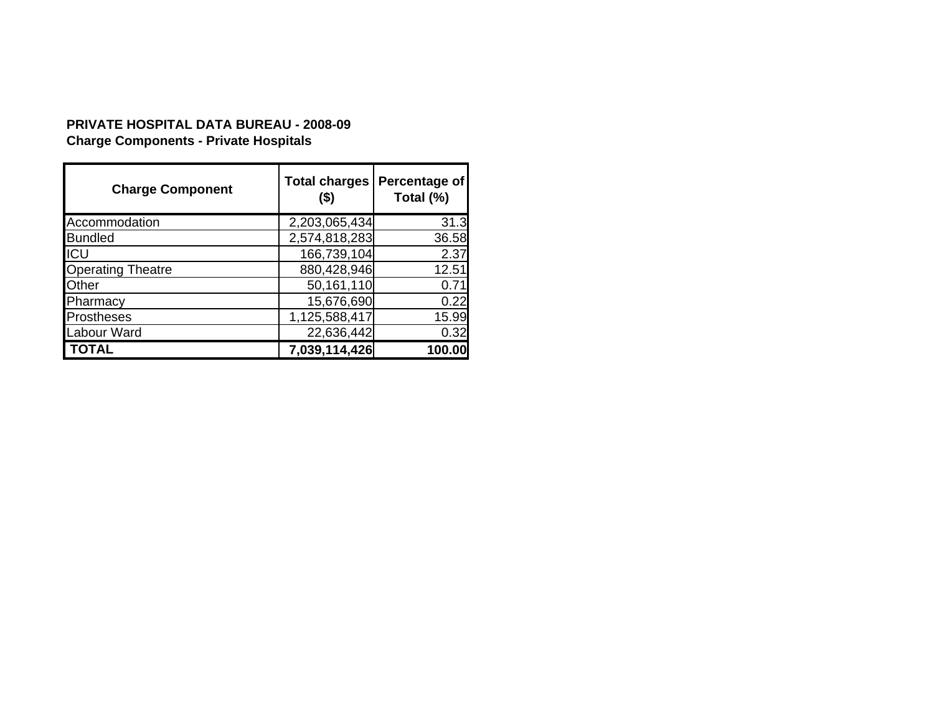# **Charge Components - Private Hospitals PRIVATE HOSPITAL DATA BUREAU - 2008-09**

| <b>Charge Component</b>  | <b>Total charges</b><br>$($ \$) | Percentage of<br>Total (%) |
|--------------------------|---------------------------------|----------------------------|
| Accommodation            | 2,203,065,434                   | 31.3                       |
| <b>Bundled</b>           | 2,574,818,283                   | 36.58                      |
| ICU                      | 166,739,104                     | 2.37                       |
| <b>Operating Theatre</b> | 880,428,946                     | 12.51                      |
| Other                    | 50,161,110                      | 0.71                       |
| Pharmacy                 | 15,676,690                      | 0.22                       |
| <b>Prostheses</b>        | 1,125,588,417                   | 15.99                      |
| Labour Ward              | 22,636,442                      | 0.32                       |
| TOTAL                    | 7,039,114,426                   | 100.00                     |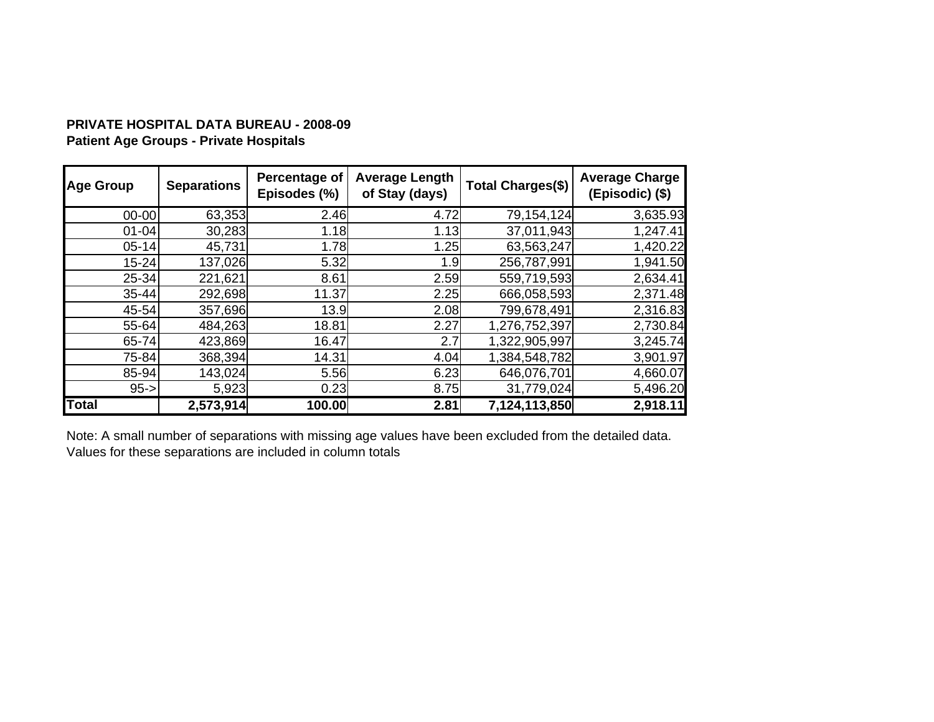# **PRIVATE HOSPITAL DATA BUREAU - 2008-09Patient Age Groups - Private Hospitals**

| <b>Age Group</b> | <b>Separations</b> | Percentage of<br>Episodes (%) | <b>Average Length</b><br>of Stay (days) | <b>Total Charges(\$)</b> | <b>Average Charge</b><br>(Episodic) (\$) |
|------------------|--------------------|-------------------------------|-----------------------------------------|--------------------------|------------------------------------------|
| $00 - 00$        | 63,353             | 2.46                          | 4.72                                    | 79, 154, 124             | 3,635.93                                 |
| $01 - 04$        | 30,283             | 1.18                          | 1.13                                    | 37,011,943               | 1,247.41                                 |
| $05 - 14$        | 45,731             | 1.78                          | 1.25                                    | 63,563,247               | 1,420.22                                 |
| $15 - 24$        | 137,026            | 5.32                          | 1.9                                     | 256,787,991              | 1,941.50                                 |
| 25-34            | 221,621            | 8.61                          | 2.59                                    | 559,719,593              | 2,634.41                                 |
| $35 - 44$        | 292,698            | 11.37                         | 2.25                                    | 666,058,593              | 2,371.48                                 |
| 45-54            | 357,696            | 13.9                          | 2.08                                    | 799,678,491              | 2,316.83                                 |
| 55-64            | 484,263            | 18.81                         | 2.27                                    | 1,276,752,397            | 2,730.84                                 |
| 65-74            | 423,869            | 16.47                         | 2.7                                     | 1,322,905,997            | 3,245.74                                 |
| 75-84            | 368,394            | 14.31                         | 4.04                                    | 1,384,548,782            | 3,901.97                                 |
| 85-94            | 143,024            | 5.56                          | 6.23                                    | 646,076,701              | 4,660.07                                 |
| $95 - >$         | 5,923              | 0.23                          | 8.75                                    | 31,779,024               | 5,496.20                                 |
| <b>Total</b>     | 2,573,914          | 100.00                        | 2.81                                    | 7,124,113,850            | 2,918.11                                 |

Note: A small number of separations with missing age values have been excluded from the detailed data. Values for these separations are included in column totals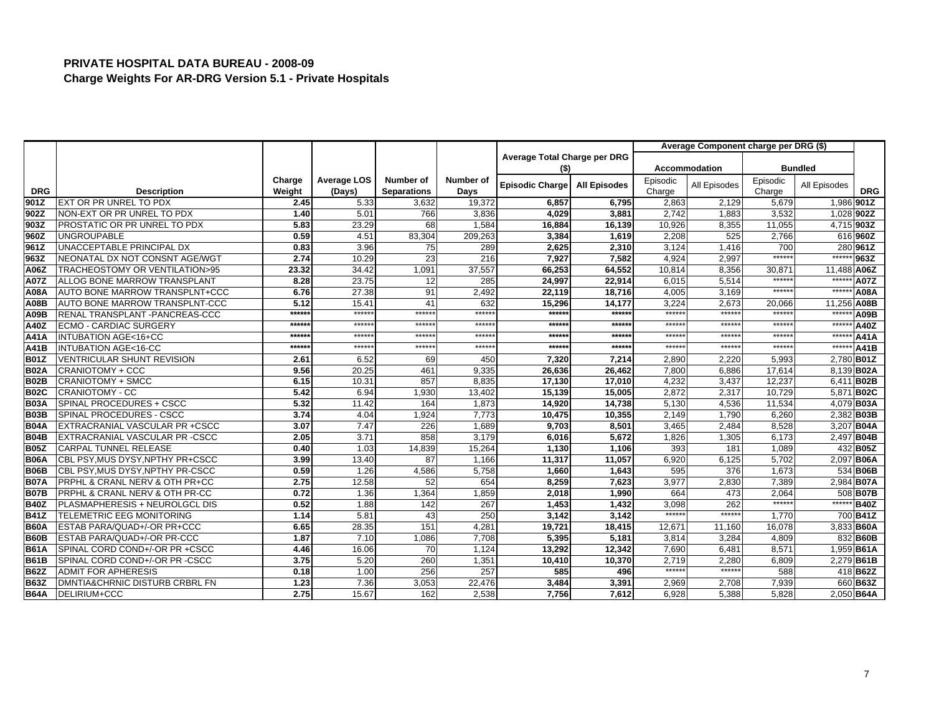|             |                                   |        |                    |                    |           |                              |                     |          | Average Component charge per DRG (\$) |          |                |             |
|-------------|-----------------------------------|--------|--------------------|--------------------|-----------|------------------------------|---------------------|----------|---------------------------------------|----------|----------------|-------------|
|             |                                   |        |                    |                    |           | Average Total Charge per DRG |                     |          |                                       |          |                |             |
|             |                                   |        |                    |                    |           | (\$)                         |                     |          | <b>Accommodation</b>                  |          | <b>Bundled</b> |             |
|             |                                   | Charge | <b>Average LOS</b> | Number of          | Number of | Episodic Charge              | <b>All Episodes</b> | Episodic | All Episodes                          | Episodic | All Episodes   |             |
| <b>DRG</b>  | <b>Description</b>                | Weight | (Days)             | <b>Separations</b> | Days      |                              |                     | Charge   |                                       | Charge   |                | <b>DRG</b>  |
| 901Z        | EXT OR PR UNREL TO PDX            | 2.45   | 5.33               | 3,632              | 19,372    | 6,857                        | 6,795               | 2,863    | 2,129                                 | 5,679    |                | 1,986 901Z  |
| 902Z        | NON-EXT OR PR UNREL TO PDX        | 1.40   | 5.01               | 766                | 3,836     | 4,029                        | 3,881               | 2,742    | 1,883                                 | 3,532    |                | 1,028 902Z  |
| 903Z        | PROSTATIC OR PR UNREL TO PDX      | 5.83   | 23.29              | 68                 | 1,584     | 16,884                       | 16,139              | 10,926   | 8,355                                 | 11,055   |                | 4,715 903Z  |
| 960Z        | <b>UNGROUPABLE</b>                | 0.59   | 4.51               | 83,304             | 209,263   | 3,384                        | 1,619               | 2,208    | 525                                   | 2,766    |                | 616 960Z    |
| 961Z        | UNACCEPTABLE PRINCIPAL DX         | 0.83   | 3.96               | 75                 | 289       | 2,625                        | 2,310               | 3,124    | 1,416                                 | 700      |                | 280 961Z    |
| 963Z        | NEONATAL DX NOT CONSNT AGE/WGT    | 2.74   | 10.29              | 23                 | 216       | 7,927                        | 7,582               | 4.924    | 2.997                                 | ******   | $*****$        | 963Z        |
| A06Z        | TRACHEOSTOMY OR VENTILATION>95    | 23.32  | 34.42              | 1,091              | 37,557    | 66,253                       | 64,552              | 10,814   | 8,356                                 | 30,871   | 11,488         | A06Z        |
| A07Z        | ALLOG BONE MARROW TRANSPLANT      | 8.28   | 23.75              | 12                 | 285       | 24,997                       | 22,914              | 6,015    | 5,514                                 | $*****$  | ******         | A07Z        |
| A08A        | AUTO BONE MARROW TRANSPLNT+CCC    | 6.76   | 27.38              | 91                 | 2,492     | 22,119                       | 18,716              | 4,005    | 3,169                                 | $*****$  | $*****$        | A08A        |
| <b>A08B</b> | AUTO BONE MARROW TRANSPLNT-CCC    | 5.12   | 15.41              | 41                 | 632       | 15,296                       | 14,177              | 3,224    | 2,673                                 | 20,066   | 11,256         | <b>A08B</b> |
| A09B        | RENAL TRANSPLANT - PANCREAS-CCC   | ****** | $*****$            | *****:             | $***$ *** | ******                       | ******              | ******   | *****                                 | $*****$  | $***$          | A09B        |
| A40Z        | <b>ECMO - CARDIAC SURGERY</b>     | ****** | $*****$            | $*****$            | ******    | ******                       | ******              | $*****$  | ******                                | ******   | $***$ ****     | A40Z        |
| A41A        | INTUBATION AGE<16+CC              | *****  | $****$             | $*****$            | *****     | *****                        | *****:              | $*****$  | $*****$                               | $*****$  | ******         | A41A        |
| <b>A41B</b> | <b>INTUBATION AGE&lt;16-CC</b>    | ****** | $*****$            | ******             | $*****$   | ******                       | *****               | $******$ | $****$                                | ******   | ******         | <b>A41B</b> |
| <b>B01Z</b> | <b>VENTRICULAR SHUNT REVISION</b> | 2.61   | 6.52               | 69                 | 450       | 7,320                        | 7,214               | 2,890    | 2,220                                 | 5,993    |                | 2,780 B01Z  |
| <b>B02A</b> | <b>CRANIOTOMY + CCC</b>           | 9.56   | 20.25              | 461                | 9,335     | 26,636                       | 26,462              | 7,800    | 6,886                                 | 17,614   |                | 8,139 B02A  |
| <b>B02B</b> | <b>CRANIOTOMY + SMCC</b>          | 6.15   | 10.31              | 857                | 8,835     | 17,130                       | 17,010              | 4,232    | 3,437                                 | 12,237   |                | 6,411 B02B  |
| <b>B02C</b> | <b>CRANIOTOMY - CC</b>            | 5.42   | 6.94               | 1,930              | 13,402    | 15,139                       | 15,005              | 2,872    | 2,317                                 | 10,729   |                | 5,871 B02C  |
| <b>B03A</b> | SPINAL PROCEDURES + CSCC          | 5.32   | 11.42              | 164                | 1,873     | 14,920                       | 14,738              | 5,130    | 4.536                                 | 11,534   |                | 4,079 B03A  |
| <b>B03B</b> | SPINAL PROCEDURES - CSCC          | 3.74   | 4.04               | 1,924              | 7,773     | 10,475                       | 10,355              | 2,149    | 1,790                                 | 6,260    |                | 2,382 B03B  |
| <b>B04A</b> | EXTRACRANIAL VASCULAR PR +CSCC    | 3.07   | 7.47               | 226                | 1,689     | 9,703                        | 8,501               | 3,465    | 2,484                                 | 8,528    |                | 3,207 B04A  |
| <b>B04B</b> | EXTRACRANIAL VASCULAR PR -CSCC    | 2.05   | 3.71               | 858                | 3,179     | 6,016                        | 5,672               | 1,826    | 1,305                                 | 6,173    |                | 2.497 B04B  |
| <b>B05Z</b> | CARPAL TUNNEL RELEASE             | 0.40   | 1.03               | 14,839             | 15,264    | 1,130                        | 1,106               | 393      | 181                                   | 1,089    |                | 432 B05Z    |
| <b>B06A</b> | CBL PSY, MUS DYSY, NPTHY PR+CSCC  | 3.99   | 13.40              | 87                 | 1.166     | 11,317                       | 11.057              | 6,920    | 6,125                                 | 5.702    |                | 2,097 B06A  |
| <b>B06B</b> | CBL PSY, MUS DYSY, NPTHY PR-CSCC  | 0.59   | 1.26               | 4,586              | 5,758     | 1,660                        | 1,643               | 595      | 376                                   | 1,673    |                | 534 B06B    |
| <b>B07A</b> | PRPHL & CRANL NERV & OTH PR+CC    | 2.75   | 12.58              | 52                 | 654       | 8,259                        | 7,623               | 3,977    | 2,830                                 | 7,389    |                | 2,984 B07A  |
| <b>B07B</b> | PRPHL & CRANL NERV & OTH PR-CC    | 0.72   | 1.36               | 1,364              | 1,859     | 2,018                        | 1,990               | 664      | 473                                   | 2.064    |                | 508 B07B    |
| <b>B40Z</b> | PLASMAPHERESIS + NEUROLGCL DIS    | 0.52   | 1.88               | 142                | 267       | 1,453                        | 1,432               | 3,098    | 262                                   | ******   | ******         | <b>B40Z</b> |
| <b>B41Z</b> | TELEMETRIC EEG MONITORING         | 1.14   | 5.81               | 43                 | 250       | 3,142                        | 3.142               | ******   | *****                                 | 1.770    |                | 700 B41Z    |
| <b>B60A</b> | ESTAB PARA/QUAD+/-OR PR+CCC       | 6.65   | 28.35              | 151                | 4,281     | 19,721                       | 18,415              | 12,671   | 11,160                                | 16,078   |                | 3,833 B60A  |
| <b>B60B</b> | ESTAB PARA/QUAD+/-OR PR-CCC       | 1.87   | 7.10               | 1,086              | 7,708     | 5,395                        | 5,181               | 3,814    | 3,284                                 | 4,809    |                | 832 B60B    |
| <b>B61A</b> | SPINAL CORD COND+/-OR PR +CSCC    | 4.46   | 16.06              | 70                 | 1,124     | 13,292                       | 12,342              | 7,690    | 6,481                                 | 8,571    |                | 1,959 B61A  |
| <b>B61B</b> | SPINAL CORD COND+/-OR PR -CSCC    | 3.75   | 5.20               | 260                | 1,351     | 10,410                       | 10,370              | 2,719    | 2,280                                 | 6,809    |                | 2,279 B61B  |
| <b>B62Z</b> | ADMIT FOR APHERESIS               | 0.18   | 1.00               | 256                | 257       | 585                          | 496                 | ******   | *****                                 | 588      |                | 418 B62Z    |
| <b>B63Z</b> | DMNTIA&CHRNIC DISTURB CRBRL FN    | 1.23   | 7.36               | 3,053              | 22,476    | 3,484                        | 3,391               | 2,969    | 2,708                                 | 7,939    |                | 660 B63Z    |
| <b>B64A</b> | DELIRIUM+CCC                      | 2.75   | 15.67              | 162                | 2,538     | 7,756                        | 7,612               | 6,928    | 5,388                                 | 5,828    |                | 2,050 B64A  |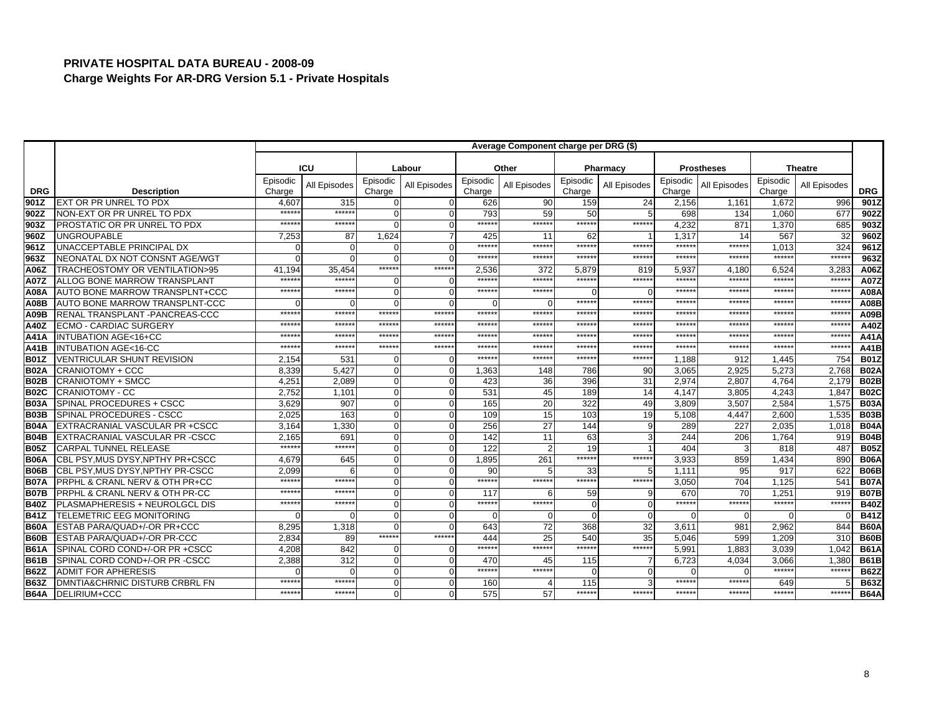| <b>ICU</b><br>Other<br>Labour<br><b>Prostheses</b><br><b>Theatre</b><br>Pharmacy<br>Episodic<br>Episodic<br>Episodic<br>Episodic<br>Episodic<br>Episodic<br>All Episodes<br>All Episodes<br>All Episodes<br>All Episodes<br>All Episodes<br>All Episodes<br>Charge<br><b>DRG</b><br><b>Description</b><br>Charge<br>Charge<br>Charge<br>Charge<br><b>DRG</b><br>Charge<br>901Z<br>EXT OR PR UNREL TO PDX<br>315<br>90<br>159<br>2,156<br>1,161<br>1.672<br>901Z<br>4,607<br>626<br>24<br>996<br>0<br>$****$<br>$***$ **<br>59<br>50<br>5<br>698<br>1.060<br>677<br>902Z<br>NON-EXT OR PR UNREL TO PDX<br>$\Omega$<br>793<br>134<br>l902Z<br>$\Omega$<br>*****<br>*****<br>******<br>$*****$<br>$****$<br>******<br>4,232<br>871<br>1,370<br>685<br>903Z<br>903Z<br>PROSTATIC OR PR UNREL TO PDX<br>$\Omega$<br>$\Omega$<br>960Z<br><b>UNGROUPABLE</b><br>1.624<br>62<br>1,317<br>567<br>32<br>960Z<br>7,253<br>87<br>425<br>11<br>14<br>$*****$<br>$*****$<br>$*****$<br>******<br>961Z<br>UNACCEPTABLE PRINCIPAL DX<br>******<br>$******$<br>324<br>961Z<br>1.013<br>$\Omega$<br>$\Omega$<br>O<br>$****$<br>******<br>*****<br>$****$<br>******<br>******<br>$*****$<br>******<br>963Z<br>963Z<br>NEONATAL DX NOT CONSNT AGE/WGT<br>$\Omega$<br>$\cap$<br>******<br>******<br>372<br>5.937<br>TRACHEOSTOMY OR VENTILATION>95<br>35.454<br>2.536<br>5.879<br>6.524<br>3,283<br>A06Z<br>A06Z<br>41.194<br>819<br>4.180<br>$***$ **<br>$****$<br>******<br>******<br>******<br>*****<br>$****$<br>$****$<br>$****$<br>$*****$<br>A07Z<br><b>A07Z</b><br><b>ALLOG BONE MARROW TRANSPLANT</b><br>$\Omega$<br>$\Omega$<br>$*****$<br>******<br>$****$<br>$***$ **<br>A08A<br>$****$<br>$*****$<br>$*****$<br>$*****$<br>AUTO BONE MARROW TRANSPLNT+CCC<br>$\Omega$<br><b>A08A</b><br>$\Omega$<br>$\cap$<br>AUTO BONE MARROW TRANSPLNT-CCC<br>*****<br>$*****$<br>******<br>******<br>*****<br>*****<br><b>A08B</b><br>$\Omega$<br>$\Omega$<br>$****$<br>$*****$<br>******<br>*****:<br>******<br>$*****$<br>*****:<br>*****<br>$*****$<br>$****$<br>RENAL TRANSPLANT - PANCREAS-CCC<br>*****<br>*****<br>A09B<br>*****<br>*****<br>$*****$<br>$*****$<br>*****<br>*****<br>$*****$<br>*****<br>*****<br>*****<br>*****:<br>*****<br><b>ECMO - CARDIAC SURGERY</b><br>A40Z<br>******<br>******<br>*****<br>*****<br>*****<br>*****<br>*****<br>*****<br>*****<br>*****<br>*****<br>*****<br><b>INTUBATION AGE&lt;16+CC</b><br>A41A<br>*****:<br>$****$<br>*****:<br>$*****$<br>******<br>$*****$<br>$*****$<br>$*****$<br>******<br>******<br>$****$<br>******<br><b>A41B</b><br><b>INTUBATION AGE&lt;16-CC</b><br>*****<br>$****$<br>$*****$<br>******<br><b>B01Z</b><br><b>VENTRICULAR SHUNT REVISION</b><br>2,154<br>531<br>$\Omega$<br>1.188<br>912<br>1.445<br>754<br>$\Omega$<br><b>B02A</b><br><b>CRANIOTOMY + CCC</b><br>8,339<br>5.427<br>3,065<br>5.273<br>$\Omega$<br>$\Omega$<br>1,363<br>148<br>786<br>90<br>2.925<br>2.768<br>396<br>31<br><b>B02B</b><br><b>CRANIOTOMY + SMCC</b><br>4,25'<br>2,089<br>423<br>36<br>2,974<br>2.807<br>4,764<br>2,179<br>$\Omega$<br>O<br>189<br>14<br><b>CRANIOTOMY - CC</b><br>2,752<br>$\Omega$<br>531<br>45<br>4,243<br>1,847<br><b>B02C</b><br>1,101<br>4,147<br>3,805<br>$\Omega$<br>20<br>322<br><b>B03A</b><br>SPINAL PROCEDURES + CSCC<br>3.629<br>907<br>$\Omega$<br>165<br>49<br>2,584<br>3.809<br>3.507<br>1,575<br>$\Omega$<br>15<br>19<br>B <sub>03</sub> B<br>SPINAL PROCEDURES - CSCC<br>2,025<br>163<br>$\Omega$<br>103<br>2.600<br>1,535<br>109<br>5.108<br>4.447<br>O<br><b>B04A</b><br>27<br>144<br>9<br>EXTRACRANIAL VASCULAR PR +CSCC<br>3,164<br>1,330<br>256<br>289<br>227<br>2,035<br>$\Omega$<br>1,018<br>$\Omega$<br><b>B04B</b><br>11<br>63<br>$\mathbf{3}$<br>244<br>EXTRACRANIAL VASCULAR PR -CSCC<br>2,165<br>691<br>$\Omega$<br>142<br>206<br>1,764<br>919<br>$\Omega$<br>$****$<br>******<br>19<br><b>CARPAL TUNNEL RELEASE</b><br>$\Omega$<br>122<br>487<br><b>B05Z</b><br>$\Omega$<br>404<br>818<br>******<br>$*****$<br>261<br><b>B06A</b><br>645<br>1,895<br>3.933<br>1,434<br>CBL PSY, MUS DYSY, NPTHY PR+CSCC<br>4.679<br>$\Omega$<br>$\Omega$<br>859<br>890<br>95<br><b>B06B</b><br>CBL PSY, MUS DYSY, NPTHY PR-CSCC<br>2,099<br>90<br>33<br>1,111<br>917<br>622<br>$\Omega$<br>5<br>$****$<br>$*****$<br>$****$<br>******<br>******<br>*****<br><b>B07A</b><br>$\Omega$<br>541<br><b>PRPHL &amp; CRANL NERV &amp; OTH PR+CC</b><br>3,050<br>704<br>1.125<br>$\Omega$<br>*****<br>*****<br><b>B07B</b><br>PRPHL & CRANL NERV & OTH PR-CC<br>59<br>670<br>70<br>1,251<br>$\Omega$<br>117<br>9<br>919<br>******<br>******<br>******<br>$*****$<br>******<br>*****<br>*****:<br>*****<br><b>B40Z</b><br>PLASMAPHERESIS + NEUROLGCL DIS<br>$\overline{0}$<br>$\Omega$<br>$\Omega$<br>$\Omega$<br><b>B41Z</b><br>$\Omega$<br>$\mathbf 0$<br><b>TELEMETRIC EEG MONITORING</b><br>$\Omega$<br>$\Omega$<br>$\Omega$<br>$\Omega$<br>32<br><b>B60A</b><br>ESTAB PARA/QUAD+/-OR PR+CCC<br>8,295<br>1,318<br>72<br>368<br>3,611<br>2,962<br>$\Omega$<br>643<br>981<br>844<br>******<br>******<br>89<br>25<br>540<br>35<br><b>B60B</b><br>ESTAB PARA/QUAD+/-OR PR-CCC<br>2.834<br>444<br>5,046<br>599<br>1,209<br>310<br>******<br>******<br>******<br>******<br><b>B61A</b><br>4.208<br>842<br>5.991<br>3.039<br>SPINAL CORD COND+/-OR PR +CSCC<br>$\Omega$<br>1.883<br>1.042<br>$\mathbf{0}$<br><b>B61B</b><br>SPINAL CORD COND+/-OR PR -CSCC<br>2,388<br>312<br>6,723<br>$\Omega$<br>470<br>115<br>$\overline{7}$<br>4,034<br>3,066<br>1,380<br>$\Omega$<br>45<br>******<br>*****<br>$****$<br>$****$<br><b>ADMIT FOR APHERESIS</b><br>$\Omega$<br><b>B62Z</b><br>$\Omega$<br>$\Omega$<br>$\overline{0}$<br>$\Omega$<br>******<br>*****<br>*****<br>$\Omega$<br>******<br><b>B63Z</b><br>DMNTIA&CHRNIC DISTURB CRBRL FN<br>115<br>160<br>649<br>******<br>******<br><b>B64A</b><br>$*****$<br>******<br>575<br>57<br>******<br>******<br>******<br>*****<br>DELIRIUM+CCC<br>$\Omega$ |  | Average Component charge per DRG (\$) |  |  |  |  |  |  |  |  |  |  |  |             |
|------------------------------------------------------------------------------------------------------------------------------------------------------------------------------------------------------------------------------------------------------------------------------------------------------------------------------------------------------------------------------------------------------------------------------------------------------------------------------------------------------------------------------------------------------------------------------------------------------------------------------------------------------------------------------------------------------------------------------------------------------------------------------------------------------------------------------------------------------------------------------------------------------------------------------------------------------------------------------------------------------------------------------------------------------------------------------------------------------------------------------------------------------------------------------------------------------------------------------------------------------------------------------------------------------------------------------------------------------------------------------------------------------------------------------------------------------------------------------------------------------------------------------------------------------------------------------------------------------------------------------------------------------------------------------------------------------------------------------------------------------------------------------------------------------------------------------------------------------------------------------------------------------------------------------------------------------------------------------------------------------------------------------------------------------------------------------------------------------------------------------------------------------------------------------------------------------------------------------------------------------------------------------------------------------------------------------------------------------------------------------------------------------------------------------------------------------------------------------------------------------------------------------------------------------------------------------------------------------------------------------------------------------------------------------------------------------------------------------------------------------------------------------------------------------------------------------------------------------------------------------------------------------------------------------------------------------------------------------------------------------------------------------------------------------------------------------------------------------------------------------------------------------------------------------------------------------------------------------------------------------------------------------------------------------------------------------------------------------------------------------------------------------------------------------------------------------------------------------------------------------------------------------------------------------------------------------------------------------------------------------------------------------------------------------------------------------------------------------------------------------------------------------------------------------------------------------------------------------------------------------------------------------------------------------------------------------------------------------------------------------------------------------------------------------------------------------------------------------------------------------------------------------------------------------------------------------------------------------------------------------------------------------------------------------------------------------------------------------------------------------------------------------------------------------------------------------------------------------------------------------------------------------------------------------------------------------------------------------------------------------------------------------------------------------------------------------------------------------------------------------------------------------------------------------------------------------------------------------------------------------------------------------------------------------------------------------------------------------------------------------------------------------------------------------------------------------------------------------------------------------------------------------------------------------------------------------------------------------------------------------------------------------------------------------------------------------------------------------------------------------------------------------------------------------------------------------------------------------------------------------------------------------------------------------------------------------------------------------------------------------------------------------------------------------------------------------------------------------------------------------------------------------------------------------------------------------------------------------------------------------------------------------------------------------------------------------------|--|---------------------------------------|--|--|--|--|--|--|--|--|--|--|--|-------------|
|                                                                                                                                                                                                                                                                                                                                                                                                                                                                                                                                                                                                                                                                                                                                                                                                                                                                                                                                                                                                                                                                                                                                                                                                                                                                                                                                                                                                                                                                                                                                                                                                                                                                                                                                                                                                                                                                                                                                                                                                                                                                                                                                                                                                                                                                                                                                                                                                                                                                                                                                                                                                                                                                                                                                                                                                                                                                                                                                                                                                                                                                                                                                                                                                                                                                                                                                                                                                                                                                                                                                                                                                                                                                                                                                                                                                                                                                                                                                                                                                                                                                                                                                                                                                                                                                                                                                                                                                                                                                                                                                                                                                                                                                                                                                                                                                                                                                                                                                                                                                                                                                                                                                                                                                                                                                                                                                                                                                                                                                                                                                                                                                                                                                                                                                                                                                                                                                                                                                                            |  |                                       |  |  |  |  |  |  |  |  |  |  |  |             |
|                                                                                                                                                                                                                                                                                                                                                                                                                                                                                                                                                                                                                                                                                                                                                                                                                                                                                                                                                                                                                                                                                                                                                                                                                                                                                                                                                                                                                                                                                                                                                                                                                                                                                                                                                                                                                                                                                                                                                                                                                                                                                                                                                                                                                                                                                                                                                                                                                                                                                                                                                                                                                                                                                                                                                                                                                                                                                                                                                                                                                                                                                                                                                                                                                                                                                                                                                                                                                                                                                                                                                                                                                                                                                                                                                                                                                                                                                                                                                                                                                                                                                                                                                                                                                                                                                                                                                                                                                                                                                                                                                                                                                                                                                                                                                                                                                                                                                                                                                                                                                                                                                                                                                                                                                                                                                                                                                                                                                                                                                                                                                                                                                                                                                                                                                                                                                                                                                                                                                            |  |                                       |  |  |  |  |  |  |  |  |  |  |  |             |
|                                                                                                                                                                                                                                                                                                                                                                                                                                                                                                                                                                                                                                                                                                                                                                                                                                                                                                                                                                                                                                                                                                                                                                                                                                                                                                                                                                                                                                                                                                                                                                                                                                                                                                                                                                                                                                                                                                                                                                                                                                                                                                                                                                                                                                                                                                                                                                                                                                                                                                                                                                                                                                                                                                                                                                                                                                                                                                                                                                                                                                                                                                                                                                                                                                                                                                                                                                                                                                                                                                                                                                                                                                                                                                                                                                                                                                                                                                                                                                                                                                                                                                                                                                                                                                                                                                                                                                                                                                                                                                                                                                                                                                                                                                                                                                                                                                                                                                                                                                                                                                                                                                                                                                                                                                                                                                                                                                                                                                                                                                                                                                                                                                                                                                                                                                                                                                                                                                                                                            |  |                                       |  |  |  |  |  |  |  |  |  |  |  |             |
|                                                                                                                                                                                                                                                                                                                                                                                                                                                                                                                                                                                                                                                                                                                                                                                                                                                                                                                                                                                                                                                                                                                                                                                                                                                                                                                                                                                                                                                                                                                                                                                                                                                                                                                                                                                                                                                                                                                                                                                                                                                                                                                                                                                                                                                                                                                                                                                                                                                                                                                                                                                                                                                                                                                                                                                                                                                                                                                                                                                                                                                                                                                                                                                                                                                                                                                                                                                                                                                                                                                                                                                                                                                                                                                                                                                                                                                                                                                                                                                                                                                                                                                                                                                                                                                                                                                                                                                                                                                                                                                                                                                                                                                                                                                                                                                                                                                                                                                                                                                                                                                                                                                                                                                                                                                                                                                                                                                                                                                                                                                                                                                                                                                                                                                                                                                                                                                                                                                                                            |  |                                       |  |  |  |  |  |  |  |  |  |  |  |             |
|                                                                                                                                                                                                                                                                                                                                                                                                                                                                                                                                                                                                                                                                                                                                                                                                                                                                                                                                                                                                                                                                                                                                                                                                                                                                                                                                                                                                                                                                                                                                                                                                                                                                                                                                                                                                                                                                                                                                                                                                                                                                                                                                                                                                                                                                                                                                                                                                                                                                                                                                                                                                                                                                                                                                                                                                                                                                                                                                                                                                                                                                                                                                                                                                                                                                                                                                                                                                                                                                                                                                                                                                                                                                                                                                                                                                                                                                                                                                                                                                                                                                                                                                                                                                                                                                                                                                                                                                                                                                                                                                                                                                                                                                                                                                                                                                                                                                                                                                                                                                                                                                                                                                                                                                                                                                                                                                                                                                                                                                                                                                                                                                                                                                                                                                                                                                                                                                                                                                                            |  |                                       |  |  |  |  |  |  |  |  |  |  |  |             |
|                                                                                                                                                                                                                                                                                                                                                                                                                                                                                                                                                                                                                                                                                                                                                                                                                                                                                                                                                                                                                                                                                                                                                                                                                                                                                                                                                                                                                                                                                                                                                                                                                                                                                                                                                                                                                                                                                                                                                                                                                                                                                                                                                                                                                                                                                                                                                                                                                                                                                                                                                                                                                                                                                                                                                                                                                                                                                                                                                                                                                                                                                                                                                                                                                                                                                                                                                                                                                                                                                                                                                                                                                                                                                                                                                                                                                                                                                                                                                                                                                                                                                                                                                                                                                                                                                                                                                                                                                                                                                                                                                                                                                                                                                                                                                                                                                                                                                                                                                                                                                                                                                                                                                                                                                                                                                                                                                                                                                                                                                                                                                                                                                                                                                                                                                                                                                                                                                                                                                            |  |                                       |  |  |  |  |  |  |  |  |  |  |  |             |
|                                                                                                                                                                                                                                                                                                                                                                                                                                                                                                                                                                                                                                                                                                                                                                                                                                                                                                                                                                                                                                                                                                                                                                                                                                                                                                                                                                                                                                                                                                                                                                                                                                                                                                                                                                                                                                                                                                                                                                                                                                                                                                                                                                                                                                                                                                                                                                                                                                                                                                                                                                                                                                                                                                                                                                                                                                                                                                                                                                                                                                                                                                                                                                                                                                                                                                                                                                                                                                                                                                                                                                                                                                                                                                                                                                                                                                                                                                                                                                                                                                                                                                                                                                                                                                                                                                                                                                                                                                                                                                                                                                                                                                                                                                                                                                                                                                                                                                                                                                                                                                                                                                                                                                                                                                                                                                                                                                                                                                                                                                                                                                                                                                                                                                                                                                                                                                                                                                                                                            |  |                                       |  |  |  |  |  |  |  |  |  |  |  |             |
|                                                                                                                                                                                                                                                                                                                                                                                                                                                                                                                                                                                                                                                                                                                                                                                                                                                                                                                                                                                                                                                                                                                                                                                                                                                                                                                                                                                                                                                                                                                                                                                                                                                                                                                                                                                                                                                                                                                                                                                                                                                                                                                                                                                                                                                                                                                                                                                                                                                                                                                                                                                                                                                                                                                                                                                                                                                                                                                                                                                                                                                                                                                                                                                                                                                                                                                                                                                                                                                                                                                                                                                                                                                                                                                                                                                                                                                                                                                                                                                                                                                                                                                                                                                                                                                                                                                                                                                                                                                                                                                                                                                                                                                                                                                                                                                                                                                                                                                                                                                                                                                                                                                                                                                                                                                                                                                                                                                                                                                                                                                                                                                                                                                                                                                                                                                                                                                                                                                                                            |  |                                       |  |  |  |  |  |  |  |  |  |  |  |             |
|                                                                                                                                                                                                                                                                                                                                                                                                                                                                                                                                                                                                                                                                                                                                                                                                                                                                                                                                                                                                                                                                                                                                                                                                                                                                                                                                                                                                                                                                                                                                                                                                                                                                                                                                                                                                                                                                                                                                                                                                                                                                                                                                                                                                                                                                                                                                                                                                                                                                                                                                                                                                                                                                                                                                                                                                                                                                                                                                                                                                                                                                                                                                                                                                                                                                                                                                                                                                                                                                                                                                                                                                                                                                                                                                                                                                                                                                                                                                                                                                                                                                                                                                                                                                                                                                                                                                                                                                                                                                                                                                                                                                                                                                                                                                                                                                                                                                                                                                                                                                                                                                                                                                                                                                                                                                                                                                                                                                                                                                                                                                                                                                                                                                                                                                                                                                                                                                                                                                                            |  |                                       |  |  |  |  |  |  |  |  |  |  |  |             |
|                                                                                                                                                                                                                                                                                                                                                                                                                                                                                                                                                                                                                                                                                                                                                                                                                                                                                                                                                                                                                                                                                                                                                                                                                                                                                                                                                                                                                                                                                                                                                                                                                                                                                                                                                                                                                                                                                                                                                                                                                                                                                                                                                                                                                                                                                                                                                                                                                                                                                                                                                                                                                                                                                                                                                                                                                                                                                                                                                                                                                                                                                                                                                                                                                                                                                                                                                                                                                                                                                                                                                                                                                                                                                                                                                                                                                                                                                                                                                                                                                                                                                                                                                                                                                                                                                                                                                                                                                                                                                                                                                                                                                                                                                                                                                                                                                                                                                                                                                                                                                                                                                                                                                                                                                                                                                                                                                                                                                                                                                                                                                                                                                                                                                                                                                                                                                                                                                                                                                            |  |                                       |  |  |  |  |  |  |  |  |  |  |  |             |
|                                                                                                                                                                                                                                                                                                                                                                                                                                                                                                                                                                                                                                                                                                                                                                                                                                                                                                                                                                                                                                                                                                                                                                                                                                                                                                                                                                                                                                                                                                                                                                                                                                                                                                                                                                                                                                                                                                                                                                                                                                                                                                                                                                                                                                                                                                                                                                                                                                                                                                                                                                                                                                                                                                                                                                                                                                                                                                                                                                                                                                                                                                                                                                                                                                                                                                                                                                                                                                                                                                                                                                                                                                                                                                                                                                                                                                                                                                                                                                                                                                                                                                                                                                                                                                                                                                                                                                                                                                                                                                                                                                                                                                                                                                                                                                                                                                                                                                                                                                                                                                                                                                                                                                                                                                                                                                                                                                                                                                                                                                                                                                                                                                                                                                                                                                                                                                                                                                                                                            |  |                                       |  |  |  |  |  |  |  |  |  |  |  |             |
|                                                                                                                                                                                                                                                                                                                                                                                                                                                                                                                                                                                                                                                                                                                                                                                                                                                                                                                                                                                                                                                                                                                                                                                                                                                                                                                                                                                                                                                                                                                                                                                                                                                                                                                                                                                                                                                                                                                                                                                                                                                                                                                                                                                                                                                                                                                                                                                                                                                                                                                                                                                                                                                                                                                                                                                                                                                                                                                                                                                                                                                                                                                                                                                                                                                                                                                                                                                                                                                                                                                                                                                                                                                                                                                                                                                                                                                                                                                                                                                                                                                                                                                                                                                                                                                                                                                                                                                                                                                                                                                                                                                                                                                                                                                                                                                                                                                                                                                                                                                                                                                                                                                                                                                                                                                                                                                                                                                                                                                                                                                                                                                                                                                                                                                                                                                                                                                                                                                                                            |  |                                       |  |  |  |  |  |  |  |  |  |  |  |             |
|                                                                                                                                                                                                                                                                                                                                                                                                                                                                                                                                                                                                                                                                                                                                                                                                                                                                                                                                                                                                                                                                                                                                                                                                                                                                                                                                                                                                                                                                                                                                                                                                                                                                                                                                                                                                                                                                                                                                                                                                                                                                                                                                                                                                                                                                                                                                                                                                                                                                                                                                                                                                                                                                                                                                                                                                                                                                                                                                                                                                                                                                                                                                                                                                                                                                                                                                                                                                                                                                                                                                                                                                                                                                                                                                                                                                                                                                                                                                                                                                                                                                                                                                                                                                                                                                                                                                                                                                                                                                                                                                                                                                                                                                                                                                                                                                                                                                                                                                                                                                                                                                                                                                                                                                                                                                                                                                                                                                                                                                                                                                                                                                                                                                                                                                                                                                                                                                                                                                                            |  |                                       |  |  |  |  |  |  |  |  |  |  |  |             |
|                                                                                                                                                                                                                                                                                                                                                                                                                                                                                                                                                                                                                                                                                                                                                                                                                                                                                                                                                                                                                                                                                                                                                                                                                                                                                                                                                                                                                                                                                                                                                                                                                                                                                                                                                                                                                                                                                                                                                                                                                                                                                                                                                                                                                                                                                                                                                                                                                                                                                                                                                                                                                                                                                                                                                                                                                                                                                                                                                                                                                                                                                                                                                                                                                                                                                                                                                                                                                                                                                                                                                                                                                                                                                                                                                                                                                                                                                                                                                                                                                                                                                                                                                                                                                                                                                                                                                                                                                                                                                                                                                                                                                                                                                                                                                                                                                                                                                                                                                                                                                                                                                                                                                                                                                                                                                                                                                                                                                                                                                                                                                                                                                                                                                                                                                                                                                                                                                                                                                            |  |                                       |  |  |  |  |  |  |  |  |  |  |  | <b>A08B</b> |
|                                                                                                                                                                                                                                                                                                                                                                                                                                                                                                                                                                                                                                                                                                                                                                                                                                                                                                                                                                                                                                                                                                                                                                                                                                                                                                                                                                                                                                                                                                                                                                                                                                                                                                                                                                                                                                                                                                                                                                                                                                                                                                                                                                                                                                                                                                                                                                                                                                                                                                                                                                                                                                                                                                                                                                                                                                                                                                                                                                                                                                                                                                                                                                                                                                                                                                                                                                                                                                                                                                                                                                                                                                                                                                                                                                                                                                                                                                                                                                                                                                                                                                                                                                                                                                                                                                                                                                                                                                                                                                                                                                                                                                                                                                                                                                                                                                                                                                                                                                                                                                                                                                                                                                                                                                                                                                                                                                                                                                                                                                                                                                                                                                                                                                                                                                                                                                                                                                                                                            |  |                                       |  |  |  |  |  |  |  |  |  |  |  | <b>A09B</b> |
|                                                                                                                                                                                                                                                                                                                                                                                                                                                                                                                                                                                                                                                                                                                                                                                                                                                                                                                                                                                                                                                                                                                                                                                                                                                                                                                                                                                                                                                                                                                                                                                                                                                                                                                                                                                                                                                                                                                                                                                                                                                                                                                                                                                                                                                                                                                                                                                                                                                                                                                                                                                                                                                                                                                                                                                                                                                                                                                                                                                                                                                                                                                                                                                                                                                                                                                                                                                                                                                                                                                                                                                                                                                                                                                                                                                                                                                                                                                                                                                                                                                                                                                                                                                                                                                                                                                                                                                                                                                                                                                                                                                                                                                                                                                                                                                                                                                                                                                                                                                                                                                                                                                                                                                                                                                                                                                                                                                                                                                                                                                                                                                                                                                                                                                                                                                                                                                                                                                                                            |  |                                       |  |  |  |  |  |  |  |  |  |  |  | A40Z        |
|                                                                                                                                                                                                                                                                                                                                                                                                                                                                                                                                                                                                                                                                                                                                                                                                                                                                                                                                                                                                                                                                                                                                                                                                                                                                                                                                                                                                                                                                                                                                                                                                                                                                                                                                                                                                                                                                                                                                                                                                                                                                                                                                                                                                                                                                                                                                                                                                                                                                                                                                                                                                                                                                                                                                                                                                                                                                                                                                                                                                                                                                                                                                                                                                                                                                                                                                                                                                                                                                                                                                                                                                                                                                                                                                                                                                                                                                                                                                                                                                                                                                                                                                                                                                                                                                                                                                                                                                                                                                                                                                                                                                                                                                                                                                                                                                                                                                                                                                                                                                                                                                                                                                                                                                                                                                                                                                                                                                                                                                                                                                                                                                                                                                                                                                                                                                                                                                                                                                                            |  |                                       |  |  |  |  |  |  |  |  |  |  |  | A41A        |
|                                                                                                                                                                                                                                                                                                                                                                                                                                                                                                                                                                                                                                                                                                                                                                                                                                                                                                                                                                                                                                                                                                                                                                                                                                                                                                                                                                                                                                                                                                                                                                                                                                                                                                                                                                                                                                                                                                                                                                                                                                                                                                                                                                                                                                                                                                                                                                                                                                                                                                                                                                                                                                                                                                                                                                                                                                                                                                                                                                                                                                                                                                                                                                                                                                                                                                                                                                                                                                                                                                                                                                                                                                                                                                                                                                                                                                                                                                                                                                                                                                                                                                                                                                                                                                                                                                                                                                                                                                                                                                                                                                                                                                                                                                                                                                                                                                                                                                                                                                                                                                                                                                                                                                                                                                                                                                                                                                                                                                                                                                                                                                                                                                                                                                                                                                                                                                                                                                                                                            |  |                                       |  |  |  |  |  |  |  |  |  |  |  | A41B        |
|                                                                                                                                                                                                                                                                                                                                                                                                                                                                                                                                                                                                                                                                                                                                                                                                                                                                                                                                                                                                                                                                                                                                                                                                                                                                                                                                                                                                                                                                                                                                                                                                                                                                                                                                                                                                                                                                                                                                                                                                                                                                                                                                                                                                                                                                                                                                                                                                                                                                                                                                                                                                                                                                                                                                                                                                                                                                                                                                                                                                                                                                                                                                                                                                                                                                                                                                                                                                                                                                                                                                                                                                                                                                                                                                                                                                                                                                                                                                                                                                                                                                                                                                                                                                                                                                                                                                                                                                                                                                                                                                                                                                                                                                                                                                                                                                                                                                                                                                                                                                                                                                                                                                                                                                                                                                                                                                                                                                                                                                                                                                                                                                                                                                                                                                                                                                                                                                                                                                                            |  |                                       |  |  |  |  |  |  |  |  |  |  |  | <b>B01Z</b> |
|                                                                                                                                                                                                                                                                                                                                                                                                                                                                                                                                                                                                                                                                                                                                                                                                                                                                                                                                                                                                                                                                                                                                                                                                                                                                                                                                                                                                                                                                                                                                                                                                                                                                                                                                                                                                                                                                                                                                                                                                                                                                                                                                                                                                                                                                                                                                                                                                                                                                                                                                                                                                                                                                                                                                                                                                                                                                                                                                                                                                                                                                                                                                                                                                                                                                                                                                                                                                                                                                                                                                                                                                                                                                                                                                                                                                                                                                                                                                                                                                                                                                                                                                                                                                                                                                                                                                                                                                                                                                                                                                                                                                                                                                                                                                                                                                                                                                                                                                                                                                                                                                                                                                                                                                                                                                                                                                                                                                                                                                                                                                                                                                                                                                                                                                                                                                                                                                                                                                                            |  |                                       |  |  |  |  |  |  |  |  |  |  |  | <b>B02A</b> |
|                                                                                                                                                                                                                                                                                                                                                                                                                                                                                                                                                                                                                                                                                                                                                                                                                                                                                                                                                                                                                                                                                                                                                                                                                                                                                                                                                                                                                                                                                                                                                                                                                                                                                                                                                                                                                                                                                                                                                                                                                                                                                                                                                                                                                                                                                                                                                                                                                                                                                                                                                                                                                                                                                                                                                                                                                                                                                                                                                                                                                                                                                                                                                                                                                                                                                                                                                                                                                                                                                                                                                                                                                                                                                                                                                                                                                                                                                                                                                                                                                                                                                                                                                                                                                                                                                                                                                                                                                                                                                                                                                                                                                                                                                                                                                                                                                                                                                                                                                                                                                                                                                                                                                                                                                                                                                                                                                                                                                                                                                                                                                                                                                                                                                                                                                                                                                                                                                                                                                            |  |                                       |  |  |  |  |  |  |  |  |  |  |  | <b>B02B</b> |
|                                                                                                                                                                                                                                                                                                                                                                                                                                                                                                                                                                                                                                                                                                                                                                                                                                                                                                                                                                                                                                                                                                                                                                                                                                                                                                                                                                                                                                                                                                                                                                                                                                                                                                                                                                                                                                                                                                                                                                                                                                                                                                                                                                                                                                                                                                                                                                                                                                                                                                                                                                                                                                                                                                                                                                                                                                                                                                                                                                                                                                                                                                                                                                                                                                                                                                                                                                                                                                                                                                                                                                                                                                                                                                                                                                                                                                                                                                                                                                                                                                                                                                                                                                                                                                                                                                                                                                                                                                                                                                                                                                                                                                                                                                                                                                                                                                                                                                                                                                                                                                                                                                                                                                                                                                                                                                                                                                                                                                                                                                                                                                                                                                                                                                                                                                                                                                                                                                                                                            |  |                                       |  |  |  |  |  |  |  |  |  |  |  | <b>B02C</b> |
|                                                                                                                                                                                                                                                                                                                                                                                                                                                                                                                                                                                                                                                                                                                                                                                                                                                                                                                                                                                                                                                                                                                                                                                                                                                                                                                                                                                                                                                                                                                                                                                                                                                                                                                                                                                                                                                                                                                                                                                                                                                                                                                                                                                                                                                                                                                                                                                                                                                                                                                                                                                                                                                                                                                                                                                                                                                                                                                                                                                                                                                                                                                                                                                                                                                                                                                                                                                                                                                                                                                                                                                                                                                                                                                                                                                                                                                                                                                                                                                                                                                                                                                                                                                                                                                                                                                                                                                                                                                                                                                                                                                                                                                                                                                                                                                                                                                                                                                                                                                                                                                                                                                                                                                                                                                                                                                                                                                                                                                                                                                                                                                                                                                                                                                                                                                                                                                                                                                                                            |  |                                       |  |  |  |  |  |  |  |  |  |  |  | <b>B03A</b> |
|                                                                                                                                                                                                                                                                                                                                                                                                                                                                                                                                                                                                                                                                                                                                                                                                                                                                                                                                                                                                                                                                                                                                                                                                                                                                                                                                                                                                                                                                                                                                                                                                                                                                                                                                                                                                                                                                                                                                                                                                                                                                                                                                                                                                                                                                                                                                                                                                                                                                                                                                                                                                                                                                                                                                                                                                                                                                                                                                                                                                                                                                                                                                                                                                                                                                                                                                                                                                                                                                                                                                                                                                                                                                                                                                                                                                                                                                                                                                                                                                                                                                                                                                                                                                                                                                                                                                                                                                                                                                                                                                                                                                                                                                                                                                                                                                                                                                                                                                                                                                                                                                                                                                                                                                                                                                                                                                                                                                                                                                                                                                                                                                                                                                                                                                                                                                                                                                                                                                                            |  |                                       |  |  |  |  |  |  |  |  |  |  |  | <b>B03B</b> |
|                                                                                                                                                                                                                                                                                                                                                                                                                                                                                                                                                                                                                                                                                                                                                                                                                                                                                                                                                                                                                                                                                                                                                                                                                                                                                                                                                                                                                                                                                                                                                                                                                                                                                                                                                                                                                                                                                                                                                                                                                                                                                                                                                                                                                                                                                                                                                                                                                                                                                                                                                                                                                                                                                                                                                                                                                                                                                                                                                                                                                                                                                                                                                                                                                                                                                                                                                                                                                                                                                                                                                                                                                                                                                                                                                                                                                                                                                                                                                                                                                                                                                                                                                                                                                                                                                                                                                                                                                                                                                                                                                                                                                                                                                                                                                                                                                                                                                                                                                                                                                                                                                                                                                                                                                                                                                                                                                                                                                                                                                                                                                                                                                                                                                                                                                                                                                                                                                                                                                            |  |                                       |  |  |  |  |  |  |  |  |  |  |  | <b>B04A</b> |
|                                                                                                                                                                                                                                                                                                                                                                                                                                                                                                                                                                                                                                                                                                                                                                                                                                                                                                                                                                                                                                                                                                                                                                                                                                                                                                                                                                                                                                                                                                                                                                                                                                                                                                                                                                                                                                                                                                                                                                                                                                                                                                                                                                                                                                                                                                                                                                                                                                                                                                                                                                                                                                                                                                                                                                                                                                                                                                                                                                                                                                                                                                                                                                                                                                                                                                                                                                                                                                                                                                                                                                                                                                                                                                                                                                                                                                                                                                                                                                                                                                                                                                                                                                                                                                                                                                                                                                                                                                                                                                                                                                                                                                                                                                                                                                                                                                                                                                                                                                                                                                                                                                                                                                                                                                                                                                                                                                                                                                                                                                                                                                                                                                                                                                                                                                                                                                                                                                                                                            |  |                                       |  |  |  |  |  |  |  |  |  |  |  | <b>B04B</b> |
|                                                                                                                                                                                                                                                                                                                                                                                                                                                                                                                                                                                                                                                                                                                                                                                                                                                                                                                                                                                                                                                                                                                                                                                                                                                                                                                                                                                                                                                                                                                                                                                                                                                                                                                                                                                                                                                                                                                                                                                                                                                                                                                                                                                                                                                                                                                                                                                                                                                                                                                                                                                                                                                                                                                                                                                                                                                                                                                                                                                                                                                                                                                                                                                                                                                                                                                                                                                                                                                                                                                                                                                                                                                                                                                                                                                                                                                                                                                                                                                                                                                                                                                                                                                                                                                                                                                                                                                                                                                                                                                                                                                                                                                                                                                                                                                                                                                                                                                                                                                                                                                                                                                                                                                                                                                                                                                                                                                                                                                                                                                                                                                                                                                                                                                                                                                                                                                                                                                                                            |  |                                       |  |  |  |  |  |  |  |  |  |  |  | <b>B05Z</b> |
|                                                                                                                                                                                                                                                                                                                                                                                                                                                                                                                                                                                                                                                                                                                                                                                                                                                                                                                                                                                                                                                                                                                                                                                                                                                                                                                                                                                                                                                                                                                                                                                                                                                                                                                                                                                                                                                                                                                                                                                                                                                                                                                                                                                                                                                                                                                                                                                                                                                                                                                                                                                                                                                                                                                                                                                                                                                                                                                                                                                                                                                                                                                                                                                                                                                                                                                                                                                                                                                                                                                                                                                                                                                                                                                                                                                                                                                                                                                                                                                                                                                                                                                                                                                                                                                                                                                                                                                                                                                                                                                                                                                                                                                                                                                                                                                                                                                                                                                                                                                                                                                                                                                                                                                                                                                                                                                                                                                                                                                                                                                                                                                                                                                                                                                                                                                                                                                                                                                                                            |  |                                       |  |  |  |  |  |  |  |  |  |  |  | <b>B06A</b> |
|                                                                                                                                                                                                                                                                                                                                                                                                                                                                                                                                                                                                                                                                                                                                                                                                                                                                                                                                                                                                                                                                                                                                                                                                                                                                                                                                                                                                                                                                                                                                                                                                                                                                                                                                                                                                                                                                                                                                                                                                                                                                                                                                                                                                                                                                                                                                                                                                                                                                                                                                                                                                                                                                                                                                                                                                                                                                                                                                                                                                                                                                                                                                                                                                                                                                                                                                                                                                                                                                                                                                                                                                                                                                                                                                                                                                                                                                                                                                                                                                                                                                                                                                                                                                                                                                                                                                                                                                                                                                                                                                                                                                                                                                                                                                                                                                                                                                                                                                                                                                                                                                                                                                                                                                                                                                                                                                                                                                                                                                                                                                                                                                                                                                                                                                                                                                                                                                                                                                                            |  |                                       |  |  |  |  |  |  |  |  |  |  |  | <b>B06B</b> |
|                                                                                                                                                                                                                                                                                                                                                                                                                                                                                                                                                                                                                                                                                                                                                                                                                                                                                                                                                                                                                                                                                                                                                                                                                                                                                                                                                                                                                                                                                                                                                                                                                                                                                                                                                                                                                                                                                                                                                                                                                                                                                                                                                                                                                                                                                                                                                                                                                                                                                                                                                                                                                                                                                                                                                                                                                                                                                                                                                                                                                                                                                                                                                                                                                                                                                                                                                                                                                                                                                                                                                                                                                                                                                                                                                                                                                                                                                                                                                                                                                                                                                                                                                                                                                                                                                                                                                                                                                                                                                                                                                                                                                                                                                                                                                                                                                                                                                                                                                                                                                                                                                                                                                                                                                                                                                                                                                                                                                                                                                                                                                                                                                                                                                                                                                                                                                                                                                                                                                            |  |                                       |  |  |  |  |  |  |  |  |  |  |  | <b>B07A</b> |
|                                                                                                                                                                                                                                                                                                                                                                                                                                                                                                                                                                                                                                                                                                                                                                                                                                                                                                                                                                                                                                                                                                                                                                                                                                                                                                                                                                                                                                                                                                                                                                                                                                                                                                                                                                                                                                                                                                                                                                                                                                                                                                                                                                                                                                                                                                                                                                                                                                                                                                                                                                                                                                                                                                                                                                                                                                                                                                                                                                                                                                                                                                                                                                                                                                                                                                                                                                                                                                                                                                                                                                                                                                                                                                                                                                                                                                                                                                                                                                                                                                                                                                                                                                                                                                                                                                                                                                                                                                                                                                                                                                                                                                                                                                                                                                                                                                                                                                                                                                                                                                                                                                                                                                                                                                                                                                                                                                                                                                                                                                                                                                                                                                                                                                                                                                                                                                                                                                                                                            |  |                                       |  |  |  |  |  |  |  |  |  |  |  | <b>B07B</b> |
|                                                                                                                                                                                                                                                                                                                                                                                                                                                                                                                                                                                                                                                                                                                                                                                                                                                                                                                                                                                                                                                                                                                                                                                                                                                                                                                                                                                                                                                                                                                                                                                                                                                                                                                                                                                                                                                                                                                                                                                                                                                                                                                                                                                                                                                                                                                                                                                                                                                                                                                                                                                                                                                                                                                                                                                                                                                                                                                                                                                                                                                                                                                                                                                                                                                                                                                                                                                                                                                                                                                                                                                                                                                                                                                                                                                                                                                                                                                                                                                                                                                                                                                                                                                                                                                                                                                                                                                                                                                                                                                                                                                                                                                                                                                                                                                                                                                                                                                                                                                                                                                                                                                                                                                                                                                                                                                                                                                                                                                                                                                                                                                                                                                                                                                                                                                                                                                                                                                                                            |  |                                       |  |  |  |  |  |  |  |  |  |  |  | <b>B40Z</b> |
|                                                                                                                                                                                                                                                                                                                                                                                                                                                                                                                                                                                                                                                                                                                                                                                                                                                                                                                                                                                                                                                                                                                                                                                                                                                                                                                                                                                                                                                                                                                                                                                                                                                                                                                                                                                                                                                                                                                                                                                                                                                                                                                                                                                                                                                                                                                                                                                                                                                                                                                                                                                                                                                                                                                                                                                                                                                                                                                                                                                                                                                                                                                                                                                                                                                                                                                                                                                                                                                                                                                                                                                                                                                                                                                                                                                                                                                                                                                                                                                                                                                                                                                                                                                                                                                                                                                                                                                                                                                                                                                                                                                                                                                                                                                                                                                                                                                                                                                                                                                                                                                                                                                                                                                                                                                                                                                                                                                                                                                                                                                                                                                                                                                                                                                                                                                                                                                                                                                                                            |  |                                       |  |  |  |  |  |  |  |  |  |  |  | <b>B41Z</b> |
|                                                                                                                                                                                                                                                                                                                                                                                                                                                                                                                                                                                                                                                                                                                                                                                                                                                                                                                                                                                                                                                                                                                                                                                                                                                                                                                                                                                                                                                                                                                                                                                                                                                                                                                                                                                                                                                                                                                                                                                                                                                                                                                                                                                                                                                                                                                                                                                                                                                                                                                                                                                                                                                                                                                                                                                                                                                                                                                                                                                                                                                                                                                                                                                                                                                                                                                                                                                                                                                                                                                                                                                                                                                                                                                                                                                                                                                                                                                                                                                                                                                                                                                                                                                                                                                                                                                                                                                                                                                                                                                                                                                                                                                                                                                                                                                                                                                                                                                                                                                                                                                                                                                                                                                                                                                                                                                                                                                                                                                                                                                                                                                                                                                                                                                                                                                                                                                                                                                                                            |  |                                       |  |  |  |  |  |  |  |  |  |  |  | <b>B60A</b> |
|                                                                                                                                                                                                                                                                                                                                                                                                                                                                                                                                                                                                                                                                                                                                                                                                                                                                                                                                                                                                                                                                                                                                                                                                                                                                                                                                                                                                                                                                                                                                                                                                                                                                                                                                                                                                                                                                                                                                                                                                                                                                                                                                                                                                                                                                                                                                                                                                                                                                                                                                                                                                                                                                                                                                                                                                                                                                                                                                                                                                                                                                                                                                                                                                                                                                                                                                                                                                                                                                                                                                                                                                                                                                                                                                                                                                                                                                                                                                                                                                                                                                                                                                                                                                                                                                                                                                                                                                                                                                                                                                                                                                                                                                                                                                                                                                                                                                                                                                                                                                                                                                                                                                                                                                                                                                                                                                                                                                                                                                                                                                                                                                                                                                                                                                                                                                                                                                                                                                                            |  |                                       |  |  |  |  |  |  |  |  |  |  |  | <b>B60B</b> |
|                                                                                                                                                                                                                                                                                                                                                                                                                                                                                                                                                                                                                                                                                                                                                                                                                                                                                                                                                                                                                                                                                                                                                                                                                                                                                                                                                                                                                                                                                                                                                                                                                                                                                                                                                                                                                                                                                                                                                                                                                                                                                                                                                                                                                                                                                                                                                                                                                                                                                                                                                                                                                                                                                                                                                                                                                                                                                                                                                                                                                                                                                                                                                                                                                                                                                                                                                                                                                                                                                                                                                                                                                                                                                                                                                                                                                                                                                                                                                                                                                                                                                                                                                                                                                                                                                                                                                                                                                                                                                                                                                                                                                                                                                                                                                                                                                                                                                                                                                                                                                                                                                                                                                                                                                                                                                                                                                                                                                                                                                                                                                                                                                                                                                                                                                                                                                                                                                                                                                            |  |                                       |  |  |  |  |  |  |  |  |  |  |  | <b>B61A</b> |
|                                                                                                                                                                                                                                                                                                                                                                                                                                                                                                                                                                                                                                                                                                                                                                                                                                                                                                                                                                                                                                                                                                                                                                                                                                                                                                                                                                                                                                                                                                                                                                                                                                                                                                                                                                                                                                                                                                                                                                                                                                                                                                                                                                                                                                                                                                                                                                                                                                                                                                                                                                                                                                                                                                                                                                                                                                                                                                                                                                                                                                                                                                                                                                                                                                                                                                                                                                                                                                                                                                                                                                                                                                                                                                                                                                                                                                                                                                                                                                                                                                                                                                                                                                                                                                                                                                                                                                                                                                                                                                                                                                                                                                                                                                                                                                                                                                                                                                                                                                                                                                                                                                                                                                                                                                                                                                                                                                                                                                                                                                                                                                                                                                                                                                                                                                                                                                                                                                                                                            |  |                                       |  |  |  |  |  |  |  |  |  |  |  | <b>B61B</b> |
|                                                                                                                                                                                                                                                                                                                                                                                                                                                                                                                                                                                                                                                                                                                                                                                                                                                                                                                                                                                                                                                                                                                                                                                                                                                                                                                                                                                                                                                                                                                                                                                                                                                                                                                                                                                                                                                                                                                                                                                                                                                                                                                                                                                                                                                                                                                                                                                                                                                                                                                                                                                                                                                                                                                                                                                                                                                                                                                                                                                                                                                                                                                                                                                                                                                                                                                                                                                                                                                                                                                                                                                                                                                                                                                                                                                                                                                                                                                                                                                                                                                                                                                                                                                                                                                                                                                                                                                                                                                                                                                                                                                                                                                                                                                                                                                                                                                                                                                                                                                                                                                                                                                                                                                                                                                                                                                                                                                                                                                                                                                                                                                                                                                                                                                                                                                                                                                                                                                                                            |  |                                       |  |  |  |  |  |  |  |  |  |  |  | <b>B62Z</b> |
|                                                                                                                                                                                                                                                                                                                                                                                                                                                                                                                                                                                                                                                                                                                                                                                                                                                                                                                                                                                                                                                                                                                                                                                                                                                                                                                                                                                                                                                                                                                                                                                                                                                                                                                                                                                                                                                                                                                                                                                                                                                                                                                                                                                                                                                                                                                                                                                                                                                                                                                                                                                                                                                                                                                                                                                                                                                                                                                                                                                                                                                                                                                                                                                                                                                                                                                                                                                                                                                                                                                                                                                                                                                                                                                                                                                                                                                                                                                                                                                                                                                                                                                                                                                                                                                                                                                                                                                                                                                                                                                                                                                                                                                                                                                                                                                                                                                                                                                                                                                                                                                                                                                                                                                                                                                                                                                                                                                                                                                                                                                                                                                                                                                                                                                                                                                                                                                                                                                                                            |  |                                       |  |  |  |  |  |  |  |  |  |  |  | <b>B63Z</b> |
|                                                                                                                                                                                                                                                                                                                                                                                                                                                                                                                                                                                                                                                                                                                                                                                                                                                                                                                                                                                                                                                                                                                                                                                                                                                                                                                                                                                                                                                                                                                                                                                                                                                                                                                                                                                                                                                                                                                                                                                                                                                                                                                                                                                                                                                                                                                                                                                                                                                                                                                                                                                                                                                                                                                                                                                                                                                                                                                                                                                                                                                                                                                                                                                                                                                                                                                                                                                                                                                                                                                                                                                                                                                                                                                                                                                                                                                                                                                                                                                                                                                                                                                                                                                                                                                                                                                                                                                                                                                                                                                                                                                                                                                                                                                                                                                                                                                                                                                                                                                                                                                                                                                                                                                                                                                                                                                                                                                                                                                                                                                                                                                                                                                                                                                                                                                                                                                                                                                                                            |  |                                       |  |  |  |  |  |  |  |  |  |  |  | <b>B64A</b> |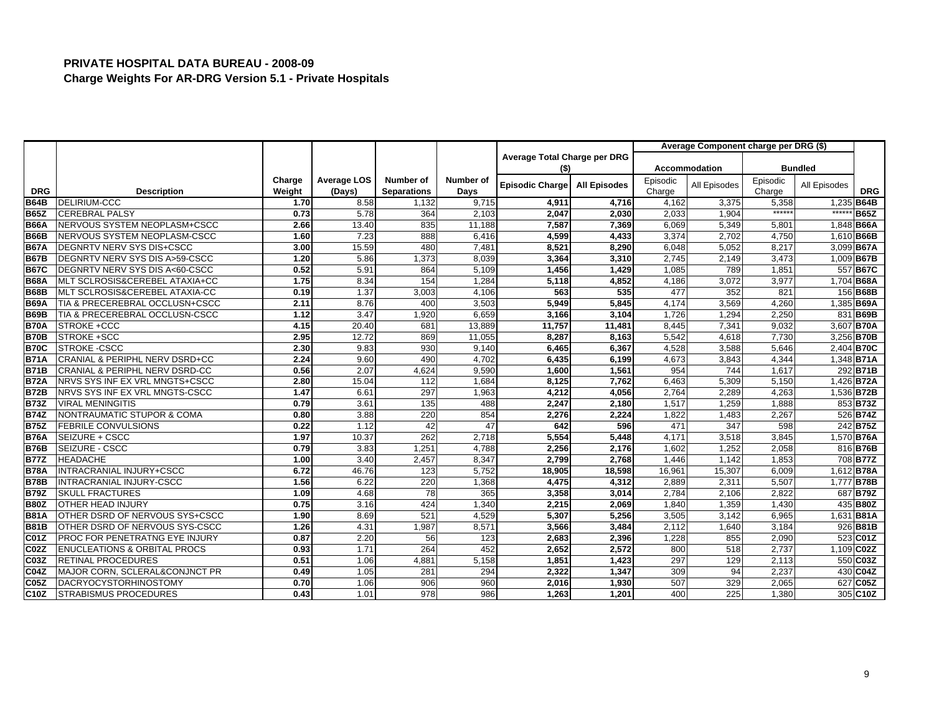|                  |                                           |        |                    |                    |           |                              |                     |          | Average Component charge per DRG (\$) |                 |                |                   |
|------------------|-------------------------------------------|--------|--------------------|--------------------|-----------|------------------------------|---------------------|----------|---------------------------------------|-----------------|----------------|-------------------|
|                  |                                           |        |                    |                    |           | Average Total Charge per DRG |                     |          |                                       |                 |                |                   |
|                  |                                           |        |                    |                    |           | (\$)                         |                     |          | <b>Accommodation</b>                  |                 | <b>Bundled</b> |                   |
|                  |                                           | Charge | <b>Average LOS</b> | Number of          | Number of | <b>Episodic Charge</b>       | <b>All Episodes</b> | Episodic | All Episodes                          | Episodic        | All Episodes   |                   |
| <b>DRG</b>       | <b>Description</b>                        | Weight | (Days)             | <b>Separations</b> | Days      |                              |                     | Charge   |                                       | Charge          |                | <b>DRG</b>        |
| <b>B64B</b>      | DELIRIUM-CCC                              | 1.70   | 8.58               | 1,132              | 9,715     | 4,911                        | 4,716               | 4,162    | 3,375                                 | 5,358<br>****** |                | 1,235 B64B        |
| <b>B65Z</b>      | <b>CEREBRAL PALSY</b>                     | 0.73   | 5.78               | 364                | 2,103     | 2,047                        | 2,030               | 2,033    | 1,904                                 |                 | $*****$        | <b>B65Z</b>       |
| <b>B66A</b>      | NERVOUS SYSTEM NEOPLASM+CSCC              | 2.66   | 13.40              | 835                | 11,188    | 7,587                        | 7,369               | 6,069    | 5,349                                 | 5,801           |                | 1,848 <b>B66A</b> |
| <b>B66B</b>      | NERVOUS SYSTEM NEOPLASM-CSCC              | 1.60   | 7.23               | 888                | 6,416     | 4,599                        | 4,433               | 3,374    | 2.702                                 | 4,750           |                | 1,610 B66B        |
| <b>B67A</b>      | DEGNRTV NERV SYS DIS+CSCC                 | 3.00   | 15.59              | 480                | 7.481     | 8,521                        | 8.290               | 6,048    | 5,052                                 | 8,217           |                | 3,099 B67A        |
| <b>B67B</b>      | DEGNRTV NERV SYS DIS A>59-CSCC            | 1.20   | 5.86               | 1,373              | 8,039     | 3,364                        | 3,310               | 2,745    | 2,149                                 | 3,473           |                | 1,009 B67B        |
| <b>B67C</b>      | DEGNRTV NERV SYS DIS A<60-CSCC            | 0.52   | 5.91               | 864                | 5,109     | 1,456                        | 1,429               | 1,085    | 789                                   | 1,851           |                | 557 B67C          |
| <b>B68A</b>      | MLT SCLROSIS&CEREBEL ATAXIA+CC            | 1.75   | 8.34               | 154                | 1,284     | 5,118                        | 4,852               | 4,186    | 3,072                                 | 3,977           |                | 1,704 B68A        |
| <b>B68B</b>      | MLT SCLROSIS&CEREBEL ATAXIA-CC            | 0.19   | 1.37               | 3,003              | 4,106     | 563                          | 535                 | 477      | 352                                   | 821             |                | 156 B68B          |
| <b>B69A</b>      | TIA & PRECEREBRAL OCCLUSN+CSCC            | 2.11   | 8.76               | 400                | 3,503     | 5,949                        | 5,845               | 4,174    | 3,569                                 | 4,260           |                | 1,385 B69A        |
| <b>B69B</b>      | TIA & PRECEREBRAL OCCLUSN-CSCC            | 1.12   | 3.47               | 1,920              | 6,659     | 3,166                        | 3,104               | 1,726    | 1,294                                 | 2,250           |                | 831 B69B          |
| <b>B70A</b>      | STROKE +CCC                               | 4.15   | 20.40              | 681                | 13,889    | 11,757                       | 11,481              | 8,445    | 7,34'                                 | 9,032           |                | 3,607 B70A        |
| <b>B70B</b>      | STROKE +SCC                               | 2.95   | 12.72              | 869                | 11,055    | 8,287                        | 8,163               | 5,542    | 4,618                                 | 7,730           |                | 3,256 B70B        |
| <b>B70C</b>      | STROKE -CSCC                              | 2.30   | 9.83               | 930                | 9,140     | 6,465                        | 6,367               | 4,528    | 3,588                                 | 5,646           |                | 2,404 <b>B70C</b> |
| <b>B71A</b>      | CRANIAL & PERIPHL NERV DSRD+CC            | 2.24   | 9.60               | 490                | 4,702     | 6,435                        | 6,199               | 4,673    | 3,843                                 | 4,344           |                | 1,348 B71A        |
| <b>B71B</b>      | <b>CRANIAL &amp; PERIPHL NERV DSRD-CC</b> | 0.56   | 2.07               | 4,624              | 9.590     | 1,600                        | 1.561               | 954      | 744                                   | 1,617           |                | 292 B71B          |
| <b>B72A</b>      | NRVS SYS INF EX VRL MNGTS+CSCC            | 2.80   | 15.04              | 112                | 1,684     | 8,125                        | 7,762               | 6,463    | 5,309                                 | 5,150           |                | 1,426 <b>B72A</b> |
| <b>B72B</b>      | NRVS SYS INF EX VRL MNGTS-CSCC            | 1.47   | 6.61               | 297                | 1,963     | 4,212                        | 4,056               | 2,764    | 2,289                                 | 4,263           |                | 1,536 B72B        |
| <b>B73Z</b>      | <b>VIRAL MENINGITIS</b>                   | 0.79   | 3.61               | 135                | 488       | 2,247                        | 2,180               | 1,517    | 1,259                                 | 1,888           |                | 853 B73Z          |
| <b>B74Z</b>      | NONTRAUMATIC STUPOR & COMA                | 0.80   | 3.88               | 220                | 854       | 2,276                        | 2,224               | 1,822    | 1,483                                 | 2,267           |                | 526 B74Z          |
| <b>B75Z</b>      | <b>FEBRILE CONVULSIONS</b>                | 0.22   | 1.12               | 42                 | 47        | 642                          | 596                 | 471      | 347                                   | 598             |                | 242 <b>B75Z</b>   |
| <b>B76A</b>      | SEIZURE + CSCC                            | 1.97   | 10.37              | 262                | 2,718     | 5,554                        | 5,448               | 4,171    | 3,518                                 | 3,845           |                | 1,570 B76A        |
| <b>B76B</b>      | SEIZURE - CSCC                            | 0.79   | 3.83               | 1,251              | 4,788     | 2,256                        | 2,176               | 1,602    | 1,252                                 | 2,058           |                | 816B76B           |
| <b>B77Z</b>      | <b>HEADACHE</b>                           | 1.00   | 3.40               | 2,457              | 8,347     | 2,799                        | 2,768               | 1,446    | 1,142                                 | 1,853           |                | 708 B77Z          |
| <b>B78A</b>      | INTRACRANIAL INJURY+CSCC                  | 6.72   | 46.76              | 123                | 5,752     | 18,905                       | 18,598              | 16,961   | 15,307                                | 6,009           |                | 1,612 <b>B78A</b> |
| <b>B78B</b>      | INTRACRANIAL INJURY-CSCC                  | 1.56   | 6.22               | 220                | 1,368     | 4,475                        | 4,312               | 2,889    | 2,311                                 | 5,507           |                | 1,777 B78B        |
| <b>B79Z</b>      | <b>SKULL FRACTURES</b>                    | 1.09   | 4.68               | 78                 | 365       | 3,358                        | 3,014               | 2,784    | 2,106                                 | 2.822           |                | 687B79Z           |
| <b>B80Z</b>      | OTHER HEAD INJURY                         | 0.75   | 3.16               | 424                | 1,340     | 2,215                        | 2,069               | 1,840    | 1,359                                 | 1,430           |                | 435 B80Z          |
| <b>B81A</b>      | OTHER DSRD OF NERVOUS SYS+CSCC            | 1.90   | 8.69               | 521                | 4,529     | 5,307                        | 5,256               | 3,505    | 3,142                                 | 6,965           |                | 1,631 <b>B81A</b> |
| <b>B81B</b>      | OTHER DSRD OF NERVOUS SYS-CSCC            | 1.26   | 4.31               | 1,987              | 8.571     | 3,566                        | 3.484               | 2,112    | 1,640                                 | 3.184           |                | 926 B81B          |
| C01Z             | PROC FOR PENETRATNG EYE INJURY            | 0.87   | 2.20               | 56                 | 123       | 2,683                        | 2,396               | 1,228    | 855                                   | 2,090           |                | 523 C01Z          |
| C02Z             | <b>ENUCLEATIONS &amp; ORBITAL PROCS</b>   | 0.93   | 1.71               | 264                | 452       | 2,652                        | 2,572               | 800      | 518                                   | 2,737           |                | 1,109 C02Z        |
| C03Z             | <b>RETINAL PROCEDURES</b>                 | 0.51   | 1.06               | 4,881              | 5,158     | 1,851                        | 1,423               | 297      | 129                                   | 2,113           |                | 550 C03Z          |
| <b>C04Z</b>      | MAJOR CORN, SCLERAL&CONJNCT PR            | 0.49   | 1.05               | 281                | 294       | 2,322                        | 1,347               | 309      | 94                                    | 2,237           |                | 430 C04Z          |
| C <sub>05Z</sub> | DACRYOCYSTORHINOSTOMY                     | 0.70   | 1.06               | 906                | 960       | 2,016                        | 1,930               | 507      | 329                                   | 2.065           |                | 627 C05Z          |
| C10Z             | <b>STRABISMUS PROCEDURES</b>              | 0.43   | 1.01               | 978                | 986       | 1,263                        | 1,201               | 400      | 225                                   | 1,380           |                | 305 C10Z          |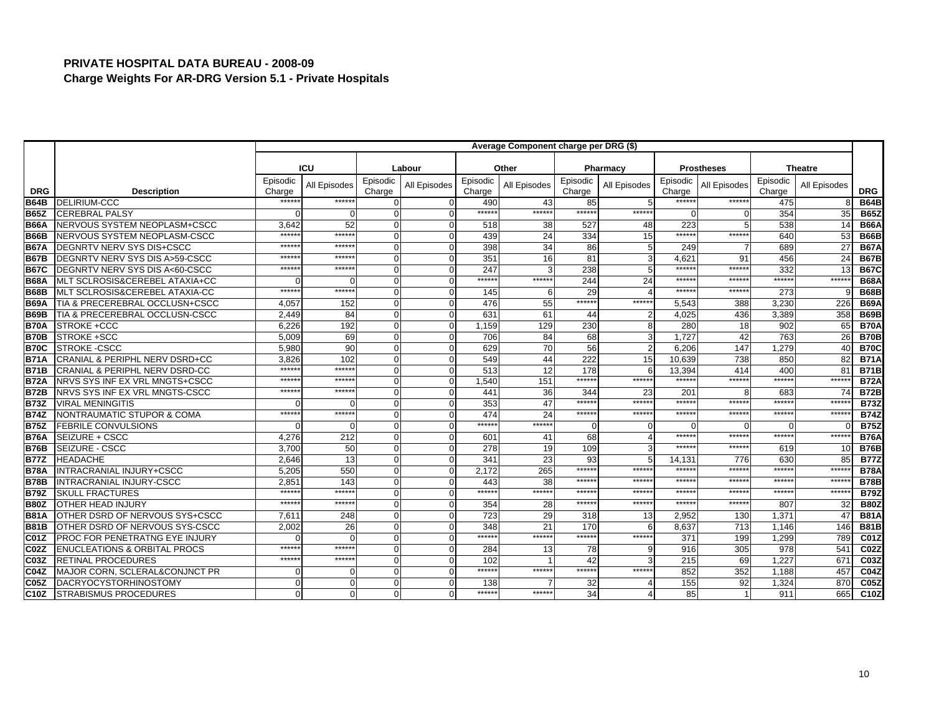|                   |                                           | Average Component charge per DRG (\$) |              |                    |              |                    |                 |                    |                |                    |                   |                    |                |                  |
|-------------------|-------------------------------------------|---------------------------------------|--------------|--------------------|--------------|--------------------|-----------------|--------------------|----------------|--------------------|-------------------|--------------------|----------------|------------------|
|                   |                                           |                                       |              |                    |              |                    |                 |                    |                |                    |                   |                    |                |                  |
|                   |                                           |                                       | <b>ICU</b>   |                    | Labour       |                    | Other           |                    | Pharmacy       |                    | <b>Prostheses</b> |                    | <b>Theatre</b> |                  |
| <b>DRG</b>        | <b>Description</b>                        | Episodic<br>Charge                    | All Episodes | Episodic<br>Charge | All Episodes | Episodic<br>Charge | All Episodes    | Episodic<br>Charge | All Episodes   | Episodic<br>Charge | All Episodes      | Episodic<br>Charge | All Episodes   | <b>DRG</b>       |
| <b>B64B</b>       | <b>DELIRIUM-CCC</b>                       | *****                                 | ******       | $\Omega$           |              | 490                | 43              | 85                 |                | *****:             | *****:            | 475                |                | <b>B64B</b>      |
| <b>B65Z</b>       | <b>CEREBRAL PALSY</b>                     |                                       | $\Omega$     | O                  |              | *****:             | ******          | ******             | ******         | $\Omega$           | n                 | 354                | 35             | <b>B65Z</b>      |
| <b>B66A</b>       | NERVOUS SYSTEM NEOPLASM+CSCC              | 3.642                                 | 52           | $\Omega$           | $\Omega$     | 518                | 38              | 527                | 48             | 223                | 5                 | 538                | 14             | <b>B66A</b>      |
| <b>B66B</b>       | NERVOUS SYSTEM NEOPLASM-CSCC              | *****                                 | *****        | $\Omega$           |              | 439                | $\overline{24}$ | 334                | 15             | ******             | $*****$           | 640                | 53             | <b>B66B</b>      |
| <b>B67A</b>       | DEGNRTV NERV SYS DIS+CSCC                 | $****$                                | $*****$      | $\Omega$           |              | 398                | 34              | 86                 | 5              | 249                |                   | 689                | 27             | <b>B67A</b>      |
| <b>B67B</b>       | DEGNRTV NERV SYS DIS A>59-CSCC            | *****                                 | *****        | $\Omega$           |              | 351                | 16              | 81                 | 3              | 4.621              | 91                | 456                | 24             | <b>B67B</b>      |
| <b>B67C</b>       | DEGNRTV NERV SYS DIS A<60-CSCC            | $****$                                | ******       | $\Omega$           |              | 247                |                 | 238                | 5              | *****              | *****             | 332                | 13             | <b>B67C</b>      |
| <b>B68A</b>       | MLT SCLROSIS&CEREBEL ATAXIA+CC            |                                       |              | $\Omega$           | C            | ******             | $*****$         | 244                | 24             | $*****$            | $*****$           | $***$ **           | *****          | <b>B68A</b>      |
| <b>B68B</b>       | MLT SCLROSIS&CEREBEL ATAXIA-CC            | $*****$                               | ******       | $\Omega$           |              | 145                | 6               | 29                 |                | $*****$            | *****             | 273                |                | <b>B68B</b>      |
| <b>B69A</b>       | TIA & PRECEREBRAL OCCLUSN+CSCC            | 4,057                                 | 152          | $\Omega$           |              | 476                | 55              | ******             | ******         | 5,543              | 388               | 3,230              | 226            | <b>B69A</b>      |
| <b>B69B</b>       | TIA & PRECEREBRAL OCCLUSN-CSCC            | 2.449                                 | 84           | $\Omega$           |              | 631                | 61              | 44                 |                | 4.025              | 436               | 3.389              | 358            | <b>B69B</b>      |
| <b>B70A</b>       | STROKE +CCC                               | 6,226                                 | 192          | O                  | $\Omega$     | 1,159              | 129             | 230                | 8              | 280                | 18                | 902                | 65             | <b>B70A</b>      |
| <b>B70B</b>       | STROKE +SCC                               | 5,009                                 | 69           | $\Omega$           | ∩            | 706                | 84              | 68                 | 3              | 1,727              | 42                | 763                | 26             | <b>B70B</b>      |
| <b>B70C</b>       | <b>STROKE -CSCC</b>                       | 5.980                                 | 90           | $\Omega$           |              | 629                | 70              | 56                 | $\overline{2}$ | 6,206              | 147               | 1,279              | 40             | <b>B70C</b>      |
| <b>B71A</b>       | CRANIAL & PERIPHL NERV DSRD+CC            | 3,826                                 | 102          | $\Omega$           |              | 549                | 44              | 222                | 15             | 10,639             | 738               | 850                | 82             | <b>B71A</b>      |
| <b>B71B</b>       | <b>CRANIAL &amp; PERIPHL NERV DSRD-CC</b> | *****                                 | ******       | $\Omega$           |              | 513                | 12              | 178                |                | 13.394             | 414               | 400                | 81             | <b>B71B</b>      |
| <b>B72A</b>       | NRVS SYS INF EX VRL MNGTS+CSCC            | $****$                                | *****        | O                  |              | 1,540              | 151             | ******             | ******         | *****:             | ******            | $*****$            | *****:         | <b>B72A</b>      |
| <b>B72B</b>       | NRVS SYS INF EX VRL MNGTS-CSCC            | $*****$                               | $*****$      | $\Omega$           |              | 441                | 36              | 344                | 23             | 201                |                   | 683                | 74             | <b>B72B</b>      |
| <b>B73Z</b>       | <b>VIRAL MENINGITIS</b>                   |                                       |              | $\Omega$           |              | 353                | 47              | $*****$            | *****          | $*****$            | *****             | $****$             | *****          | <b>B73Z</b>      |
| <b>B74Z</b>       | NONTRAUMATIC STUPOR & COMA                | *****                                 | $*****$      | $\Omega$           |              | 474                | 24              | ******             | ******         | *****:             | *****:            | $*****$            | *****          | <b>B74Z</b>      |
| <b>B75Z</b>       | <b>FEBRILE CONVULSIONS</b>                |                                       | $\Omega$     | $\Omega$           |              | *****:             | $*****$         | $\Omega$           | $\Omega$       |                    |                   |                    |                | <b>B75Z</b>      |
| <b>B76A</b>       | SEIZURE + CSCC                            | 4,276                                 | 212          | O                  |              | 601                | 41              | 68                 |                | ******             | ******            | *****              | *****          | <b>B76A</b>      |
| <b>B76B</b>       | SEIZURE - CSCC                            | 3,700                                 | 50           | $\Omega$           |              | 278                | 19              | 109                | 3              | *****              | $*****$           | 619                | 10             | <b>B76B</b>      |
| <b>B77Z</b>       | <b>HEADACHE</b>                           | 2.646                                 | 13           | $\Omega$           |              | 341                | 23              | 93                 | 5              | 14.131             | 776               | 630                | 85             | <b>B77Z</b>      |
| <b>B78A</b>       | <b>INTRACRANIAL INJURY+CSCC</b>           | 5,205                                 | 550          | O                  |              | 2,172              | 265             | *****              | *****          | *****              | *****             | *****              | *****          | <b>B78A</b>      |
| <b>B78B</b>       | INTRACRANIAL INJURY-CSCC                  | 2.851                                 | 143          | $\Omega$           |              | 443                | 38              | $*****$            | *****          | $*****$            | *****             | $****$             | *****          | <b>B78B</b>      |
| <b>B79Z</b>       | <b>SKULL FRACTURES</b>                    | $****$                                | ******       | O                  |              | *****:             | ******          | *****              | *****          | *****              | *****             | $*****$            | *****:         | <b>B79Z</b>      |
| <b>B80Z</b>       | <b>OTHER HEAD INJURY</b>                  | $****$                                | ******       | $\Omega$           |              | 354                | 28              | ******             | ******         | $*****$            | ******            | 807                | 32             | <b>B80Z</b>      |
| <b>B81A</b>       | OTHER DSRD OF NERVOUS SYS+CSCC            | 7.611                                 | 248          | $\Omega$           |              | 723                | 29              | 318                | 13             | 2,952              | 130               | 1.371              | 47             | <b>B81A</b>      |
| <b>B81B</b>       | OTHER DSRD OF NERVOUS SYS-CSCC            | 2,002                                 | 26           | O                  |              | 348                | 21              | 170                | 6              | 8,637              | 713               | 1,146              | 146            | <b>B81B</b>      |
| <b>C01Z</b>       | <b>PROC FOR PENETRATNG EYE INJURY</b>     |                                       |              | $\Omega$           |              | *****              | *****:          | ******             | ******         | 371                | 199               | 1,299              | 789            | <b>C01Z</b>      |
| C <sub>02</sub> Z | <b>ENUCLEATIONS &amp; ORBITAL PROCS</b>   | *****                                 | ******       | $\Omega$           |              | 284                | 13              | 78                 | 9              | 916                | 305               | $\overline{978}$   | 541            | C <sub>02Z</sub> |
| C03Z              | RETINAL PROCEDURES                        | $*****$                               | ******       | $\Omega$           |              | 102                |                 | 42                 | 3              | 215                | 69                | 1,227              | 671            | C03Z             |
| <b>C04Z</b>       | MAJOR CORN, SCLERAL&CONJNCT PR            |                                       | 0            | 0                  |              | ******             | ******          | ******             | *****          | 852                | 352               | 1,188              | 457            | <b>C04Z</b>      |
| C <sub>05Z</sub>  | <b>DACRYOCYSTORHINOSTOMY</b>              |                                       | $\Omega$     | O                  |              | 138                |                 | 32                 |                | $\overline{155}$   | 92                | 1,324              | 870            | C05Z             |
| C10Z              | <b>STRABISMUS PROCEDURES</b>              |                                       | $\Omega$     | 0                  |              | *****:             | ******          | 34                 |                | 85                 |                   | 911                | 665            | C10Z             |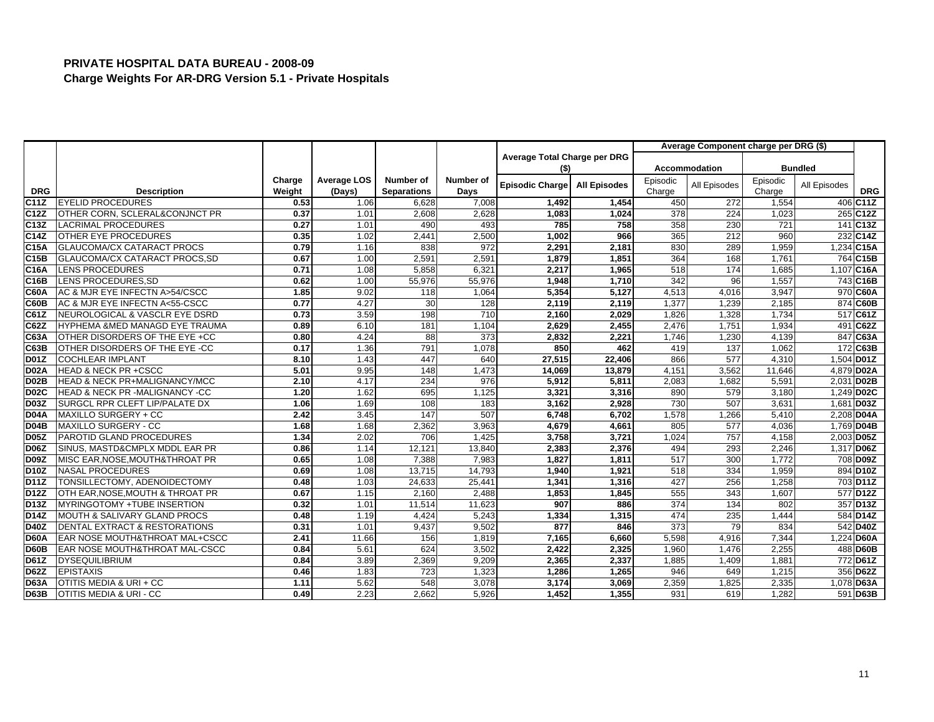|                   |                                          |        |                    |                    |           |                              |                     |          | Average Component charge per DRG (\$) |          |                |                       |
|-------------------|------------------------------------------|--------|--------------------|--------------------|-----------|------------------------------|---------------------|----------|---------------------------------------|----------|----------------|-----------------------|
|                   |                                          |        |                    |                    |           | Average Total Charge per DRG |                     |          |                                       |          |                |                       |
|                   |                                          |        |                    |                    |           | (\$)                         |                     |          | <b>Accommodation</b>                  |          | <b>Bundled</b> |                       |
|                   |                                          | Charge | <b>Average LOS</b> | Number of          | Number of | Episodic Charge              | <b>All Episodes</b> | Episodic | All Episodes                          | Episodic | All Episodes   |                       |
| <b>DRG</b>        | <b>Description</b>                       | Weight | (Days)             | <b>Separations</b> | Days      |                              |                     | Charge   |                                       | Charge   |                | <b>DRG</b>            |
| C <sub>11Z</sub>  | <b>EYELID PROCEDURES</b>                 | 0.53   | 1.06               | 6,628              | 7,008     | 1,492                        | 1,454               | 450      | 272                                   | 1,554    |                | 406 C11Z              |
| C12Z              | OTHER CORN, SCLERAL&CONJNCT PR           | 0.37   | 1.01               | 2,608              | 2,628     | 1,083                        | 1,024               | 378      | 224                                   | 1,023    |                | 265 C12Z              |
| C13Z              | <b>LACRIMAL PROCEDURES</b>               | 0.27   | 1.01               | 490                | 493       | 785                          | 758                 | 358      | 230                                   | 721      |                | 141 C13Z              |
| C14Z              | OTHER EYE PROCEDURES                     | 0.35   | 1.02               | 2,441              | 2,500     | 1,002                        | 966                 | 365      | $\overline{212}$                      | 960      |                | 232 C14Z              |
| C15A              | <b>GLAUCOMA/CX CATARACT PROCS</b>        | 0.79   | 1.16               | 838                | 972       | 2,291                        | 2,181               | 830      | 289                                   | 1,959    |                | 1,234 C15A            |
| <b>C15B</b>       | GLAUCOMA/CX CATARACT PROCS, SD           | 0.67   | 1.00               | 2,591              | 2.591     | 1,879                        | 1,851               | 364      | 168                                   | 1,761    |                | 764 C15B              |
| C16A              | <b>LENS PROCEDURES</b>                   | 0.71   | 1.08               | 5,858              | 6,321     | 2,217                        | 1,965               | 518      | 174                                   | 1,685    |                | 1,107 C16A            |
| C16B              | LENS PROCEDURES, SD                      | 0.62   | 1.00               | 55,976             | 55,976    | 1,948                        | 1,710               | 342      | 96                                    | 1,557    |                | 743 C16B              |
| <b>C60A</b>       | AC & MJR EYE INFECTN A>54/CSCC           | 1.85   | 9.02               | 118                | 1,064     | 5,354                        | 5.127               | 4,513    | 4,016                                 | 3.947    |                | 970 C60A              |
| C60B              | AC & MJR EYE INFECTN A<55-CSCC           | 0.77   | 4.27               | 30                 | 128       | 2,119                        | 2,119               | 1,377    | 1,239                                 | 2,185    |                | 874 C60B              |
| C61Z              | NEUROLOGICAL & VASCLR EYE DSRD           | 0.73   | 3.59               | 198                | 710       | 2,160                        | 2,029               | 1,826    | 1,328                                 | 1,734    |                | 517 C61Z              |
| C62Z              | HYPHEMA &MED MANAGD EYE TRAUMA           | 0.89   | 6.10               | 181                | 1,104     | 2,629                        | 2,455               | 2,476    | 1,751                                 | 1,934    |                | 491 C62Z              |
| C63A              | OTHER DISORDERS OF THE EYE +CC           | 0.80   | 4.24               | 88                 | 373       | 2,832                        | 2,221               | 1,746    | 1,230                                 | 4,139    |                | 847 C63A              |
| C63B              | OTHER DISORDERS OF THE EYE -CC           | 0.17   | 1.36               | 791                | 1,078     | 850                          | 462                 | 419      | 137                                   | 1.062    |                | 172 C63B              |
| <b>D01Z</b>       | <b>COCHLEAR IMPLANT</b>                  | 8.10   | 1.43               | 447                | 640       | 27,515                       | 22,406              | 866      | 577                                   | 4,310    |                | 1,504 D01Z            |
| <b>D02A</b>       | <b>HEAD &amp; NECK PR +CSCC</b>          | 5.01   | 9.95               | 148                | 1,473     | 14,069                       | 13,879              | 4,151    | 3,562                                 | 11,646   |                | 4.879 D02A            |
| D <sub>02</sub> B | HEAD & NECK PR+MALIGNANCY/MCC            | 2.10   | 4.17               | 234                | 976       | 5,912                        | 5,811               | 2,083    | 1,682                                 | 5,591    |                | 2,031 D02B            |
| <b>D02C</b>       | HEAD & NECK PR -MALIGNANCY -CC           | 1.20   | 1.62               | 695                | 1,125     | 3,321                        | 3,316               | 890      | 579                                   | 3,180    |                | 1,249 D02C            |
| <b>D03Z</b>       | SURGCL RPR CLEFT LIP/PALATE DX           | 1.06   | 1.69               | 108                | 183       | 3,162                        | 2.928               | 730      | 507                                   | 3.631    |                | 1,681 D03Z            |
| <b>D04A</b>       | MAXILLO SURGERY + CC                     | 2.42   | 3.45               | 147                | 507       | 6,748                        | 6,702               | 1,578    | 1,266                                 | 5,410    |                | 2,208 D04A            |
| <b>D04B</b>       | <b>MAXILLO SURGERY - CC</b>              | 1.68   | 1.68               | 2,362              | 3,963     | 4,679                        | 4,661               | 805      | 577                                   | 4,036    |                | 1,769 D04B            |
| <b>D05Z</b>       | PAROTID GLAND PROCEDURES                 | 1.34   | 2.02               | 706                | 1,425     | 3,758                        | 3,721               | 1,024    | 757                                   | 4,158    |                | 2,003 D05Z            |
| <b>D06Z</b>       | SINUS, MASTD&CMPLX MDDL EAR PR           | 0.86   | 1.14               | 12,121             | 13,840    | 2,383                        | 2,376               | 494      | 293                                   | 2,246    |                | 1,317 D06Z            |
| <b>D09Z</b>       | MISC EAR, NOSE, MOUTH& THROAT PR         | 0.65   | 1.08               | 7,388              | 7.983     | 1.827                        | 1.811               | 517      | 300                                   | 1.772    |                | 708 D09Z              |
| D10Z              | <b>NASAL PROCEDURES</b>                  | 0.69   | 1.08               | 13,715             | 14,793    | 1,940                        | 1,921               | 518      | 334                                   | 1,959    |                | 894 D10Z              |
| <b>D11Z</b>       | TONSILLECTOMY, ADENOIDECTOMY             | 0.48   | 1.03               | 24,633             | 25,441    | 1,341                        | 1,316               | 427      | 256                                   | 1,258    |                | 703 D11Z              |
| D12Z              | OTH EAR, NOSE, MOUTH & THROAT PR         | 0.67   | 1.15               | 2,160              | 2,488     | 1,853                        | 1,845               | 555      | 343                                   | 1,607    |                | 577 D <sub>12</sub> Z |
| D13Z              | MYRINGOTOMY +TUBE INSERTION              | 0.32   | 1.01               | 11,514             | 11,623    | 907                          | 886                 | 374      | 134                                   | 802      |                | 357 D13Z              |
| <b>D14Z</b>       | <b>MOUTH &amp; SALIVARY GLAND PROCS</b>  | 0.48   | 1.19               | 4,424              | 5,243     | 1,334                        | 1,315               | 474      | 235                                   | 1,444    |                | 584 D14Z              |
| D40Z              | <b>DENTAL EXTRACT &amp; RESTORATIONS</b> | 0.31   | 1.01               | 9,437              | 9,502     | 877                          | 846                 | 373      | 79                                    | 834      |                | 542 D40Z              |
| <b>D60A</b>       | EAR NOSE MOUTH&THROAT MAL+CSCC           | 2.41   | 11.66              | 156                | 1,819     | 7,165                        | 6,660               | 5,598    | 4,916                                 | 7,344    |                | 1,224 D60A            |
| <b>D60B</b>       | EAR NOSE MOUTH&THROAT MAL-CSCC           | 0.84   | 5.61               | 624                | 3,502     | 2,422                        | 2,325               | 1,960    | 1,476                                 | 2,255    |                | 488 D60B              |
| <b>D61Z</b>       | <b>DYSEQUILIBRIUM</b>                    | 0.84   | 3.89               | 2,369              | 9,209     | 2,365                        | 2,337               | 1,885    | 1,409                                 | 1,881    |                | 772 D61Z              |
| <b>D62Z</b>       | <b>EPISTAXIS</b>                         | 0.46   | 1.83               | 723                | 1,323     | 1,286                        | 1,265               | 946      | 649                                   | 1,215    |                | 356 D62Z              |
| <b>D63A</b>       | OTITIS MEDIA & URI + CC                  | 1.11   | 5.62               | 548                | 3,078     | 3,174                        | 3,069               | 2,359    | 1,825                                 | 2,335    |                | 1,078 D63A            |
| <b>D63B</b>       | OTITIS MEDIA & URI - CC                  | 0.49   | 2.23               | 2,662              | 5,926     | 1,452                        | 1,355               | 931      | 619                                   | 1,282    |                | 591 D63B              |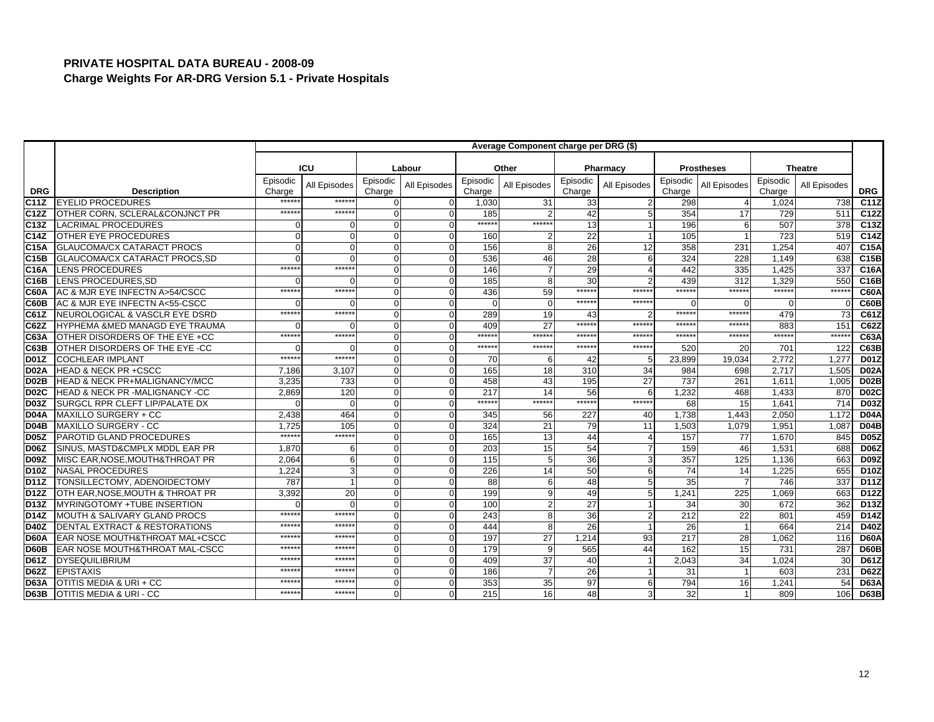|                   |                                          | Average Component charge per DRG (\$) |                |                    |              |                    |              |                    |                 |                    |                   |                    |                |             |
|-------------------|------------------------------------------|---------------------------------------|----------------|--------------------|--------------|--------------------|--------------|--------------------|-----------------|--------------------|-------------------|--------------------|----------------|-------------|
|                   |                                          |                                       |                |                    |              |                    |              |                    |                 |                    |                   |                    |                |             |
|                   |                                          |                                       | ICU            |                    | Labour       |                    | Other        |                    | Pharmacy        |                    | <b>Prostheses</b> |                    | <b>Theatre</b> |             |
| <b>DRG</b>        | <b>Description</b>                       | Episodic<br>Charge                    | All Episodes   | Episodic<br>Charge | All Episodes | Episodic<br>Charge | All Episodes | Episodic<br>Charge | All Episodes    | Episodic<br>Charge | All Episodes      | Episodic<br>Charge | All Episodes   | <b>DRG</b>  |
| C <sub>11</sub> Z | <b>EYELID PROCEDURES</b>                 | *****                                 | $*****$        | <sup>0</sup>       |              | 1,030              | 31           | 33                 |                 | 298                |                   | 1.024              | 738            | C11Z        |
| C12Z              | OTHER CORN. SCLERAL&CONJNCT PR           | $*****$                               | ******         | $\Omega$           |              | 185                |              | 42                 | 5               | 354                | 17                | 729                | 511            | C12Z        |
| C13Z              | <b>LACRIMAL PROCEDURES</b>               |                                       | n              | $\Omega$           | ∩            | ******             | ******       | 13                 |                 | 196                | 6                 | 507                | 378            | C13Z        |
| C <sub>14Z</sub>  | <b>OTHER EYE PROCEDURES</b>              |                                       | $\Omega$       | $\Omega$           |              | 160                |              | 22                 |                 | 105                |                   | 723                | 519            | C14Z        |
| C <sub>15A</sub>  | <b>GLAUCOMA/CX CATARACT PROCS</b>        |                                       | $\overline{0}$ | $\Omega$           |              | 156                |              | 26                 | 12              | 358                | 231               | 1.254              | 407            | C15A        |
| C <sub>15B</sub>  | GLAUCOMA/CX CATARACT PROCS, SD           |                                       | $\Omega$       | $\Omega$           |              | 536                | 46           | 28                 | 6               | 324                | 228               | 1,149              | 638            | C15B        |
| C <sub>16</sub> A | <b>LENS PROCEDURES</b>                   | $*****$                               | ******         | $\Omega$           |              | 146                |              | 29                 | $\overline{4}$  | 442                | 335               | 1.425              | 337            | C16A        |
| C16B              | LENS PROCEDURES, SD                      |                                       | $\Omega$       | $\Omega$           |              | 185                |              | 30                 | $\mathcal{P}$   | 439                | 312               | 1.329              | 550            | C16B        |
| <b>C60A</b>       | AC & MJR EYE INFECTN A>54/CSCC           | $****$                                | $*****$        | $\Omega$           |              | 436                | 59           | ******             | ******          | *****              | ******            | $****$             | *****          | <b>C60A</b> |
| C60B              | AC & MJR EYE INFECTN A<55-CSCC           |                                       | $\Omega$       | $\Omega$           |              | $\Omega$           |              | ******             | ******          | $\Omega$           | $\Omega$          |                    |                | C60B        |
| C61Z              | NEUROLOGICAL & VASCLR EYE DSRD           | $****$                                | ******         | $\overline{0}$     |              | 289                | 19           | 43                 |                 | ******             | *****:            | 479                | 73             | C61Z        |
| C62Z              | HYPHEMA &MED MANAGD EYE TRAUMA           |                                       | ∩              | $\Omega$           |              | 409                | 27           | ******             | ******          | $*****$            | $******$          | 883                | 151            | C62Z        |
| C63A              | OTHER DISORDERS OF THE EYE +CC           | $*****$                               | $*****$        | $\Omega$           | $\Omega$     | ******             | $*****$      | *****              | *****           | $*****$            | ******            | $****$             | ******         | C63A        |
| C63B              | OTHER DISORDERS OF THE EYE -CC           |                                       | $\Omega$       | $\Omega$           |              | ******             | ******       | ******             | ******          | 520                | 20                | 701                | 122            | C63B        |
| <b>D01Z</b>       | <b>COCHLEAR IMPLANT</b>                  | $*****$                               | $*****$        | $\Omega$           | $\Omega$     | 70                 |              | 42                 | 5               | 23,899             | 19,034            | 2,772              | 1,277          | <b>D01Z</b> |
| <b>D02A</b>       | <b>HEAD &amp; NECK PR +CSCC</b>          | 7,186                                 | 3.107          | $\Omega$           |              | 165                | 18           | 310                | 34              | 984                | 698               | 2,717              | 1,505          | <b>D02A</b> |
| D <sub>02</sub> B | <b>HEAD &amp; NECK PR+MALIGNANCY/MCC</b> | 3,235                                 | 733            | $\Omega$           |              | 458                | 43           | 195                | 27              | 737                | 261               | 1,611              | 1,005          | <b>D02B</b> |
| <b>D02C</b>       | HEAD & NECK PR -MALIGNANCY -CC           | 2,869                                 | 120            | $\Omega$           | $\Omega$     | 217                | 14           | 56                 | 6               | 1,232              | 468               | 1,433              | 870            | <b>D02C</b> |
| D <sub>03</sub> Z | SURGCL RPR CLEFT LIP/PALATE DX           |                                       | $\Omega$       | $\Omega$           | $\Omega$     | ******             | $*****$      | ******             | ******          | 68                 | 15                | 1.641              | 714            | <b>D03Z</b> |
| <b>D04A</b>       | MAXILLO SURGERY + CC                     | 2,438                                 | 464            | $\overline{0}$     | $\Omega$     | 345                | 56           | 227                | 40              | 1.738              | 1.443             | 2,050              | 1.172          | <b>D04A</b> |
| <b>D04B</b>       | <b>MAXILLO SURGERY - CC</b>              | 1.725                                 | 105            | $\Omega$           |              | 324                | 21           | 79                 | $\overline{11}$ | 1,503              | 1,079             | 1,95'              | 1,087          | <b>D04B</b> |
| <b>D05Z</b>       | <b>PAROTID GLAND PROCEDURES</b>          | *****                                 | ******         | $\Omega$           |              | 165                | 13           | 44                 | $\overline{4}$  | 157                | 77                | 1,670              | 845            | <b>D05Z</b> |
| <b>D06Z</b>       | SINUS, MASTD&CMPLX MDDL EAR PR           | 1.870                                 | -6             | $\Omega$           | $\Omega$     | 203                | 15           | 54                 | $\overline{7}$  | 159                | 46                | 1.531              | 688            | <b>D06Z</b> |
| D <sub>09</sub> Z | MISC EAR, NOSE, MOUTH& THROAT PR         | 2,064                                 | 6              | $\Omega$           | $\Omega$     | 115                |              | 36                 | 3               | 357                | 125               | 1,136              | 663            | <b>D09Z</b> |
| D10Z              | <b>NASAL PROCEDURES</b>                  | 1,224                                 | 3              | $\Omega$           |              | 226                | 14           | 50                 | 6               | 74                 | 14                | 1,225              | 655            | <b>D10Z</b> |
| <b>D11Z</b>       | TONSILLECTOMY, ADENOIDECTOMY             | 787                                   |                | $\Omega$           |              | 88                 |              | 48                 | 5               | 35                 |                   | 746                | 337            | D11Z        |
| <b>D12Z</b>       | OTH EAR, NOSE, MOUTH & THROAT PR         | 3,392                                 | 20             | $\Omega$           |              | 199                |              | 49                 | 5               | 1,241              | 225               | 1,069              | 663            | D12Z        |
| D13Z              | MYRINGOTOMY +TUBE INSERTION              |                                       | $\Omega$       | $\Omega$           | $\Omega$     | 100                |              | 27                 |                 | 34                 | 30                | 672                | 362            | D13Z        |
| D14Z              | <b>MOUTH &amp; SALIVARY GLAND PROCS</b>  | $*****$                               | $*****$        | $\overline{0}$     | $\Omega$     | 243                |              | 36                 | $\overline{2}$  | $\overline{212}$   | 22                | 801                | 459            | D14Z        |
| <b>D40Z</b>       | DENTAL EXTRACT & RESTORATIONS            | *****                                 | *****          | $\Omega$           |              | 444                |              | 26                 |                 | 26                 |                   | 664                | 214            | <b>D40Z</b> |
| <b>D60A</b>       | EAR NOSE MOUTH&THROAT MAL+CSCC           | *****                                 | *****          | $\Omega$           |              | 197                | 27           | 1,214              | 93              | 217                | 28                | 1,062              | 116            | <b>D60A</b> |
| D60B              | EAR NOSE MOUTH&THROAT MAL-CSCC           | *****                                 | *****          | $\overline{0}$     |              | 179                |              | 565                | 44              | 162                | 15                | 731                | 287            | <b>D60B</b> |
| <b>D61Z</b>       | <b>DYSEQUILIBRIUM</b>                    | $****$                                | *****          | $\Omega$           | $\Omega$     | 409                | 37           | 40                 |                 | 2,043              | 34                | 1,024              | 30             | <b>D61Z</b> |
| <b>D62Z</b>       | <b>EPISTAXIS</b>                         | *****                                 | *****          | $\Omega$           | $\Omega$     | 186                |              | 26                 |                 | 31                 |                   | 603                | 231            | <b>D62Z</b> |
| D63A              | OTITIS MEDIA & URI + CC                  | *****                                 | *****          | 0                  |              | 353                | 35           | 97                 | 6               | 794                | 16                | 1,24'              | 54             | <b>D63A</b> |
| D63B              | <b>OTITIS MEDIA &amp; URI - CC</b>       | $*****$                               | ******         | U                  |              | 215                | 16           | 48                 | 3               | 32                 |                   | 809                | 106            | <b>D63B</b> |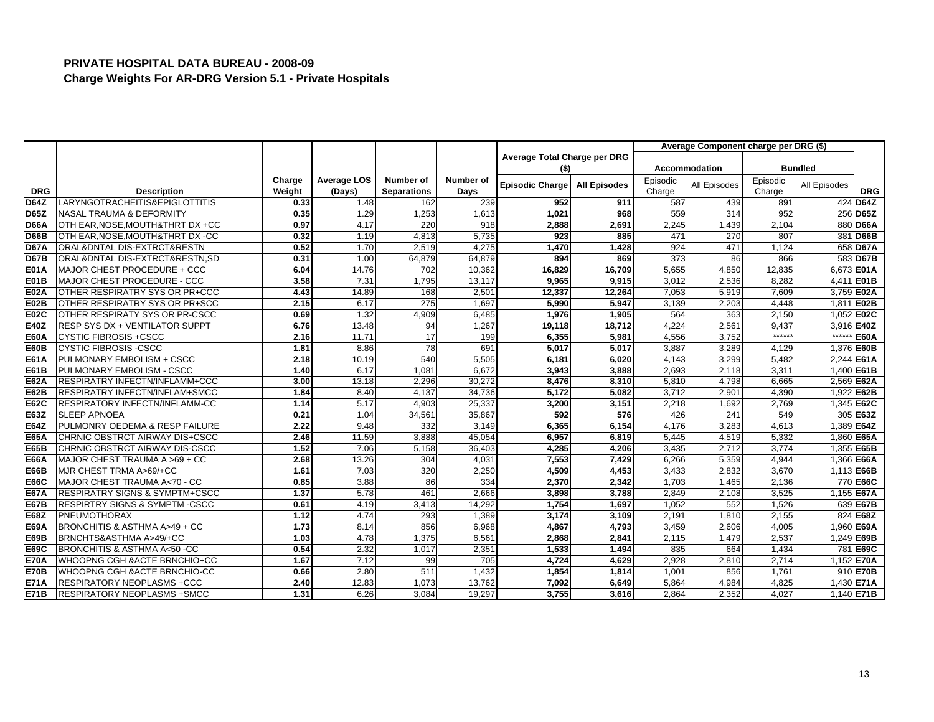|             |                                           |        |                    |                    |           |                              |                     |          | Average Component charge per DRG (\$) |          |                |             |
|-------------|-------------------------------------------|--------|--------------------|--------------------|-----------|------------------------------|---------------------|----------|---------------------------------------|----------|----------------|-------------|
|             |                                           |        |                    |                    |           | Average Total Charge per DRG |                     |          |                                       |          |                |             |
|             |                                           |        |                    |                    |           | (\$)                         |                     |          | <b>Accommodation</b>                  |          | <b>Bundled</b> |             |
|             |                                           | Charge | <b>Average LOS</b> | Number of          | Number of | Episodic Charge              | <b>All Episodes</b> | Episodic | All Episodes                          | Episodic | All Episodes   |             |
| <b>DRG</b>  | <b>Description</b>                        | Weight | (Days)             | <b>Separations</b> | Days      |                              |                     | Charge   |                                       | Charge   |                | <b>DRG</b>  |
| <b>D64Z</b> | LARYNGOTRACHEITIS&EPIGLOTTITIS            | 0.33   | 1.48               | 162                | 239       | 952                          | 911                 | 587      | 439                                   | 891      |                | 424 D64Z    |
| <b>D65Z</b> | NASAL TRAUMA & DEFORMITY                  | 0.35   | 1.29               | 1,253              | 1,613     | 1,021                        | 968                 | 559      | 314                                   | 952      |                | 256 D65Z    |
| <b>D66A</b> | OTH EAR, NOSE, MOUTH& THRT DX +CC         | 0.97   | 4.17               | 220                | 918       | 2,888                        | 2,691               | 2,245    | 1,439                                 | 2,104    |                | 880 D66A    |
| <b>D66B</b> | OTH EAR, NOSE, MOUTH& THRT DX -CC         | 0.32   | 1.19               | 4.813              | 5.735     | 923                          | 885                 | 471      | 270                                   | 807      |                | 381 D66B    |
| <b>D67A</b> | ORAL&DNTAL DIS-EXTRCT&RESTN               | 0.52   | 1.70               | 2,519              | 4,275     | 1,470                        | 1,428               | 924      | 471                                   | 1,124    |                | 658 D67A    |
| <b>D67B</b> | ORAL&DNTAL DIS-EXTRCT&RESTN,SD            | 0.31   | 1.00               | 64,879             | 64,879    | 894                          | 869                 | 373      | 86                                    | 866      |                | 583 D67B    |
| <b>E01A</b> | MAJOR CHEST PROCEDURE + CCC               | 6.04   | 14.76              | 702                | 10,362    | 16,829                       | 16,709              | 5,655    | 4,850                                 | 12,835   |                | 6,673 E01A  |
| <b>E01B</b> | MAJOR CHEST PROCEDURE - CCC               | 3.58   | 7.31               | 1,795              | 13,117    | 9,965                        | 9,915               | 3,012    | 2,536                                 | 8,282    |                | 4,411 E01B  |
| <b>E02A</b> | OTHER RESPIRATRY SYS OR PR+CCC            | 4.43   | 14.89              | 168                | 2.501     | 12,337                       | 12.264              | 7.053    | 5.919                                 | 7.609    |                | 3,759 E02A  |
| <b>E02B</b> | OTHER RESPIRATRY SYS OR PR+SCC            | 2.15   | 6.17               | 275                | 1,697     | 5,990                        | 5,947               | 3,139    | 2,203                                 | 4,448    |                | 1,811 E02B  |
| <b>E02C</b> | OTHER RESPIRATY SYS OR PR-CSCC            | 0.69   | 1.32               | 4,909              | 6,485     | 1,976                        | 1,905               | 564      | 363                                   | 2,150    |                | 1,052 E02C  |
| E40Z        | <b>RESP SYS DX + VENTILATOR SUPPT</b>     | 6.76   | 13.48              | 94                 | 1,267     | 19,118                       | 18,712              | 4,224    | 2,56'                                 | 9,437    |                | 3,916 E40Z  |
| <b>E60A</b> | <b>CYSTIC FIBROSIS +CSCC</b>              | 2.16   | 11.71              | 17                 | 199       | 6,355                        | 5,981               | 4,556    | 3,752                                 | ******   | $*****$        | <b>E60A</b> |
| <b>E60B</b> | <b>CYSTIC FIBROSIS -CSCC</b>              | 1.81   | 8.86               | 78                 | 691       | 5,017                        | 5.017               | 3,887    | 3,289                                 | 4,129    |                | 1,376 E60B  |
| E61A        | PULMONARY EMBOLISM + CSCC                 | 2.18   | 10.19              | 540                | 5,505     | 6,181                        | 6,020               | 4,143    | 3,299                                 | 5,482    |                | 2.244 E61A  |
| E61B        | PULMONARY EMBOLISM - CSCC                 | 1.40   | 6.17               | 1,081              | 6,672     | 3,943                        | 3,888               | 2,693    | 2,118                                 | 3,311    |                | 1,400 E61B  |
| <b>E62A</b> | <b>RESPIRATRY INFECTN/INFLAMM+CCC</b>     | 3.00   | 13.18              | 2,296              | 30.272    | 8,476                        | 8,310               | 5,810    | 4,798                                 | 6.665    |                | 2,569 E62A  |
| <b>E62B</b> | RESPIRATRY INFECTN/INFLAM+SMCC            | 1.84   | 8.40               | 4,137              | 34,736    | 5,172                        | 5,082               | 3,712    | 2,901                                 | 4,390    |                | 1,922 E62B  |
| <b>E62C</b> | RESPIRATORY INFECTN/INFLAMM-CC            | 1.14   | 5.17               | 4.903              | 25,337    | 3,200                        | 3,151               | 2,218    | 1,692                                 | 2.769    |                | 1,345 E62C  |
| E63Z        | <b>SLEEP APNOEA</b>                       | 0.21   | 1.04               | 34,561             | 35,867    | 592                          | 576                 | 426      | 241                                   | 549      |                | 305 E63Z    |
| <b>E64Z</b> | PULMONRY OEDEMA & RESP FAILURE            | 2.22   | 9.48               | 332                | 3,149     | 6,365                        | 6,154               | 4,176    | 3,283                                 | 4,613    |                | 1,389 E64Z  |
| <b>E65A</b> | CHRNIC OBSTRCT AIRWAY DIS+CSCC            | 2.46   | 11.59              | 3,888              | 45,054    | 6,957                        | 6,819               | 5,445    | 4,519                                 | 5,332    |                | 1,860 E65A  |
| <b>E65B</b> | CHRNIC OBSTRCT AIRWAY DIS-CSCC            | 1.52   | 7.06               | 5,158              | 36,403    | 4,285                        | 4,206               | 3,435    | 2,712                                 | 3,774    |                | 1,355 E65B  |
| <b>E66A</b> | MAJOR CHEST TRAUMA A >69 + CC             | 2.68   | 13.26              | 304                | 4,031     | 7,553                        | 7.429               | 6,266    | 5,359                                 | 4.944    |                | 1,366 E66A  |
| <b>E66B</b> | MJR CHEST TRMA A>69/+CC                   | 1.61   | 7.03               | 320                | 2,250     | 4,509                        | 4,453               | 3,433    | 2,832                                 | 3,670    |                | 1,113 E66B  |
| <b>E66C</b> | MAJOR CHEST TRAUMA A<70 - CC              | 0.85   | 3.88               | 86                 | 334       | 2,370                        | 2,342               | 1,703    | 1,465                                 | 2,136    |                | 770 E66C    |
| <b>E67A</b> | <b>RESPIRATRY SIGNS &amp; SYMPTM+CSCC</b> | 1.37   | 5.78               | 461                | 2,666     | 3,898                        | 3,788               | 2,849    | 2,108                                 | 3,525    |                | 1,155 E67A  |
| <b>E67B</b> | RESPIRTRY SIGNS & SYMPTM-CSCC             | 0.61   | 4.19               | 3,413              | 14,292    | 1,754                        | 1,697               | 1,052    | 552                                   | 1,526    |                | 639 E67B    |
| E68Z        | PNEUMOTHORAX                              | 1.12   | 4.74               | 293                | 1,389     | 3,174                        | 3,109               | 2,191    | 1,810                                 | 2,155    |                | 824 E68Z    |
| <b>E69A</b> | BRONCHITIS & ASTHMA A>49 + CC             | 1.73   | 8.14               | 856                | 6.968     | 4,867                        | 4.793               | 3,459    | 2.606                                 | 4.005    |                | 1,960 E69A  |
| <b>E69B</b> | BRNCHTS&ASTHMA A>49/+CC                   | 1.03   | 4.78               | 1,375              | 6,561     | 2,868                        | 2,841               | 2,115    | 1,479                                 | 2,537    |                | 1,249 E69B  |
| <b>E69C</b> | BRONCHITIS & ASTHMA A<50 -CC              | 0.54   | 2.32               | 1,017              | 2,351     | 1,533                        | 1.494               | 835      | 664                                   | 1,434    |                | 781 E69C    |
| <b>E70A</b> | WHOOPNG CGH &ACTE BRNCHIO+CC              | 1.67   | 7.12               | 99                 | 705       | 4,724                        | 4,629               | 2,928    | 2,810                                 | 2,714    |                | 1,152 E70A  |
| <b>E70B</b> | WHOOPNG CGH &ACTE BRNCHIO-CC              | 0.66   | 2.80               | 511                | 1,432     | 1,854                        | 1,814               | 1,001    | 856                                   | 1,761    |                | 910 E70B    |
| <b>E71A</b> | <b>RESPIRATORY NEOPLASMS +CCC</b>         | 2.40   | 12.83              | 1,073              | 13,762    | 7,092                        | 6,649               | 5,864    | 4,984                                 | 4,825    |                | 1,430 E71A  |
| <b>E71B</b> | <b>RESPIRATORY NEOPLASMS +SMCC</b>        | 1.31   | 6.26               | 3,084              | 19,297    | 3,755                        | 3,616               | 2,864    | 2,352                                 | 4,027    |                | 1,140 E71B  |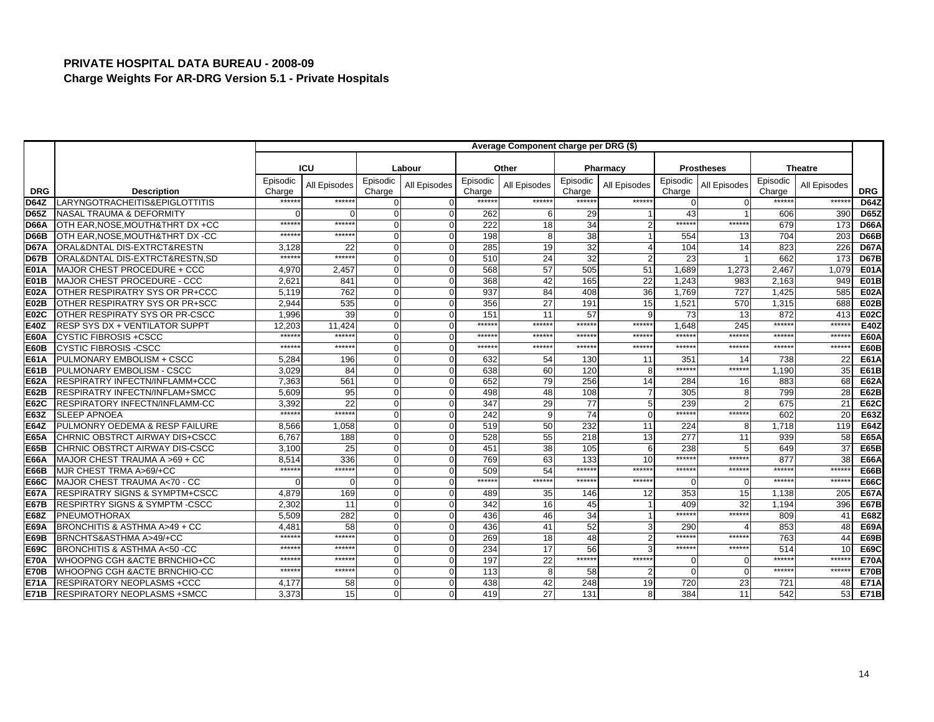|             |                                           | Average Component charge per DRG (\$) |              |                    |              |                    |              |                    |                 |                    |                   |                    |                |             |
|-------------|-------------------------------------------|---------------------------------------|--------------|--------------------|--------------|--------------------|--------------|--------------------|-----------------|--------------------|-------------------|--------------------|----------------|-------------|
|             |                                           |                                       |              |                    |              |                    |              |                    |                 |                    |                   |                    |                |             |
|             |                                           |                                       | ICU          |                    | Labour       |                    | Other        |                    | Pharmacy        |                    | <b>Prostheses</b> |                    | <b>Theatre</b> |             |
| <b>DRG</b>  | <b>Description</b>                        | Episodic<br>Charge                    | All Episodes | Episodic<br>Charge | All Episodes | Episodic<br>Charge | All Episodes | Episodic<br>Charge | All Episodes    | Episodic<br>Charge | All Episodes      | Episodic<br>Charge | All Episodes   | <b>DRG</b>  |
| <b>D64Z</b> | LARYNGOTRACHEITIS&EPIGLOTTITIS            | *****                                 | ******       | O                  |              | *****              | ******       | ******             | ******          | $\Omega$           |                   | *****              | ******         | <b>D64Z</b> |
| <b>D65Z</b> | <b>NASAL TRAUMA &amp; DEFORMITY</b>       |                                       |              | $\Omega$           |              | 262                |              | 29                 |                 | 43                 |                   | 606                | 390            | <b>D65Z</b> |
| D66A        | OTH EAR, NOSE, MOUTH& THRT DX +CC         | *****                                 | $*****$      | $\Omega$           | $\Omega$     | 222                | 18           | 34                 | $\overline{2}$  | $*****$            | ******            | 679                | 173            | <b>D66A</b> |
| <b>D66B</b> | OTH EAR, NOSE, MOUTH& THRT DX -CC         | $****$                                | $*****$      | $\Omega$           |              | 198                |              | 38                 |                 | 554                | 13                | 704                | 203            | <b>D66B</b> |
| <b>D67A</b> | ORAL&DNTAL DIS-EXTRCT&RESTN               | 3,128                                 | 22           | $\Omega$           |              | 285                | 19           | 32                 | $\overline{4}$  | 104                | 14                | 823                | 226            | <b>D67A</b> |
| <b>D67B</b> | ORAL&DNTAL DIS-EXTRCT&RESTN.SD            | *****                                 | ******       | $\Omega$           |              | 510                | 24           | 32                 | $\overline{2}$  | 23                 |                   | 662                | 173            | <b>D67B</b> |
| <b>E01A</b> | MAJOR CHEST PROCEDURE + CCC               | 4,970                                 | 2,457        | $\Omega$           | ∩            | 568                | 57           | 505                | 51              | 1,689              | 1,273             | 2,467              | 1,079          | <b>E01A</b> |
| <b>E01B</b> | MAJOR CHEST PROCEDURE - CCC               | 2,621                                 | 841          | $\Omega$           | $\Omega$     | 368                | 42           | 165                | 22              | 1,243              | 983               | 2,163              | 949            | E01B        |
| <b>E02A</b> | OTHER RESPIRATRY SYS OR PR+CCC            | 5.119                                 | 762          | $\overline{0}$     |              | 937                | 84           | 408                | 36              | 1.769              | 727               | 1.425              | 585            | <b>E02A</b> |
| E02B        | OTHER RESPIRATRY SYS OR PR+SCC            | 2,944                                 | 535          | $\Omega$           |              | 356                | 27           | 191                | 15              | 1,521              | 570               | 1,315              | 688            | <b>E02B</b> |
| <b>E02C</b> | OTHER RESPIRATY SYS OR PR-CSCC            | 1.996                                 | 39           | $\Omega$           |              | 151                | 11           | 57                 | 9               | 73                 | 13                | 872                | 413            | <b>E02C</b> |
| E40Z        | RESP SYS DX + VENTILATOR SUPPT            | 12,203                                | 11,424       | $\Omega$           |              | ******             | ******       | ******             | ******          | 1,648              | 245               | $****$             | *****:         | E40Z        |
| <b>E60A</b> | <b>CYSTIC FIBROSIS +CSCC</b>              | $*****$                               | $*****$      | $\Omega$           | $\Omega$     | ******             | *****        | ******             | ******          | $******$           | ******            | *****              | ******         | <b>E60A</b> |
| <b>E60B</b> | <b>CYSTIC FIBROSIS -CSCC</b>              | *****                                 | ******       | $\Omega$           |              | ******             | ******       | ******             | *****:          | ******             | ******            | *****              | ******         | <b>E60B</b> |
| E61A        | PULMONARY EMBOLISM + CSCC                 | 5,284                                 | 196          | $\Omega$           | $\Omega$     | 632                | 54           | 130                | 11              | 351                | 14                | 738                | 22             | E61A        |
| E61B        | PULMONARY EMBOLISM - CSCC                 | 3.029                                 | 84           | $\Omega$           |              | 638                | 60           | 120                | 8               | $*****$            | ******            | 1.190              | 35             | E61B        |
| <b>E62A</b> | <b>RESPIRATRY INFECTN/INFLAMM+CCC</b>     | 7,363                                 | 561          | $\Omega$           |              | 652                | 79           | 256                | 14              | 284                | 16                | 883                | 68             | E62A        |
| <b>E62B</b> | <b>RESPIRATRY INFECTN/INFLAM+SMCC</b>     | 5.609                                 | 95           | $\Omega$           | $\Omega$     | 498                | 48           | 108                | $\overline{7}$  | 305                | 8                 | 799                | 28             | E62B        |
| <b>E62C</b> | <b>RESPIRATORY INFECTN/INFLAMM-CC</b>     | 3.392                                 | 22           | $\Omega$           |              | 347                | 29           | 77                 | $5\overline{5}$ | 239                |                   | 675                | 21             | <b>E62C</b> |
| E63Z        | <b>SLEEP APNOEA</b>                       | $*****$                               | $*****$      | $\Omega$           |              | 242                |              | 74                 | $\Omega$        | ******             | *****:            | 602                | 20             | E63Z        |
| <b>E64Z</b> | PULMONRY OEDEMA & RESP FAILURE            | 8.566                                 | 1,058        | $\Omega$           |              | 519                | 50           | 232                | 11              | 224                | 8                 | 1,718              | 119            | <b>E64Z</b> |
| <b>E65A</b> | CHRNIC OBSTRCT AIRWAY DIS+CSCC            | 6,767                                 | 188          | $\Omega$           |              | 528                | 55           | 218                | 13              | 277                | 11                | 939                | 58             | <b>E65A</b> |
| <b>E65B</b> | CHRNIC OBSTRCT AIRWAY DIS-CSCC            | 3,100                                 | 25           | $\Omega$           |              | 451                | 38           | 105                | 6               | 238                | 5                 | 649                | 37             | E65B        |
| <b>E66A</b> | MAJOR CHEST TRAUMA A >69 + CC             | 8.514                                 | 336          | $\Omega$           |              | 769                | 63           | 133                | 10              | $*****$            | $*****$           | 877                | 38             | <b>E66A</b> |
| <b>E66B</b> | MJR CHEST TRMA A>69/+CC                   | $*****$                               | ******       | $\Omega$           |              | 509                | 54           | ******             | ******          | ******             | ******            | *****              | *****          | <b>E66B</b> |
| <b>E66C</b> | MAJOR CHEST TRAUMA A<70 - CC              |                                       | $\Omega$     | $\Omega$           |              | ******             | ******       | ******             | $*****$         | $\Omega$           | $\Omega$          | $****$             | *****:         | <b>E66C</b> |
| <b>E67A</b> | <b>RESPIRATRY SIGNS &amp; SYMPTM+CSCC</b> | 4,879                                 | 169          | $\Omega$           |              | 489                | 35           | 146                | 12              | 353                | 15                | 1,138              | 205            | <b>E67A</b> |
| <b>E67B</b> | RESPIRTRY SIGNS & SYMPTM-CSCC             | 2,302                                 | 11           | $\Omega$           |              | 342                | 16           | 45                 |                 | 409                | 32                | 1,194              | 396            | <b>E67B</b> |
| <b>E68Z</b> | <b>PNEUMOTHORAX</b>                       | 5,509                                 | 282          | $\Omega$           |              | 436                | 46           | 34                 |                 | $*****$            | $*****$           | 809                | 41             | <b>E68Z</b> |
| <b>E69A</b> | BRONCHITIS & ASTHMA A>49 + CC             | 4,48'                                 | 58           | $\Omega$           |              | 436                | 41           | 52                 | 3               | 290                |                   | 853                | 48             | <b>E69A</b> |
| <b>E69B</b> | BRNCHTS&ASTHMA A>49/+CC                   | $*****$                               | $*****$      | $\Omega$           |              | 269                | 18           | 48                 | $\overline{2}$  | $****$             | ******            | 763                | 44             | <b>E69B</b> |
| E69C        | BRONCHITIS & ASTHMA A<50 -CC              | *****                                 | *****        | $\Omega$           |              | 234                | 17           | 56                 | 3               | ******             | ******            | 514                | 10             | <b>E69C</b> |
| <b>E70A</b> | WHOOPNG CGH & ACTE BRNCHIO+CC             | $****$                                | $*****$      | $\Omega$           | $\Omega$     | 197                | 22           | ******             | ******          | $\Omega$           | n                 | $****$             | ******         | <b>E70A</b> |
| <b>E70B</b> | WHOOPNG CGH & ACTE BRNCHIO-CC             | $*****$                               | $*****$      | $\Omega$           | $\Omega$     | 113                |              | 58                 | $\overline{2}$  | $\Omega$           | U                 | $****$             | *****          | <b>E70B</b> |
| <b>E71A</b> | <b>RESPIRATORY NEOPLASMS +CCC</b>         | 4,177                                 | 58           | 0                  |              | 438                | 42           | 248                | 19              | 720                | 23                | 721                | 48             | <b>E71A</b> |
| <b>E71B</b> | <b>RESPIRATORY NEOPLASMS +SMCC</b>        | 3,373                                 | 15           | $\Omega$           |              | 419                | 27           | 131                | 8               | 384                | 11                | 542                | 53             | <b>E71B</b> |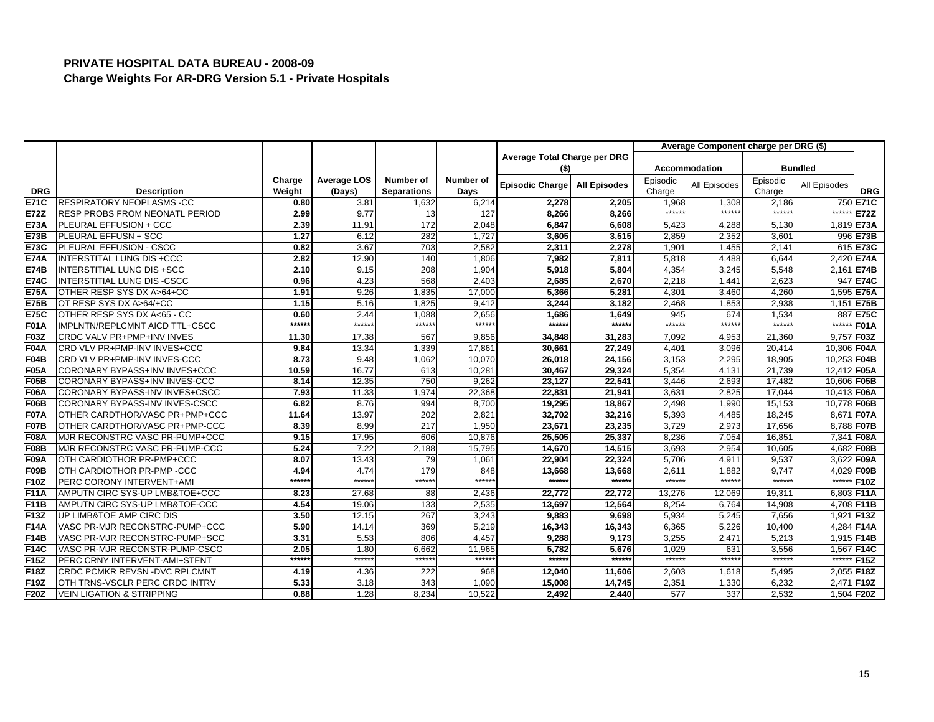|             |                                       |        |             |                    |           |                              |                     |                 | Average Component charge per DRG (\$) |                   |                |             |
|-------------|---------------------------------------|--------|-------------|--------------------|-----------|------------------------------|---------------------|-----------------|---------------------------------------|-------------------|----------------|-------------|
|             |                                       |        |             |                    |           | Average Total Charge per DRG |                     |                 |                                       |                   |                |             |
|             |                                       |        |             |                    |           | (\$)                         |                     |                 | <b>Accommodation</b>                  |                   | <b>Bundled</b> |             |
|             |                                       | Charge | Average LOS | <b>Number of</b>   | Number of | <b>Episodic Charge</b>       | <b>All Episodes</b> | Episodic        | All Episodes                          | Episodic          | All Episodes   |             |
| <b>DRG</b>  | <b>Description</b>                    | Weight | (Days)      | <b>Separations</b> | Days      |                              |                     | Charge          |                                       | Charge            |                | <b>DRG</b>  |
| <b>E71C</b> | <b>RESPIRATORY NEOPLASMS -CC</b>      | 0.80   | 3.81        | 1,632              | 6,214     | 2,278                        | 2,205               | 1,968<br>****** | 1,308<br>$*****$                      | 2,186<br>$******$ |                | 750 E71C    |
| <b>E72Z</b> | <b>RESP PROBS FROM NEONATL PERIOD</b> | 2.99   | 9.77        | 13                 | 127       | 8,266                        | 8,266               |                 |                                       |                   | ******         | E72Z        |
| <b>E73A</b> | PLEURAL EFFUSION + CCC                | 2.39   | 11.91       | 172                | 2,048     | 6,847                        | 6,608               | 5,423           | 4,288                                 | 5,130             |                | 1,819 E73A  |
| E73B        | PLEURAL EFFUSN + SCC                  | 1.27   | 6.12        | 282                | 1.727     | 3,605                        | 3,515               | 2,859           | 2,352                                 | 3,601             |                | 996 E73B    |
| <b>E73C</b> | PLEURAL EFFUSION - CSCC               | 0.82   | 3.67        | 703                | 2,582     | 2,311                        | 2.278               | 1,901           | 1.455                                 | 2.141             |                | 615 E73C    |
| <b>E74A</b> | <b>INTERSTITAL LUNG DIS +CCC</b>      | 2.82   | 12.90       | 140                | 1,806     | 7,982                        | 7,811               | 5,818           | 4,488                                 | 6,644             |                | 2,420 E74A  |
| <b>E74B</b> | <b>INTERSTITIAL LUNG DIS +SCC</b>     | 2.10   | 9.15        | 208                | 1,904     | 5,918                        | 5,804               | 4,354           | 3,245                                 | 5,548             |                | 2,161 E74B  |
| <b>E74C</b> | INTERSTITIAL LUNG DIS-CSCC            | 0.96   | 4.23        | 568                | 2.403     | 2,685                        | 2,670               | 2,218           | 1,441                                 | 2.623             |                | 947 E74C    |
| <b>E75A</b> | OTHER RESP SYS DX A>64+CC             | 1.91   | 9.26        | 1,835              | 17,000    | 5,366                        | 5,281               | 4,301           | 3,460                                 | 4,260             |                | 1,595 E75A  |
| <b>E75B</b> | OT RESP SYS DX A>64/+CC               | 1.15   | 5.16        | 1,825              | 9,412     | 3,244                        | 3,182               | 2,468           | 1,853                                 | 2,938             |                | 1,151 E75B  |
| <b>E75C</b> | OTHER RESP SYS DX A<65 - CC           | 0.60   | 2.44        | 1,088              | 2,656     | 1,686                        | 1,649               | 945             | 674                                   | 1,534             |                | 887 E75C    |
| <b>F01A</b> | IMPLNTN/REPLCMNT AICD TTL+CSCC        | ****** | $*****$     | $******$           | $***$ **  | *****:                       | *****:              | $*****$         | *****                                 | *****             | $****$         | <b>F01A</b> |
| <b>F03Z</b> | <b>CRDC VALV PR+PMP+INV INVES</b>     | 11.30  | 17.38       | 567                | 9.856     | 34,848                       | 31,283              | 7,092           | 4,953                                 | 21,360            |                | 9.757 F03Z  |
| <b>F04A</b> | CRD VLV PR+PMP-INV INVES+CCC          | 9.84   | 13.34       | 1,339              | 17,861    | 30,661                       | 27,249              | 4,401           | 3,096                                 | 20,414            | 10,306 F04A    |             |
| <b>F04B</b> | CRD VLV PR+PMP-INV INVES-CCC          | 8.73   | 9.48        | 1,062              | 10,070    | 26,018                       | 24,156              | 3,153           | 2,295                                 | 18,905            | 10,253 F04B    |             |
| <b>F05A</b> | CORONARY BYPASS+INV INVES+CCC         | 10.59  | 16.77       | 613                | 10,281    | 30,467                       | 29,324              | 5,354           | 4,131                                 | 21,739            | 12,412 F05A    |             |
| <b>F05B</b> | CORONARY BYPASS+INV INVES-CCC         | 8.14   | 12.35       | 750                | 9,262     | 23,127                       | 22,541              | 3,446           | 2,693                                 | 17,482            | 10,606 F05B    |             |
| <b>F06A</b> | CORONARY BYPASS-INV INVES+CSCC        | 7.93   | 11.33       | 1,974              | 22,368    | 22,831                       | 21,941              | 3,631           | 2,825                                 | 17,044            | 10,413 F06A    |             |
| <b>F06B</b> | CORONARY BYPASS-INV INVES-CSCC        | 6.82   | 8.76        | 994                | 8.700     | 19,295                       | 18,867              | 2,498           | 1,990                                 | 15,153            | 10,778 F06B    |             |
| <b>F07A</b> | OTHER CARDTHOR/VASC PR+PMP+CCC        | 11.64  | 13.97       | 202                | 2,821     | 32,702                       | 32,216              | 5,393           | 4,485                                 | 18,245            |                | 8,671 F07A  |
| <b>F07B</b> | OTHER CARDTHOR/VASC PR+PMP-CCC        | 8.39   | 8.99        | 217                | 1,950     | 23,671                       | 23,235              | 3,729           | 2,973                                 | 17,656            |                | 8,788 F07B  |
| <b>F08A</b> | MJR RECONSTRC VASC PR-PUMP+CCC        | 9.15   | 17.95       | 606                | 10,876    | 25,505                       | 25,337              | 8,236           | 7,054                                 | 16,85'            |                | 7,341 F08A  |
| <b>F08B</b> | MJR RECONSTRC VASC PR-PUMP-CCC        | 5.24   | 7.22        | 2,188              | 15,795    | 14,670                       | 14,515              | 3,693           | 2,954                                 | 10,605            | 4,682          | F08B        |
| <b>F09A</b> | OTH CARDIOTHOR PR-PMP+CCC             | 8.07   | 13.43       | 79                 | 1,061     | 22,904                       | 22,324              | 5,706           | 4,911                                 | 9,537             |                | 3,622 F09A  |
| F09B        | OTH CARDIOTHOR PR-PMP -CCC            | 4.94   | 4.74        | 179                | 848       | 13,668                       | 13,668              | 2,611           | 1,882                                 | 9,747             |                | 4,029 F09B  |
| F10Z        | PERC CORONY INTERVENT+AMI             | ****** | $*****$     | $******$           | $*****$   | ******                       | ******              | $***$ *****     | $***$ **                              | $*****$           | $******$       | <b>F10Z</b> |
| <b>F11A</b> | AMPUTN CIRC SYS-UP LMB&TOE+CCC        | 8.23   | 27.68       | 88                 | 2,436     | 22,772                       | 22,772              | 13.276          | 12.069                                | 19.311            |                | 6,803 F11A  |
| F11B        | AMPUTN CIRC SYS-UP LMB&TOE-CCC        | 4.54   | 19.06       | 133                | 2,535     | 13,697                       | 12,564              | 8,254           | 6,764                                 | 14,908            |                | 4,708 F11B  |
| F13Z        | UP LIMB&TOE AMP CIRC DIS              | 3.50   | 12.15       | 267                | 3,243     | 9,883                        | 9,698               | 5,934           | 5,245                                 | 7,656             | 1,921 F13Z     |             |
| <b>F14A</b> | VASC PR-MJR RECONSTRC-PUMP+CCC        | 5.90   | 14.14       | 369                | 5.219     | 16,343                       | 16,343              | 6,365           | 5.226                                 | 10.400            |                | 4,284 F14A  |
| <b>F14B</b> | VASC PR-MJR RECONSTRC-PUMP+SCC        | 3.31   | 5.53        | 806                | 4,457     | 9,288                        | 9,173               | 3,255           | 2,471                                 | 5,213             |                | 1,915 F14B  |
| F14C        | VASC PR-MJR RECONSTR-PUMP-CSCC        | 2.05   | 1.80        | 6,662              | 11,965    | 5,782                        | 5,676               | 1,029           | 631                                   | 3,556             |                | 1,567 F14C  |
| F15Z        | PERC CRNY INTERVENT-AMI+STENT         | ****** | ******      | ******             | $***$ **  | *****:                       | ******              | ******          | *****:                                | $*****$           | $***$ **       | F15Z        |
| F18Z        | <b>CRDC PCMKR REVSN - DVC RPLCMNT</b> | 4.19   | 4.36        | 222                | 968       | 12,040                       | 11,606              | 2,603           | 1,618                                 | 5,495             | 2,055 F18Z     |             |
| F19Z        | OTH TRNS-VSCLR PERC CRDC INTRV        | 5.33   | 3.18        | 343                | 1.090     | 15,008                       | 14,745              | 2,351           | 1,330                                 | 6,232             |                | 2.471 F19Z  |
| <b>F20Z</b> | <b>VEIN LIGATION &amp; STRIPPING</b>  | 0.88   | 1.28        | 8,234              | 10,522    | 2,492                        | 2,440               | 577             | 337                                   | 2,532             |                | 1,504 F20Z  |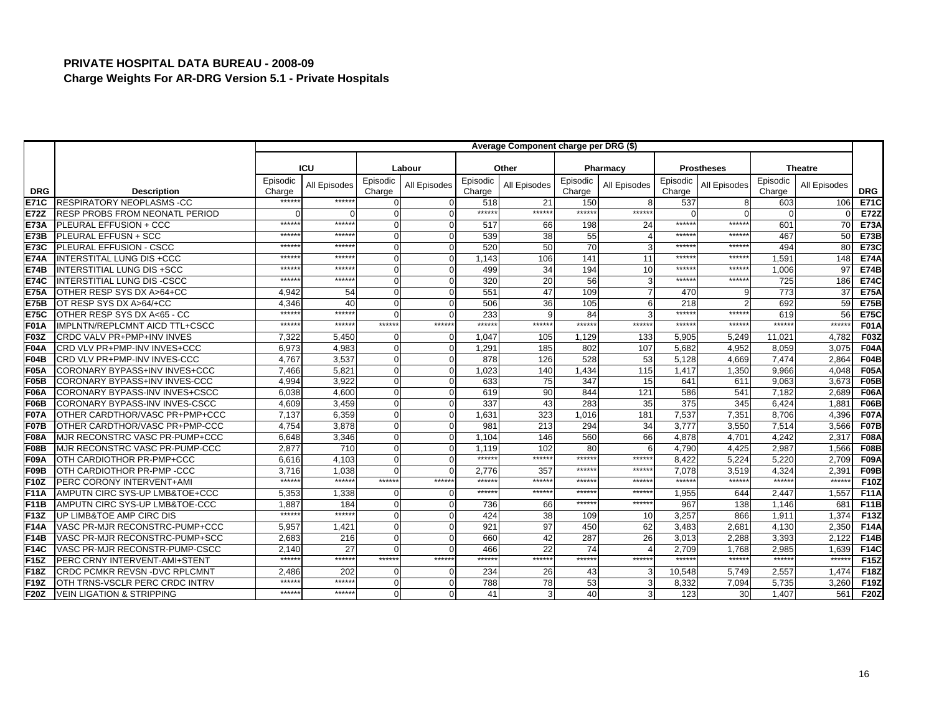|             |                                       |                    |               |                    |              |                    | Average Component charge per DRG (\$) |                    |                          |                    |                   |                    |                 |             |
|-------------|---------------------------------------|--------------------|---------------|--------------------|--------------|--------------------|---------------------------------------|--------------------|--------------------------|--------------------|-------------------|--------------------|-----------------|-------------|
|             |                                       |                    |               |                    |              |                    |                                       |                    |                          |                    |                   |                    |                 |             |
|             |                                       |                    | <b>ICU</b>    |                    | Labour       |                    | Other                                 |                    | Pharmacy                 |                    | <b>Prostheses</b> |                    | <b>Theatre</b>  |             |
| <b>DRG</b>  | <b>Description</b>                    | Episodic<br>Charge | All Episodes  | Episodic<br>Charge | All Episodes | Episodic<br>Charge | All Episodes                          | Episodic<br>Charge | All Episodes             | Episodic<br>Charge | All Episodes      | Episodic<br>Charge | All Episodes    | <b>DRG</b>  |
| <b>E71C</b> | <b>RESPIRATORY NEOPLASMS -CC</b>      | *****              | *****:        | $\Omega$           |              | 518                | 21                                    | 150                | 8                        | 537                |                   | 603                | 106             | <b>E71C</b> |
| <b>E72Z</b> | <b>RESP PROBS FROM NEONATL PERIOD</b> |                    |               | $\Omega$           | $\Omega$     | ******             | ******                                | ******             | ******                   | $\Omega$           |                   |                    |                 | E72Z        |
| <b>E73A</b> | PLEURAL EFFUSION + CCC                | *****              | $*****$       | $\Omega$           | $\Omega$     | 517                | 66                                    | 198                | 24                       | ******             | ******            | 601                | 70              | <b>E73A</b> |
| <b>E73B</b> | PLEURAL EFFUSN + SCC                  | $****$             | *****         | $\Omega$           |              | 539                | 38                                    | 55                 | $\overline{\mathcal{A}}$ | *****              | $*****$           | 467                | 50              | <b>E73B</b> |
| <b>E73C</b> | PLEURAL EFFUSION - CSCC               | $****$             | *****         | $\Omega$           | $\Omega$     | 520                | 50                                    | 70                 | 3                        | $*****$            | *****             | 494                | 80              | <b>E73C</b> |
| <b>E74A</b> | <b>INTERSTITAL LUNG DIS +CCC</b>      | *****              | *****         | $\Omega$           | $\Omega$     | 1.143              | 106                                   | 141                | 11                       | *****              | *****             | 1,591              | 148             | <b>E74A</b> |
| <b>E74B</b> | <b>INTERSTITIAL LUNG DIS +SCC</b>     | *****              | *****         | $\Omega$           | $\Omega$     | 499                | 34                                    | 194                | 10                       | $*****$            | *****             | 1,006              | 97              | <b>E74B</b> |
| <b>E74C</b> | INTERSTITIAL LUNG DIS-CSCC            | $****$             | *****         | $\Omega$           | $\Omega$     | 320                | 20                                    | 56                 | $\mathbf{3}$             | $*****$            | *****             | 725                | 186             | <b>E74C</b> |
| <b>E75A</b> | OTHER RESP SYS DX A>64+CC             | 4.942              | 54            | $\mathbf{0}$       |              | 551                | 47                                    | 109                |                          | 470                | g                 | 773                | 37              | <b>E75A</b> |
| <b>E75B</b> | OT RESP SYS DX A>64/+CC               | 4.346              | 40            | $\Omega$           | $\Omega$     | 506                | 36                                    | 105                | 6                        | 218                | っ                 | 692                | 59              | <b>E75B</b> |
| <b>E75C</b> | OTHER RESP SYS DX A<65 - CC           | $****$             | *****         | $\Omega$           |              | 233                |                                       | 84                 |                          | ******             | *****:            | 619                | 56              | <b>E75C</b> |
| <b>F01A</b> | IMPLNTN/REPLCMNT AICD TTL+CSCC        | $*****$            | ******        | ******             | ******       | ******             | $******$                              | ******             | ******                   | ******             | ******            | $*****$            | ******          | <b>F01A</b> |
| <b>F03Z</b> | CRDC VALV PR+PMP+INV INVES            | 7,322              | 5,450         | $\Omega$           | $\Omega$     | 1,047              | 105                                   | 1,129              | 133                      | 5,905              | 5,249             | 11,021             | 4,782           | F03Z        |
| F04A        | CRD VLV PR+PMP-INV INVES+CCC          | 6.973              | 4,983         | $\mathbf{0}$       | 0            | 1,291              | 185                                   | 802                | 107                      | 5,682              | 4.952             | 8,059              | 3,075           | <b>F04A</b> |
| F04B        | CRD VLV PR+PMP-INV INVES-CCC          | 4,767              | 3,537         | $\Omega$           | $\Omega$     | 878                | 126                                   | 528                | 53                       | 5,128              | 4,669             | 7,474              | 2,864           | <b>F04B</b> |
| <b>F05A</b> | CORONARY BYPASS+INV INVES+CCC         | 7.466              | 5,821         | $\Omega$           | $\Omega$     | 1,023              | 140                                   | 1,434              | 115                      | 1,417              | 1,350             | 9.966              | 4.048           | <b>F05A</b> |
| <b>F05B</b> | CORONARY BYPASS+INV INVES-CCC         | 4,994              | 3,922         | $\Omega$           | O            | 633                | 75                                    | 347                | 15                       | 641                | 611               | 9,063              | 3,673           | <b>F05B</b> |
| <b>F06A</b> | CORONARY BYPASS-INV INVES+CSCC        | 6,038              | 4,600         | $\Omega$           | $\Omega$     | 619                | 90                                    | 844                | 121                      | 586                | 541               | 7,182              | 2,689           | <b>F06A</b> |
| F06B        | CORONARY BYPASS-INV INVES-CSCC        | 4.609              | 3.459         | $\Omega$           | 0            | 337                | 43                                    | 283                | 35                       | 375                | 345               | 6.424              | 1.881           | <b>F06B</b> |
| <b>F07A</b> | OTHER CARDTHOR/VASC PR+PMP+CCC        | 7,137              | 6,359         | $\Omega$           | O            | 1,631              | 323                                   | 1,016              | 181                      | 7,537              | 7,351             | 8,706              | 4,396           | <b>F07A</b> |
| <b>F07B</b> | OTHER CARDTHOR/VASC PR+PMP-CCC        | 4.754              | 3,878         | $\Omega$           |              | 981                | 213                                   | 294                | 34                       | 3.777              | 3,550             | 7,514              | 3,566           | <b>F07B</b> |
| <b>F08A</b> | MJR RECONSTRC VASC PR-PUMP+CCC        | 6,648              | 3,346         | $\Omega$           | O            | 1,104              | 146                                   | 560                | 66                       | 4,878              | 4,701             | 4,242              | 2,317           | <b>F08A</b> |
| <b>F08B</b> | MJR RECONSTRC VASC PR-PUMP-CCC        | 2,877              | 710           | $\Omega$           | $\Omega$     | 1,119              | 102                                   | 80                 | 6                        | 4,790              | 4,425             | 2,987              | 1,566           | <b>F08B</b> |
| <b>F09A</b> | OTH CARDIOTHOR PR-PMP+CCC             | 6.616              | 4.103         | $\Omega$           | $\Omega$     | $******$           | *****                                 | $*****$            | ******                   | 8.422              | 5.224             | 5.220              | 2.709           | <b>F09A</b> |
| F09B        | OTH CARDIOTHOR PR-PMP -CCC            | 3.716              | 1.038         | $\Omega$           | $\Omega$     | 2.776              | 357                                   | $****$             | ******                   | 7.078              | 3,519             | 4.324              | 2,391           | F09B        |
| <b>F10Z</b> | PERC CORONY INTERVENT+AMI             | $****$             | $***$ **      | ******             | ******       | ******             | $*****$                               | *****              | *****                    | ******             | $*****$           | $****$             | ******          | <b>F10Z</b> |
| F11A        | AMPUTN CIRC SYS-UP LMB&TOE+CCC        | 5,353              | 1,338         | $\Omega$           | $\Omega$     | ******             | ******                                | *****              | ******                   | 1,955              | 644               | 2,447              | 1,557           | <b>F11A</b> |
| F11B        | AMPUTN CIRC SYS-UP LMB&TOE-CCC        | 1.887<br>$****$    | 184<br>$****$ | $\Omega$           | $\Omega$     | 736                | 66                                    | ******             | ******                   | 967                | 138               | 1,146              | 681             | <b>F11B</b> |
| F13Z        | UP LIMB&TOE AMP CIRC DIS              |                    |               | $\Omega$           | 0            | 424                | 38                                    | 109                | 10 <sup>1</sup>          | 3,257              | 866               | 1.911              | 1.374           | F13Z        |
| <b>F14A</b> | VASC PR-MJR RECONSTRC-PUMP+CCC        | 5,957              | 1,421         | $\Omega$           | O            | 921                | 97                                    | 450                | 62                       | 3,483              | 2,681             | 4,130              | 2,350           | <b>F14A</b> |
| <b>F14B</b> | VASC PR-MJR RECONSTRC-PUMP+SCC        | 2,683              | 216           | $\Omega$           | O            | 660                | 42                                    | 287                | 26                       | 3,013              | 2,288             | 3,393              | 2,122           | <b>F14B</b> |
| <b>F14C</b> | VASC PR-MJR RECONSTR-PUMP-CSCC        | 2.140<br>$****$    | 27<br>******  | $\Omega$<br>****** | ******       | 466<br>******      | 22<br>$*****$                         | 74<br>******       | ******                   | 2.709<br>******    | 1.768<br>$******$ | 2.985<br>$*****$   | 1.639<br>*****: | F14C        |
| <b>F15Z</b> | PERC CRNY INTERVENT-AMI+STENT         |                    |               |                    |              |                    |                                       |                    |                          |                    |                   |                    |                 | F15Z        |
| <b>F18Z</b> | <b>CRDC PCMKR REVSN-DVC RPLCMNT</b>   | 2,486<br>*****     | 202<br>*****  | $\Omega$           | $\Omega$     | 234                | 26                                    | 43                 | 3                        | 10,548             | 5.749             | 2,557              | 1,474           | <b>F18Z</b> |
| F19Z        | OTH TRNS-VSCLR PERC CRDC INTRV        | *****              | ******        | $\Omega$           |              | 788                | 78                                    | 53                 | 3                        | 8,332              | 7,094             | 5,735              | 3,260           | F19Z        |
| <b>F20Z</b> | <b>VEIN LIGATION &amp; STRIPPING</b>  |                    |               | $\Omega$           | $\Omega$     | 41                 |                                       | 40                 | 3                        | 123                | 30                | 1,407              | 561             | <b>F20Z</b> |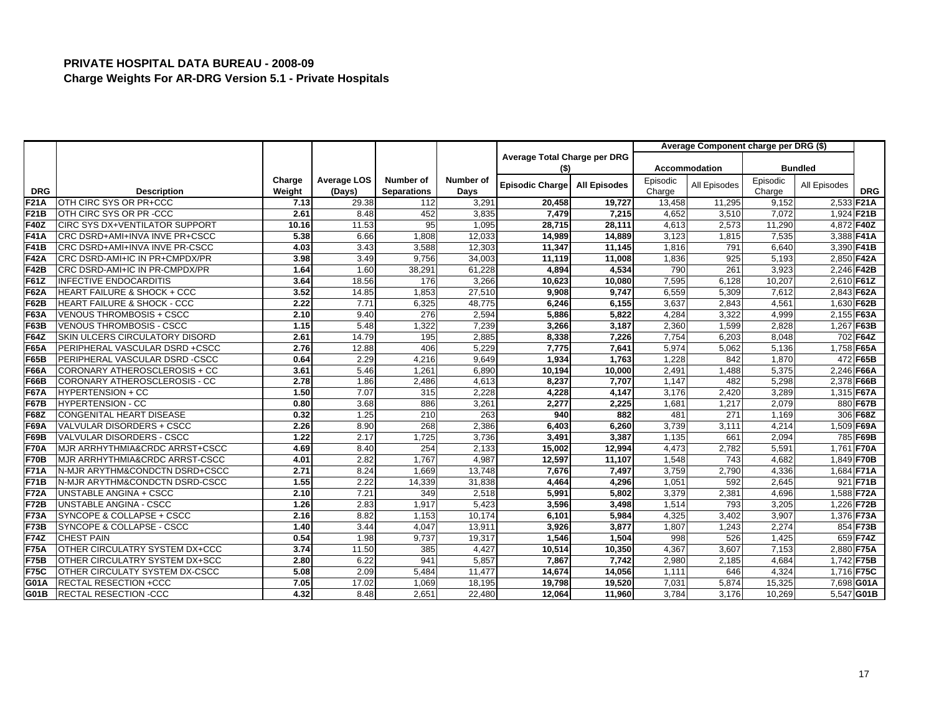|             |                                        |        |                    |                    |           |                              |                     |          | Average Component charge per DRG (\$) |          |              |             |
|-------------|----------------------------------------|--------|--------------------|--------------------|-----------|------------------------------|---------------------|----------|---------------------------------------|----------|--------------|-------------|
|             |                                        |        |                    |                    |           | Average Total Charge per DRG |                     |          |                                       |          |              |             |
|             |                                        |        |                    |                    |           | (\$)                         |                     |          | Accommodation                         |          | Bundled      |             |
|             |                                        | Charge | <b>Average LOS</b> | Number of          | Number of | Episodic Charge              | <b>All Episodes</b> | Episodic | All Episodes                          | Episodic | All Episodes |             |
| <b>DRG</b>  | <b>Description</b>                     | Weight | (Days)             | <b>Separations</b> | Days      |                              |                     | Charge   |                                       | Charge   |              | <b>DRG</b>  |
| <b>F21A</b> | OTH CIRC SYS OR PR+CCC                 | 7.13   | 29.38              | 112                | 3,291     | 20,458                       | 19,727              | 13,458   | 11,295                                | 9,152    | 2,533 F21A   |             |
| F21B        | OTH CIRC SYS OR PR-CCC                 | 2.61   | 8.48               | 452                | 3,835     | 7,479                        | 7,215               | 4,652    | 3,510                                 | 7,072    | 1,924 F21B   |             |
| <b>F40Z</b> | <b>CIRC SYS DX+VENTILATOR SUPPORT</b>  | 10.16  | 11.53              | 95                 | 1,095     | 28,715                       | 28,111              | 4,613    | 2,573                                 | 11,290   | 4,872 F40Z   |             |
| <b>F41A</b> | CRC DSRD+AMI+INVA INVE PR+CSCC         | 5.38   | 6.66               | 1,808              | 12,033    | 14,989                       | 14,889              | 3,123    | 1,815                                 | 7,535    | 3,388 F41A   |             |
| F41B        | CRC DSRD+AMI+INVA INVE PR-CSCC         | 4.03   | 3.43               | 3,588              | 12,303    | 11,347                       | 11,145              | 1,816    | 791                                   | 6,640    | 3,390 F41B   |             |
| <b>F42A</b> | CRC DSRD-AMI+IC IN PR+CMPDX/PR         | 3.98   | 3.49               | 9,756              | 34,003    | 11,119                       | 11,008              | 1,836    | 925                                   | 5,193    | 2,850 F42A   |             |
| <b>F42B</b> | CRC DSRD-AMI+IC IN PR-CMPDX/PR         | 1.64   | 1.60               | 38,291             | 61,228    | 4,894                        | 4,534               | 790      | 261                                   | 3,923    | 2,246 F42B   |             |
| F61Z        | <b>INFECTIVE ENDOCARDITIS</b>          | 3.64   | 18.56              | 176                | 3,266     | 10,623                       | 10,080              | 7,595    | 6,128                                 | 10,207   | 2,610 F61Z   |             |
| <b>F62A</b> | <b>HEART FAILURE &amp; SHOCK + CCC</b> | 3.52   | 14.85              | 1,853              | 27,510    | 9,908                        | 9.747               | 6,559    | 5,309                                 | 7,612    | 2,843 F62A   |             |
| F62B        | <b>HEART FAILURE &amp; SHOCK - CCC</b> | 2.22   | 7.71               | 6,325              | 48,775    | 6,246                        | 6,155               | 3,637    | 2,843                                 | 4,561    | 1,630 F62B   |             |
| F63A        | <b>VENOUS THROMBOSIS + CSCC</b>        | 2.10   | 9.40               | 276                | 2,594     | 5,886                        | 5,822               | 4,284    | 3,322                                 | 4,999    | 2,155 F63A   |             |
| F63B        | <b>VENOUS THROMBOSIS - CSCC</b>        | 1.15   | 5.48               | 1,322              | 7,239     | 3,266                        | 3,187               | 2,360    | 1,599                                 | 2,828    | 1,267 F63B   |             |
| F64Z        | SKIN ULCERS CIRCULATORY DISORD         | 2.61   | 14.79              | 195                | 2,885     | 8,338                        | 7,226               | 7,754    | 6,203                                 | 8,048    |              | 702 F64Z    |
| F65A        | PERIPHERAL VASCULAR DSRD +CSCC         | 2.76   | 12.88              | 406                | 5.229     | 7,775                        | 7,641               | 5,974    | 5,062                                 | 5,136    | 1,758 F65A   |             |
| F65B        | PERIPHERAL VASCULAR DSRD -CSCC         | 0.64   | 2.29               | 4,216              | 9,649     | 1,934                        | 1,763               | 1,228    | 842                                   | 1,870    |              | 472 F65B    |
| F66A        | CORONARY ATHEROSCLEROSIS + CC          | 3.61   | 5.46               | 1,261              | 6,890     | 10,194                       | 10,000              | 2,491    | 1,488                                 | 5,375    | 2,246 F66A   |             |
| F66B        | CORONARY ATHEROSCLEROSIS - CC          | 2.78   | 1.86               | 2,486              | 4,613     | 8,237                        | 7,707               | 1,147    | 482                                   | 5,298    | 2,378 F66B   |             |
| <b>F67A</b> | <b>HYPERTENSION + CC</b>               | 1.50   | 7.07               | 315                | 2,228     | 4,228                        | 4,147               | 3,176    | 2,420                                 | 3,289    | 1,315 F67A   |             |
| <b>F67B</b> | <b>HYPERTENSION - CC</b>               | 0.80   | 3.68               | 886                | 3,261     | 2,277                        | 2.225               | 1,681    | 1,217                                 | 2.079    |              | 880 F67B    |
| <b>F68Z</b> | CONGENITAL HEART DISEASE               | 0.32   | 1.25               | 210                | 263       | 940                          | 882                 | 481      | 271                                   | 1,169    |              | 306 F68Z    |
| F69A        | VALVULAR DISORDERS + CSCC              | 2.26   | 8.90               | 268                | 2,386     | 6,403                        | 6,260               | 3,739    | 3,111                                 | 4,214    |              | 1,509 F69A  |
| F69B        | VALVULAR DISORDERS - CSCC              | 1.22   | 2.17               | 1,725              | 3,736     | 3,491                        | 3,387               | 1,135    | 66'                                   | 2,094    |              | 785 F69B    |
| <b>F70A</b> | MJR ARRHYTHMIA&CRDC ARRST+CSCC         | 4.69   | 8.40               | 254                | 2,133     | 15,002                       | 12,994              | 4,473    | 2,782                                 | 5,591    | 1,761        | <b>F70A</b> |
| <b>F70B</b> | MJR ARRHYTHMIA&CRDC ARRST-CSCC         | 4.01   | 2.82               | 1,767              | 4.987     | 12,597                       | 11,107              | 1,548    | 743                                   | 4.682    | 1,849 F70B   |             |
| <b>F71A</b> | N-MJR ARYTHM&CONDCTN DSRD+CSCC         | 2.71   | 8.24               | 1,669              | 13,748    | 7,676                        | 7,497               | 3,759    | 2,790                                 | 4,336    | 1,684 F71A   |             |
| <b>F71B</b> | N-MJR ARYTHM&CONDCTN DSRD-CSCC         | 1.55   | 2.22               | 14,339             | 31,838    | 4,464                        | 4,296               | 1,051    | 592                                   | 2,645    |              | 921 F71B    |
| <b>F72A</b> | UNSTABLE ANGINA + CSCC                 | 2.10   | 7.21               | 349                | 2,518     | 5,991                        | 5,802               | 3,379    | 2,381                                 | 4,696    | 1,588 F72A   |             |
| <b>F72B</b> | UNSTABLE ANGINA - CSCC                 | 1.26   | 2.83               | 1,917              | 5,423     | 3,596                        | 3,498               | 1,514    | 793                                   | 3,205    | 1,226 F72B   |             |
| <b>F73A</b> | SYNCOPE & COLLAPSE + CSCC              | 2.16   | 8.82               | 1,153              | 10,174    | 6,101                        | 5,984               | 4,325    | 3,402                                 | 3,907    | 1,376 F73A   |             |
| <b>F73B</b> | SYNCOPE & COLLAPSE - CSCC              | 1.40   | 3.44               | 4,047              | 13,911    | 3,926                        | 3,877               | 1,807    | 1,243                                 | 2,274    |              | 854 F73B    |
| <b>F74Z</b> | <b>CHEST PAIN</b>                      | 0.54   | 1.98               | 9,737              | 19,317    | 1,546                        | 1,504               | 998      | 526                                   | 1,425    |              | 659 F74Z    |
| <b>F75A</b> | OTHER CIRCULATRY SYSTEM DX+CCC         | 3.74   | 11.50              | 385                | 4,427     | 10,514                       | 10,350              | 4,367    | 3,607                                 | 7,153    | 2,880 F75A   |             |
| <b>F75B</b> | OTHER CIRCULATRY SYSTEM DX+SCC         | 2.80   | 6.22               | 941                | 5,857     | 7,867                        | 7,742               | 2,980    | 2,185                                 | 4,684    | 1,742 F75B   |             |
| <b>F75C</b> | OTHER CIRCULATY SYSTEM DX-CSCC         | 5.08   | 2.09               | 5,484              | 11,477    | 14,674                       | 14,056              | 1,111    | 646                                   | 4,324    | 1,716 F75C   |             |
| G01A        | <b>RECTAL RESECTION +CCC</b>           | 7.05   | 17.02              | 1,069              | 18,195    | 19,798                       | 19,520              | 7,031    | 5,874                                 | 15,325   |              | 7,698 G01A  |
| G01B        | <b>RECTAL RESECTION -CCC</b>           | 4.32   | 8.48               | 2,651              | 22,480    | 12,064                       | 11,960              | 3,784    | 3,176                                 | 10,269   |              | 5,547 G01B  |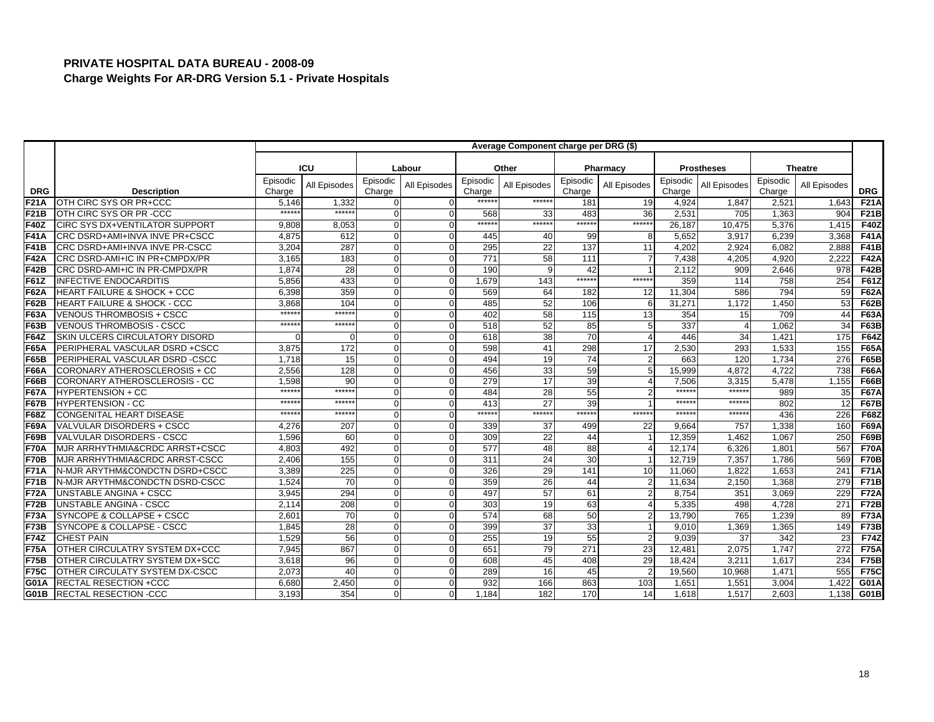|             |                                        |                    |                  |                    |              |                    | Average Component charge per DRG (\$) |                    |                |                    |                   |                    |                |             |
|-------------|----------------------------------------|--------------------|------------------|--------------------|--------------|--------------------|---------------------------------------|--------------------|----------------|--------------------|-------------------|--------------------|----------------|-------------|
|             |                                        |                    | ICU              |                    |              |                    |                                       |                    |                |                    |                   |                    |                |             |
|             |                                        |                    |                  |                    | Labour       |                    | Other                                 |                    | Pharmacy       |                    | <b>Prostheses</b> |                    | <b>Theatre</b> |             |
| <b>DRG</b>  | <b>Description</b>                     | Episodic<br>Charge | All Episodes     | Episodic<br>Charge | All Episodes | Episodic<br>Charge | All Episodes                          | Episodic<br>Charge | All Episodes   | Episodic<br>Charge | All Episodes      | Episodic<br>Charge | All Episodes   | <b>DRG</b>  |
| F21A        | OTH CIRC SYS OR PR+CCC                 | 5.146              | 1,332            | $\Omega$           |              | *****              | ******                                | 181                | 19             | 4,924              | 1,847             | 2,521              | 1,643          | <b>F21A</b> |
| <b>F21B</b> | OTH CIRC SYS OR PR -CCC                | $*****$            | ******           | $\Omega$           |              | 568                | 33                                    | 483                | 36             | 2,531              | 705               | 1,363              | 904            | <b>F21B</b> |
| <b>F40Z</b> | <b>CIRC SYS DX+VENTILATOR SUPPORT</b>  | 9.808              | 8,053            | $\Omega$           | $\Omega$     | ******             | ******                                | ******             | ******         | 26.187             | 10.475            | 5.376              | 1.415          | <b>F40Z</b> |
| <b>F41A</b> | CRC DSRD+AMI+INVA INVE PR+CSCC         | 4,875              | 612              | $\Omega$           | $\Omega$     | 445                | 40                                    | 99                 | 8              | 5,652              | 3,917             | 6,239              | 3,368          | <b>F41A</b> |
| <b>F41B</b> | CRC DSRD+AMI+INVA INVE PR-CSCC         | 3,204              | 287              | $\Omega$           | $\Omega$     | 295                | 22                                    | 137                | 11             | 4,202              | 2.924             | 6.082              | 2,888          | <b>F41B</b> |
| F42A        | CRC DSRD-AMI+IC IN PR+CMPDX/PR         | 3,165              | 183              | $\Omega$           |              | 771                | 58                                    | 111                |                | 7,438              | 4.205             | 4.920              | 2.222          | <b>F42A</b> |
| <b>F42B</b> | CRC DSRD-AMI+IC IN PR-CMPDX/PR         | 1,874              | 28               | $\Omega$           |              | 190                |                                       | 42                 |                | 2,112              | 909               | 2,646              | 978            | F42B        |
| <b>F61Z</b> | <b>INFECTIVE ENDOCARDITIS</b>          | 5,856              | 433              | $\Omega$           | $\Omega$     | 1.679              | 143                                   | ******             | ******         | 359                | 114               | 758                | 254            | <b>F61Z</b> |
| <b>F62A</b> | <b>HEART FAILURE &amp; SHOCK + CCC</b> | 6,398              | 359              | $\overline{0}$     |              | 569                | 64                                    | 182                | 12             | 11,304             | 586               | 794                | 59             | <b>F62A</b> |
| <b>F62B</b> | <b>HEART FAILURE &amp; SHOCK - CCC</b> | 3.868              | 104              | $\Omega$           |              | 485                | 52                                    | 106                | 6              | 31,271             | 1,172             | 1,450              | 53             | <b>F62B</b> |
| <b>F63A</b> | <b>VENOUS THROMBOSIS + CSCC</b>        | *****              | ******           | $\overline{0}$     |              | 402                | 58                                    | 115                | 13             | 354                | 15                | 709                | 44             | <b>F63A</b> |
| <b>F63B</b> | <b>VENOUS THROMBOSIS - CSCC</b>        | $*****$            | ******           | $\Omega$           | $\Omega$     | 518                | 52                                    | 85                 | 5              | 337                | 4                 | 1,062              | 34             | <b>F63B</b> |
| <b>F64Z</b> | SKIN ULCERS CIRCULATORY DISORD         |                    | $\Omega$         | $\Omega$           | $\Omega$     | 618                | 38                                    | 70                 | $\overline{4}$ | 446                | 34                | 1,421              | 175            | <b>F64Z</b> |
| <b>F65A</b> | PERIPHERAL VASCULAR DSRD +CSCC         | 3,875              | $\overline{172}$ | $\Omega$           |              | 598                | 41                                    | 298                | 17             | 2,530              | 293               | 1,533              | 155            | <b>F65A</b> |
| <b>F65B</b> | PERIPHERAL VASCULAR DSRD-CSCC          | 1,718              | 15               | $\Omega$           | $\Omega$     | 494                | 19                                    | 74                 | $\overline{2}$ | 663                | 120               | 1,734              | 276            | <b>F65B</b> |
| <b>F66A</b> | CORONARY ATHEROSCLEROSIS + CC          | 2,556              | 128              | $\Omega$           |              | 456                | 33                                    | 59                 | 5              | 15,999             | 4.872             | 4,722              | 738            | <b>F66A</b> |
| F66B        | CORONARY ATHEROSCLEROSIS - CC          | 1,598              | 90               | $\Omega$           | $\Omega$     | 279                | 17                                    | 39                 | $\overline{4}$ | 7,506              | 3,315             | 5,478              | 1,155          | <b>F66B</b> |
| <b>F67A</b> | <b>HYPERTENSION + CC</b>               | *****              | *****            | $\Omega$           | $\Omega$     | 484                | 28                                    | 55                 | $\overline{2}$ | $*****$            | $******$          | 989                | 35             | <b>F67A</b> |
| <b>F67B</b> | <b>HYPERTENSION - CC</b>               | $*****$            | *****            | $\overline{0}$     |              | 413                | 27                                    | 39                 |                | ******             | ******            | 802                | 12             | <b>F67B</b> |
| <b>F68Z</b> | CONGENITAL HEART DISEASE               | $*****$            | $*****$          | $\Omega$           |              | ******             | $*****$                               | ******             | ******         | $******$           | ******            | 436                | 226            | <b>F68Z</b> |
| <b>F69A</b> | VALVULAR DISORDERS + CSCC              | 4.276              | 207              | $\Omega$           | $\Omega$     | 339                | 37                                    | 499                | 22             | 9.664              | 757               | 1,338              | 160            | <b>F69A</b> |
| <b>F69B</b> | VALVULAR DISORDERS - CSCC              | 1,596              | 60               | $\Omega$           | $\Omega$     | 309                | 22                                    | 44                 | -1             | 12,359             | 1,462             | 1,067              | 250            | <b>F69B</b> |
| <b>F70A</b> | MJR ARRHYTHMIA&CRDC ARRST+CSCC         | 4,803              | 492              | $\Omega$           | $\Omega$     | 577                | 48                                    | 88                 | $\overline{4}$ | 12,174             | 6,326             | 1,801              | 567            | <b>F70A</b> |
| F70B        | MJR ARRHYTHMIA&CRDC ARRST-CSCC         | 2.406              | 155              | $\overline{0}$     |              | 311                | 24                                    | 30                 |                | 12,719             | 7.357             | 1.786              | 569            | <b>F70B</b> |
| <b>F71A</b> | N-MJR ARYTHM&CONDCTN DSRD+CSCC         | 3,389              | 225              | $\Omega$           | $\Omega$     | 326                | 29                                    | 141                | 10             | 11,060             | 1.822             | 1,653              | 241            | <b>F71A</b> |
| F71B        | N-MJR ARYTHM&CONDCTN DSRD-CSCC         | 1.524              | 70               | $\Omega$           | $\Omega$     | 359                | 26                                    | 44                 |                | 11.634             | 2,150             | 1.368              | 279            | <b>F71B</b> |
| <b>F72A</b> | UNSTABLE ANGINA + CSCC                 | 3,945              | 294              | $\Omega$           |              | 497                | 57                                    | 61                 | $\overline{2}$ | 8,754              | 351               | 3,069              | 229            | <b>F72A</b> |
| F72B        | <b>UNSTABLE ANGINA - CSCC</b>          | 2,114              | 208              | $\Omega$           | $\Omega$     | 303                | 19                                    | 63                 | $\overline{4}$ | 5,335              | 498               | 4.728              | 271            | <b>F72B</b> |
| <b>F73A</b> | SYNCOPE & COLLAPSE + CSCC              | 2.60'              | 70               | $\overline{0}$     |              | 574                | 68                                    | 50                 | $\overline{2}$ | 13,790             | 765               | 1,239              | 89             | <b>F73A</b> |
| F73B        | SYNCOPE & COLLAPSE - CSCC              | 1,845              | 28               | $\Omega$           | $\Omega$     | 399                | 37                                    | 33                 |                | 9,010              | 1,369             | 1,365              | 149            | <b>F73B</b> |
| F74Z        | <b>CHEST PAIN</b>                      | 1,529              | 56               | $\Omega$           | $\Omega$     | 255                | 19                                    | 55                 | $\overline{2}$ | 9,039              | 37                | 342                | 23             | <b>F74Z</b> |
| <b>F75A</b> | OTHER CIRCULATRY SYSTEM DX+CCC         | 7,945              | 867              | $\Omega$           | $\Omega$     | 651                | 79                                    | 271                | 23             | 12,481             | 2,075             | 1,747              | 272            | <b>F75A</b> |
| F75B        | OTHER CIRCULATRY SYSTEM DX+SCC         | 3,618              | 96               | $\Omega$           | $\Omega$     | 608                | 45                                    | 408                | 29             | 18,424             | 3,211             | 1,617              | 234            | <b>F75B</b> |
| <b>F75C</b> | OTHER CIRCULATY SYSTEM DX-CSCC         | 2.073              | 40               | $\Omega$           | $\Omega$     | 289                | 16                                    | 45                 | $\overline{2}$ | 19.560             | 10.968            | 1.471              | 555            | <b>F75C</b> |
| <b>G01A</b> | <b>RECTAL RESECTION +CCC</b>           | 6,680              | 2,450            | $\overline{0}$     | ∩            | 932                | 166                                   | 863                | 103            | 1,651              | 1,551             | 3,004              | 1,422          | G01A        |
| G01B        | <b>RECTAL RESECTION -CCC</b>           | 3,193              | 354              | $\Omega$           | $\Omega$     | 1,184              | 182                                   | 170                | 14             | 1,618              | 1,517             | 2,603              | 1,138          | <b>G01B</b> |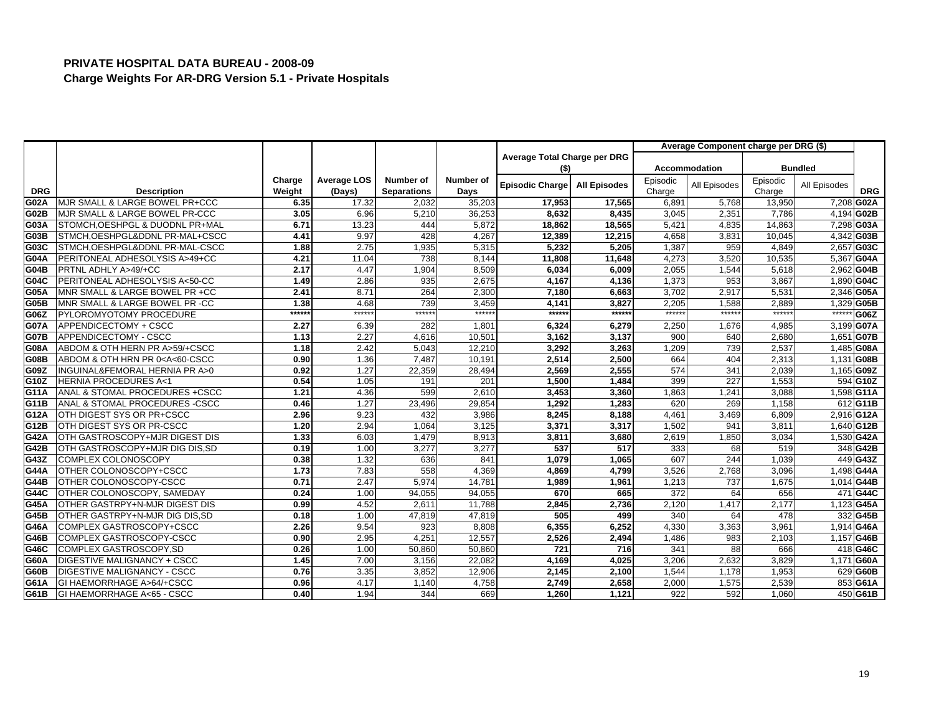|             |                                                                                                                                                                                                           |        |                    |                    |           |                              |                     |          | Average Component charge per DRG (\$) |          |                |            |
|-------------|-----------------------------------------------------------------------------------------------------------------------------------------------------------------------------------------------------------|--------|--------------------|--------------------|-----------|------------------------------|---------------------|----------|---------------------------------------|----------|----------------|------------|
|             |                                                                                                                                                                                                           |        |                    |                    |           | Average Total Charge per DRG |                     |          |                                       |          |                |            |
|             |                                                                                                                                                                                                           |        |                    |                    |           | (\$)                         |                     |          | <b>Accommodation</b>                  |          | <b>Bundled</b> |            |
|             |                                                                                                                                                                                                           | Charge | <b>Average LOS</b> | Number of          | Number of | Episodic Charge              | <b>All Episodes</b> | Episodic | All Episodes                          | Episodic | All Episodes   |            |
| <b>DRG</b>  | <b>Description</b>                                                                                                                                                                                        | Weight | (Days)             | <b>Separations</b> | Days      |                              |                     | Charge   |                                       | Charge   |                | <b>DRG</b> |
| G02A        | MJR SMALL & LARGE BOWEL PR+CCC                                                                                                                                                                            | 6.35   | 17.32              | 2,032              | 35,203    | 17,953                       | 17,565              | 6,891    | 5,768                                 | 13,950   |                | 7,208 G02A |
| G02B        | MJR SMALL & LARGE BOWEL PR-CCC                                                                                                                                                                            | 3.05   | 6.96               | 5,210              | 36,253    | 8,632                        | 8,435               | 3,045    | 2,351                                 | 7,786    |                | 4,194 G02B |
| G03A        | STOMCH, OESHPGL & DUODNL PR+MAL                                                                                                                                                                           | 6.71   | 13.23              | 444                | 5,872     | 18,862                       | 18,565              | 5,421    | 4,835                                 | 14,863   |                | 7,298 G03A |
| G03B        | STMCH, OESHPGL&DDNL PR-MAL+CSCC                                                                                                                                                                           | 4.41   | 9.97               | 428                | 4,267     | 12,389                       | 12,215              | 4,658    | 3,831                                 | 10,045   |                | 4,342 G03B |
| G03C        | STMCH, OESHPGL&DDNL PR-MAL-CSCC                                                                                                                                                                           | 1.88   | 2.75               | 1,935              | 5,315     | 5,232                        | 5,205               | 1,387    | 959                                   | 4,849    |                | 2,657 G03C |
| G04A        | PERITONEAL ADHESOLYSIS A>49+CC                                                                                                                                                                            | 4.21   | 11.04              | 738                | 8.144     | 11,808                       | 11,648              | 4,273    | 3,520                                 | 10,535   |                | 5,367 G04A |
| G04B        | PRTNL ADHLY A>49/+CC                                                                                                                                                                                      | 2.17   | 4.47               | 1,904              | 8,509     | 6,034                        | 6,009               | 2,055    | 1,544                                 | 5,618    |                | 2,962 G04B |
| G04C        | PERITONEAL ADHESOLYSIS A<50-CC                                                                                                                                                                            | 1.49   | 2.86               | 935                | 2,675     | 4,167                        | 4,136               | 1,373    | 953                                   | 3,867    |                | 1,890 G04C |
| G05A        | MNR SMALL & LARGE BOWEL PR +CC                                                                                                                                                                            | 2.41   | 8.71               | 264                | 2,300     | 7,180                        | 6,663               | 3,702    | 2,917                                 | 5,531    |                | 2,346 G05A |
| G05B        | MNR SMALL & LARGE BOWEL PR -CC                                                                                                                                                                            | 1.38   | 4.68               | 739                | 3.459     | 4,141                        | 3,827               | 2,205    | 1,588                                 | 2,889    |                | 1,329 G05B |
| G06Z        | PYLOROMYOTOMY PROCEDURE                                                                                                                                                                                   | ****** | ******             | ******             | $*****$   | ******                       | ******              | ******   | ******                                | ******   | $***$          | G06Z       |
| <b>G07A</b> | APPENDICECTOMY + CSCC                                                                                                                                                                                     | 2.27   | 6.39               | 282                | 1,801     | 6,324                        | 6,279               | 2,250    | 1,676                                 | 4,985    |                | 3,199 G07A |
| <b>G07B</b> | APPENDICECTOMY - CSCC                                                                                                                                                                                     | 1.13   | 2.27               | 4,616              | 10,501    | 3,162                        | 3,137               | 900      | 640                                   | 2,680    |                | 1,651 G07B |
| G08A        | ABDOM & OTH HERN PR A>59/+CSCC                                                                                                                                                                            | 1.18   | 2.42               | 5,043              | 12,210    | 3,292                        | 3,263               | 1,209    | 739                                   | 2,537    |                | 1,485 G08A |
| <b>G08B</b> | ABDOM & OTH HRN PR 0 <a<60-cscc< th=""><th>0.90</th><th>1.36</th><th>7,487</th><th>10,191</th><th>2,514</th><th>2,500</th><th>664</th><th>404</th><th>2,313</th><th></th><th>1,131 G08B</th></a<60-cscc<> | 0.90   | 1.36               | 7,487              | 10,191    | 2,514                        | 2,500               | 664      | 404                                   | 2,313    |                | 1,131 G08B |
| G09Z        | INGUINAL&FEMORAL HERNIA PR A>0                                                                                                                                                                            | 0.92   | 1.27               | 22,359             | 28,494    | 2,569                        | 2,555               | 574      | 341                                   | 2,039    |                | 1,165 G09Z |
| G10Z        | <b>HERNIA PROCEDURES A&lt;1</b>                                                                                                                                                                           | 0.54   | 1.05               | 191                | 201       | 1,500                        | 1,484               | 399      | 227                                   | 1,553    |                | 594 G10Z   |
| G11A        | ANAL & STOMAL PROCEDURES +CSCC                                                                                                                                                                            | 1.21   | 4.36               | 599                | 2,610     | 3,453                        | 3,360               | 1,863    | 1,241                                 | 3,088    |                | 1,598 G11A |
| G11B        | ANAL & STOMAL PROCEDURES -CSCC                                                                                                                                                                            | 0.46   | 1.27               | 23,496             | 29,854    | 1,292                        | 1.283               | 620      | 269                                   | 1,158    |                | 612 G11B   |
| G12A        | OTH DIGEST SYS OR PR+CSCC                                                                                                                                                                                 | 2.96   | 9.23               | 432                | 3,986     | 8,245                        | 8,188               | 4,461    | 3,469                                 | 6,809    |                | 2,916 G12A |
| G12B        | OTH DIGEST SYS OR PR-CSCC                                                                                                                                                                                 | 1.20   | 2.94               | 1,064              | 3,125     | 3,371                        | 3,317               | 1,502    | 94'                                   | 3,811    |                | 1,640 G12B |
| <b>G42A</b> | OTH GASTROSCOPY+MJR DIGEST DIS                                                                                                                                                                            | 1.33   | 6.03               | 1,479              | 8.913     | 3,811                        | 3,680               | 2,619    | 1,850                                 | 3,034    |                | 1,530 G42A |
| <b>G42B</b> | OTH GASTROSCOPY+MJR DIG DIS,SD                                                                                                                                                                            | 0.19   | 1.00               | 3,277              | 3,277     | 537                          | 517                 | 333      | 68                                    | 519      |                | 348 G42B   |
| G43Z        | COMPLEX COLONOSCOPY                                                                                                                                                                                       | 0.38   | 1.32               | 636                | 841       | 1,079                        | 1.065               | 607      | 244                                   | 1.039    |                | 449 G43Z   |
| <b>G44A</b> | OTHER COLONOSCOPY+CSCC                                                                                                                                                                                    | 1.73   | 7.83               | 558                | 4,369     | 4,869                        | 4,799               | 3,526    | 2,768                                 | 3,096    |                | 1,498 G44A |
| <b>G44B</b> | OTHER COLONOSCOPY-CSCC                                                                                                                                                                                    | 0.71   | 2.47               | 5,974              | 14,781    | 1,989                        | 1,961               | 1,213    | 737                                   | 1,675    |                | 1,014 G44B |
| G44C        | OTHER COLONOSCOPY, SAMEDAY                                                                                                                                                                                | 0.24   | 1.00               | 94,055             | 94,055    | 670                          | 665                 | 372      | 64                                    | 656      |                | 471 G44C   |
| G45A        | OTHER GASTRPY+N-MJR DIGEST DIS                                                                                                                                                                            | 0.99   | 4.52               | 2,611              | 11,788    | 2,845                        | 2,736               | 2,120    | 1,417                                 | 2,177    |                | 1,123 G45A |
| G45B        | OTHER GASTRPY+N-MJR DIG DIS, SD                                                                                                                                                                           | 0.18   | 1.00               | 47,819             | 47,819    | 505                          | 499                 | 340      | 64                                    | 478      |                | 332 G45B   |
| G46A        | COMPLEX GASTROSCOPY+CSCC                                                                                                                                                                                  | 2.26   | 9.54               | 923                | 8,808     | 6,355                        | 6,252               | 4,330    | 3,363                                 | 3,961    |                | 1,914 G46A |
| G46B        | COMPLEX GASTROSCOPY-CSCC                                                                                                                                                                                  | 0.90   | 2.95               | 4,251              | 12,557    | 2,526                        | 2,494               | 1,486    | 983                                   | 2,103    |                | 1,157 G46B |
| G46C        | COMPLEX GASTROSCOPY, SD                                                                                                                                                                                   | 0.26   | 1.00               | 50,860             | 50,860    | 721                          | 716                 | 341      | 88                                    | 666      |                | 418 G46C   |
| G60A        | DIGESTIVE MALIGNANCY + CSCC                                                                                                                                                                               | 1.45   | 7.00               | 3,156              | 22,082    | 4,169                        | 4,025               | 3,206    | 2,632                                 | 3,829    |                | 1,171 G60A |
| G60B        | DIGESTIVE MALIGNANCY - CSCC                                                                                                                                                                               | 0.76   | 3.35               | 3,852              | 12,906    | 2,145                        | 2,100               | 1,544    | 1,178                                 | 1,953    |                | 629 G60B   |
| G61A        | GI HAEMORRHAGE A>64/+CSCC                                                                                                                                                                                 | 0.96   | 4.17               | 1,140              | 4,758     | 2,749                        | 2,658               | 2,000    | 1,575                                 | 2,539    |                | 853 G61A   |
| G61B        | GI HAEMORRHAGE A<65 - CSCC                                                                                                                                                                                | 0.40   | 1.94               | 344                | 669       | 1,260                        | 1,121               | 922      | 592                                   | 1,060    |                | 450 G61B   |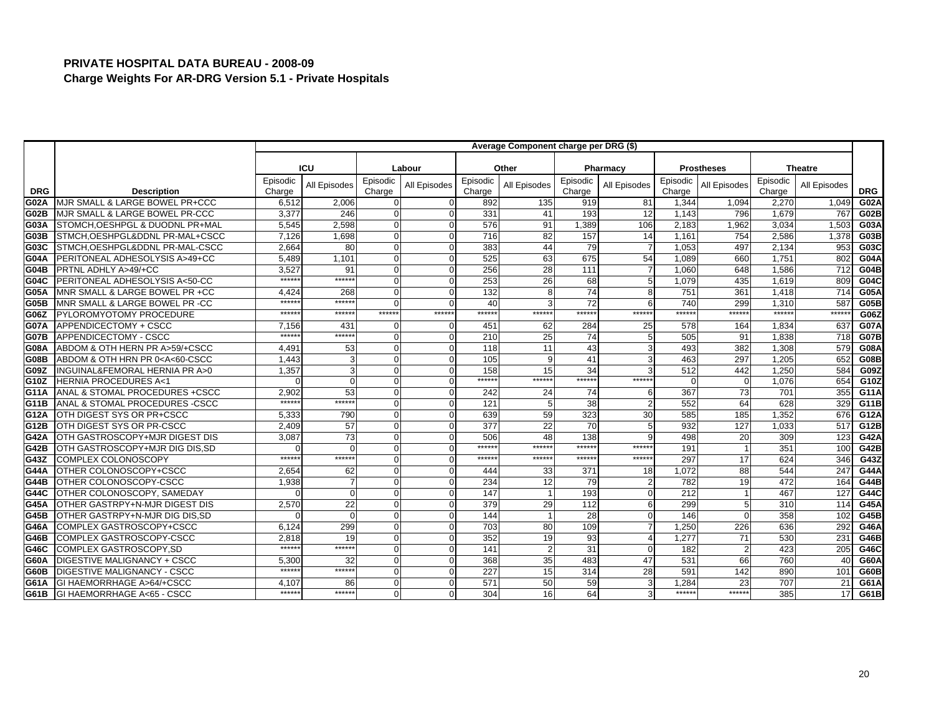|             |                                                                                                                                                                                                                 |          |                |          |              |          | Average Component charge per DRG (\$) |                  |                |          |                   |                  |                |             |
|-------------|-----------------------------------------------------------------------------------------------------------------------------------------------------------------------------------------------------------------|----------|----------------|----------|--------------|----------|---------------------------------------|------------------|----------------|----------|-------------------|------------------|----------------|-------------|
|             |                                                                                                                                                                                                                 |          |                |          |              |          |                                       |                  |                |          |                   |                  |                |             |
|             |                                                                                                                                                                                                                 |          | <b>ICU</b>     |          | Labour       |          | Other                                 |                  | Pharmacy       |          | <b>Prostheses</b> |                  | <b>Theatre</b> |             |
|             |                                                                                                                                                                                                                 | Episodic | All Episodes   | Episodic | All Episodes | Episodic | All Episodes                          | Episodic         | All Episodes   | Episodic | All Episodes      | Episodic         | All Episodes   |             |
| <b>DRG</b>  | <b>Description</b>                                                                                                                                                                                              | Charge   |                | Charge   |              | Charge   |                                       | Charge           |                | Charge   |                   | Charge           |                | <b>DRG</b>  |
| G02A        | MJR SMALL & LARGE BOWEL PR+CCC                                                                                                                                                                                  | 6,512    | 2,006          | 0        |              | 892      | 135                                   | 919              | 81             | 1,344    | 1,094             | 2,270            | 1,049          | <b>G02A</b> |
| <b>G02B</b> | MJR SMALL & LARGE BOWEL PR-CCC                                                                                                                                                                                  | 3,377    | 246            | O        | O            | 331      | 41                                    | 193              | 12             | 1,143    | 796               | 1,679            | 767            | G02B        |
| G03A        | STOMCH, OESHPGL & DUODNL PR+MAL                                                                                                                                                                                 | 5,545    | 2,598          | $\Omega$ | $\Omega$     | 576      | 91                                    | 1.389            | 106            | 2,183    | 1,962             | 3,034            | 1,503          | G03A        |
| G03B        | STMCH, OESHPGL&DDNL PR-MAL+CSCC                                                                                                                                                                                 | 7,126    | 1,698          | $\Omega$ |              | 716      | 82                                    | 157              | 14             | 1,161    | 754               | 2,586            | 1,378          | G03B        |
| G03C        | STMCH, OESHPGL&DDNL PR-MAL-CSCC                                                                                                                                                                                 | 2,664    | 80             | $\Omega$ |              | 383      | 44                                    | 79               | $\overline{7}$ | 1,053    | 497               | 2,134            | 953            | G03C        |
| G04A        | PERITONEAL ADHESOLYSIS A>49+CC                                                                                                                                                                                  | 5,489    | 1.101          | $\Omega$ |              | 525      | 63                                    | 675              | 54             | 1,089    | 660               | 1,751            | 802            | <b>G04A</b> |
| G04B        | PRTNL ADHLY A>49/+CC                                                                                                                                                                                            | 3,527    | 91             | O        |              | 256      | 28                                    | 111              | $\overline{7}$ | 1,060    | 648               | 1,586            | 712            | <b>G04B</b> |
| G04C        | PERITONEAL ADHESOLYSIS A<50-CC                                                                                                                                                                                  | *****    | $*****$        | $\Omega$ | $\Omega$     | 253      | 26                                    | 68               | 5              | 1,079    | 435               | 1,619            | 809            | G04C        |
| G05A        | MNR SMALL & LARGE BOWEL PR +CC                                                                                                                                                                                  | 4.424    | 268            | $\Omega$ |              | 132      |                                       | 74               | 8              | 751      | 361               | 1.418            | 714            | <b>G05A</b> |
| G05B        | MNR SMALL & LARGE BOWEL PR -CC                                                                                                                                                                                  | *****    | ******         | O        |              | 40       |                                       | 72               | 6              | 740      | 299               | 1.310            | 587            | G05B        |
| G06Z        | PYLOROMYOTOMY PROCEDURE                                                                                                                                                                                         | *****    | *****          | ******   | ******       | *****:   | ******                                | ******           | ******         | ******   | ******            | $******$         | ******         | G06Z        |
| <b>G07A</b> | APPENDICECTOMY + CSCC                                                                                                                                                                                           | 7,156    | 431            | ŋ        |              | 451      | 62                                    | 284              | 25             | 578      | 164               | 1,834            | 637            | <b>G07A</b> |
| <b>G07B</b> | APPENDICECTOMY - CSCC                                                                                                                                                                                           | $****$   | ******         | $\Omega$ | $\Omega$     | 210      | 25                                    | 74               | 5              | 505      | 91                | 1,838            | 718            | <b>G07B</b> |
| <b>G08A</b> | ABDOM & OTH HERN PR A>59/+CSCC                                                                                                                                                                                  | 4.491    | 53             | $\Omega$ |              | 118      | 11                                    | 43               | 3              | 493      | 382               | 1,308            | 579            | <b>G08A</b> |
| <b>G08B</b> | ABDOM & OTH HRN PR 0 <a<60-cscc< th=""><th>1.443</th><th>3</th><th>O</th><th></th><th>105</th><th></th><th>41</th><th>3</th><th>463</th><th>297</th><th>1,205</th><th>652</th><th><b>G08B</b></th></a<60-cscc<> | 1.443    | 3              | O        |              | 105      |                                       | 41               | 3              | 463      | 297               | 1,205            | 652            | <b>G08B</b> |
| G09Z        | <b>INGUINAL&amp;FEMORAL HERNIA PR A&gt;0</b>                                                                                                                                                                    | 1.357    | 3              | $\Omega$ |              | 158      | 15                                    | 34               |                | 512      | 442               | 1.250            | 584            | G09Z        |
| G10Z        | <b>HERNIA PROCEDURES A&lt;1</b>                                                                                                                                                                                 |          | $\Omega$       | O        |              | ******   | ******                                | ******           | ******         | ∩        | $\Omega$          | 1,076            | 654            | G10Z        |
| G11A        | ANAL & STOMAL PROCEDURES +CSCC                                                                                                                                                                                  | 2,902    | 53             | $\Omega$ | $\Omega$     | 242      | 24                                    | 74               | 6              | 367      | 73                | 701              | 355            | G11A        |
| G11B        | ANAL & STOMAL PROCEDURES - CSCC                                                                                                                                                                                 | *****    | $*****$        | $\Omega$ |              | 121      |                                       | 38               |                | 552      | 64                | 628              | 329            | G11B        |
| G12A        | OTH DIGEST SYS OR PR+CSCC                                                                                                                                                                                       | 5,333    | 790            | $\Omega$ |              | 639      | 59                                    | 323              | 30             | 585      | 185               | 1,352            | 676            | G12A        |
| G12B        | OTH DIGEST SYS OR PR-CSCC                                                                                                                                                                                       | 2,409    | 57             | $\Omega$ |              | 377      | 22                                    | 70               | 5              | 932      | 127               | 1,033            | 517            | G12B        |
| <b>G42A</b> | OTH GASTROSCOPY+MJR DIGEST DIS                                                                                                                                                                                  | 3,087    | 73             | O        |              | 506      | 48                                    | 138              | $\mathsf{Q}$   | 498      | 20                | 309              | 123            | G42A        |
| <b>G42B</b> | OTH GASTROSCOPY+MJR DIG DIS, SD                                                                                                                                                                                 |          | $\Omega$       | $\Omega$ |              | ******   | $*****$                               | $*****$          | ******         | 191      |                   | 351              | 100            | G42B        |
| G43Z        | <b>COMPLEX COLONOSCOPY</b>                                                                                                                                                                                      | ******   | ******         | $\Omega$ |              | *****    | ******                                | ******           | ******         | 297      | 17                | 624              | 346            | G43Z        |
| <b>G44A</b> | OTHER COLONOSCOPY+CSCC                                                                                                                                                                                          | 2,654    | 62             | O        |              | 444      | 33                                    | 371              | 18             | 1,072    | 88                | 544              | 247            | <b>G44A</b> |
| <b>G44B</b> | OTHER COLONOSCOPY-CSCC                                                                                                                                                                                          | 1,938    | $\overline{7}$ | O        |              | 234      | 12                                    | 79               | $\overline{2}$ | 782      | 19                | 472              | 164            | <b>G44B</b> |
| G44C        | OTHER COLONOSCOPY, SAMEDAY                                                                                                                                                                                      |          | $\Omega$       | O        |              | 147      |                                       | 193              | $\mathbf 0$    | 212      |                   | 467              | 127            | G44C        |
| <b>G45A</b> | OTHER GASTRPY+N-MJR DIGEST DIS                                                                                                                                                                                  | 2,570    | 22             | $\Omega$ |              | 379      | 29                                    | $\overline{112}$ | 6              | 299      |                   | $\overline{310}$ | 114            | <b>G45A</b> |
| <b>G45B</b> | OTHER GASTRPY+N-MJR DIG DIS.SD                                                                                                                                                                                  |          | $\Omega$       | $\Omega$ |              | 144      |                                       | 28               | $\Omega$       | 146      | $\Omega$          | 358              | 102            | G45B        |
| G46A        | COMPLEX GASTROSCOPY+CSCC                                                                                                                                                                                        | 6,124    | 299            | O        |              | 703      | 80                                    | 109              |                | 1,250    | 226               | 636              | 292            | G46A        |
| G46B        | COMPLEX GASTROSCOPY-CSCC                                                                                                                                                                                        | 2,818    | 19             | $\Omega$ |              | 352      | 19                                    | 93               | $\Delta$       | 1,277    | 71                | 530              | 231            | G46B        |
| G46C        | COMPLEX GASTROSCOPY.SD                                                                                                                                                                                          | $*****$  | ******         | $\Omega$ |              | 141      |                                       | 31               | $\Omega$       | 182      | $\overline{2}$    | 423              | 205            | G46C        |
| <b>G60A</b> | DIGESTIVE MALIGNANCY + CSCC                                                                                                                                                                                     | 5,300    | 32             | $\Omega$ | $\Omega$     | 368      | 35                                    | 483              | 47             | 531      | 66                | 760              | 40             | <b>G60A</b> |
| G60B        | <b>DIGESTIVE MALIGNANCY - CSCC</b>                                                                                                                                                                              | *****    | ******         | 0        | O            | 227      | 15                                    | 314              | 28             | 591      | 142               | 890              | 101            | G60B        |
| G61A        | GI HAEMORRHAGE A>64/+CSCC                                                                                                                                                                                       | 4.107    | 86             | $\Omega$ |              | 571      | 50                                    | 59               |                | 1,284    | 23                | 707              | 21             | G61A        |
| G61B        | GI HAEMORRHAGE A<65 - CSCC                                                                                                                                                                                      | ******   | ******         | $\Omega$ |              | 304      | 16                                    | 64               | 3              | ******   | $*****$           | 385              | 17             | G61B        |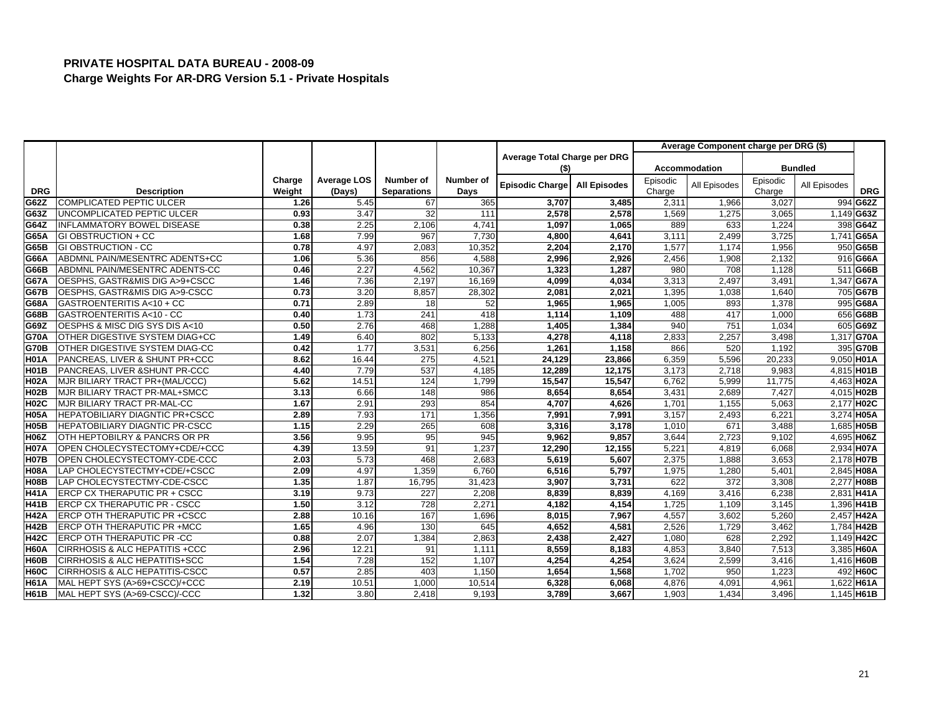|             |                                       |        |                    |                    |           |                              |                     |          | Average Component charge per DRG (\$) |          |                |              |
|-------------|---------------------------------------|--------|--------------------|--------------------|-----------|------------------------------|---------------------|----------|---------------------------------------|----------|----------------|--------------|
|             |                                       |        |                    |                    |           | Average Total Charge per DRG |                     |          |                                       |          |                |              |
|             |                                       |        |                    |                    |           | (\$)                         |                     |          | Accommodation                         |          | <b>Bundled</b> |              |
|             |                                       | Charge | <b>Average LOS</b> | Number of          | Number of | Episodic Charge              | <b>All Episodes</b> | Episodic | All Episodes                          | Episodic | All Episodes   |              |
| <b>DRG</b>  | <b>Description</b>                    | Weight | (Days)             | <b>Separations</b> | Days      |                              |                     | Charge   |                                       | Charge   |                | <b>DRG</b>   |
| G62Z        | <b>COMPLICATED PEPTIC ULCER</b>       | 1.26   | 5.45               | 67                 | 365       | 3,707                        | 3,485               | 2,311    | 1,966                                 | 3,027    |                | 994 G62Z     |
| G63Z        | UNCOMPLICATED PEPTIC ULCER            | 0.93   | 3.47               | 32                 | 111       | 2,578                        | 2,578               | 1,569    | 1.275                                 | 3,065    |                | 1,149 G63Z   |
| G64Z        | INFLAMMATORY BOWEL DISEASE            | 0.38   | 2.25               | 2,106              | 4,741     | 1,097                        | 1,065               | 889      | 633                                   | 1,224    |                | 398 G64Z     |
| G65A        | <b>GI OBSTRUCTION + CC</b>            | 1.68   | 7.99               | 967                | 7,730     | 4,800                        | 4,641               | 3,111    | 2,499                                 | 3,725    |                | 1,741 G65A   |
| G65B        | <b>GI OBSTRUCTION - CC</b>            | 0.78   | 4.97               | 2,083              | 10,352    | 2,204                        | 2,170               | 1,577    | 1.174                                 | 1,956    |                | 950 G65B     |
| G66A        | ABDMNL PAIN/MESENTRC ADENTS+CC        | 1.06   | 5.36               | 856                | 4,588     | 2,996                        | 2,926               | 2,456    | 1,908                                 | 2,132    |                | 916 G66A     |
| G66B        | ABDMNL PAIN/MESENTRC ADENTS-CC        | 0.46   | 2.27               | 4,562              | 10,367    | 1,323                        | 1,287               | 980      | 708                                   | 1,128    |                | 511 G66B     |
| <b>G67A</b> | OESPHS, GASTR&MIS DIG A>9+CSCC        | 1.46   | 7.36               | 2,197              | 16,169    | 4,099                        | 4,034               | 3,313    | 2,497                                 | 3,491    |                | 1,347 G67A   |
| <b>G67B</b> | OESPHS, GASTR&MIS DIG A>9-CSCC        | 0.73   | 3.20               | 8,857              | 28,302    | 2,081                        | 2,021               | 1,395    | 1,038                                 | 1,640    |                | 705 G67B     |
| G68A        | GASTROENTERITIS A<10 + CC             | 0.71   | 2.89               | 18                 | 52        | 1,965                        | 1,965               | 1,005    | 893                                   | 1,378    |                | 995 G68A     |
| G68B        | GASTROENTERITIS A<10 - CC             | 0.40   | 1.73               | 241                | 418       | 1,114                        | 1,109               | 488      | 417                                   | 1,000    |                | 656 G68B     |
| G69Z        | OESPHS & MISC DIG SYS DIS A<10        | 0.50   | 2.76               | 468                | 1,288     | 1,405                        | 1,384               | 940      | 751                                   | 1,034    |                | 605 G69Z     |
| <b>G70A</b> | OTHER DIGESTIVE SYSTEM DIAG+CC        | 1.49   | 6.40               | 802                | 5,133     | 4,278                        | 4,118               | 2,833    | 2,257                                 | 3,498    |                | 1,317 G70A   |
| <b>G70B</b> | OTHER DIGESTIVE SYSTEM DIAG-CC        | 0.42   | 1.77               | 3,531              | 6,256     | 1,261                        | 1,158               | 866      | 520                                   | 1.192    |                | 395 G70B     |
| <b>H01A</b> | PANCREAS, LIVER & SHUNT PR+CCC        | 8.62   | 16.44              | 275                | 4,521     | 24,129                       | 23,866              | 6,359    | 5,596                                 | 20,233   |                | 9,050 H01A   |
| <b>H01B</b> | PANCREAS, LIVER & SHUNT PR-CCC        | 4.40   | 7.79               | 537                | 4,185     | 12,289                       | 12,175              | 3,173    | 2,718                                 | 9,983    |                | 4,815 H01B   |
| <b>H02A</b> | MJR BILIARY TRACT PR+(MAL/CCC)        | 5.62   | 14.51              | 124                | 1,799     | 15,547                       | 15,547              | 6,762    | 5,999                                 | 11,775   |                | 4,463 H02A   |
| <b>H02B</b> | MJR BILIARY TRACT PR-MAL+SMCC         | 3.13   | 6.66               | $\overline{148}$   | 986       | 8,654                        | 8,654               | 3,431    | 2,689                                 | 7,427    |                | 4,015 H02B   |
| <b>H02C</b> | MJR BILIARY TRACT PR-MAL-CC           | 1.67   | 2.91               | 293                | 854       | 4,707                        | 4.626               | 1,701    | 1,155                                 | 5,063    |                | 2,177 H02C   |
| <b>H05A</b> | <b>HEPATOBILIARY DIAGNTIC PR+CSCC</b> | 2.89   | 7.93               | 171                | 1,356     | 7,991                        | 7,991               | 3,157    | 2,493                                 | 6,221    |                | 3,274 H05A   |
| <b>H05B</b> | HEPATOBILIARY DIAGNTIC PR-CSCC        | 1.15   | 2.29               | 265                | 608       | 3,316                        | 3,178               | 1,010    | 671                                   | 3,488    |                | 1,685 H05B   |
| <b>H06Z</b> | OTH HEPTOBILRY & PANCRS OR PR         | 3.56   | 9.95               | 95                 | 945       | 9,962                        | 9,857               | 3,644    | 2,723                                 | 9,102    |                | 4,695 H06Z   |
| <b>H07A</b> | OPEN CHOLECYSTECTOMY+CDE/+CCC         | 4.39   | 13.59              | 91                 | 1,237     | 12,290                       | 12,155              | 5,221    | 4,819                                 | 6.068    |                | 2,934 H07A   |
| <b>H07B</b> | OPEN CHOLECYSTECTOMY-CDE-CCC          | 2.03   | 5.73               | 468                | 2,683     | 5,619                        | 5,607               | 2,375    | 1,888                                 | 3,653    |                | 2,178 H07B   |
| <b>H08A</b> | LAP CHOLECYSTECTMY+CDE/+CSCC          | 2.09   | 4.97               | 1,359              | 6,760     | 6,516                        | 5,797               | 1,975    | 1,280                                 | 5,401    |                | 2,845 H08A   |
| <b>H08B</b> | LAP CHOLECYSTECTMY-CDE-CSCC           | 1.35   | 1.87               | 16,795             | 31,423    | 3,907                        | 3,731               | 622      | 372                                   | 3,308    |                | 2.277 H08B   |
| <b>H41A</b> | ERCP CX THERAPUTIC PR + CSCC          | 3.19   | 9.73               | 227                | 2,208     | 8,839                        | 8,839               | 4,169    | 3,416                                 | 6,238    |                | 2,831 H41A   |
| <b>H41B</b> | ERCP CX THERAPUTIC PR - CSCC          | 1.50   | 3.12               | 728                | 2,271     | 4,182                        | 4,154               | 1,725    | 1,109                                 | 3,145    |                | 1,396 H41B   |
| <b>H42A</b> | ERCP OTH THERAPUTIC PR +CSCC          | 2.88   | 10.16              | 167                | 1,696     | 8,015                        | 7,967               | 4,557    | 3,602                                 | 5.260    |                | 2,457 H42A   |
| <b>H42B</b> | ERCP OTH THERAPUTIC PR +MCC           | 1.65   | 4.96               | 130                | 645       | 4,652                        | 4,581               | 2,526    | 1,729                                 | 3,462    |                | 1,784 H42B   |
| <b>H42C</b> | ERCP OTH THERAPUTIC PR -CC            | 0.88   | 2.07               | 1,384              | 2,863     | 2,438                        | 2,427               | 1,080    | 628                                   | 2,292    |                | 1,149 H42C   |
| <b>H60A</b> | CIRRHOSIS & ALC HEPATITIS +CCC        | 2.96   | 12.21              | 91                 | 1,111     | 8,559                        | 8.183               | 4.853    | 3.840                                 | 7,513    |                | 3,385 H60A   |
| <b>H60B</b> | CIRRHOSIS & ALC HEPATITIS+SCC         | 1.54   | 7.28               | 152                | 1,107     | 4,254                        | 4,254               | 3,624    | 2,599                                 | 3,416    |                | 1,416 H60B   |
| <b>H60C</b> | CIRRHOSIS & ALC HEPATITIS-CSCC        | 0.57   | 2.85               | 403                | 1,150     | 1,654                        | 1,568               | 1,702    | 950                                   | 1,223    |                | 492 H60C     |
| <b>H61A</b> | MAL HEPT SYS (A>69+CSCC)/+CCC         | 2.19   | 10.51              | 1,000              | 10,514    | 6,328                        | 6,068               | 4,876    | 4,091                                 | 4,961    |                | 1,622 H61A   |
| <b>H61B</b> | MAL HEPT SYS (A>69-CSCC)/-CCC         | 1.32   | 3.80               | 2,418              | 9,193     | 3,789                        | 3,667               | 1,903    | 1,434                                 | 3,496    |                | $1,145$ H61B |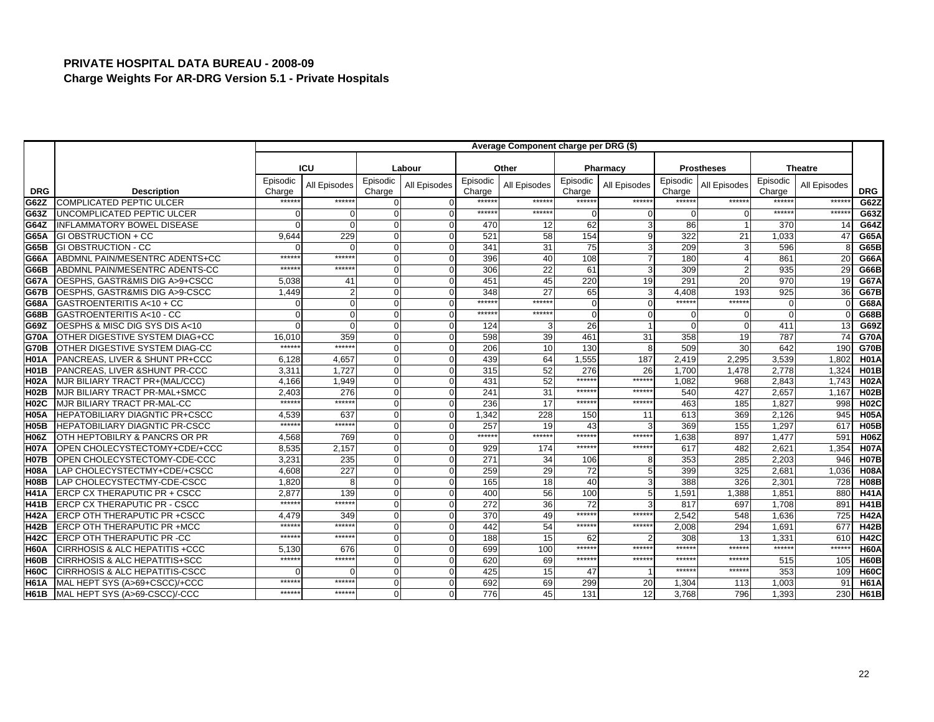|                   |                                           |                    |              |                    |              |                    | Average Component charge per DRG (\$) |                    |                |                    |                   |                    |                |             |
|-------------------|-------------------------------------------|--------------------|--------------|--------------------|--------------|--------------------|---------------------------------------|--------------------|----------------|--------------------|-------------------|--------------------|----------------|-------------|
|                   |                                           |                    | ICU          |                    | Labour       |                    | Other                                 |                    | Pharmacy       |                    | <b>Prostheses</b> |                    | <b>Theatre</b> |             |
|                   |                                           |                    |              |                    |              |                    |                                       |                    |                |                    |                   |                    |                |             |
| <b>DRG</b>        | <b>Description</b>                        | Episodic<br>Charge | All Episodes | Episodic<br>Charge | All Episodes | Episodic<br>Charge | All Episodes                          | Episodic<br>Charge | All Episodes   | Episodic<br>Charge | All Episodes      | Episodic<br>Charge | All Episodes   | <b>DRG</b>  |
| G62Z              | <b>COMPLICATED PEPTIC ULCER</b>           | *****              | ******       | <sup>0</sup>       |              | *****              | *****                                 | ******             | ******         | ******             | *****:            | *****              | *****          | G62Z        |
| G63Z              | UNCOMPLICATED PEPTIC ULCER                |                    | $\Omega$     | $\Omega$           |              | ******             | $*****$                               | $\Omega$           | $\mathbf 0$    | $\Omega$           |                   | $****$             | ******         | G63Z        |
| G64Z              | INFLAMMATORY BOWEL DISEASE                |                    | $\Omega$     | $\Omega$           | $\Omega$     | 470                | 12                                    | 62                 | 3              | 86                 |                   | 370                | 14             | G64Z        |
| G65A              | <b>GI OBSTRUCTION + CC</b>                | 9.644              | 229          | $\Omega$           |              | 521                | 58                                    | 154                | 9              | 322                | 21                | 1,033              | 47             | G65A        |
| G65B              | <b>GI OBSTRUCTION - CC</b>                |                    | $\Omega$     | $\Omega$           | $\Omega$     | 341                | 31                                    | 75                 | 3              | 209                | 3                 | 596                |                | G65B        |
| G66A              | ABDMNL PAIN/MESENTRC ADENTS+CC            | $*****$            | ******       | $\Omega$           |              | 396                | 40                                    | 108                | $\overline{7}$ | 180                |                   | 861                | 20             | G66A        |
| G66B              | ABDMNL PAIN/MESENTRC ADENTS-CC            | $*****$            | ******       | $\Omega$           |              | 306                | 22                                    | 61                 | 3              | 309                | $\mathfrak{p}$    | 935                | 29             | G66B        |
| G67A              | OESPHS, GASTR&MIS DIG A>9+CSCC            | 5,038              | 41           | $\Omega$           |              | 451                | 45                                    | 220                | 19             | 291                | 20                | 970                | 19             | <b>G67A</b> |
| <b>G67B</b>       | OESPHS, GASTR&MIS DIG A>9-CSCC            | 1,449              |              | 0                  |              | 348                | 27                                    | 65                 | 3              | 4,408              | 193               | 925                | 36             | <b>G67B</b> |
| G68A              | GASTROENTERITIS A<10 + CC                 |                    | $\Omega$     | $\Omega$           |              | ******             | ******                                | $\mathcal{C}$      | $\Omega$       | ******             | ******            |                    |                | G68A        |
| G68B              | GASTROENTERITIS A<10 - CC                 |                    | $\mathbf 0$  | $\overline{0}$     |              | ******             | ******                                | $\Omega$           | $\mathbf{O}$   | $\Omega$           | O                 |                    |                | G68B        |
| G69Z              | OESPHS & MISC DIG SYS DIS A<10            |                    | $\Omega$     | $\Omega$           | $\Omega$     | 124                |                                       | 26                 |                | $\Omega$           |                   | 411                | 13             | G69Z        |
| <b>G70A</b>       | OTHER DIGESTIVE SYSTEM DIAG+CC            | 16,010             | 359          | $\Omega$           | $\Omega$     | 598                | 39                                    | 461                | 31             | 358                | 19                | 787                | 74             | <b>G70A</b> |
| G70B              | OTHER DIGESTIVE SYSTEM DIAG-CC            | *****              | ******       | $\overline{0}$     |              | 206                | 10                                    | 130                | 8              | 509                | 30                | 642                | 190            | <b>G70B</b> |
| H <sub>01</sub> A | PANCREAS, LIVER & SHUNT PR+CCC            | 6,128              | 4,657        | $\Omega$           | $\Omega$     | 439                | 64                                    | 1,555              | 187            | 2,419              | 2,295             | 3,539              | 1,802          | <b>H01A</b> |
| H <sub>01</sub> B | PANCREAS, LIVER & SHUNT PR-CCC            | 3,31'              | 1.727        | $\Omega$           |              | 315                | 52                                    | 276                | 26             | 1,700              | 1,478             | 2,778              | 1.324          | <b>H01B</b> |
| <b>H02A</b>       | MJR BILIARY TRACT PR+(MAL/CCC)            | 4,166              | 1.949        | $\Omega$           |              | 431                | 52                                    | ******             | ******         | 1.082              | 968               | 2,843              | 1,743          | <b>H02A</b> |
| <b>H02B</b>       | MJR BILIARY TRACT PR-MAL+SMCC             | 2,403              | 276          | $\Omega$           | $\Omega$     | 241                | 31                                    | ******             | $*****$        | 540                | 427               | 2,657              | 1,167          | <b>H02B</b> |
| H02C              | MJR BILIARY TRACT PR-MAL-CC               | $*****$            | $*****$      | $\Omega$           | $\Omega$     | 236                | 17                                    | $*****$            | $*****$        | 463                | 185               | 1.827              | 998            | <b>H02C</b> |
| H <sub>05</sub> A | <b>HEPATOBILIARY DIAGNTIC PR+CSCC</b>     | 4,539              | 637          | $\overline{0}$     |              | 1.342              | 228                                   | 150                | 11             | 613                | 369               | 2,126              | 945            | <b>H05A</b> |
| H <sub>05</sub> B | HEPATOBILIARY DIAGNTIC PR-CSCC            | *****              | ******       | $\Omega$           |              | 257                | 19                                    | 43                 | 3              | 369                | 155               | 1,297              | 617            | <b>H05B</b> |
| <b>H06Z</b>       | OTH HEPTOBILRY & PANCRS OR PR             | 4,568              | 769          | $\Omega$           |              | ******             | ******                                | ******             | ******         | 1,638              | 897               | 1,477              | 591            | <b>H06Z</b> |
| <b>IH07A</b>      | OPEN CHOLECYSTECTOMY+CDE/+CCC             | 8.535              | 2,157        | $\Omega$           | $\Omega$     | 929                | 174                                   | ******             | ******         | 617                | 482               | 2,621              | 1,354          | <b>H07A</b> |
| H <sub>07</sub> B | OPEN CHOLECYSTECTOMY-CDE-CCC              | 3,231              | 235          | $\Omega$           | $\Omega$     | 271                | 34                                    | 106                | 8              | 353                | 285               | 2,203              | 946            | <b>H07B</b> |
| <b>H08A</b>       | LAP CHOLECYSTECTMY+CDE/+CSCC              | 4,608              | 227          | $\Omega$           |              | 259                | 29                                    | 72                 | 5              | 399                | 325               | 2,68'              | 1,036          | <b>H08A</b> |
| <b>Н08В</b>       | LAP CHOLECYSTECTMY-CDE-CSCC               | 1.820              | 8            | $\Omega$           |              | 165                | 18                                    | 40                 | 3              | 388                | 326               | 2,30'              | 728            | <b>H08B</b> |
| <b>H41A</b>       | ERCP CX THERAPUTIC PR + CSCC              | 2,877              | 139          | $\overline{0}$     |              | 400                | 56                                    | 100                | 5              | 1,591              | 1,388             | 1,851              | 880            | <b>H41A</b> |
| H41B              | <b>ERCP CX THERAPUTIC PR - CSCC</b>       | $*****$            | ******       | $\Omega$           | $\Omega$     | 272                | 36                                    | 72                 | 3              | 817                | 697               | 1,708              | 891            | <b>H41B</b> |
| <b>H42A</b>       | ERCP OTH THERAPUTIC PR +CSCC              | 4.479              | 349          | $\overline{0}$     | $\Omega$     | $\overline{370}$   | 49                                    | ******             | $*****$        | 2.542              | 548               | 1.636              | 725            | <b>H42A</b> |
| H42B              | ERCP OTH THERAPUTIC PR +MCC               | *****              | $*****$      | $\Omega$           |              | 442                | 54                                    | ******             | ******         | 2,008              | 294               | 1,691              | 677            | <b>H42B</b> |
| <b>H42C</b>       | ERCP OTH THERAPUTIC PR -CC                | $*****$            | ******       | $\Omega$           |              | 188                | 15                                    | 62                 | $\mathcal{P}$  | 308                | 13                | 1.33'              | 610            | <b>H42C</b> |
| <b>H60A</b>       | <b>CIRRHOSIS &amp; ALC HEPATITIS +CCC</b> | 5.130              | 676          | $\overline{0}$     |              | 699                | 100                                   | ******             | *****:         | ******             | ******            | *****              | ******         | <b>H60A</b> |
| <b>H60B</b>       | <b>CIRRHOSIS &amp; ALC HEPATITIS+SCC</b>  | $*****$            | ******       | $\Omega$           | $\Omega$     | 620                | 69                                    | ******             | ******         | $******$           | ******            | 515                | 105            | <b>H60B</b> |
| H60C              | <b>CIRRHOSIS &amp; ALC HEPATITIS-CSCC</b> |                    | $\Omega$     | $\Omega$           |              | 425                | 15                                    | 47                 |                | $*****$            | $****$            | 353                | 109            | <b>H60C</b> |
| IH61A             | MAL HEPT SYS (A>69+CSCC)/+CCC             | *****              | *****        | $\Omega$           |              | 692                | 69                                    | 299                | 20             | 1,304              | 113               | 1,003              | 91             | <b>H61A</b> |
| <b>H61B</b>       | MAL HEPT SYS (A>69-CSCC)/-CCC             | $*****$            | ******       | $\Omega$           |              | 776                | 45                                    | 131                | 12             | 3,768              | 796               | 1.393              | 230            | <b>H61B</b> |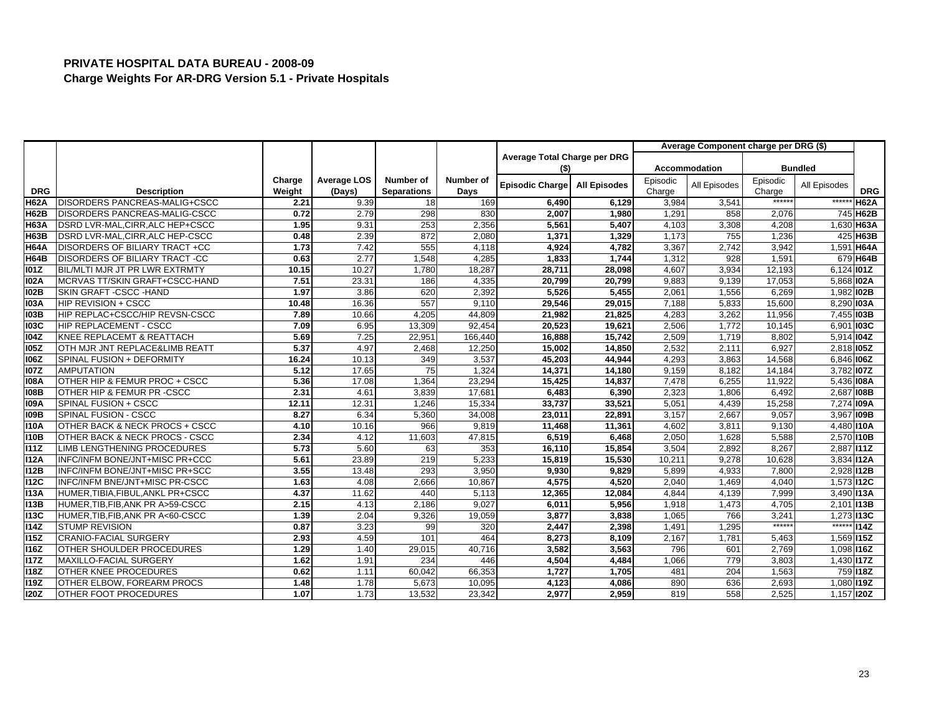|             |                                      |        |                    |                    |           |                              |                     |          | Average Component charge per DRG (\$) |          |                   |             |
|-------------|--------------------------------------|--------|--------------------|--------------------|-----------|------------------------------|---------------------|----------|---------------------------------------|----------|-------------------|-------------|
|             |                                      |        |                    |                    |           | Average Total Charge per DRG |                     |          |                                       |          |                   |             |
|             |                                      |        |                    |                    |           | (\$)                         |                     |          | Accommodation                         |          | <b>Bundled</b>    |             |
|             |                                      | Charge | <b>Average LOS</b> | Number of          | Number of | <b>Episodic Charge</b>       | <b>All Episodes</b> | Episodic | All Episodes                          | Episodic | All Episodes      |             |
| <b>DRG</b>  | <b>Description</b>                   | Weight | (Days)             | <b>Separations</b> | Days      |                              |                     | Charge   |                                       | Charge   |                   | <b>DRG</b>  |
| <b>H62A</b> | DISORDERS PANCREAS-MALIG+CSCC        | 2.21   | 9.39               | 18                 | 169       | 6,490                        | 6,129               | 3,984    | 3,54'                                 | ******   | $***$ ***         | <b>H62A</b> |
| <b>H62B</b> | DISORDERS PANCREAS-MALIG-CSCC        | 0.72   | 2.79               | 298                | 830       | 2,007                        | 1,980               | 1,291    | 858                                   | 2,076    |                   | 745 H62B    |
| <b>H63A</b> | DSRD LVR-MAL, CIRR, ALC HEP+CSCC     | 1.95   | 9.31               | 253                | 2,356     | 5,561                        | 5,407               | 4,103    | 3,308                                 | 4,208    |                   | 1,630 H63A  |
| <b>H63B</b> | DSRD LVR-MAL, CIRR, ALC HEP-CSCC     | 0.48   | 2.39               | 872                | 2,080     | 1,371                        | 1,329               | 1,173    | 755                                   | 1,236    |                   | 425 H63B    |
| <b>H64A</b> | DISORDERS OF BILIARY TRACT +CC       | 1.73   | 7.42               | 555                | 4,118     | 4,924                        | 4,782               | 3,367    | 2,742                                 | 3,942    |                   | 1,591 H64A  |
| <b>H64B</b> | <b>DISORDERS OF BILIARY TRACT-CC</b> | 0.63   | 2.77               | 1,548              | 4.285     | 1,833                        | 1,744               | 1,312    | 928                                   | 1,591    |                   | 679 H64B    |
| 101Z        | BIL/MLTI MJR JT PR LWR EXTRMTY       | 10.15  | 10.27              | 1,780              | 18,287    | 28,711                       | 28,098              | 4,607    | 3,934                                 | 12,193   | 6,124 101Z        |             |
| 102A        | MCRVAS TT/SKIN GRAFT+CSCC-HAND       | 7.51   | 23.31              | 186                | 4,335     | 20,799                       | 20,799              | 9,883    | 9,139                                 | 17,053   | 5,868 <b>IO2A</b> |             |
| <b>102B</b> | SKIN GRAFT - CSCC - HAND             | 1.97   | 3.86               | 620                | 2,392     | 5,526                        | 5,455               | 2,061    | 1,556                                 | 6,269    | 1,982 IO2B        |             |
| <b>I03A</b> | <b>HIP REVISION + CSCC</b>           | 10.48  | 16.36              | 557                | 9,110     | 29,546                       | 29,015              | 7,188    | 5,833                                 | 15,600   | 8,290 103A        |             |
| 103B        | HIP REPLAC+CSCC/HIP REVSN-CSCC       | 7.89   | 10.66              | 4,205              | 44,809    | 21,982                       | 21,825              | 4,283    | 3,262                                 | 11,956   | 7,455 103B        |             |
| <b>103C</b> | HIP REPLACEMENT - CSCC               | 7.09   | 6.95               | 13,309             | 92,454    | 20,523                       | 19,621              | 2,506    | 1,772                                 | 10,145   | 6,901 103C        |             |
| 104Z        | KNEE REPLACEMT & REATTACH            | 5.69   | 7.25               | 22,951             | 166,440   | 16,888                       | 15,742              | 2,509    | 1,719                                 | 8,802    | 5,914 <b>104Z</b> |             |
| <b>105Z</b> | OTH MJR JNT REPLACE&LIMB REATT       | 5.37   | 4.97               | 2,468              | 12,250    | 15,002                       | 14,850              | 2,532    | 2,11'                                 | 6.927    | 2.818 105Z        |             |
| <b>106Z</b> | SPINAL FUSION + DEFORMITY            | 16.24  | 10.13              | 349                | 3,537     | 45,203                       | 44,944              | 4,293    | 3,863                                 | 14,568   | 6,846 106Z        |             |
| <b>107Z</b> | <b>AMPUTATION</b>                    | 5.12   | 17.65              | 75                 | 1,324     | 14,371                       | 14,180              | 9,159    | 8,182                                 | 14,184   | 3,782 <b>107Z</b> |             |
| <b>108A</b> | OTHER HIP & FEMUR PROC + CSCC        | 5.36   | 17.08              | 1,364              | 23,294    | 15,425                       | 14,837              | 7,478    | 6,255                                 | 11,922   | 5,436 108A        |             |
| <b>108B</b> | OTHER HIP & FEMUR PR -CSCC           | 2.31   | 4.61               | 3,839              | 17,681    | 6,483                        | 6,390               | 2,323    | 1,806                                 | 6,492    | 2,687 IO8B        |             |
| <b>109A</b> | SPINAL FUSION + CSCC                 | 12.11  | 12.31              | 1.246              | 15,334    | 33,737                       | 33,521              | 5,051    | 4,439                                 | 15,258   | 7,274 109A        |             |
| <b>109B</b> | SPINAL FUSION - CSCC                 | 8.27   | 6.34               | 5,360              | 34,008    | 23,011                       | 22,891              | 3,157    | 2,667                                 | 9,057    | 3,967 109B        |             |
| 110A        | OTHER BACK & NECK PROCS + CSCC       | 4.10   | 10.16              | 966                | 9,819     | 11,468                       | 11,361              | 4,602    | 3,81                                  | 9,130    | 4,480 I10A        |             |
| 110B        | OTHER BACK & NECK PROCS - CSCC       | 2.34   | 4.12               | 11,603             | 47,815    | 6,519                        | 6,468               | 2,050    | 1,628                                 | 5,588    | 2,570 I10B        |             |
| <b>I11Z</b> | LIMB LENGTHENING PROCEDURES          | 5.73   | 5.60               | 63                 | 353       | 16,110                       | 15,854              | 3,504    | 2,892                                 | 8,267    | 2,887 111Z        |             |
| <b>I12A</b> | INFC/INFM BONE/JNT+MISC PR+CCC       | 5.61   | 23.89              | 219                | 5.233     | 15,819                       | 15,530              | 10,211   | 9.278                                 | 10.628   | 3.834112A         |             |
| <b>I12B</b> | INFC/INFM BONE/JNT+MISC PR+SCC       | 3.55   | 13.48              | 293                | 3,950     | 9,930                        | 9,829               | 5,899    | 4,933                                 | 7,800    | 2,928 I12B        |             |
| <b>112C</b> | INFC/INFM BNE/JNT+MISC PR-CSCC       | 1.63   | 4.08               | 2,666              | 10,867    | 4,575                        | 4,520               | 2,040    | 1,469                                 | 4,040    | 1,573 112C        |             |
| <b>I13A</b> | HUMER, TIBIA, FIBUL, ANKL PR+CSCC    | 4.37   | 11.62              | 440                | 5,113     | 12,365                       | 12,084              | 4,844    | 4,139                                 | 7,999    | 3,490 113A        |             |
| <b>I13B</b> | HUMER, TIB, FIB, ANK PR A>59-CSCC    | 2.15   | 4.13               | 2,186              | 9,027     | 6,011                        | 5,956               | 1,918    | 1,473                                 | 4,705    | 2,101 13B         |             |
| <b>113C</b> | HUMER, TIB, FIB, ANK PR A<60-CSCC    | 1.39   | 2.04               | 9,326              | 19,059    | 3,877                        | 3,838               | 1,065    | 766                                   | 3.241    | 1,273 113C        |             |
| <b>I14Z</b> | <b>STUMP REVISION</b>                | 0.87   | 3.23               | 99                 | 320       | 2,447                        | 2,398               | 1,491    | 1,295                                 | $*****$  | $******$          | <b>I14Z</b> |
| <b>I15Z</b> | <b>CRANIO-FACIAL SURGERY</b>         | 2.93   | 4.59               | 101                | 464       | 8,273                        | 8,109               | 2,167    | 1,781                                 | 5,463    | 1,569 I15Z        |             |
| <b>116Z</b> | OTHER SHOULDER PROCEDURES            | 1.29   | 1.40               | 29,015             | 40.716    | 3,582                        | 3,563               | 796      | 601                                   | 2.769    | 1.098 116Z        |             |
| <b>117Z</b> | MAXILLO-FACIAL SURGERY               | 1.62   | 1.91               | 234                | 446       | 4,504                        | 4,484               | 1,066    | 779                                   | 3,803    | 1,430 <b>I17Z</b> |             |
| <b>I18Z</b> | OTHER KNEE PROCEDURES                | 0.62   | 1.11               | 60.042             | 66,353    | 1,727                        | 1,705               | 481      | 204                                   | 1,563    |                   | 759 118Z    |
| <b>I19Z</b> | OTHER ELBOW. FOREARM PROCS           | 1.48   | 1.78               | 5,673              | 10,095    | 4,123                        | 4,086               | 890      | 636                                   | 2,693    | 1,080 119Z        |             |
| <b>120Z</b> | <b>OTHER FOOT PROCEDURES</b>         | 1.07   | 1.73               | 13,532             | 23,342    | 2,977                        | 2,959               | 819      | 558                                   | 2,525    | 1,157 120Z        |             |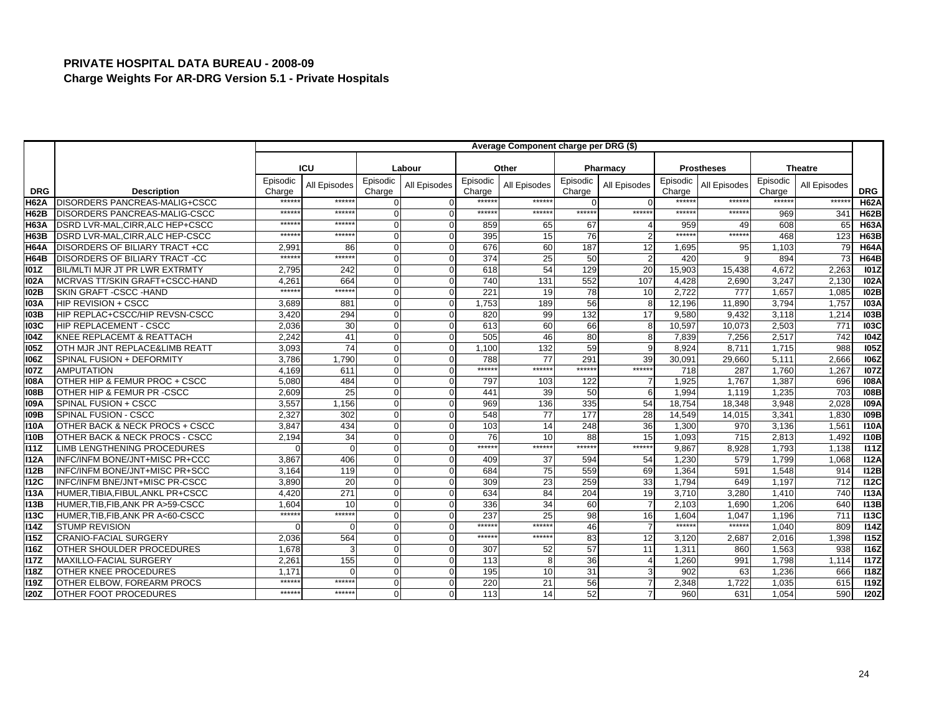|             |                                       |                    |                 |                    |              |                    | Average Component charge per DRG (\$) |                    |                |                    |                   |                    |                |                  |
|-------------|---------------------------------------|--------------------|-----------------|--------------------|--------------|--------------------|---------------------------------------|--------------------|----------------|--------------------|-------------------|--------------------|----------------|------------------|
|             |                                       |                    | <b>ICU</b>      |                    | Labour       |                    | Other                                 |                    | Pharmacy       |                    | <b>Prostheses</b> |                    | <b>Theatre</b> |                  |
| <b>DRG</b>  | <b>Description</b>                    | Episodic<br>Charge | All Episodes    | Episodic<br>Charge | All Episodes | Episodic<br>Charge | All Episodes                          | Episodic<br>Charge | All Episodes   | Episodic<br>Charge | All Episodes      | Episodic<br>Charge | All Episodes   | <b>DRG</b>       |
| <b>H62A</b> | <b>DISORDERS PANCREAS-MALIG+CSCC</b>  | *****              | *****           | $\Omega$           |              | *****              | *****                                 | $\Omega$           | $\Omega$       | ******             | *****             | $*****$            | *****          | <b>H62A</b>      |
| <b>H62B</b> | DISORDERS PANCREAS-MALIG-CSCC         | $*****$            | ******          | $\Omega$           |              | *****:             | ******                                | ******             | ******         | $*****$            | $*****$           | 969                | 341            | <b>H62B</b>      |
| <b>H63A</b> | DSRD LVR-MAL, CIRR, ALC HEP+CSCC      | *****              | *****           | $\Omega$           | $\Omega$     | 859                | 65                                    | 67                 |                | 959                | 49                | 608                | 65             | <b>H63A</b>      |
| <b>H63B</b> | DSRD LVR-MAL, CIRR, ALC HEP-CSCC      | *****              | $*****$         | $\Omega$           |              | 395                | 15                                    | 76                 | $\overline{2}$ | ******             | ******            | 468                | 123            | <b>H63B</b>      |
| <b>H64A</b> | DISORDERS OF BILIARY TRACT +CC        | 2,991              | 86              | $\Omega$           |              | 676                | 60                                    | 187                | 12             | 1,695              | 95                | 1,103              | 79             | <b>H64A</b>      |
| <b>H64B</b> | <b>DISORDERS OF BILIARY TRACT -CC</b> | ******             | ******          | O                  |              | 374                | 25                                    | 50                 | $\overline{2}$ | 420                |                   | 894                | 73             | <b>H64B</b>      |
| 101Z        | BIL/MLTI MJR JT PR LWR EXTRMTY        | 2,795              | 242             | O                  |              | 618                | 54                                    | 129                | 20             | 15,903             | 15,438            | 4,672              | 2,263          | <b>101Z</b>      |
| <b>102A</b> | MCRVAS TT/SKIN GRAFT+CSCC-HAND        | 4,261              | 664             | $\Omega$           | ∩            | 740                | 131                                   | 552                | 107            | 4.428              | 2,690             | 3,247              | 2,130          | <b>I02A</b>      |
| <b>102B</b> | SKIN GRAFT - CSCC - HAND              | $*****$            | ******          | $\Omega$           |              | 221                | 19                                    | 78                 | 10             | 2.722              | 777               | 1,657              | 1.085          | <b>102B</b>      |
| <b>103A</b> | <b>HIP REVISION + CSCC</b>            | 3,689              | 881             | O                  |              | 1,753              | 189                                   | 56                 | 8              | 12,196             | 11,890            | 3,794              | 1,757          | 103A             |
| <b>103B</b> | HIP REPLAC+CSCC/HIP REVSN-CSCC        | 3.420              | 294             | 0                  |              | 820                | 99                                    | 132                | 17             | 9,580              | 9.432             | 3,118              | 1.214          | <b>103B</b>      |
| <b>103C</b> | HIP REPLACEMENT - CSCC                | 2,036              | 30              | U                  |              | 613                | 60                                    | 66                 | 8              | 10,597             | 10,073            | 2,503              | 771            | <b>103C</b>      |
| 104Z        | KNEE REPLACEMT & REATTACH             | 2,242              | 41              | $\Omega$           | $\Omega$     | 505                | 46                                    | 80                 | 8              | 7,839              | 7,256             | 2,517              | 742            | <b>104Z</b>      |
| <b>105Z</b> | OTH MJR JNT REPLACE&LIMB REATT        | 3,093              | $\overline{74}$ | $\Omega$           |              | 1.100              | 132                                   | 59                 | 9              | 8.924              | 8.711             | 1,715              | 988            | 105Z             |
| 106Z        | SPINAL FUSION + DEFORMITY             | 3,786              | 1,790           | O                  |              | 788                | 77                                    | 291                | 39             | 30,091             | 29,660            | 5,111              | 2,666          | <b>106Z</b>      |
| <b>107Z</b> | <b>AMPUTATION</b>                     | 4.169              | 611             | O                  |              | ******             | $*****$                               | ******             | ******         | 718                | 287               | 1,760              | 1,267          | <b>107Z</b>      |
| <b>108A</b> | OTHER HIP & FEMUR PROC + CSCC         | 5,080              | 484             | U                  |              | 797                | 103                                   | 122                | 7              | 1,925              | 1,767             | 1,387              | 696            | <b>108A</b>      |
| <b>108B</b> | OTHER HIP & FEMUR PR -CSCC            | 2,609              | 25              | $\Omega$           | $\Omega$     | 441                | 39                                    | 50                 | 6              | 1,994              | 1,119             | 1,235              | 703            | <b>108B</b>      |
| <b>109A</b> | SPINAL FUSION + CSCC                  | 3.557              | 1.156           | $\Omega$           |              | 969                | 136                                   | 335                | 54             | 18,754             | 18.348            | 3.948              | 2.028          | <b>109A</b>      |
| 109B        | SPINAL FUSION - CSCC                  | 2,327              | 302             | O                  |              | 548                | 77                                    | $\overline{177}$   | 28             | 14,549             | 14,015            | 3,341              | 1,830          | <b>109B</b>      |
| 110A        | OTHER BACK & NECK PROCS + CSCC        | 3,847              | 434             | $\Omega$           |              | 103                | 14                                    | 248                | 36             | 1,300              | 970               | 3,136              | 1,561          | 110A             |
| <b>110B</b> | OTHER BACK & NECK PROCS - CSCC        | 2,194              | $\overline{34}$ | U                  |              | 76                 | 10                                    | 88                 | 15             | 1,093              | 715               | 2,813              | 1,492          | <b>110B</b>      |
| <b>I11Z</b> | LIMB LENGTHENING PROCEDURES           | $\cap$             | $\Omega$        | $\Omega$           | $\Omega$     | ******             | $*****$                               | ******             | ******         | 9,867              | 8,928             | 1,793              | 1,138          | 111Z             |
| <b>I12A</b> | INFC/INFM BONE/JNT+MISC PR+CCC        | 3.867              | 406             | $\Omega$           |              | 409                | 37                                    | 594                | 54             | 1.230              | 579               | 1,799              | 1.068          | I12A             |
| <b>I12B</b> | INFC/INFM BONE/JNT+MISC PR+SCC        | 3,164              | 119             | U                  |              | 684                | 75                                    | 559                | 69             | 1,364              | 591               | 1,548              | 914            | <b>112B</b>      |
| <b>I12C</b> | INFC/INFM BNE/JNT+MISC PR-CSCC        | 3,890              | 20              | O                  | C            | 309                | 23                                    | 259                | 33             | 1,794              | 649               | 1,197              | 712            | <b>112C</b>      |
| <b>I13A</b> | HUMER, TIBIA, FIBUL, ANKL PR+CSCC     | 4.420              | 271             | $\Omega$           |              | 634                | 84                                    | 204                | 19             | 3,710              | 3.280             | 1,410              | 740            | <b>I13A</b>      |
| <b>I13B</b> | HUMER, TIB, FIB, ANK PR A>59-CSCC     | 1,604              | 10              | $\Omega$           |              | 336                | 34                                    | 60                 | $\overline{7}$ | 2,103              | 1,690             | 1,206              | 640            | <b>I13B</b>      |
| <b>I13C</b> | HUMER, TIB, FIB, ANK PR A<60-CSCC     | *****              | ******          | 0                  |              | 237                | 25                                    | 98                 | 16             | 1.604              | 1.047             | 1.196              | 711            | I13C             |
| <b>I14Z</b> | <b>STUMP REVISION</b>                 |                    | $\Omega$        | U                  |              | *****:             | $****$                                | 46                 | $\overline{7}$ | $***$ ****         | ******            | 1,040              | 809            | 114Z             |
| <b>I15Z</b> | <b>CRANIO-FACIAL SURGERY</b>          | 2,036              | 564             | O                  | $\Omega$     | ******             | $*****$                               | 83                 | 12             | 3,120              | 2,687             | 2,016              | 1,398          | <b>I15Z</b>      |
| <b>I16Z</b> | <b>OTHER SHOULDER PROCEDURES</b>      | 1.678              | 3               | $\Omega$           |              | 307                | 52                                    | 57                 | 11             | 1,311              | 860               | 1,563              | 938            | $\overline{116}$ |
| <b>I17Z</b> | MAXILLO-FACIAL SURGERY                | 2,261              | 155             | $\Omega$           | $\Omega$     | 113                | 8                                     | 36                 | $\overline{4}$ | 1,260              | 991               | 1,798              | 1,114          | <b>I17Z</b>      |
| <b>I18Z</b> | <b>OTHER KNEE PROCEDURES</b>          | 1.171              | ∩               | $\Omega$           | $\Omega$     | 195                | 10                                    | 31                 | 3              | 902                | 63                | 1,236              | 666            | <b>118Z</b>      |
| <b>119Z</b> | OTHER ELBOW, FOREARM PROCS            | *****              | *****           | O                  |              | 220                | 21                                    | 56                 |                | 2,348              | 1,722             | 1,035              | 615            | <b>119Z</b>      |
| <b>I20Z</b> | <b>OTHER FOOT PROCEDURES</b>          | ******             | ******          | O                  |              | 113                | 14                                    | 52                 | $\overline{7}$ | 960                | 631               | 1,054              | 590            | <b>120Z</b>      |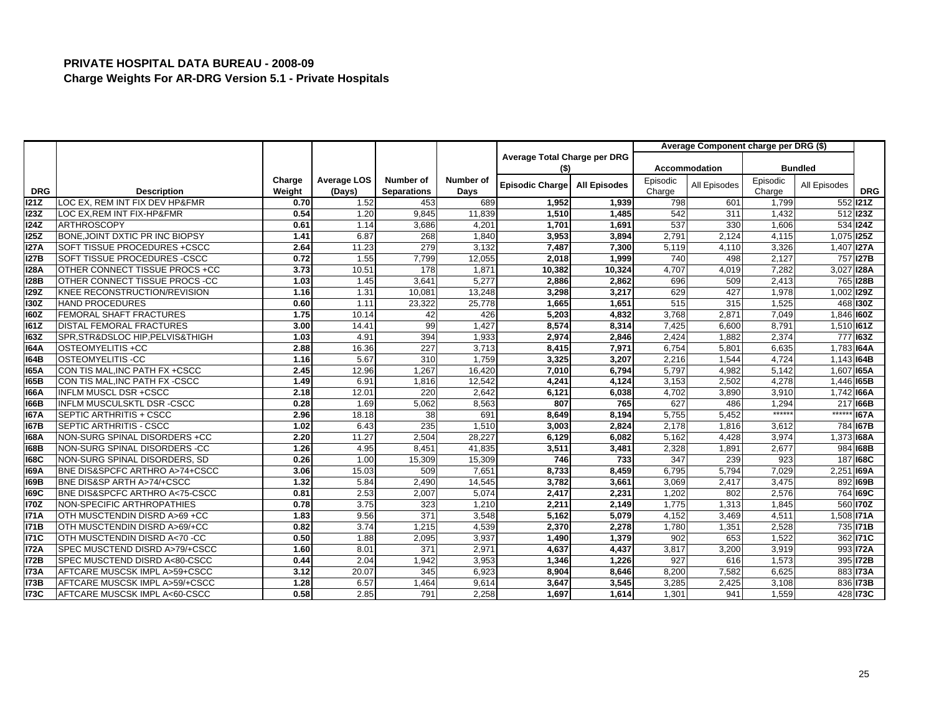|             |                                   |        |                    |                    |           |                              |                     |          | Average Component charge per DRG (\$) |          |                   |                 |
|-------------|-----------------------------------|--------|--------------------|--------------------|-----------|------------------------------|---------------------|----------|---------------------------------------|----------|-------------------|-----------------|
|             |                                   |        |                    |                    |           | Average Total Charge per DRG |                     |          |                                       |          |                   |                 |
|             |                                   |        |                    |                    |           | (5)                          |                     |          | Accommodation                         |          | <b>Bundled</b>    |                 |
|             |                                   | Charge | <b>Average LOS</b> | <b>Number of</b>   | Number of | <b>Episodic Charge</b>       | <b>All Episodes</b> | Episodic | All Episodes                          | Episodic | All Episodes      |                 |
| <b>DRG</b>  | <b>Description</b>                | Weight | (Days)             | <b>Separations</b> | Days      |                              |                     | Charge   |                                       | Charge   |                   | <b>DRG</b>      |
| 121Z        | LOC EX. REM INT FIX DEV HP&FMR    | 0.70   | 1.52               | 453                | 689       | 1,952                        | 1,939               | 798      | 601                                   | 1,799    |                   | 552 121Z        |
| <b>123Z</b> | LOC EX.REM INT FIX-HP&FMR         | 0.54   | 1.20               | 9.845              | 11,839    | 1,510                        | 1,485               | 542      | 311                                   | 1,432    |                   | 512 123Z        |
| <b>I24Z</b> | <b>ARTHROSCOPY</b>                | 0.61   | 1.14               | 3,686              | 4,201     | 1,701                        | 1,691               | 537      | 330                                   | 1,606    |                   | 534 124Z        |
| <b>125Z</b> | BONE, JOINT DXTIC PR INC BIOPSY   | 1.41   | 6.87               | 268                | 1,840     | 3,953                        | 3,894               | 2,791    | 2,124                                 | 4,115    | 1,075 125Z        |                 |
| <b>127A</b> | SOFT TISSUE PROCEDURES +CSCC      | 2.64   | 11.23              | 279                | 3,132     | 7,487                        | 7,300               | 5,119    | 4,110                                 | 3,326    | 1,407 <b>127A</b> |                 |
| <b>127B</b> | SOFT TISSUE PROCEDURES - CSCC     | 0.72   | 1.55               | 7,799              | 12,055    | 2,018                        | 1,999               | 740      | 498                                   | 2,127    |                   | 757 127B        |
| <b>I28A</b> | OTHER CONNECT TISSUE PROCS +CC    | 3.73   | 10.51              | 178                | 1,871     | 10,382                       | 10,324              | 4,707    | 4,019                                 | 7,282    | 3,027 128A        |                 |
| <b>128B</b> | OTHER CONNECT TISSUE PROCS -CC    | 1.03   | 1.45               | 3,641              | 5,277     | 2,886                        | 2,862               | 696      | 509                                   | 2,413    |                   | 765 128B        |
| <b>129Z</b> | KNEE RECONSTRUCTION/REVISION      | 1.16   | 1.31               | 10,081             | 13,248    | 3,298                        | 3,217               | 629      | 427                                   | 1,978    | 1,002 129Z        |                 |
| 130Z        | <b>HAND PROCEDURES</b>            | 0.60   | 1.11               | 23,322             | 25,778    | 1,665                        | 1,651               | 515      | 315                                   | 1,525    |                   | 468 130Z        |
| 160Z        | FEMORAL SHAFT FRACTURES           | 1.75   | 10.14              | 42                 | 426       | 5,203                        | 4,832               | 3,768    | 2,871                                 | 7,049    | 1.846 160Z        |                 |
| 161Z        | <b>DISTAL FEMORAL FRACTURES</b>   | 3.00   | 14.41              | 99                 | 1,427     | 8,574                        | 8,314               | 7,425    | 6,600                                 | 8,791    | 1,510 161Z        |                 |
| <b>163Z</b> | SPR, STR&DSLOC HIP, PELVIS& THIGH | 1.03   | 4.91               | 394                | 1,933     | 2,974                        | 2,846               | 2,424    | 1,882                                 | 2,374    |                   | 777 163Z        |
| <b>164A</b> | OSTEOMYELITIS +CC                 | 2.88   | 16.36              | 227                | 3.713     | 8,415                        | 7.971               | 6.754    | 5.80'                                 | 6.635    | 1.783 164A        |                 |
| 164B        | <b>OSTEOMYELITIS-CC</b>           | 1.16   | 5.67               | 310                | 1,759     | 3,325                        | 3,207               | 2,216    | 1,544                                 | 4,724    | 1,143 164B        |                 |
| <b>165A</b> | CON TIS MAL, INC PATH FX + CSCC   | 2.45   | 12.96              | 1,267              | 16,420    | 7,010                        | 6,794               | 5,797    | 4,982                                 | 5,142    | 1,607 I65A        |                 |
| 165B        | CON TIS MAL, INC PATH FX - CSCC   | 1.49   | 6.91               | 1,816              | 12,542    | 4,241                        | 4,124               | 3,153    | 2,502                                 | 4,278    | 1,446 165B        |                 |
| <b>166A</b> | <b>INFLM MUSCL DSR +CSCC</b>      | 2.18   | 12.01              | 220                | 2,642     | 6,121                        | 6,038               | 4,702    | 3,890                                 | 3,910    | 1,742 166A        |                 |
| <b>166B</b> | INFLM MUSCULSKTL DSR -CSCC        | 0.28   | 1.69               | 5,062              | 8,563     | 807                          | 765                 | 627      | 486                                   | 1,294    |                   | 217 I66B        |
| <b>167A</b> | SEPTIC ARTHRITIS + CSCC           | 2.96   | 18.18              | 38                 | 691       | 8,649                        | 8,194               | 5,755    | 5,452                                 | ******   | ******            | ®li67A          |
| <b>167B</b> | SEPTIC ARTHRITIS - CSCC           | 1.02   | 6.43               | 235                | 1,510     | 3,003                        | 2,824               | 2,178    | 1,816                                 | 3,612    |                   | 784 167B        |
| <b>168A</b> | NON-SURG SPINAL DISORDERS +CC     | 2.20   | 11.27              | 2,504              | 28.227    | 6,129                        | 6,082               | 5,162    | 4,428                                 | 3,974    | 1,373 168A        |                 |
| <b>168B</b> | NON-SURG SPINAL DISORDERS -CC     | 1.26   | 4.95               | 8,451              | 41,835    | 3,511                        | 3,481               | 2,328    | 1,891                                 | 2,677    |                   | 984 168B        |
| <b>168C</b> | NON-SURG SPINAL DISORDERS, SD     | 0.26   | 1.00               | 15,309             | 15,309    | 746                          | 733                 | 347      | 239                                   | 923      |                   | 187 168C        |
| <b>169A</b> | BNE DIS&SPCFC ARTHRO A>74+CSCC    | 3.06   | 15.03              | 509                | 7,651     | 8,733                        | 8,459               | 6,795    | 5,794                                 | 7,029    | 2,251 I69A        |                 |
| <b>169B</b> | BNE DIS&SP ARTH A>74/+CSCC        | 1.32   | 5.84               | 2,490              | 14,545    | 3,782                        | 3,661               | 3,069    | 2,417                                 | 3,475    |                   | 892 169B        |
| <b>169C</b> | BNE DIS&SPCFC ARTHRO A<75-CSCC    | 0.81   | 2.53               | 2,007              | 5,074     | 2,417                        | 2,231               | 1,202    | 802                                   | 2,576    |                   | 764 169C        |
| <b>I70Z</b> | NON-SPECIFIC ARTHROPATHIES        | 0.78   | 3.75               | 323                | 1,210     | 2,211                        | 2,149               | 1,775    | 1,313                                 | 1,845    |                   | 560 <b>170Z</b> |
| <b>I71A</b> | OTH MUSCTENDIN DISRD A>69 +CC     | 1.83   | 9.56               | 371                | 3,548     | 5,162                        | 5,079               | 4,152    | 3.469                                 | 4,511    | 1,508 <b>171A</b> |                 |
| <b>I71B</b> | OTH MUSCTENDIN DISRD A>69/+CC     | 0.82   | 3.74               | 1,215              | 4,539     | 2,370                        | 2,278               | 1,780    | 1,351                                 | 2,528    |                   | 735 71B         |
| <b>I71C</b> | OTH MUSCTENDIN DISRD A<70 -CC     | 0.50   | 1.88               | 2,095              | 3,937     | 1,490                        | 1,379               | 902      | 653                                   | 1,522    |                   | 362 71C         |
| <b>I72A</b> | SPEC MUSCTEND DISRD A>79/+CSCC    | 1.60   | 8.01               | 371                | 2,971     | 4,637                        | 4,437               | 3,817    | 3,200                                 | 3,919    |                   | 993 172A        |
| <b>172B</b> | SPEC MUSCTEND DISRD A<80-CSCC     | 0.44   | 2.04               | 1,942              | 3,953     | 1,346                        | 1,226               | 927      | 616                                   | 1,573    |                   | 395 72B         |
| <b>I73A</b> | AFTCARE MUSCSK IMPL A>59+CSCC     | 3.12   | 20.07              | 345                | 6,923     | 8,904                        | 8,646               | 8,200    | 7,582                                 | 6,625    |                   | 883 173A        |
| <b>I73B</b> | AFTCARE MUSCSK IMPL A>59/+CSCC    | 1.28   | 6.57               | 1,464              | 9.614     | 3,647                        | 3,545               | 3,285    | 2.425                                 | 3,108    |                   | 836 73B         |
| <b>173C</b> | AFTCARE MUSCSK IMPL A<60-CSCC     | 0.58   | 2.85               | 791                | 2,258     | 1,697                        | 1,614               | 1,301    | 941                                   | 1,559    |                   | 428 173C        |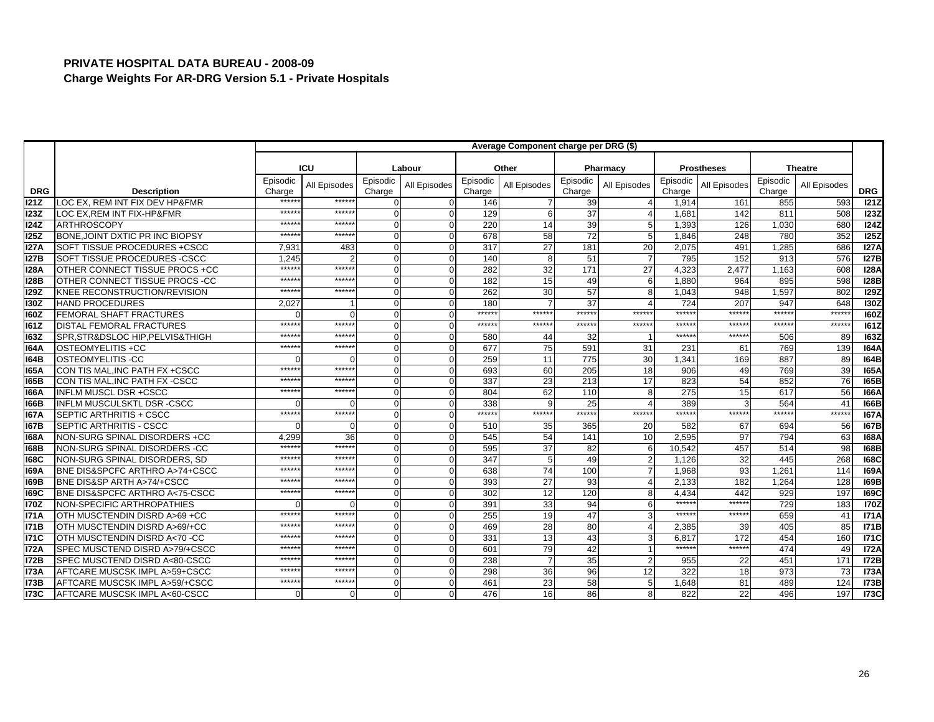|             |                                              |                    |              |                    |              |                    | Average Component charge per DRG (\$) |                    |                |                    |                   |                    |                |             |
|-------------|----------------------------------------------|--------------------|--------------|--------------------|--------------|--------------------|---------------------------------------|--------------------|----------------|--------------------|-------------------|--------------------|----------------|-------------|
|             |                                              |                    | <b>ICU</b>   |                    | Labour       |                    | Other                                 |                    | Pharmacy       |                    | <b>Prostheses</b> |                    | <b>Theatre</b> |             |
| <b>DRG</b>  | <b>Description</b>                           | Episodic<br>Charge | All Episodes | Episodic<br>Charge | All Episodes | Episodic<br>Charge | All Episodes                          | Episodic<br>Charge | All Episodes   | Episodic<br>Charge | All Episodes      | Episodic<br>Charge | All Episodes   | <b>DRG</b>  |
| 121Z        | LOC EX. REM INT FIX DEV HP&FMR               | *****              | *****        | U                  |              | 146                |                                       | 39                 |                | 1,914              | 161               | 855                | 593            | 121Z        |
| <b>I23Z</b> | LOC EX.REM INT FIX-HP&FMR                    | *****              | ******       | $\Omega$           | 0            | 129                |                                       | 37                 |                | 1,681              | 142               | 811                | 508            | 123Z        |
| 124Z        | <b>ARTHROSCOPY</b>                           | *****              | *****        | $\Omega$           | $\Omega$     | 220                | 14                                    | 39                 | 5              | 1,393              | 126               | 1,030              | 680            | 124Z        |
| 125Z        | BONE, JOINT DXTIC PR INC BIOPSY              | $****$             | $*****$      | $\Omega$           |              | 678                | 58                                    | $\overline{72}$    | 5              | 1,846              | 248               | 780                | 352            | 125Z        |
| <b>I27A</b> | SOFT TISSUE PROCEDURES +CSCC                 | 7.931              | 483          | $\Omega$           |              | 317                | 27                                    | 181                | 20             | 2,075              | 491               | 1.285              | 686            | <b>I27A</b> |
| <b>I27B</b> | SOFT TISSUE PROCEDURES -CSCC                 | 1,245              |              | $\Omega$           |              | 140                |                                       | 51                 | $\overline{7}$ | 795                | 152               | 913                | 576            | I27B        |
| <b>I28A</b> | OTHER CONNECT TISSUE PROCS +CC               | *****              | ******       | $\Omega$           |              | 282                | 32                                    | 171                | 27             | 4,323              | 2,477             | 1,163              | 608            | <b>I28A</b> |
| <b>I28B</b> | OTHER CONNECT TISSUE PROCS -CC               | *****              | *****        | $\Omega$           |              | 182                | 15                                    | 49                 | 6              | 1.880              | 964               | 895                | 598            | <b>128B</b> |
| <b>I29Z</b> | KNEE RECONSTRUCTION/REVISION                 | $****$             | $****$       | $\Omega$           |              | 262                | 30                                    | 57                 | 8              | 1,043              | 948               | 1,597              | 802            | 129Z        |
| <b>I30Z</b> | <b>HAND PROCEDURES</b>                       | 2,027              |              | O                  |              | 180                |                                       | 37                 |                | 724                | 207               | 947                | 648            | <b>I30Z</b> |
| <b>I60Z</b> | <b>FEMORAL SHAFT FRACTURES</b>               |                    | $\Omega$     | $\Omega$           |              | ******             | ******                                | ******             | ******         | *****              | *****:            | *****              | ******         | <b>160Z</b> |
| <b>161Z</b> | <b>DISTAL FEMORAL FRACTURES</b>              | *****              | *****        | $\Omega$           |              | *****:             | ******                                | ******             | ******         | $*****$            | ******            | $*****$            | ******         | <b>161Z</b> |
| <b>163Z</b> | SPR, STR&DSLOC HIP, PELVIS& THIGH            | *****              | ******       | $\Omega$           | $\Omega$     | 580                | 44                                    | 32                 |                | $*****$            | $*****$           | 506                | 89             | <b>163Z</b> |
| <b>164A</b> | OSTEOMYELITIS +CC                            | $****$             | *****        | $\Omega$           |              | 677                | 75                                    | 591                | 31             | 231                | 61                | 769                | 139            | <b>164A</b> |
| 164B        | <b>OSTEOMYELITIS-CC</b>                      |                    |              | O                  |              | 259                | 11                                    | 775                | 30             | 1,341              | 169               | 887                | 89             | 164B        |
| 165A        | CON TIS MAL, INC PATH FX + CSCC              | *****              | *****        | $\Omega$           |              | 693                | 60                                    | 205                | 18             | 906                | 49                | 769                | 39             | <b>165A</b> |
| <b>165B</b> | CON TIS MAL, INC PATH FX - CSCC              | *****              | *****        | $\Omega$           |              | 337                | 23                                    | 213                | 17             | 823                | 54                | 852                | 76             | 165B        |
| 166A        | <b>INFLM MUSCL DSR +CSCC</b>                 | $*****$            | ******       | $\Omega$           |              | 804                | 62                                    | 110                | 8              | $\overline{275}$   | 15                | 617                | 56             | <b>I66A</b> |
| <b>166B</b> | INFLM MUSCULSKTL DSR -CSCC                   |                    |              | O                  | O            | 338                |                                       | 25                 | Δ              | 389                |                   | 564                | 41             | <b>166B</b> |
| 167A        | SEPTIC ARTHRITIS + CSCC                      | $*****$            | ******       | $\Omega$           |              | ******             | $*****$                               | ******             | ******         | $*****$            | ******            | $*****$            | $*****$        | <b>167A</b> |
| <b>167B</b> | SEPTIC ARTHRITIS - CSCC                      |                    | $\Omega$     | $\Omega$           | $\Omega$     | 510                | 35                                    | 365                | 20             | 582                | 67                | 694                | 56             | 167B        |
| <b>168A</b> | NON-SURG SPINAL DISORDERS +CC                | 4.299              | 36           | $\Omega$           |              | 545                | 54                                    | 141                | 10             | 2,595              | 97                | 794                | 63             | <b>168A</b> |
| <b>168B</b> | NON-SURG SPINAL DISORDERS -CC                | $****$             | ******       | $\Omega$           | 0            | 595                | 37                                    | 82                 | 6              | 10,542             | 457               | 514                | 98             | <b>168B</b> |
| <b>168C</b> | NON-SURG SPINAL DISORDERS, SD                | $****$             | $*****$      | 0                  | $\Omega$     | 347                |                                       | 49                 |                | 1,126              | 32                | 445                | 268            | <b>168C</b> |
| <b>169A</b> | BNE DIS&SPCFC ARTHRO A>74+CSCC               | *****              | *****        | $\Omega$           |              | 638                | 74                                    | 100                |                | 1,968              | 93                | 1,261              | 114            | <b>169A</b> |
| 169B        | BNE DIS&SP ARTH A>74/+CSCC                   | *****              | *****        | $\Omega$           |              | 393                | 27                                    | 93                 |                | 2,133              | 182               | 1.264              | 128            | <b>169B</b> |
| <b>169C</b> | <b>BNE DIS&amp;SPCFC ARTHRO A&lt;75-CSCC</b> | $*****$            | $*****$      | $\Omega$           |              | 302                | 12                                    | 120                | 8              | 4,434              | 442               | 929                | 197            | <b>169C</b> |
| <b>I70Z</b> | NON-SPECIFIC ARTHROPATHIES                   |                    |              | $\Omega$           |              | 391                | 33                                    | 94                 | 6              | ******             | ******            | 729                | 183            | <b>170Z</b> |
| <b>171A</b> | OTH MUSCTENDIN DISRD A>69 +CC                | ******             | *****        | $\Omega$           | $\Omega$     | 255                | 19                                    | 47                 | 3              | $*****$            | *****             | 659                | 41             | <b>I71A</b> |
| <b>I71B</b> | OTH MUSCTENDIN DISRD A>69/+CC                | $****$             | $*****$      | $\Omega$           |              | 469                | 28                                    | 80                 |                | 2,385              | 39                | 405                | 85             | <b>I71B</b> |
| <b>I71C</b> | OTH MUSCTENDIN DISRD A<70 -CC                | $*****$            | $****$       | $\Omega$           |              | 331                | 13                                    | 43                 | 3              | 6.817              | 172               | 454                | 160            | <b>I71C</b> |
| <b>I72A</b> | SPEC MUSCTEND DISRD A>79/+CSCC               | *****              | *****        | $\Omega$           |              | 601                | 79                                    | 42                 |                | ******             | ******            | 474                | 49             | <b>I72A</b> |
| <b>I72B</b> | SPEC MUSCTEND DISRD A<80-CSCC                | *****              | *****        | $\Omega$           |              | 238                |                                       | 35                 | $\overline{2}$ | 955                | 22                | 451                | 171            | <b>I72B</b> |
| <b>I73A</b> | AFTCARE MUSCSK IMPL A>59+CSCC                | $****$             | *****        | $\Omega$           |              | 298                | 36                                    | 96                 | 12             | 322                | 18                | 973                | 73             | <b>I73A</b> |
| <b>I73B</b> | AFTCARE MUSCSK IMPL A>59/+CSCC               | $*****$            | $*****$      | $\Omega$           |              | 461                | 23                                    | 58                 | 5              | 1.648              | 81                | 489                | 124            | <b>173B</b> |
| <b>I73C</b> | AFTCARE MUSCSK IMPL A<60-CSCC                |                    | $\Omega$     | U                  |              | 476                | 16                                    | 86                 | 8              | 822                | 22                | 496                | 197            | <b>173C</b> |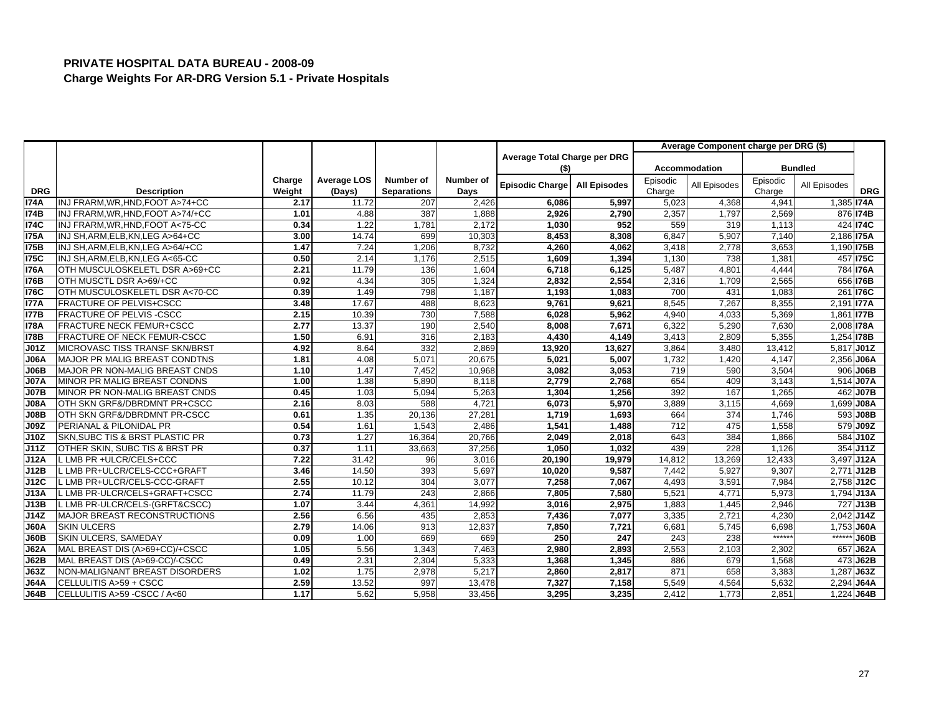|             |                                           |        |                    |                    |           |                              |                     |          | Average Component charge per DRG (\$) |          |                   |             |
|-------------|-------------------------------------------|--------|--------------------|--------------------|-----------|------------------------------|---------------------|----------|---------------------------------------|----------|-------------------|-------------|
|             |                                           |        |                    |                    |           | Average Total Charge per DRG |                     |          |                                       |          |                   |             |
|             |                                           |        |                    |                    |           | (\$)                         |                     |          | Accommodation                         |          | <b>Bundled</b>    |             |
|             |                                           | Charge | <b>Average LOS</b> | Number of          | Number of | <b>Episodic Charge</b>       | <b>All Episodes</b> | Episodic | All Episodes                          | Episodic | All Episodes      |             |
| <b>DRG</b>  | <b>Description</b>                        | Weight | (Days)             | <b>Separations</b> | Days      |                              |                     | Charge   |                                       | Charge   |                   | <b>DRG</b>  |
| <b>I74A</b> | INJ FRARM.WR.HND.FOOT A>74+CC             | 2.17   | 11.72              | 207                | 2.426     | 6,086                        | 5,997               | 5,023    | 4,368                                 | 4,94'    | $1,385$ $174A$    |             |
| <b>I74B</b> | INJ FRARM, WR, HND, FOOT A>74/+CC         | 1.01   | 4.88               | 387                | 1,888     | 2,926                        | 2,790               | 2,357    | 1,797                                 | 2,569    |                   | 876 74B     |
| <b>174C</b> | INJ FRARM, WR, HND, FOOT A<75-CC          | 0.34   | 1.22               | 1,781              | 2.172     | 1,030                        | 952                 | 559      | 319                                   | 1,113    |                   | 424 174C    |
| <b>I75A</b> | INJ SH, ARM, ELB, KN, LEG A>64+CC         | 3.00   | 14.74              | 699                | 10,303    | 8,453                        | 8,308               | 6,847    | 5,907                                 | 7,140    | 2,186 <b>175A</b> |             |
| <b>175B</b> | INJ SH, ARM, ELB, KN, LEG A>64/+CC        | 1.47   | 7.24               | 1,206              | 8,732     | 4,260                        | 4,062               | 3,418    | 2,778                                 | 3,653    | 1,190 <b>175B</b> |             |
| 175C        | INJ SH, ARM, ELB, KN, LEG A<65-CC         | 0.50   | 2.14               | 1,176              | 2,515     | 1.609                        | 1,394               | 1,130    | 738                                   | 1,381    |                   | 457 I75C    |
| <b>I76A</b> | OTH MUSCULOSKELETL DSR A>69+CC            | 2.21   | 11.79              | 136                | 1,604     | 6,718                        | 6,125               | 5,487    | 4,801                                 | 4,444    |                   | 784 176A    |
| 176B        | OTH MUSCTL DSR A>69/+CC                   | 0.92   | 4.34               | 305                | 1,324     | 2,832                        | 2,554               | 2,316    | 1,709                                 | 2,565    |                   | 656 176B    |
| <b>176C</b> | OTH MUSCULOSKELETL DSR A<70-CC            | 0.39   | 1.49               | 798                | 1.187     | 1,193                        | 1,083               | 700      | 431                                   | 1,083    |                   | 261 176C    |
| <b>I77A</b> | <b>FRACTURE OF PELVIS+CSCC</b>            | 3.48   | 17.67              | 488                | 8,623     | 9,761                        | 9,621               | 8,545    | 7,26                                  | 8,355    | 2,191 <b>177A</b> |             |
| <b>I77B</b> | FRACTURE OF PELVIS -CSCC                  | 2.15   | 10.39              | 730                | 7,588     | 6.028                        | 5,962               | 4.940    | 4.033                                 | 5,369    | 1,861 <b>177B</b> |             |
| <b>I78A</b> | FRACTURE NECK FEMUR+CSCC                  | 2.77   | 13.37              | 190                | 2,540     | 8,008                        | 7,671               | 6,322    | 5,290                                 | 7,630    | 2,008 178A        |             |
| <b>I78B</b> | FRACTURE OF NECK FEMUR-CSCC               | 1.50   | 6.91               | 316                | 2,183     | 4,430                        | 4,149               | 3,413    | 2,809                                 | 5,355    | 1,254 <b>178B</b> |             |
| J01Z        | MICROVASC TISS TRANSF SKN/BRST            | 4.92   | 8.64               | 332                | 2.869     | 13,920                       | 13,627              | 3,864    | 3,480                                 | 13,412   | $5,817$ J01Z      |             |
| J06A        | MAJOR PR MALIG BREAST CONDTNS             | 1.81   | 4.08               | 5,071              | 20,675    | 5,021                        | 5,007               | 1,732    | 1,420                                 | 4,147    | 2,356 J06A        |             |
| J06B        | MAJOR PR NON-MALIG BREAST CNDS            | 1.10   | 1.47               | 7,452              | 10,968    | 3.082                        | 3,053               | 719      | 590                                   | 3,504    |                   | 906 J06B    |
| <b>J07A</b> | MINOR PR MALIG BREAST CONDNS              | 1.00   | 1.38               | 5,890              | 8,118     | 2,779                        | 2,768               | 654      | 409                                   | 3,143    | 1,514 J07A        |             |
| <b>J07B</b> | MINOR PR NON-MALIG BREAST CNDS            | 0.45   | 1.03               | 5,094              | 5,263     | 1,304                        | 1,256               | 392      | 167                                   | 1,265    |                   | 462 J07B    |
| <b>J08A</b> | OTH SKN GRF&/DBRDMNT PR+CSCC              | 2.16   | 8.03               | 588                | 4.721     | 6.073                        | 5.970               | 3,889    | 3,115                                 | 4.669    | 1,699 J08A        |             |
| J08B        | OTH SKN GRF&/DBRDMNT PR-CSCC              | 0.61   | 1.35               | 20,136             | 27,281    | 1,719                        | 1,693               | 664      | 374                                   | 1,746    |                   | 593 J08B    |
| J09Z        | PERIANAL & PILONIDAL PR                   | 0.54   | 1.61               | 1,543              | 2,486     | 1,541                        | 1,488               | 712      | 475                                   | 1,558    |                   | 579 J09Z    |
| <b>J10Z</b> | <b>SKN.SUBC TIS &amp; BRST PLASTIC PR</b> | 0.73   | 1.27               | 16,364             | 20,766    | 2,049                        | 2,018               | 643      | 384                                   | 1,866    |                   | 584 J10Z    |
| J11Z        | OTHER SKIN, SUBC TIS & BRST PR            | 0.37   | 1.11               | 33,663             | 37,256    | 1,050                        | 1,032               | 439      | 228                                   | 1,126    |                   | 354 J11Z    |
| <b>J12A</b> | LMB PR +ULCR/CELS+CCC                     | 7.22   | 31.42              | 96                 | 3.016     | 20.190                       | 19,979              | 14,812   | 13,269                                | 12.433   | 3,497 J12A        |             |
| J12B        | LMB PR+ULCR/CELS-CCC+GRAFT                | 3.46   | 14.50              | 393                | 5,697     | 10,020                       | 9,587               | 7,442    | 5,927                                 | 9,307    | 2,771 J12B        |             |
| J12C        | LMB PR+ULCR/CELS-CCC-GRAFT                | 2.55   | 10.12              | 304                | 3,077     | 7,258                        | 7,067               | 4,493    | 3,59'                                 | 7,984    | 2,758 J12C        |             |
| <b>J13A</b> | LMB PR-ULCR/CELS+GRAFT+CSCC               | 2.74   | 11.79              | 243                | 2.866     | 7.805                        | 7,580               | 5,521    | 4,77'                                 | 5,973    | 1,794 J13A        |             |
| J13B        | LMB PR-ULCR/CELS-(GRFT&CSCC)              | 1.07   | 3.44               | 4,361              | 14,992    | 3,016                        | 2,975               | 1,883    | 1,445                                 | 2,946    |                   | 727 J13B    |
| J14Z        | MAJOR BREAST RECONSTRUCTIONS              | 2.56   | 6.56               | 435                | 2.853     | 7,436                        | 7,077               | 3,335    | 2,721                                 | 4,230    | $2,042$ J14Z      |             |
| J60A        | <b>SKIN ULCERS</b>                        | 2.79   | 14.06              | 913                | 12,837    | 7,850                        | 7,721               | 6,681    | 5,745                                 | 6,698    | 1,753 J60A        |             |
| J60B        | <b>SKIN ULCERS, SAMEDAY</b>               | 0.09   | 1.00               | 669                | 669       | 250                          | 247                 | 243      | 238                                   | $*****$  | $***$             | <b>J60B</b> |
| <b>J62A</b> | MAL BREAST DIS (A>69+CC)/+CSCC            | 1.05   | 5.56               | 1,343              | 7.463     | 2,980                        | 2,893               | 2,553    | 2,103                                 | 2,302    |                   | 657 J62A    |
| J62B        | MAL BREAST DIS (A>69-CC)/-CSCC            | 0.49   | 2.31               | 2,304              | 5,333     | 1,368                        | 1,345               | 886      | 679                                   | 1,568    |                   | 473 J62B    |
| J63Z        | NON-MALIGNANT BREAST DISORDERS            | 1.02   | 1.75               | 2,978              | 5,217     | 2,860                        | 2,817               | 871      | 658                                   | 3,383    | 1,287 J63Z        |             |
| <b>J64A</b> | CELLULITIS A>59 + CSCC                    | 2.59   | 13.52              | 997                | 13,478    | 7,327                        | 7,158               | 5,549    | 4,564                                 | 5,632    | 2.294 J64A        |             |
| <b>J64B</b> | CELLULITIS A>59 - CSCC / A<60             | 1.17   | 5.62               | 5,958              | 33,456    | 3,295                        | 3,235               | 2,412    | 1,773                                 | 2,851    | 1,224 J64B        |             |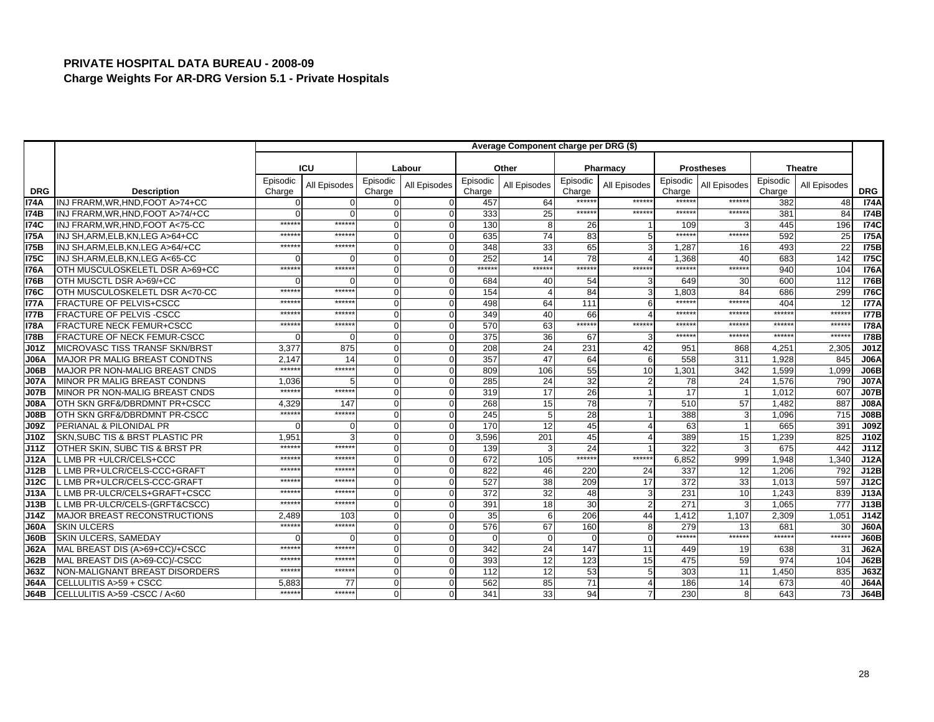|             |                                        |                    |              |                    |              |                    | Average Component charge per DRG (\$) |                    |                       |                    |                   |                    |                  |                  |
|-------------|----------------------------------------|--------------------|--------------|--------------------|--------------|--------------------|---------------------------------------|--------------------|-----------------------|--------------------|-------------------|--------------------|------------------|------------------|
|             |                                        |                    | <b>ICU</b>   |                    |              |                    |                                       |                    |                       |                    |                   |                    |                  |                  |
|             |                                        |                    |              |                    | Labour       |                    | Other                                 |                    | Pharmacy              |                    | <b>Prostheses</b> |                    | <b>Theatre</b>   |                  |
| <b>DRG</b>  | <b>Description</b>                     | Episodic<br>Charge | All Episodes | Episodic<br>Charge | All Episodes | Episodic<br>Charge | All Episodes                          | Episodic<br>Charge | All Episodes          | Episodic<br>Charge | All Episodes      | Episodic<br>Charge | All Episodes     | <b>DRG</b>       |
| I74A        | INJ FRARM.WR.HND.FOOT A>74+CC          |                    | $\Omega$     | $\Omega$           |              | 457                | 64                                    | ******             | *****                 | *****:             | *****             | 382                | 48               | <b>174A</b>      |
| <b>I74B</b> | INJ FRARM, WR, HND, FOOT A>74/+CC      |                    | $\cap$       | $\Omega$           | $\Omega$     | 333                | 25                                    | ******             | ******                | $*****$            | $******$          | 381                | 84               | <b>174B</b>      |
| <b>174C</b> | INJ FRARM, WR, HND, FOOT A<75-CC       | *****              | $*****$      | $\Omega$           | $\Omega$     | 130                | 8                                     | 26                 |                       | 109                |                   | 445                | 196              | <b>174C</b>      |
| I75A        | INJ SH, ARM, ELB, KN, LEG A>64+CC      | $*****$            | $*****$      | $\overline{0}$     |              | 635                | 74                                    | 83                 | 5                     | *****              | ******            | 592                | 25               | <b>I75A</b>      |
| <b>I75B</b> | INJ SH, ARM, ELB, KN, LEG A>64/+CC     | $*****$            | $*****$      | $\Omega$           |              | 348                | 33                                    | 65                 | 3                     | 1,287              | 16                | 493                | 22               | <b>175B</b>      |
| <b>I75C</b> | INJ SH.ARM.ELB.KN.LEG A<65-CC          |                    | $\Omega$     | $\Omega$           |              | 252                | 14                                    | 78                 |                       | 1.368              | 40                | 683                | 142              | <b>175C</b>      |
| <b>I76A</b> | OTH MUSCULOSKELETL DSR A>69+CC         | $*****$            | ******       | $\Omega$           | $\Omega$     | ******             | ******                                | ******             | ******                | ******             | ******            | 940                | 104              | <b>I76A</b>      |
| <b>I76B</b> | OTH MUSCTL DSR A>69/+CC                |                    | $\Omega$     | $\Omega$           | $\Omega$     | 684                | 40                                    | 54                 | 3                     | 649                | 30                | 600                | 112              | <b>176B</b>      |
| <b>I76C</b> | OTH MUSCULOSKELETL DSR A<70-CC         | *****              | *****        | $\overline{0}$     |              | 154                |                                       | 84                 | 3                     | 1.803              | 84                | 686                | 299              | <b>176C</b>      |
| <b>I77A</b> | <b>FRACTURE OF PELVIS+CSCC</b>         | $*****$            | $*****$      | $\Omega$           | $\Omega$     | 498                | 64                                    | 111                | 6                     | ******             | ******            | 404                | 12               | <b>I77A</b>      |
| <b>I77B</b> | <b>FRACTURE OF PELVIS-CSCC</b>         | *****              | *****        | $\Omega$           |              | 349                | 40                                    | 66                 | $\boldsymbol{\Delta}$ | ******             | *****             | *****              | *****:           | 177B             |
| <b>I78A</b> | FRACTURE NECK FEMUR+CSCC               | *****              | ******       | $\Omega$           |              | 570                | 63                                    | ******             | ******                | $******$           | ******            | $****$             | *****:           | <b>I78A</b>      |
| <b>I78B</b> | FRACTURE OF NECK FEMUR-CSCC            |                    | $\Omega$     | $\Omega$           | $\Omega$     | 375                | 36                                    | 67                 | 3                     | $*****$            | $******$          | $****$             | ******           | <b>178B</b>      |
| <b>J01Z</b> | <b>IMICROVASC TISS TRANSF SKN/BRST</b> | 3,377              | 875          | $\Omega$           |              | 208                | 24                                    | 231                | 42                    | 951                | 868               | 4.25'              | 2,305            | J <sub>01Z</sub> |
| <b>J06A</b> | <b>MAJOR PR MALIG BREAST CONDTNS</b>   | 2.147              | 14           | $\Omega$           |              | 357                | 47                                    | 64                 | 6                     | 558                | 311               | 1,928              | 845              | <b>J06A</b>      |
| J06B        | MAJOR PR NON-MALIG BREAST CNDS         | $*****$            | ******       | $\Omega$           | $\Omega$     | 809                | 106                                   | 55                 | 10                    | 1,301              | 342               | 1.599              | 1,099            | J06B             |
| <b>J07A</b> | MINOR PR MALIG BREAST CONDNS           | 1,036              |              | $\Omega$           |              | 285                | 24                                    | 32                 | $\overline{2}$        | 78                 | 24                | 1,576              | 790              | <b>J07A</b>      |
| <b>J07B</b> | MINOR PR NON-MALIG BREAST CNDS         | $*****$            | ******       | $\Omega$           | $\Omega$     | 319                | 17                                    | 26                 |                       | 17                 |                   | 1,012              | 607              | <b>J07B</b>      |
| <b>J08A</b> | OTH SKN GRF&/DBRDMNT PR+CSCC           | 4.329              | 147          | $\Omega$           |              | 268                | 15                                    | 78                 | $\overline{7}$        | 510                | 57                | 1.482              | 887              | J <sub>08A</sub> |
| <b>J08B</b> | OTH SKN GRF&/DBRDMNT PR-CSCC           | $*****$            | $*****$      | $\Omega$           |              | 245                |                                       | 28                 |                       | 388                | 3                 | 1,096              | 715              | J08B             |
| <b>J09Z</b> | PERIANAL & PILONIDAL PR                |                    | $\Omega$     | $\Omega$           |              | 170                | 12                                    | 45                 | $\overline{4}$        | 63                 |                   | 665                | 391              | <b>J09Z</b>      |
| J10Z        | SKN, SUBC TIS & BRST PLASTIC PR        | 1,951              |              | $\Omega$           |              | 3,596              | 201                                   | 45                 | $\overline{4}$        | 389                | 15                | 1,239              | 825              | J10Z             |
| J11Z        | OTHER SKIN, SUBC TIS & BRST PR         | $*****$            | ******       | $\Omega$           | $\Omega$     | 139                |                                       | 24                 |                       | 322                | 3                 | 675                | 442              | J11Z             |
| J12A        | LMB PR +ULCR/CELS+CCC                  | *****              | $****$       | $\Omega$           |              | 672                | 105                                   | ******             | ******                | 6.852              | 999               | 1.948              | 1.340            | J12A             |
| J12B        | LMB PR+ULCR/CELS-CCC+GRAFT             | $*****$            | $*****$      | $\Omega$           |              | 822                | 46                                    | 220                | 24                    | 337                | 12                | 1,206              | 792              | J12B             |
| J12C        | LMB PR+ULCR/CELS-CCC-GRAFT             | $*****$            | *****        | $\Omega$           |              | 527                | 38                                    | 209                | 17                    | 372                | 33                | 1,013              | 597              | J12C             |
| J13A        | .LMB PR-ULCR/CELS+GRAFT+CSCC           | *****              | *****        | $\Omega$           |              | 372                | 32                                    | 48                 | 3                     | 231                | 10                | 1.243              | 839              | J13A             |
| J13B        | LMB PR-ULCR/CELS-(GRFT&CSCC)           | $*****$            | ******       | $\Omega$           |              | 391                | 18                                    | 30                 | $\overline{2}$        | 271                | 3                 | 1,065              | $\overline{777}$ | J13B             |
| J14Z        | MAJOR BREAST RECONSTRUCTIONS           | 2.489              | 103          | $\Omega$           |              | 35                 |                                       | 206                | 44                    | 1,412              | 1.107             | 2,309              | 1,051            | J14Z             |
| <b>J60A</b> | <b>SKIN ULCERS</b>                     | $*****$            | $*****$      | $\Omega$           |              | 576                | 67                                    | 160                | 8                     | 279                | 13 <sup>1</sup>   | 681                | 30               | <b>J60A</b>      |
| <b>J60B</b> | SKIN ULCERS, SAMEDAY                   |                    | $\Omega$     | $\Omega$           |              | $\Omega$           |                                       | $\Omega$           | $\mathbf 0$           | $*****$            | ******            | $****$             | ******           | J60B             |
| J62A        | MAL BREAST DIS (A>69+CC)/+CSCC         | *****              | ******       | $\mathbf{O}$       |              | 342                | 24                                    | 147                | 11                    | 449                | 19                | 638                | 31               | <b>J62A</b>      |
| <b>J62B</b> | MAL BREAST DIS (A>69-CC)/-CSCC         | $*****$            | ******       | $\Omega$           | $\Omega$     | 393                | 12                                    | 123                | 15                    | 475                | 59                | 974                | 104              | J62B             |
| J63Z        | NON-MALIGNANT BREAST DISORDERS         | $*****$            | $*****$      | $\Omega$           | $\Omega$     | 112                | 12                                    | 53                 | 5                     | 303                | 11                | 1,450              | 835              | J63Z             |
| <b>J64A</b> | CELLULITIS A>59 + CSCC                 | 5,883              | 77           | $\Omega$           |              | 562                | 85                                    | $\overline{71}$    |                       | 186                | 14                | 673                | 40               | <b>J64A</b>      |
| <b>J64B</b> | CELLULITIS A>59 - CSCC / A<60          | $*****$            | ******       | $\Omega$           | $\Omega$     | 341                | 33                                    | 94                 | $\overline{7}$        | 230                | 8                 | 643                | 73               | J64B             |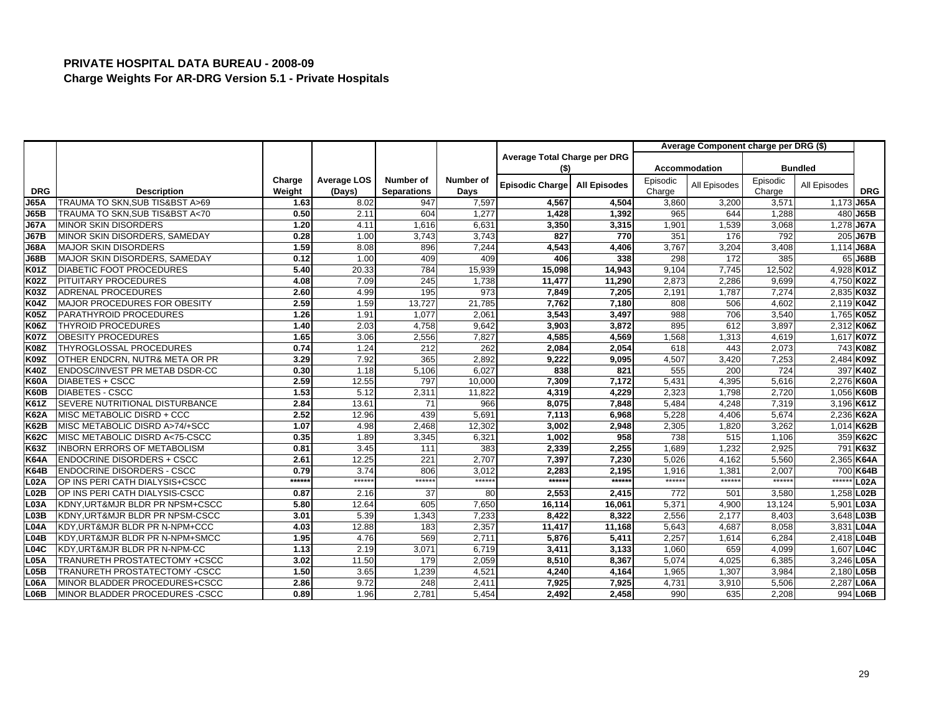|                  |                                     |        |             |                    |           |                              |                     |          | Average Component charge per DRG (\$) |          |                |                  |
|------------------|-------------------------------------|--------|-------------|--------------------|-----------|------------------------------|---------------------|----------|---------------------------------------|----------|----------------|------------------|
|                  |                                     |        |             |                    |           | Average Total Charge per DRG |                     |          |                                       |          |                |                  |
|                  |                                     |        |             |                    |           | (\$)                         |                     |          | <b>Accommodation</b>                  |          | <b>Bundled</b> |                  |
|                  |                                     | Charge | Average LOS | <b>Number of</b>   | Number of | <b>Episodic Charge</b>       | <b>All Episodes</b> | Episodic | All Episodes                          | Episodic | All Episodes   |                  |
| <b>DRG</b>       | <b>Description</b>                  | Weight | (Days)      | <b>Separations</b> | Days      |                              |                     | Charge   |                                       | Charge   |                | <b>DRG</b>       |
| <b>J65A</b>      | TRAUMA TO SKN.SUB TIS&BST A>69      | 1.63   | 8.02        | 947                | 7,597     | 4,567                        | 4,504               | 3,860    | 3,200                                 | 3,571    | 1,173          | <b>J65A</b>      |
| J65B             | TRAUMA TO SKN.SUB TIS&BST A<70      | 0.50   | 2.11        | 604                | 1,277     | 1,428                        | 1,392               | 965      | 644                                   | 1,288    | 480            | <b>J65B</b>      |
| <b>J67A</b>      | <b>MINOR SKIN DISORDERS</b>         | 1.20   | 4.11        | 1,616              | 6,631     | 3,350                        | 3,315               | 1,901    | 1,539                                 | 3,068    | 1,278          | <b>J67A</b>      |
| <b>J67B</b>      | MINOR SKIN DISORDERS, SAMEDAY       | 0.28   | 1.00        | 3,743              | 3,743     | 827                          | 770                 | 351      | 176                                   | 792      |                | 205 J67B         |
| J68A             | <b>MAJOR SKIN DISORDERS</b>         | 1.59   | 8.08        | 896                | 7.244     | 4.543                        | 4.406               | 3,767    | 3,204                                 | 3,408    | 1.114          | <b>J68A</b>      |
| J68B             | MAJOR SKIN DISORDERS, SAMEDAY       | 0.12   | 1.00        | 409                | 409       | 406                          | 338                 | 298      | 172                                   | 385      |                | 65 J68B          |
| K01Z             | <b>DIABETIC FOOT PROCEDURES</b>     | 5.40   | 20.33       | 784                | 15,939    | 15,098                       | 14,943              | 9,104    | 7,745                                 | 12,502   |                | 4,928 K01Z       |
| <b>K02Z</b>      | PITUITARY PROCEDURES                | 4.08   | 7.09        | 245                | 1.738     | 11,477                       | 11,290              | 2,873    | 2,286                                 | 9,699    |                | 4,750 K02Z       |
| K03Z             | <b>ADRENAL PROCEDURES</b>           | 2.60   | 4.99        | 195                | 973       | 7,849                        | 7,205               | 2,191    | 1,787                                 | 7.274    |                | 2,835 K03Z       |
| K04Z             | <b>MAJOR PROCEDURES FOR OBESITY</b> | 2.59   | 1.59        | 13,727             | 21,785    | 7,762                        | 7,180               | 808      | 506                                   | 4,602    |                | 2,119 K04Z       |
| <b>K05Z</b>      | PARATHYROID PROCEDURES              | 1.26   | 1.91        | 1,077              | 2,061     | 3,543                        | 3,497               | 988      | 706                                   | 3,540    |                | 1,765 K05Z       |
| K06Z             | <b>THYROID PROCEDURES</b>           | 1.40   | 2.03        | 4,758              | 9,642     | 3,903                        | 3,872               | 895      | 612                                   | 3,897    |                | 2,312 K06Z       |
| <b>K07Z</b>      | <b>OBESITY PROCEDURES</b>           | 1.65   | 3.06        | 2,556              | 7,827     | 4,585                        | 4,569               | 1,568    | 1,313                                 | 4,619    |                | 1,617 K07Z       |
| K08Z             | THYROGLOSSAL PROCEDURES             | 0.74   | 1.24        | 212                | 262       | 2,084                        | 2,054               | 618      | 443                                   | 2,073    |                | 743 K08Z         |
| K09Z             | OTHER ENDCRN, NUTR& META OR PR      | 3.29   | 7.92        | 365                | 2,892     | 9,222                        | 9,095               | 4,507    | 3,420                                 | 7,253    |                | 2,484 K09Z       |
| <b>K40Z</b>      | ENDOSC/INVEST PR METAB DSDR-CC      | 0.30   | 1.18        | 5,106              | 6.027     | 838                          | 821                 | 555      | 200                                   | 724      |                | 397 K40Z         |
| <b>K60A</b>      | DIABETES + CSCC                     | 2.59   | 12.55       | 797                | 10,000    | 7,309                        | 7,172               | 5,431    | 4,395                                 | 5,616    |                | 2,276 K60A       |
| <b>K60B</b>      | <b>DIABETES - CSCC</b>              | 1.53   | 5.12        | 2,311              | 11,822    | 4,319                        | 4.229               | 2,323    | 1,798                                 | 2,720    |                | 1,056 K60B       |
| <b>K61Z</b>      | SEVERE NUTRITIONAL DISTURBANCE      | 2.84   | 13.61       | 71                 | 966       | 8,075                        | 7,848               | 5,484    | 4,248                                 | 7,319    |                | 3,196 K61Z       |
| <b>K62A</b>      | MISC METABOLIC DISRD + CCC          | 2.52   | 12.96       | 439                | 5,691     | 7,113                        | 6,968               | 5,228    | 4,406                                 | 5,674    |                | 2,236 K62A       |
| K62B             | MISC METABOLIC DISRD A>74/+SCC      | 1.07   | 4.98        | 2,468              | 12,302    | 3,002                        | 2,948               | 2,305    | 1,820                                 | 3,262    |                | 1,014 K62B       |
| K62C             | MISC METABOLIC DISRD A<75-CSCC      | 0.35   | 1.89        | 3,345              | 6,321     | 1,002                        | 958                 | 738      | 515                                   | 1,106    |                | 359 K62C         |
| K63Z             | <b>INBORN ERRORS OF METABOLISM</b>  | 0.81   | 3.45        | 111                | 383       | 2,339                        | 2,255               | 1,689    | 1,232                                 | 2,925    |                | 791 K63Z         |
| <b>K64A</b>      | <b>ENDOCRINE DISORDERS + CSCC</b>   | 2.61   | 12.25       | 221                | 2,707     | 7,397                        | 7,230               | 5,026    | 4,162                                 | 5,560    |                | 2,365 K64A       |
| K64B             | <b>ENDOCRINE DISORDERS - CSCC</b>   | 0.79   | 3.74        | 806                | 3,012     | 2,283                        | 2,195               | 1,916    | 1,381                                 | 2,007    |                | 700 K64B         |
| $L$ 02A          | OP INS PERI CATH DIALYSIS+CSCC      | ****** | ******      | $******$           | $*****$   | ******                       | $*****$             | $******$ | $*****$                               | $*****$  | $***$ **       | L <sub>02A</sub> |
| L02B             | OP INS PERI CATH DIALYSIS-CSCC      | 0.87   | 2.16        | 37                 | 80        | 2,553                        | 2,415               | 772      | 501                                   | 3.580    | 1.258          | L02B             |
| L03A             | KDNY, URT&MJR BLDR PR NPSM+CSCC     | 5.80   | 12.64       | 605                | 7,650     | 16,114                       | 16,061              | 5,371    | 4,900                                 | 13,124   | 5,901          | L03A             |
| L03B             | KDNY, URT&MJR BLDR PR NPSM-CSCC     | 3.01   | 5.39        | 1,343              | 7,233     | 8,422                        | 8,322               | 2,556    | 2,177                                 | 8,403    | 3,648 L03B     |                  |
| L <sub>04A</sub> | KDY, URT&MJR BLDR PR N-NPM+CCC      | 4.03   | 12.88       | 183                | 2,357     | 11,417                       | 11,168              | 5.643    | 4.687                                 | 8.058    | 3,831 L04A     |                  |
| L04B             | KDY, URT&MJR BLDR PR N-NPM+SMCC     | 1.95   | 4.76        | 569                | 2,711     | 5,876                        | 5,411               | 2,257    | 1,614                                 | 6,284    | 2,418 L04B     |                  |
| L04C             | KDY, URT&MJR BLDR PR N-NPM-CC       | 1.13   | 2.19        | 3,071              | 6,719     | 3,411                        | 3,133               | 1,060    | 659                                   | 4,099    | 1,607 L04C     |                  |
| $L$ 05A          | TRANURETH PROSTATECTOMY +CSCC       | 3.02   | 11.50       | 179                | 2,059     | 8,510                        | 8.367               | 5,074    | 4.025                                 | 6,385    | 3.246          | L <sub>05A</sub> |
| L05B             | TRANURETH PROSTATECTOMY -CSCC       | 1.50   | 3.65        | 1,239              | 4,521     | 4,240                        | 4,164               | 1,965    | 1,307                                 | 3,984    | 2,180          | L05B             |
| $L$ 06A          | MINOR BLADDER PROCEDURES+CSCC       | 2.86   | 9.72        | 248                | 2,411     | 7,925                        | 7.925               | 4,731    | 3,910                                 | 5.506    | 2,287          | <b>L06A</b>      |
| L06B             | MINOR BLADDER PROCEDURES - CSCC     | 0.89   | 1.96        | 2,781              | 5,454     | 2,492                        | 2,458               | 990      | 635                                   | 2,208    |                | 994 L06B         |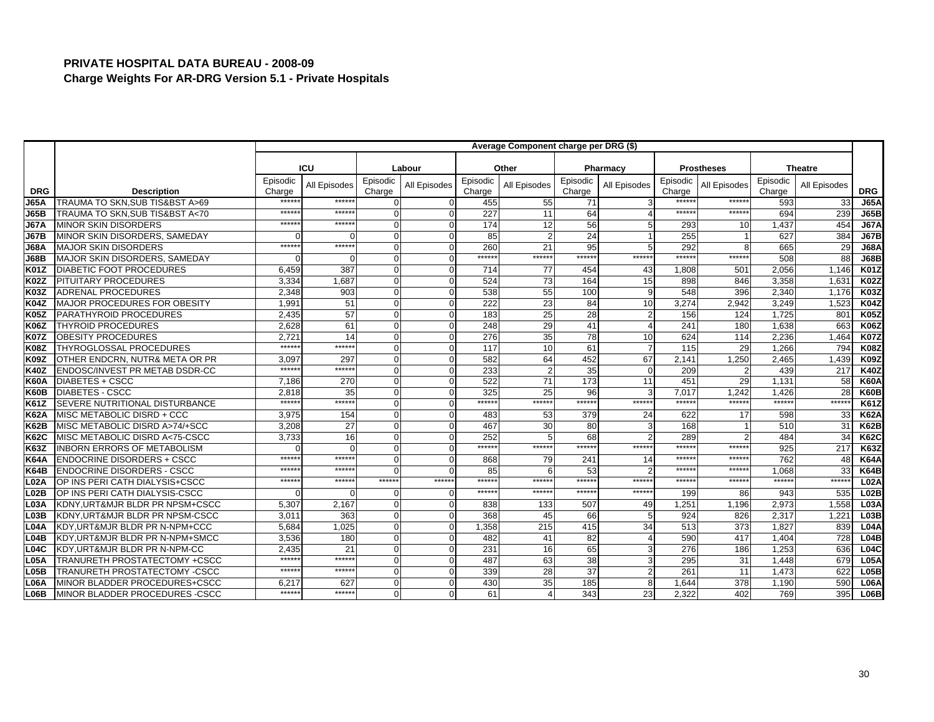|                   |                                    |                    |              |                    |              |                    | Average Component charge per DRG (\$) |                    |                |                    |                   |                    |                |                  |
|-------------------|------------------------------------|--------------------|--------------|--------------------|--------------|--------------------|---------------------------------------|--------------------|----------------|--------------------|-------------------|--------------------|----------------|------------------|
|                   |                                    |                    |              |                    |              |                    |                                       |                    |                |                    |                   |                    |                |                  |
|                   |                                    |                    | ICU          |                    | Labour       |                    | Other                                 |                    | Pharmacy       |                    | <b>Prostheses</b> |                    | <b>Theatre</b> |                  |
| <b>DRG</b>        | <b>Description</b>                 | Episodic<br>Charge | All Episodes | Episodic<br>Charge | All Episodes | Episodic<br>Charge | All Episodes                          | Episodic<br>Charge | All Episodes   | Episodic<br>Charge | All Episodes      | Episodic<br>Charge | All Episodes   | <b>DRG</b>       |
| <b>J65A</b>       | TRAUMA TO SKN.SUB TIS&BST A>69     | *****              | *****        | 0                  |              | 455                | 55                                    | 71                 |                | *****              | *****:            | 593                | 33             | <b>J65A</b>      |
| J65B              | TRAUMA TO SKN.SUB TIS&BST A<70     | $****$             | $*****$      | $\Omega$           | $\Omega$     | 227                | 11                                    | 64                 |                | ******             | ******            | 694                | 239            | <b>J65B</b>      |
| <b>J67A</b>       | <b>MINOR SKIN DISORDERS</b>        | $****$             | *****        | $\Omega$           | $\Omega$     | 174                | 12                                    | 56                 | 5              | 293                | 10                | 1,437              | 454            | <b>J67A</b>      |
| <b>J67B</b>       | MINOR SKIN DISORDERS, SAMEDAY      |                    |              | $\Omega$           |              | 85                 |                                       | 24                 |                | 255                |                   | 627                | 384            | <b>J67B</b>      |
| <b>J68A</b>       | <b>MAJOR SKIN DISORDERS</b>        | $****$             | $*****$      | $\Omega$           | $\Omega$     | 260                | 21                                    | 95                 | 5              | 292                | 8                 | 665                | 29             | <b>J68A</b>      |
| <b>J68B</b>       | MAJOR SKIN DISORDERS, SAMEDAY      |                    | ∩            | $\Omega$           |              | ******             | $*****$                               | ******             | ******         | ******             | $*****$           | 508                | 88             | <b>J68B</b>      |
| <b>K01Z</b>       | <b>DIABETIC FOOT PROCEDURES</b>    | 6,459              | 387          | $\Omega$           | $\Omega$     | 714                | 77                                    | 454                | 43             | 1.808              | 501               | 2,056              | 1,146          | <b>K01Z</b>      |
| <b>K02Z</b>       | PITUITARY PROCEDURES               | 3,334              | 1.687        | $\Omega$           | $\Omega$     | 524                | 73                                    | 164                | 15             | 898                | 846               | 3,358              | 1,631          | <b>K02Z</b>      |
| <b>K03Z</b>       | <b>ADRENAL PROCEDURES</b>          | 2,348              | 903          | $\Omega$           |              | 538                | 55                                    | 100                | 9              | 548                | 396               | 2,340              | 1,176          | <b>K03Z</b>      |
| <b>K04Z</b>       | MAJOR PROCEDURES FOR OBESITY       | 1.99'              | 51           | $\Omega$           | $\Omega$     | 222                | 23                                    | 84                 | 10             | 3,274              | 2.942             | 3.249              | 1,523          | <b>K04Z</b>      |
| <b>K05Z</b>       | PARATHYROID PROCEDURES             | 2.435              | 57           | $\mathbf{0}$       | $\Omega$     | 183                | 25                                    | 28                 | 2              | 156                | 124               | 1.725              | 801            | K05Z             |
| <b>K06Z</b>       | <b>THYROID PROCEDURES</b>          | 2,628              | 61           | $\Omega$           | $\Omega$     | 248                | 29                                    | 41                 | $\overline{4}$ | 241                | 180               | 1,638              | 663            | <b>K06Z</b>      |
| <b>K07Z</b>       | <b>OBESITY PROCEDURES</b>          | 2.72'              | 14           | $\Omega$           | $\Omega$     | 276                | 35                                    | 78                 | 10             | 624                | 114               | 2,236              | 1,464          | <b>K07Z</b>      |
| <b>K08Z</b>       | <b>THYROGLOSSAL PROCEDURES</b>     | *****              | ******       | $\mathbf{O}$       | $\Omega$     | 117                | 10                                    | 61                 | $\overline{7}$ | $\overline{115}$   | 29                | 1.266              | 794            | <b>K08Z</b>      |
| <b>K09Z</b>       | OTHER ENDCRN. NUTR& META OR PR     | 3.097              | 297          | $\Omega$           | $\Omega$     | 582                | 64                                    | 452                | 67             | 2,141              | 1,250             | 2,465              | 1,439          | <b>K09Z</b>      |
| <b>K40Z</b>       | ENDOSC/INVEST PR METAB DSDR-CC     | $****$             | ******       | $\Omega$           | $\Omega$     | 233                |                                       | 35                 | $\Omega$       | 209                | 2                 | 439                | 217            | <b>K40Z</b>      |
| <b>K60A</b>       | <b>DIABETES + CSCC</b>             | 7,186              | 270          | $\Omega$           |              | 522                | 71                                    | 173                | 11             | 451                | 29                | 1,131              | 58             | <b>K60A</b>      |
| K60B              | <b>DIABETES - CSCC</b>             | 2,818              | 35           | $\Omega$           | $\Omega$     | 325                | 25                                    | 96                 | 3              | 7,017              | 1,242             | 1,426              | 28             | <b>K60B</b>      |
| <b>K61Z</b>       | SEVERE NUTRITIONAL DISTURBANCE     | $****$             | $*****$      | $\Omega$           | $\Omega$     | ******             | $*****$                               | ******             | ******         | $*****$            | $*****$           | $*****$            | ******         | <b>K61Z</b>      |
| <b>K62A</b>       | MISC METABOLIC DISRD + CCC         | 3,975              | 154          | $\Omega$           | $\Omega$     | 483                | 53                                    | 379                | 24             | 622                | 17                | 598                | 33             | <b>K62A</b>      |
| K62B              | MISC METABOLIC DISRD A>74/+SCC     | 3,208              | 27           | $\Omega$           | $\Omega$     | 467                | 30                                    | 80                 | $\mathbf{3}$   | 168                |                   | 510                | 31             | <b>K62B</b>      |
| <b>K62C</b>       | MISC METABOLIC DISRD A<75-CSCC     | 3,733              | 16           | $\Omega$           | $\Omega$     | 252                |                                       | 68                 | $\mathfrak{p}$ | 289                | 2                 | 484                | 34             | <b>K62C</b>      |
| IK63Z             | <b>INBORN ERRORS OF METABOLISM</b> |                    | $\cap$       | $\Omega$           | $\Omega$     | ******             | $*****$                               | ******             | ******         | *****:             | $*****$           | 925                | 217            | <b>K63Z</b>      |
| <b>K64A</b>       | <b>ENDOCRINE DISORDERS + CSCC</b>  | $****$             | $****$       | $\Omega$           | $\Omega$     | 868                | 79                                    | 241                | 14             | *****:             | *****             | 762                | 48             | <b>K64A</b>      |
| <b>K64B</b>       | <b>ENDOCRINE DISORDERS - CSCC</b>  | *****              | $*****$      | $\Omega$           |              | 85                 |                                       | 53                 | $\mathfrak{p}$ | ******             | *****             | 1.068              | 33             | <b>K64B</b>      |
| <b>L02A</b>       | OP INS PERI CATH DIALYSIS+CSCC     | $****$             | *****        | ******             | ******       | *****              | $****$                                | $*****$            | ******         | $*****$            | ******            | $*****$            | ******         | L <sub>02A</sub> |
| L02B              | OP INS PERI CATH DIALYSIS-CSCC     |                    |              | O                  | O            | *****              | $****$                                | ******             | ******         | 199                | 86                | 943                | 535            | L02B             |
| <b>L03A</b>       | KDNY, URT&MJR BLDR PR NPSM+CSCC    | 5,307              | 2,167        | $\Omega$           | $\Omega$     | 838                | 133                                   | 507                | 49             | 1,251              | 1,196             | 2,973              | 1,558          | <b>L03A</b>      |
| L <sub>03</sub> B | KDNY, URT&MJR BLDR PR NPSM-CSCC    | 3.01'              | 363          | $\overline{0}$     | $\Omega$     | 368                | 45                                    | 66                 | 5              | 924                | 826               | 2.317              | 1,221          | L <sub>03B</sub> |
| <b>L04A</b>       | KDY, URT&MJR BLDR PR N-NPM+CCC     | 5,684              | 1,025        | $\mathbf{O}$       | $\Omega$     | 1,358              | 215                                   | 415                | 34             | 513                | 373               | 1,827              | 839            | <b>L04A</b>      |
| L04B              | KDY, URT&MJR BLDR PR N-NPM+SMCC    | 3,536              | 180          | $\Omega$           | $\Omega$     | 482                | 41                                    | 82                 | $\overline{4}$ | 590                | 417               | 1,404              | 728            | L04B             |
| L04C              | KDY.URT&MJR BLDR PR N-NPM-CC       | 2.435              | 21           | $\mathbf{O}$       |              | 231                | 16                                    | 65                 | 3              | 276                | 186               | 1.253              | 636            | L04C             |
| <b>L05A</b>       | TRANURETH PROSTATECTOMY +CSCC      | $****$             | ******       | $\Omega$           | $\Omega$     | 487                | 63                                    | 38                 | 3              | 295                | 31                | 1,448              | 679            | <b>L05A</b>      |
| L05B              | TRANURETH PROSTATECTOMY -CSCC      | $****$             | *****        | $\Omega$           | $\Omega$     | 339                | 28                                    | 37                 | 2              | 261                | 11                | 1,473              | 622            | L05B             |
| L06A              | MINOR BLADDER PROCEDURES+CSCC      | 6.217              | 627          | 0                  |              | 430                | 35                                    | 185                | 8              | 1.644              | 378               | 1,190              | 590            | <b>L06A</b>      |
| L06B              | MINOR BLADDER PROCEDURES -CSCC     | $*****$            | ******       | $\Omega$           |              | 61                 |                                       | 343                | 23             | 2.322              | 402               | 769                | 395            | L06B             |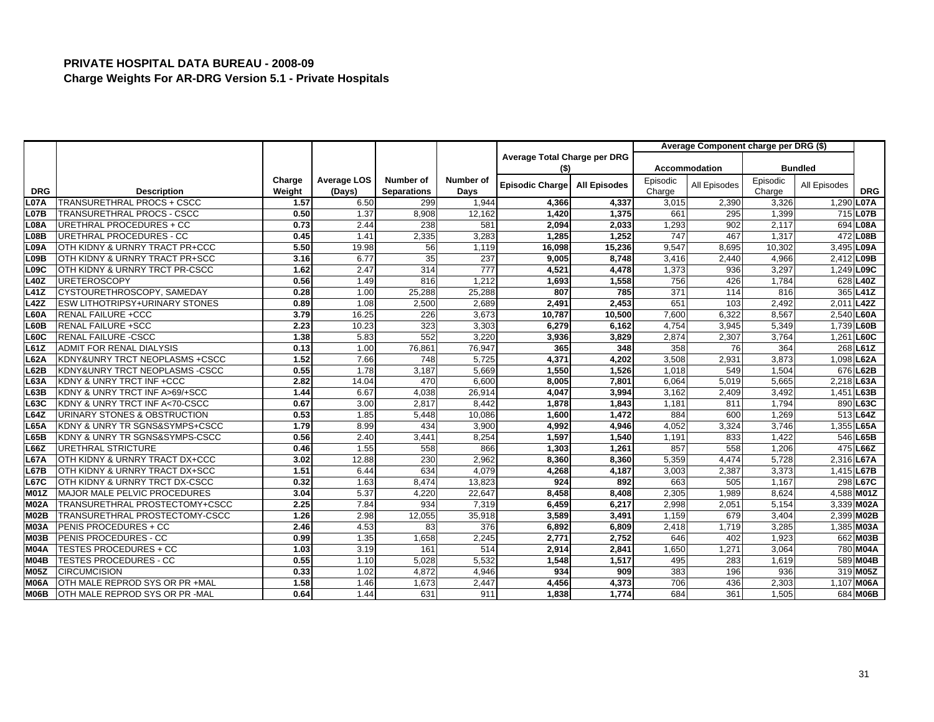|                   |                                       |        |                    |                    |                  |                              |                     |          | Average Component charge per DRG (\$) |          |                |                  |
|-------------------|---------------------------------------|--------|--------------------|--------------------|------------------|------------------------------|---------------------|----------|---------------------------------------|----------|----------------|------------------|
|                   |                                       |        |                    |                    |                  | Average Total Charge per DRG |                     |          |                                       |          |                |                  |
|                   |                                       |        |                    |                    |                  | (\$)                         |                     |          | <b>Accommodation</b>                  |          | <b>Bundled</b> |                  |
|                   |                                       | Charge | <b>Average LOS</b> | <b>Number of</b>   | Number of        | Episodic Charge              | <b>All Episodes</b> | Episodic | All Episodes                          | Episodic | All Episodes   |                  |
| <b>DRG</b>        | <b>Description</b>                    | Weight | (Days)             | <b>Separations</b> | Days             |                              |                     | Charge   |                                       | Charge   |                | <b>DRG</b>       |
| L07A              | <b>TRANSURETHRAL PROCS + CSCC</b>     | 1.57   | 6.50               | 299                | 1,944            | 4,366                        | 4,337               | 3,015    | 2,390                                 | 3,326    | 1,290          | L <sub>07A</sub> |
| <b>L07B</b>       | TRANSURETHRAL PROCS - CSCC            | 0.50   | 1.37               | 8,908              | 12,162           | 1,420                        | 1,375               | 661      | 295                                   | 1,399    |                | 715 L07B         |
| <b>L08A</b>       | URETHRAL PROCEDURES + CC              | 0.73   | 2.44               | 238                | 581              | 2,094                        | 2,033               | 1,293    | 902                                   | 2,117    |                | 694 L08A         |
| L08B              | URETHRAL PROCEDURES - CC              | 0.45   | 1.41               | 2,335              | 3,283            | 1,285                        | 1,252               | 747      | 467                                   | 1,317    |                | 472 L08B         |
| L09A              | OTH KIDNY & URNRY TRACT PR+CCC        | 5.50   | 19.98              | 56                 | 1,119            | 16,098                       | 15,236              | 9,547    | 8,695                                 | 10,302   |                | 3,495 L09A       |
| L <sub>09</sub> B | OTH KIDNY & URNRY TRACT PR+SCC        | 3.16   | 6.77               | 35                 | 237              | 9,005                        | 8,748               | 3,416    | 2,440                                 | 4,966    |                | 2,412 L09B       |
| L <sub>09</sub> C | OTH KIDNY & URNRY TRCT PR-CSCC        | 1.62   | 2.47               | 314                | $\overline{777}$ | 4,521                        | 4,478               | 1,373    | 936                                   | 3,297    |                | 1,249 L09C       |
| <b>L40Z</b>       | <b>URETEROSCOPY</b>                   | 0.56   | 1.49               | 816                | 1,212            | 1,693                        | 1,558               | 756      | 426                                   | 1,784    |                | 628 L40Z         |
| L41Z              | CYSTOURETHROSCOPY, SAMEDAY            | 0.28   | 1.00               | 25,288             | 25,288           | 807                          | 785                 | 371      | 114                                   | 816      |                | 365 L41Z         |
| L42Z              | <b>ESW LITHOTRIPSY+URINARY STONES</b> | 0.89   | 1.08               | 2,500              | 2,689            | 2,491                        | 2,453               | 651      | 103                                   | 2,492    |                | 2,011 L42Z       |
| <b>L60A</b>       | <b>RENAL FAILURE +CCC</b>             | 3.79   | 16.25              | 226                | 3,673            | 10,787                       | 10,500              | 7,600    | 6,322                                 | 8,567    |                | 2,540 L60A       |
| L60B              | <b>RENAL FAILURE +SCC</b>             | 2.23   | 10.23              | 323                | 3,303            | 6,279                        | 6,162               | 4,754    | 3,945                                 | 5,349    |                | 1,739 L60B       |
| <b>L60C</b>       | <b>RENAL FAILURE -CSCC</b>            | 1.38   | 5.83               | 552                | 3,220            | 3,936                        | 3,829               | 2,874    | 2,307                                 | 3,764    | 1,261          | L60C             |
| L61Z              | <b>ADMIT FOR RENAL DIALYSIS</b>       | 0.13   | 1.00               | 76,861             | 76.947           | 365                          | 348                 | 358      | 76                                    | 364      |                | 268 L61Z         |
| <b>L62A</b>       | KDNY&UNRY TRCT NEOPLASMS +CSCC        | 1.52   | 7.66               | 748                | 5,725            | 4,371                        | 4,202               | 3,508    | 2,931                                 | 3,873    |                | 1,098 L62A       |
| L62B              | KDNY&UNRY TRCT NEOPLASMS -CSCC        | 0.55   | 1.78               | 3,187              | 5,669            | 1,550                        | 1,526               | 1,018    | 549                                   | 1,504    |                | 676 L62B         |
| L63A              | KDNY & UNRY TRCT INF +CCC             | 2.82   | 14.04              | 470                | 6,600            | 8,005                        | 7,801               | 6,064    | 5,019                                 | 5,665    |                | 2,218 L63A       |
| L63B              | KDNY & UNRY TRCT INF A>69/+SCC        | 1.44   | 6.67               | 4,038              | 26,914           | 4,047                        | 3,994               | 3,162    | 2,409                                 | 3,492    |                | 1,451 L63B       |
| L63C              | KDNY & UNRY TRCT INF A<70-CSCC        | 0.67   | 3.00               | 2,817              | 8,442            | 1,878                        | 1,843               | 1,181    | 811                                   | 1,794    |                | 890 L63C         |
| L64Z              | URINARY STONES & OBSTRUCTION          | 0.53   | 1.85               | 5,448              | 10,086           | 1,600                        | 1,472               | 884      | 600                                   | 1,269    |                | 513 L64Z         |
| <b>L65A</b>       | KDNY & UNRY TR SGNS&SYMPS+CSCC        | 1.79   | 8.99               | 434                | 3,900            | 4,992                        | 4,946               | 4,052    | 3,324                                 | 3,746    |                | 1,355 L65A       |
| L65B              | KDNY & UNRY TR SGNS&SYMPS-CSCC        | 0.56   | 2.40               | 3,441              | 8,254            | 1,597                        | 1,540               | 1,191    | 833                                   | 1,422    |                | 546 L65B         |
| L66Z              | <b>URETHRAL STRICTURE</b>             | 0.46   | 1.55               | 558                | 866              | 1,303                        | 1,261               | 857      | 558                                   | 1,206    |                | 475 L66Z         |
| <b>L67A</b>       | OTH KIDNY & URNRY TRACT DX+CCC        | 3.02   | 12.88              | 230                | 2,962            | 8,360                        | 8,360               | 5,359    | 4,474                                 | 5,728    |                | 2,316 L67A       |
| <b>L67B</b>       | OTH KIDNY & URNRY TRACT DX+SCC        | 1.51   | 6.44               | 634                | 4,079            | 4,268                        | 4,187               | 3,003    | 2,387                                 | 3,373    |                | 1,415 L67B       |
| <b>L67C</b>       | OTH KIDNY & URNRY TRCT DX-CSCC        | 0.32   | 1.63               | 8,474              | 13,823           | 924                          | 892                 | 663      | 505                                   | 1,167    |                | 298 L67C         |
| <b>M01Z</b>       | MAJOR MALE PELVIC PROCEDURES          | 3.04   | 5.37               | 4,220              | 22,647           | 8,458                        | 8,408               | 2,305    | 1,989                                 | 8,624    |                | 4,588 M01Z       |
| <b>M02A</b>       | TRANSURETHRAL PROSTECTOMY+CSCC        | 2.25   | 7.84               | 934                | 7,319            | 6,459                        | 6,217               | 2,998    | 2,051                                 | 5,154    |                | 3,339 M02A       |
| M02B              | TRANSURETHRAL PROSTECTOMY-CSCC        | 1.26   | 2.98               | 12,055             | 35,918           | 3,589                        | 3,491               | 1,159    | 67 <sup>9</sup>                       | 3,404    |                | 2,399 M02B       |
| <b>M03A</b>       | PENIS PROCEDURES + CC                 | 2.46   | 4.53               | 83                 | 376              | 6,892                        | 6,809               | 2,418    | 1,719                                 | 3,285    |                | 1,385 M03A       |
| M03B              | PENIS PROCEDURES - CC                 | 0.99   | 1.35               | 1,658              | 2,245            | 2,771                        | 2,752               | 646      | 402                                   | 1,923    |                | 662 M03B         |
| <b>M04A</b>       | <b>TESTES PROCEDURES + CC</b>         | 1.03   | 3.19               | 161                | 514              | 2,914                        | 2,841               | 1,650    | 1,27'                                 | 3,064    |                | 780 M04A         |
| <b>M04B</b>       | TESTES PROCEDURES - CC                | 0.55   | 1.10               | 5,028              | 5,532            | 1,548                        | 1,517               | 495      | 283                                   | 1,619    |                | 589 M04B         |
| <b>M05Z</b>       | <b>CIRCUMCISION</b>                   | 0.33   | 1.02               | 4,872              | 4,946            | 934                          | 909                 | 383      | 196                                   | 936      |                | 319 M05Z         |
| <b>M06A</b>       | OTH MALE REPROD SYS OR PR +MAL        | 1.58   | 1.46               | 1,673              | 2,447            | 4,456                        | 4.373               | 706      | 436                                   | 2.303    |                | 1,107 M06A       |
| <b>M06B</b>       | OTH MALE REPROD SYS OR PR -MAL        | 0.64   | 1.44               | 631                | 911              | 1,838                        | 1,774               | 684      | 361                                   | 1,505    |                | 684 M06B         |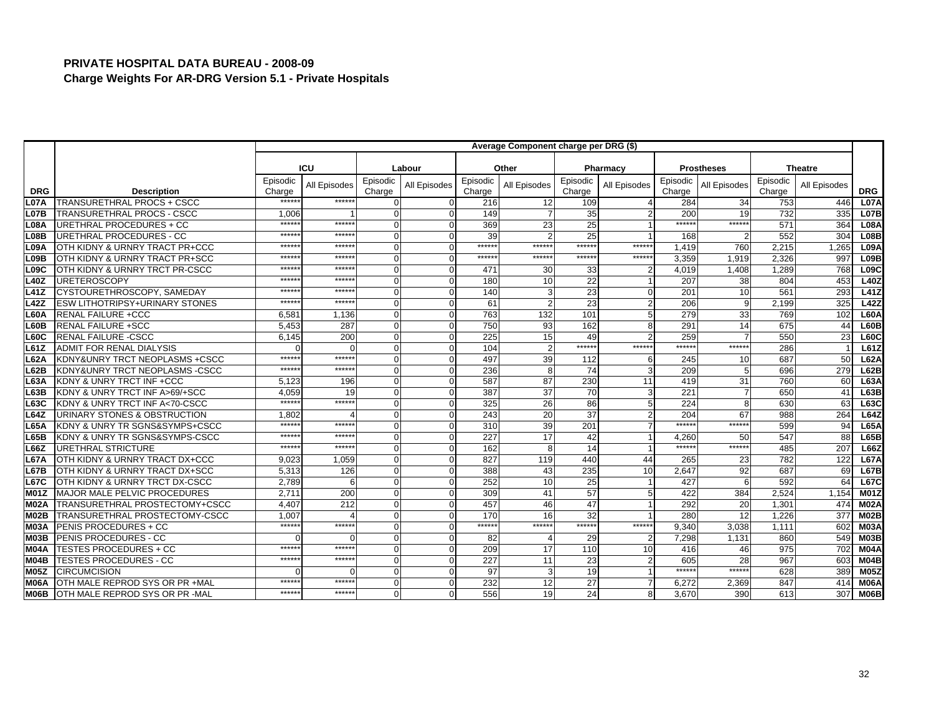|                   |                                       |                    |                  |                    |              |                    | Average Component charge per DRG (\$) |                    |                |                    |                   |                    |                |             |
|-------------------|---------------------------------------|--------------------|------------------|--------------------|--------------|--------------------|---------------------------------------|--------------------|----------------|--------------------|-------------------|--------------------|----------------|-------------|
|                   |                                       |                    |                  |                    |              |                    |                                       |                    |                |                    |                   |                    |                |             |
|                   |                                       |                    | ICU              |                    | Labour       |                    | Other                                 |                    | Pharmacy       |                    | <b>Prostheses</b> |                    | <b>Theatre</b> |             |
| <b>DRG</b>        | <b>Description</b>                    | Episodic<br>Charge | All Episodes     | Episodic<br>Charge | All Episodes | Episodic<br>Charge | All Episodes                          | Episodic<br>Charge | All Episodes   | Episodic<br>Charge | All Episodes      | Episodic<br>Charge | All Episodes   | <b>DRG</b>  |
| <b>L07A</b>       | <b>TRANSURETHRAL PROCS + CSCC</b>     | *****              | *****:           |                    |              | 216                | 12                                    | 109                |                | 284                | 34                | 753                | 446            | <b>L07A</b> |
| L07B              | TRANSURETHRAL PROCS - CSCC            | 1,006              |                  | $\Omega$           |              | 149                |                                       | 35                 | $\overline{2}$ | 200                | 19                | 732                | 335            | <b>L07B</b> |
| L08A              | URETHRAL PROCEDURES + CC              | *****              | *****            | $\Omega$           |              | 369                | 23                                    | 25                 |                | $******$           | ******            | 571                | 364            | L08A        |
| L08B              | URETHRAL PROCEDURES - CC              | $****$             | *****            | $\Omega$           |              | 39                 |                                       | 25                 |                | 168                |                   | 552                | 304            | L08B        |
| <b>L09A</b>       | OTH KIDNY & URNRY TRACT PR+CCC        | $****$             | $*****$          | $\Omega$           |              | ******             | $*****$                               | ******             | $*****$        | 1,419              | 760               | 2,215              | 1,265          | <b>L09A</b> |
| L <sub>09</sub> B | OTH KIDNY & URNRY TRACT PR+SCC        | *****              | *****            | $\Omega$           |              | *****:             | ******                                | *****:             | ******         | 3.359              | 1.919             | 2.326              | 997            | L09B        |
| L09C              | OTH KIDNY & URNRY TRCT PR-CSCC        | $****$             | *****            | $\Omega$           |              | 471                | 30                                    | 33                 |                | 4,019              | 1,408             | 1,289              | 768            | L09C        |
| <b>L40Z</b>       | <b>URETEROSCOPY</b>                   | $****$             | *****            | $\Omega$           |              | 180                | 10                                    | 22                 |                | 207                | 38                | 804                | 453            | L40Z        |
| <b>L41Z</b>       | CYSTOURETHROSCOPY, SAMEDAY            | *****              | *****            | $\Omega$           |              | 140                |                                       | 23                 | $\mathbf 0$    | 20 <sup>1</sup>    | 10                | 56'                | 293            | <b>L41Z</b> |
| L42Z              | <b>ESW LITHOTRIPSY+URINARY STONES</b> | $****$             | ******           | $\Omega$           |              | 61                 |                                       | 23                 | $\overline{2}$ | 206                | 9                 | 2,199              | 325            | L42Z        |
| L60A              | <b>RENAL FAILURE +CCC</b>             | 6,58'              | 1,136            | $\Omega$           |              | 763                | 132                                   | 101                | 5              | 279                | 33                | 769                | 102            | <b>L60A</b> |
| L60B              | <b>RENAL FAILURE +SCC</b>             | 5,453              | 287              | $\Omega$           |              | 750                | 93                                    | 162                | 8              | 291                | 14                | 675                | 44             | L60B        |
| L60C              | <b>RENAL FAILURE -CSCC</b>            | 6,145              | 200              | $\Omega$           |              | 225                | 15                                    | 49                 | $\overline{2}$ | 259                |                   | 550                | 23             | <b>L60C</b> |
| IL61Z             | ADMIT FOR RENAL DIALYSIS              |                    | $\sqrt{ }$       | $\Omega$           |              | 104                |                                       | ******             | ******         | ******             | ******            | 286                |                | L61Z        |
| IL62A             | KDNY&UNRY TRCT NEOPLASMS +CSCC        | $*****$            | $*****$          | $\Omega$           |              | 497                | 39                                    | 112                | 6              | 245                | 10                | 687                | 50             | <b>L62A</b> |
| L62B              | KDNY&UNRY TRCT NEOPLASMS -CSCC        | $****$             | *****:           | $\Omega$           |              | 236                |                                       | 74                 | 3              | 209                | 5 <sub>1</sub>    | 696                | 279            | L62B        |
| L63A              | KDNY & UNRY TRCT INF +CCC             | 5,123              | 196              | $\Omega$           |              | 587                | 87                                    | 230                | 11             | 419                | 31                | 760                | 60             | <b>L63A</b> |
| L63B              | KDNY & UNRY TRCT INF A>69/+SCC        | 4,059              | 19               | $\Omega$           |              | 387                | 37                                    | 70                 | 3              | 221                |                   | 650                | 41             | L63B        |
| L63C              | KDNY & UNRY TRCT INF A<70-CSCC        | $*****$            | ******           | $\Omega$           |              | 325                | 26                                    | 86                 | 5              | 224                | 8                 | 630                | 63             | L63C        |
| L64Z              | URINARY STONES & OBSTRUCTION          | 1,802              |                  | $\Omega$           |              | 243                | 20                                    | 37                 | $\overline{2}$ | 204                | 67                | 988                | 264            | L64Z        |
| <b>L65A</b>       | KDNY & UNRY TR SGNS&SYMPS+CSCC        | $****$             | $*****$          | $\Omega$           |              | 310                | 39                                    | 201                |                | *****              | ******            | 599                | 94             | <b>L65A</b> |
| L65B              | KDNY & UNRY TR SGNS&SYMPS-CSCC        | $****$             | *****            | $\Omega$           |              | 227                | 17                                    | 42                 |                | 4,260              | 50                | 547                | 88             | L65B        |
| L66Z              | <b>URETHRAL STRICTURE</b>             | $****$             | $*****$          | $\Omega$           |              | 162                |                                       | 14                 |                | $*****$            | ******            | 485                | 207            | L66Z        |
| L67A              | OTH KIDNY & URNRY TRACT DX+CCC        | 9.023              | 1.059            | $\Omega$           |              | 827                | 119                                   | 440                | 44             | 265                | 23                | 782                | 122            | <b>L67A</b> |
| L67B              | OTH KIDNY & URNRY TRACT DX+SCC        | 5,313              | 126              | $\Omega$           |              | 388                | 43                                    | 235                | 10             | 2,647              | 92                | 687                | 69             | L67B        |
| <b>L67C</b>       | OTH KIDNY & URNRY TRCT DX-CSCC        | 2,789              | 6                | $\Omega$           |              | 252                | 10                                    | 25                 |                | 427                | ĥ                 | 592                | 64             | <b>L67C</b> |
| IM01Z             | MAJOR MALE PELVIC PROCEDURES          | 2.71'              | 200              | 0                  |              | 309                | 41                                    | 57                 | 5              | 422                | 384               | 2,524              | 1,154          | <b>M01Z</b> |
| M02A              | TRANSURETHRAL PROSTECTOMY+CSCC        | 4,407              | $\overline{212}$ | $\Omega$           |              | 457                | 46                                    | 47                 |                | 292                | 20                | 1,30'              | 474            | <b>M02A</b> |
| IM02B             | TRANSURETHRAL PROSTECTOMY-CSCC        | 1.007              |                  | 0                  |              | 170                | 16                                    | 32                 |                | 280                | 12                | 1,226              | 377            | M02B        |
| M03A              | PENIS PROCEDURES + CC                 | $****$             | ******           | $\Omega$           |              | ******             | *****:                                | ******             | $*****$        | 9,340              | 3,038             | 1,111              | 602            | <b>M03A</b> |
| <b>M03B</b>       | <b>PENIS PROCEDURES - CC</b>          |                    |                  | $\Omega$           |              | 82                 |                                       | 29                 | $\overline{2}$ | 7,298              | 1,131             | 860                | 549            | <b>M03B</b> |
| IM04A             | <b>TESTES PROCEDURES + CC</b>         | *****              | ******           | $\Omega$           |              | 209                | 17                                    | 110                | 10             | 416                | 46                | 975                | 702            | <b>M04A</b> |
| M04B              | <b>TESTES PROCEDURES - CC</b>         | $****$             | $*****$          | $\Omega$           |              | 227                | 11                                    | 23                 | $\overline{2}$ | 605                | 28                | 967                | 603            | <b>M04B</b> |
| <b>M05Z</b>       | <b>CIRCUMCISION</b>                   |                    | C                | $\Omega$           |              | 97                 |                                       | 19                 |                | $*****$            | ******            | 628                | 389            | <b>M05Z</b> |
| IM06A             | OTH MALE REPROD SYS OR PR +MAL        | *****              | *****            | 0                  |              | 232                | 12                                    | $\overline{27}$    | $\overline{7}$ | 6,272              | 2,369             | 847                | 414            | <b>M06A</b> |
| <b>M06B</b>       | OTH MALE REPROD SYS OR PR -MAL        | $****$             | $*****$          | $\Omega$           |              | 556                | 19                                    | 24                 | 8              | 3,670              | 390               | 613                | 307            | M06B        |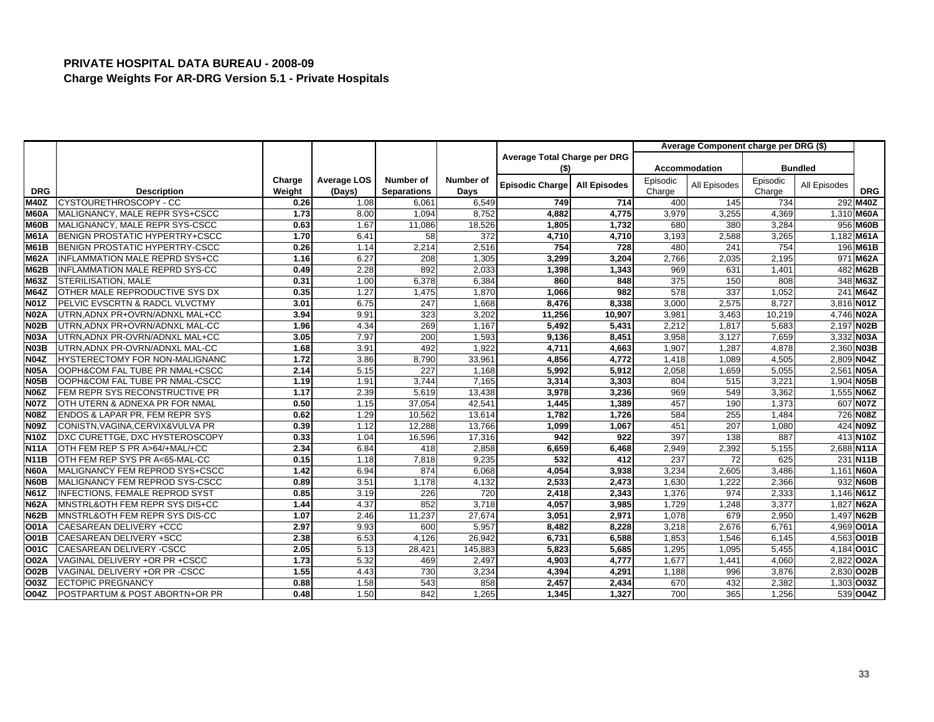|             |                                       |        |             |                    |                  |                              |                     |          | Average Component charge per DRG (\$) |          |                |            |
|-------------|---------------------------------------|--------|-------------|--------------------|------------------|------------------------------|---------------------|----------|---------------------------------------|----------|----------------|------------|
|             |                                       |        |             |                    |                  | Average Total Charge per DRG |                     |          |                                       |          |                |            |
|             |                                       |        |             |                    |                  | (\$)                         |                     |          | <b>Accommodation</b>                  |          | <b>Bundled</b> |            |
|             |                                       | Charge | Average LOS | Number of          | Number of        | Episodic Charge              | <b>All Episodes</b> | Episodic | All Episodes                          | Episodic | All Episodes   |            |
| <b>DRG</b>  | <b>Description</b>                    | Weight | (Days)      | <b>Separations</b> | Days             |                              |                     | Charge   |                                       | Charge   |                | <b>DRG</b> |
| <b>M40Z</b> | CYSTOURETHROSCOPY - CC                | 0.26   | 1.08        | 6,061              | 6,549            | 749                          | 714                 | 400      | 145                                   | 734      |                | 292 M40Z   |
| <b>M60A</b> | MALIGNANCY, MALE REPR SYS+CSCC        | 1.73   | 8.00        | 1,094              | 8,752            | 4,882                        | 4,775               | 3,979    | 3,255                                 | 4,369    |                | 1,310 M60A |
| <b>M60B</b> | MALIGNANCY, MALE REPR SYS-CSCC        | 0.63   | 1.67        | 11,086             | 18,526           | 1,805                        | 1,732               | 680      | 380                                   | 3,284    |                | 956 M60B   |
| <b>M61A</b> | BENIGN PROSTATIC HYPERTRY+CSCC        | 1.70   | 6.41        | 58                 | $\overline{372}$ | 4,710                        | 4.710               | 3,193    | 2,588                                 | 3,265    |                | 1,182 M61A |
| <b>M61B</b> | BENIGN PROSTATIC HYPERTRY-CSCC        | 0.26   | 1.14        | 2,214              | 2,516            | 754                          | 728                 | 480      | 241                                   | 754      |                | 196 M61B   |
| <b>M62A</b> | <b>INFLAMMATION MALE REPRD SYS+CC</b> | 1.16   | 6.27        | 208                | 1,305            | 3,299                        | 3,204               | 2,766    | 2,035                                 | 2,195    |                | 971 M62A   |
| M62B        | INFLAMMATION MALE REPRD SYS-CC        | 0.49   | 2.28        | 892                | 2,033            | 1,398                        | 1,343               | 969      | 631                                   | 1,401    |                | 482 M62B   |
| M63Z        | STERILISATION, MALE                   | 0.31   | 1.00        | 6,378              | 6,384            | 860                          | 848                 | 375      | 150                                   | 808      |                | 348 M63Z   |
| <b>M64Z</b> | OTHER MALE REPRODUCTIVE SYS DX        | 0.35   | 1.27        | 1,475              | 1.870            | 1.066                        | 982                 | 578      | 337                                   | 1.052    |                | 241 M64Z   |
| N01Z        | PELVIC EVSCRTN & RADCL VLVCTMY        | 3.01   | 6.75        | 247                | 1,668            | 8,476                        | 8,338               | 3,000    | 2,575                                 | 8,727    |                | 3,816 N01Z |
| <b>N02A</b> | UTRN, ADNX PR+OVRN/ADNXL MAL+CC       | 3.94   | 9.91        | 323                | 3,202            | 11,256                       | 10,907              | 3,981    | 3,463                                 | 10,219   |                | 4,746 NO2A |
| <b>N02B</b> | UTRN.ADNX PR+OVRN/ADNXL MAL-CC        | 1.96   | 4.34        | 269                | 1,167            | 5.492                        | 5,431               | 2,212    | 1.817                                 | 5.683    |                | 2.197 NO2B |
| <b>N03A</b> | UTRN, ADNX PR-OVRN/ADNXL MAL+CC       | 3.05   | 7.97        | 200                | 1,593            | 9,136                        | 8,451               | 3,958    | 3,127                                 | 7,659    |                | 3,332 N03A |
| <b>N03B</b> | UTRN, ADNX PR-OVRN/ADNXL MAL-CC       | 1.68   | 3.91        | 492                | 1.922            | 4.711                        | 4.663               | 1.907    | 1.287                                 | 4.878    |                | 2.360 N03B |
| <b>N04Z</b> | HYSTERECTOMY FOR NON-MALIGNANC        | 1.72   | 3.86        | 8,790              | 33,961           | 4,856                        | 4,772               | 1,418    | 1,089                                 | 4,505    |                | 2,809 NO4Z |
| <b>N05A</b> | OOPH&COM FAL TUBE PR NMAL+CSCC        | 2.14   | 5.15        | 227                | 1,168            | 5,992                        | 5,912               | 2,058    | 1,659                                 | 5,055    |                | 2,561 N05A |
| <b>N05B</b> | OOPH&COM FAL TUBE PR NMAL-CSCC        | 1.19   | 1.91        | 3,744              | 7,165            | 3,314                        | 3,303               | 804      | 515                                   | 3,221    |                | 1.904 N05B |
| <b>N06Z</b> | FEM REPR SYS RECONSTRUCTIVE PR        | 1.17   | 2.39        | 5,619              | 13,438           | 3,978                        | 3,236               | 969      | 549                                   | 3,362    |                | 1,555 NO6Z |
| <b>N07Z</b> | OTH UTERN & ADNEXA PR FOR NMAL        | 0.50   | 1.15        | 37,054             | 42.541           | 1,445                        | 1,389               | 457      | 190                                   | 1.373    |                | 607 N07Z   |
| <b>N08Z</b> | ENDOS & LAPAR PR, FEM REPR SYS        | 0.62   | 1.29        | 10,562             | 13,614           | 1,782                        | 1,726               | 584      | 255                                   | 1,484    |                | 726 N08Z   |
| N09Z        | CONISTN, VAGINA, CERVIX& VULVA PR     | 0.39   | 1.12        | 12,288             | 13,766           | 1,099                        | 1,067               | 451      | 207                                   | 1,080    |                | 424 N09Z   |
| <b>N10Z</b> | DXC CURETTGE, DXC HYSTEROSCOPY        | 0.33   | 1.04        | 16,596             | 17.316           | 942                          | 922                 | 397      | 138                                   | 887      |                | 413 N10Z   |
| <b>N11A</b> | OTH FEM REP S PR A>64/+MAL/+CC        | 2.34   | 6.84        | 418                | 2,858            | 6,659                        | 6,468               | 2,949    | 2,392                                 | 5,155    |                | 2,688 N11A |
| <b>N11B</b> | OTH FEM REP SYS PR A<65-MAL-CC        | 0.15   | 1.18        | 7,818              | 9,235            | 532                          | 412                 | 237      | 72                                    | 625      |                | 231 N11B   |
| <b>N60A</b> | MALIGNANCY FEM REPROD SYS+CSCC        | 1.42   | 6.94        | 874                | 6,068            | 4,054                        | 3,938               | 3,234    | 2,605                                 | 3,486    |                | 1,161 N60A |
| <b>N60B</b> | MALIGNANCY FEM REPROD SYS-CSCC        | 0.89   | 3.51        | 1,178              | 4,132            | 2,533                        | 2,473               | 1,630    | 1,222                                 | 2,366    |                | 932 N60B   |
| <b>N61Z</b> | INFECTIONS, FEMALE REPROD SYST        | 0.85   | 3.19        | 226                | 720              | 2,418                        | 2,343               | 1,376    | 974                                   | 2,333    |                | 1,146 N61Z |
| <b>N62A</b> | MNSTRL&OTH FEM REPR SYS DIS+CC        | 1.44   | 4.37        | 852                | 3,718            | 4,057                        | 3,985               | 1,729    | 1,248                                 | 3,377    |                | 1,827 N62A |
| <b>N62B</b> | MNSTRL&OTH FEM REPR SYS DIS-CC        | 1.07   | 2.46        | 11,237             | 27,674           | 3,051                        | 2,971               | 1,078    | 679                                   | 2,950    |                | 1,497 N62B |
| <b>O01A</b> | CAESAREAN DELIVERY +CCC               | 2.97   | 9.93        | 600                | 5.957            | 8,482                        | 8.228               | 3,218    | 2.676                                 | 6.761    |                | 4,969 001A |
| <b>O01B</b> | CAESAREAN DELIVERY +SCC               | 2.38   | 6.53        | 4,126              | 26,942           | 6,731                        | 6,588               | 1,853    | 1,546                                 | 6,145    |                | 4,563 O01B |
| O01C        | CAESAREAN DELIVERY -CSCC              | 2.05   | 5.13        | 28,421             | 145.883          | 5,823                        | 5,685               | 1,295    | 1.095                                 | 5,455    |                | 4.184 001C |
| <b>O02A</b> | VAGINAL DELIVERY +OR PR +CSCC         | 1.73   | 5.32        | 469                | 2,497            | 4,903                        | 4,777               | 1,677    | 1,441                                 | 4,060    |                | 2,822 O02A |
| <b>O02B</b> | VAGINAL DELIVERY +OR PR -CSCC         | 1.55   | 4.43        | 730                | 3,234            | 4,394                        | 4,291               | 1,188    | 996                                   | 3,876    |                | 2,830 O02B |
| O03Z        | <b>ECTOPIC PREGNANCY</b>              | 0.88   | 1.58        | 543                | 858              | 2,457                        | 2,434               | 670      | 432                                   | 2,382    |                | 1,303 003Z |
| O04Z        | POSTPARTUM & POST ABORTN+OR PR        | 0.48   | 1.50        | 842                | 1,265            | 1,345                        | 1,327               | 700      | 365                                   | 1,256    |                | 539 004Z   |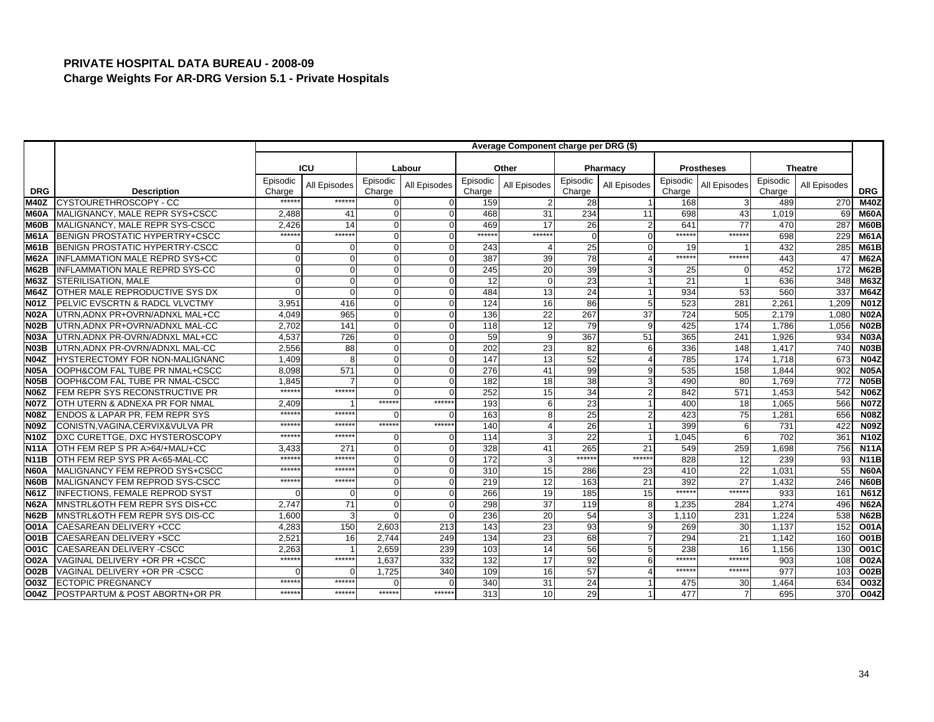|                   |                                           |          |              |              |              |          | Average Component charge per DRG (\$) |                 |                |                  |                   |          |                  |                  |
|-------------------|-------------------------------------------|----------|--------------|--------------|--------------|----------|---------------------------------------|-----------------|----------------|------------------|-------------------|----------|------------------|------------------|
|                   |                                           |          |              |              |              |          |                                       |                 |                |                  |                   |          |                  |                  |
|                   |                                           |          | <b>ICU</b>   |              | Labour       |          | Other                                 |                 | Pharmacy       |                  | <b>Prostheses</b> |          | <b>Theatre</b>   |                  |
|                   |                                           | Episodic | All Episodes | Episodic     | All Episodes | Episodic | All Episodes                          | Episodic        | All Episodes   | Episodic         | All Episodes      | Episodic | All Episodes     |                  |
| <b>DRG</b>        | <b>Description</b>                        | Charge   |              | Charge       |              | Charge   |                                       | Charge          |                | Charge           |                   | Charge   |                  | <b>DRG</b>       |
| <b>M40Z</b>       | CYSTOURETHROSCOPY - CC                    | *****    | *****:       | $\Omega$     |              | 159      |                                       | 28              |                | 168              | 3                 | 489      | 270              | <b>M40Z</b>      |
| M60A              | MALIGNANCY, MALE REPR SYS+CSCC            | 2,488    | 41           | $\Omega$     | $\Omega$     | 468      | 31                                    | 234             | 11             | 698              | 43                | 1,019    | 69               | <b>M60A</b>      |
| M60B              | MALIGNANCY, MALE REPR SYS-CSCC            | 2.426    | 14           | $\Omega$     | $\Omega$     | 469      | 17                                    | 26              | $\overline{2}$ | 641              | 77                | 470      | 287              | M60B             |
| <b>M61A</b>       | BENIGN PROSTATIC HYPERTRY+CSCC            | *****    | *****:       | $\Omega$     |              | ******   | *****                                 | $\Omega$        | $\Omega$       | ******           | ******            | 698      | 229              | <b>M61A</b>      |
| <b>M61B</b>       | BENIGN PROSTATIC HYPERTRY-CSCC            |          | $\Omega$     | $\Omega$     | $\Omega$     | 243      |                                       | 25              | $\Omega$       | 19               |                   | 432      | 285              | <b>M61B</b>      |
| <b>M62A</b>       | <b>INFLAMMATION MALE REPRD SYS+CC</b>     |          | $\Omega$     | $\Omega$     |              | 387      | 39                                    | 78              |                | ******           | $*****$           | 443      | 47               | <b>M62A</b>      |
| <b>M62B</b>       | INFLAMMATION MALE REPRD SYS-CC            |          | $\Omega$     | $\Omega$     | $\Omega$     | 245      | 20                                    | 39              | 3              | 25               |                   | 452      | 172              | <b>M62B</b>      |
| <b>M63Z</b>       | STERILISATION, MALE                       |          | $\Omega$     | $\Omega$     | $\Omega$     | 12       |                                       | 23              |                | 21               |                   | 636      | 348              | <b>M63Z</b>      |
| <b>M64Z</b>       | OTHER MALE REPRODUCTIVE SYS DX            |          | $\Omega$     | $\mathbf{0}$ |              | 484      | 13                                    | 24              |                | 934              | 53                | 560      | 337              | <b>M64Z</b>      |
| <b>N01Z</b>       | PELVIC EVSCRTN & RADCL VLVCTMY            | 3,95'    | 416          | $\Omega$     | $\Omega$     | 124      | 16                                    | 86              | 5              | 523              | 281               | 2,261    | 1,209            | <b>N01Z</b>      |
| <b>N02A</b>       | UTRN.ADNX PR+OVRN/ADNXL MAL+CC            | 4.049    | 965          | $\Omega$     |              | 136      | 22                                    | 267             | 37             | $\overline{724}$ | 505               | 2,179    | 1.080            | <b>N02A</b>      |
| <b>N02B</b>       | UTRN, ADNX PR+OVRN/ADNXL MAL-CC           | 2,702    | 141          | $\Omega$     | O            | 118      | 12                                    | 79              | 9              | 425              | 174               | 1,786    | 1,056            | <b>N02B</b>      |
| N <sub>03</sub> A | UTRN, ADNX PR-OVRN/ADNXL MAL+CC           | 4,537    | 726          | $\Omega$     | $\Omega$     | 59       |                                       | 367             | 51             | 365              | 241               | 1,926    | 934              | <b>N03A</b>      |
| <b>N03B</b>       | UTRN, ADNX PR-OVRN/ADNXL MAL-CC           | 2.556    | 88           | $\Omega$     |              | 202      | 23                                    | 82              | 6              | 336              | 148               | 1,417    | 740              | <b>N03B</b>      |
| <b>N04Z</b>       | <b>HYSTERECTOMY FOR NON-MALIGNANC</b>     | 1,409    |              | $\Omega$     |              | 147      | 13                                    | 52              |                | 785              | 174               | 1,718    | 673              | <b>N04Z</b>      |
| <b>N05A</b>       | OOPH&COM FAL TUBE PR NMAL+CSCC            | 8.098    | 571          | $\Omega$     | $\Omega$     | 276      | 41                                    | 99              | 9              | 535              | 158               | 1.844    | 902              | <b>N05A</b>      |
| <b>N05B</b>       | OOPH&COM FAL TUBE PR NMAL-CSCC            | 1,845    |              | $\Omega$     |              | 182      | 18                                    | 38              | $\mathbf{3}$   | 490              | 80                | 1,769    | 772              | <b>N05B</b>      |
| N06Z              | FEM REPR SYS RECONSTRUCTIVE PR            | $****$   | *****:       | $\Omega$     | $\Omega$     | 252      | 15                                    | 34              | $\overline{2}$ | 842              | 571               | 1.453    | 542              | <b>N06Z</b>      |
| <b>N07Z</b>       | OTH UTERN & ADNEXA PR FOR NMAL            | 2.409    |              | *****        | *****        | 193      |                                       | 23              |                | 400              | 18                | 1.065    | 566              | <b>N07Z</b>      |
| N08Z              | <b>ENDOS &amp; LAPAR PR, FEM REPR SYS</b> | $*****$  | ******       | n            |              | 163      |                                       | 25              | $\overline{2}$ | 423              | 75                | 1,281    | 656              | <b>N08Z</b>      |
| <b>N09Z</b>       | CONISTN, VAGINA, CERVIX& VULVA PR         | *****    | *****        | ******       | ******       | 140      |                                       | 26              |                | 399              | 6                 | 731      | 422              | <b>N09Z</b>      |
| <b>N10Z</b>       | DXC CURETTGE, DXC HYSTEROSCOPY            | *****    | *****        | $\Omega$     | $\Omega$     | 114      |                                       | $\overline{22}$ |                | 1,045            | 6                 | 702      | 361              | N10Z             |
| <b>N11A</b>       | OTH FEM REP S PR A>64/+MAL/+CC            | 3,433    | 271          | $\Omega$     | $\Omega$     | 328      | 41                                    | 265             | 21             | 549              | 259               | 1,698    | 756              | <b>N11A</b>      |
| <b>N11B</b>       | OTH FEM REP SYS PR A<65-MAL-CC            | *****    | $*****$      | $\Omega$     | $\Omega$     | 172      |                                       | ******          | ******         | 828              | 12                | 239      | 93               | <b>N11B</b>      |
| <b>N60A</b>       | MALIGNANCY FEM REPROD SYS+CSCC            | $****$   | $****$       | $\Omega$     |              | 310      | 15                                    | 286             | 23             | 410              | 22                | 1,031    | 55               | <b>N60A</b>      |
| <b>N60B</b>       | MALIGNANCY FEM REPROD SYS-CSCC            | $****$   | *****:       | $\Omega$     | $\Omega$     | 219      | 12                                    | 163             | 21             | 392              | 27                | 1,432    | 246              | <b>N60B</b>      |
| <b>N61Z</b>       | <b>INFECTIONS, FEMALE REPROD SYST</b>     |          | $\Omega$     | $\Omega$     |              | 266      | 19                                    | 185             | 15             | *****:           | ******            | 933      | 161              | <b>N61Z</b>      |
| <b>N62A</b>       | MNSTRL&OTH FEM REPR SYS DIS+CC            | 2,747    | 71           | $\Omega$     | $\Omega$     | 298      | 37                                    | 119             | 8              | 1,235            | 284               | 1,274    | 496              | <b>N62A</b>      |
| <b>N62B</b>       | MNSTRL&OTH FEM REPR SYS DIS-CC            | 1.600    | 3            | $\Omega$     | $\Omega$     | 236      | 20                                    | 54              | 3              | 1,110            | 231               | 1.224    | 538              | <b>N62B</b>      |
| <b>O01A</b>       | CAESAREAN DELIVERY +CCC                   | 4,283    | 150          | 2,603        | 213          | 143      | 23                                    | 93              | 9              | 269              | 30                | 1,137    | 152              | <b>O01A</b>      |
| O01B              | CAESAREAN DELIVERY +SCC                   | 2,521    | 16           | 2,744        | 249          | 134      | 23                                    | 68              | $\overline{7}$ | 294              | 21                | 1,142    | 160              | <b>O01B</b>      |
| <b>O01C</b>       | CAESAREAN DELIVERY -CSCC                  | 2.263    |              | 2.659        | 239          | 103      | 14                                    | 56              | 5 <sub>5</sub> | 238              | 16                | 1,156    | 130              | O01C             |
| O02A              | VAGINAL DELIVERY +OR PR +CSCC             | $****$   | ******       | 1,637        | 332          | 132      | 17                                    | 92              | 6              | ******           | ******            | 903      | 108              | <b>O02A</b>      |
| O02B              | VAGINAL DELIVERY +OR PR -CSCC             |          | ∩            | 1,725        | 340          | 109      | 16                                    | 57              |                | $*****$          | *****             | 977      | 103              | <b>O02B</b>      |
| O03Z              | <b>ECTOPIC PREGNANCY</b>                  | *****    | *****        | በ            |              | 340      | 31                                    | 24              |                | 475              | 30                | 1,464    | 634              | O <sub>03Z</sub> |
| O04Z              | POSTPARTUM & POST ABORTN+OR PR            | *****    | ******       | ******       | ******       | 313      | 10                                    | 29              |                | 477              |                   | 695      | 370 <sup>1</sup> | O04Z             |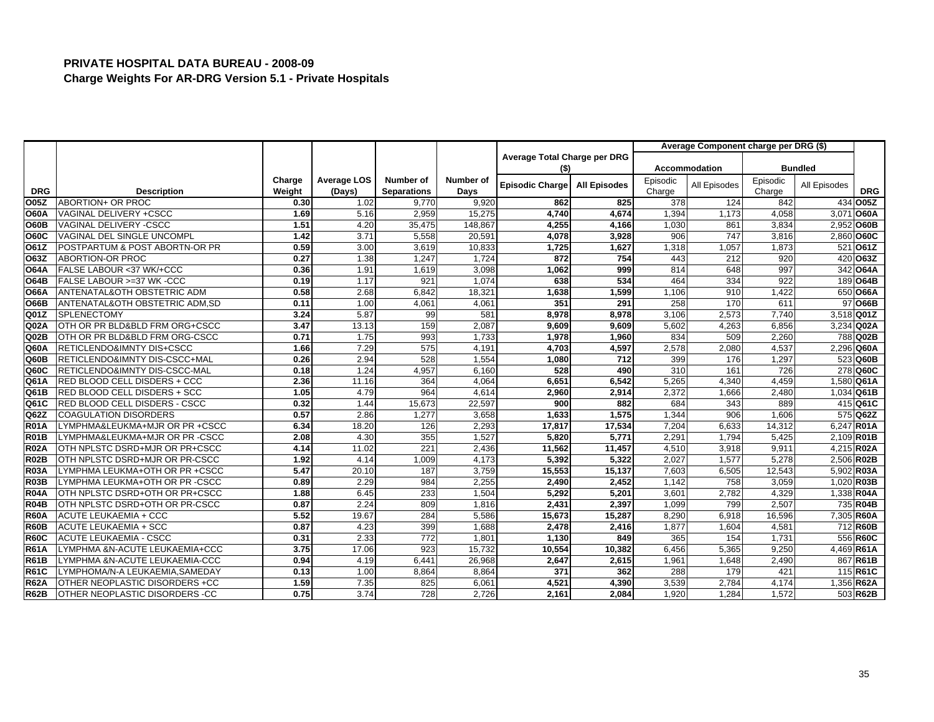|             |                                 |        |                    |                    |                |                              |                     |          | Average Component charge per DRG (\$) |          |                |             |
|-------------|---------------------------------|--------|--------------------|--------------------|----------------|------------------------------|---------------------|----------|---------------------------------------|----------|----------------|-------------|
|             |                                 |        |                    |                    |                | Average Total Charge per DRG |                     |          |                                       |          |                |             |
|             |                                 |        |                    |                    |                | (\$)                         |                     |          | <b>Accommodation</b>                  |          | <b>Bundled</b> |             |
|             |                                 | Charge | <b>Average LOS</b> | Number of          | Number of      | Episodic Charge              | <b>All Episodes</b> | Episodic | All Episodes                          | Episodic | All Episodes   |             |
| <b>DRG</b>  | <b>Description</b>              | Weight | (Days)             | <b>Separations</b> | Days           |                              |                     | Charge   |                                       | Charge   |                | <b>DRG</b>  |
| O05Z        | ABORTION+ OR PROC               | 0.30   | 1.02               | 9,770              | 9,920          | 862                          | 825                 | 378      | 124                                   | 842      |                | 434 005Z    |
| <b>O60A</b> | VAGINAL DELIVERY +CSCC          | 1.69   | 5.16               | 2,959              | 15,275         | 4,740                        | 4,674               | 1,394    | 1,173                                 | 4,058    | 3,071          | <b>O60A</b> |
| <b>O60B</b> | VAGINAL DELIVERY -CSCC          | 1.51   | 4.20               | 35,475             | 148,867        | 4,255                        | 4,166               | 1,030    | 861                                   | 3,834    |                | 2,952 O60B  |
| <b>O60C</b> | VAGINAL DEL SINGLE UNCOMPL      | 1.42   | 3.71               | 5,558              | 20,591         | 4,078                        | 3,928               | 906      | 747                                   | 3,816    |                | 2,860 O60C  |
| O61Z        | POSTPARTUM & POST ABORTN-OR PR  | 0.59   | 3.00               | 3,619              | 10,833         | 1,725                        | 1,627               | 1,318    | 1,057                                 | 1,873    |                | 521 061Z    |
| O63Z        | <b>ABORTION-OR PROC</b>         | 0.27   | 1.38               | 1,247              | 1.724          | 872                          | 754                 | 443      | 212                                   | 920      |                | 420 063Z    |
| <b>O64A</b> | FALSE LABOUR <37 WK/+CCC        | 0.36   | 1.91               | 1,619              | 3,098          | 1,062                        | 999                 | 814      | 648                                   | 997      |                | 342 064A    |
| <b>O64B</b> | FALSE LABOUR >=37 WK -CCC       | 0.19   | 1.17               | 921                | 1,074          | 638                          | 534                 | 464      | 334                                   | 922      |                | 189 064B    |
| <b>O66A</b> | ANTENATAL&OTH OBSTETRIC ADM     | 0.58   | 2.68               | 6,842              | 18,321         | 1,638                        | 1,599               | 1,106    | 910                                   | 1.422    |                | 650 O66A    |
| <b>O66B</b> | ANTENATAL&OTH OBSTETRIC ADM,SD  | 0.11   | 1.00               | 4,061              | $4,06^{\circ}$ | 351                          | 291                 | 258      | 17 <sup>c</sup>                       | 611      |                | 97 066B     |
| Q01Z        | <b>SPLENECTOMY</b>              | 3.24   | 5.87               | 99                 | 581            | 8,978                        | 8.978               | 3,106    | 2,573                                 | 7,740    |                | 3,518 Q01Z  |
| Q02A        | OTH OR PR BLD&BLD FRM ORG+CSCC  | 3.47   | 13.13              | 159                | 2,087          | 9,609                        | 9,609               | 5,602    | 4,263                                 | 6,856    |                | 3,234 Q02A  |
| Q02B        | OTH OR PR BLD&BLD FRM ORG-CSCC  | 0.71   | 1.75               | 993                | 1,733          | 1,978                        | 1,960               | 834      | 509                                   | 2,260    |                | 788 Q02B    |
| Q60A        | RETICLENDO&IMNTY DIS+CSCC       | 1.66   | 7.29               | $\overline{575}$   | 4,191          | 4,703                        | 4,597               | 2,578    | 2,080                                 | 4,537    |                | 2,296 Q60A  |
| Q60B        | RETICLENDO&IMNTY DIS-CSCC+MAL   | 0.26   | 2.94               | 528                | 1,554          | 1,080                        | 712                 | 399      | 176                                   | 1,297    |                | 523 Q60B    |
| Q60C        | RETICLENDO&IMNTY DIS-CSCC-MAL   | 0.18   | 1.24               | 4,957              | 6,160          | 528                          | 490                 | 310      | 161                                   | 726      |                | 278 Q60C    |
| Q61A        | RED BLOOD CELL DISDERS + CCC    | 2.36   | 11.16              | 364                | 4,064          | 6,651                        | 6,542               | 5,265    | 4,340                                 | 4,459    |                | 1,580 Q61A  |
| Q61B        | RED BLOOD CELL DISDERS + SCC    | 1.05   | 4.79               | 964                | 4,614          | 2,960                        | 2,914               | 2,372    | 1,666                                 | 2,480    |                | 1,034 Q61B  |
| Q61C        | RED BLOOD CELL DISDERS - CSCC   | 0.32   | 1.44               | 15,673             | 22,597         | 900                          | 882                 | 684      | 343                                   | 889      |                | 415 Q61C    |
| Q62Z        | <b>COAGULATION DISORDERS</b>    | 0.57   | 2.86               | 1,277              | 3,658          | 1,633                        | 1,575               | 1,344    | 906                                   | 1,606    |                | 575 Q62Z    |
| <b>R01A</b> | LYMPHMA&LEUKMA+MJR OR PR +CSCC  | 6.34   | 18.20              | 126                | 2,293          | 17,817                       | 17,534              | 7,204    | 6,633                                 | 14,312   |                | 6,247 R01A  |
| <b>R01B</b> | LYMPHMA&LEUKMA+MJR OR PR -CSCC  | 2.08   | 4.30               | 355                | 1,527          | 5,820                        | 5,771               | 2,291    | 1,794                                 | 5,425    |                | 2,109 R01B  |
| <b>R02A</b> | OTH NPLSTC DSRD+MJR OR PR+CSCC  | 4.14   | 11.02              | 221                | 2,436          | 11,562                       | 11,457              | 4,510    | 3,918                                 | 9,911    |                | 4,215 R02A  |
| <b>R02B</b> | OTH NPLSTC DSRD+MJR OR PR-CSCC  | 1.92   | 4.14               | 1,009              | 4.173          | 5,392                        | 5.322               | 2,027    | 1.577                                 | 5.278    |                | 2,506 R02B  |
| <b>R03A</b> | LYMPHMA LEUKMA+OTH OR PR +CSCC  | 5.47   | 20.10              | 187                | 3,759          | 15,553                       | 15,137              | 7,603    | 6,505                                 | 12,543   |                | 5,902 R03A  |
| <b>R03B</b> | LYMPHMA LEUKMA+OTH OR PR -CSCC  | 0.89   | 2.29               | 984                | 2,255          | 2,490                        | 2,452               | 1,142    | 758                                   | 3,059    |                | 1,020 R03B  |
| <b>R04A</b> | OTH NPLSTC DSRD+OTH OR PR+CSCC  | 1.88   | 6.45               | 233                | 1,504          | 5,292                        | 5,201               | 3,601    | 2,782                                 | 4,329    |                | 1,338 R04A  |
| <b>R04B</b> | OTH NPLSTC DSRD+OTH OR PR-CSCC  | 0.87   | 2.24               | 809                | 1,816          | 2,431                        | 2,397               | 1,099    | 799                                   | 2,507    |                | 735 R04B    |
| <b>R60A</b> | <b>ACUTE LEUKAEMIA + CCC</b>    | 5.52   | 19.67              | 284                | 5,586          | 15,673                       | 15,287              | 8,290    | 6,918                                 | 16,596   |                | 7,305 R60A  |
| <b>R60B</b> | <b>ACUTE LEUKAEMIA + SCC</b>    | 0.87   | 4.23               | 399                | 1,688          | 2,478                        | 2,416               | 1,877    | 1,604                                 | 4,581    |                | 712 R60B    |
| <b>R60C</b> | <b>ACUTE LEUKAEMIA - CSCC</b>   | 0.31   | 2.33               | 772                | 1,801          | 1,130                        | 849                 | 365      | 154                                   | 1,731    |                | 556 R60C    |
| <b>R61A</b> | LYMPHMA &N-ACUTE LEUKAEMIA+CCC  | 3.75   | 17.06              | 923                | 15,732         | 10,554                       | 10,382              | 6,456    | 5,365                                 | 9,250    |                | 4,469 R61A  |
| <b>R61B</b> | LYMPHMA &N-ACUTE LEUKAEMIA-CCC  | 0.94   | 4.19               | 6,441              | 26,968         | 2,647                        | 2,615               | 1,961    | 1,648                                 | 2,490    |                | 867 R61B    |
| <b>R61C</b> | LYMPHOMA/N-A LEUKAEMIA, SAMEDAY | 0.13   | 1.00               | 8,864              | 8,864          | 371                          | 362                 | 288      | 179                                   | 421      |                | 115 R61C    |
| <b>R62A</b> | OTHER NEOPLASTIC DISORDERS +CC  | 1.59   | 7.35               | 825                | 6,061          | 4,521                        | 4,390               | 3,539    | 2,784                                 | 4,174    |                | 1,356 R62A  |
| <b>R62B</b> | OTHER NEOPLASTIC DISORDERS -CC  | 0.75   | 3.74               | 728                | 2,726          | 2,161                        | 2.084               | 1,920    | 1,284                                 | 1,572    |                | 503 R62B    |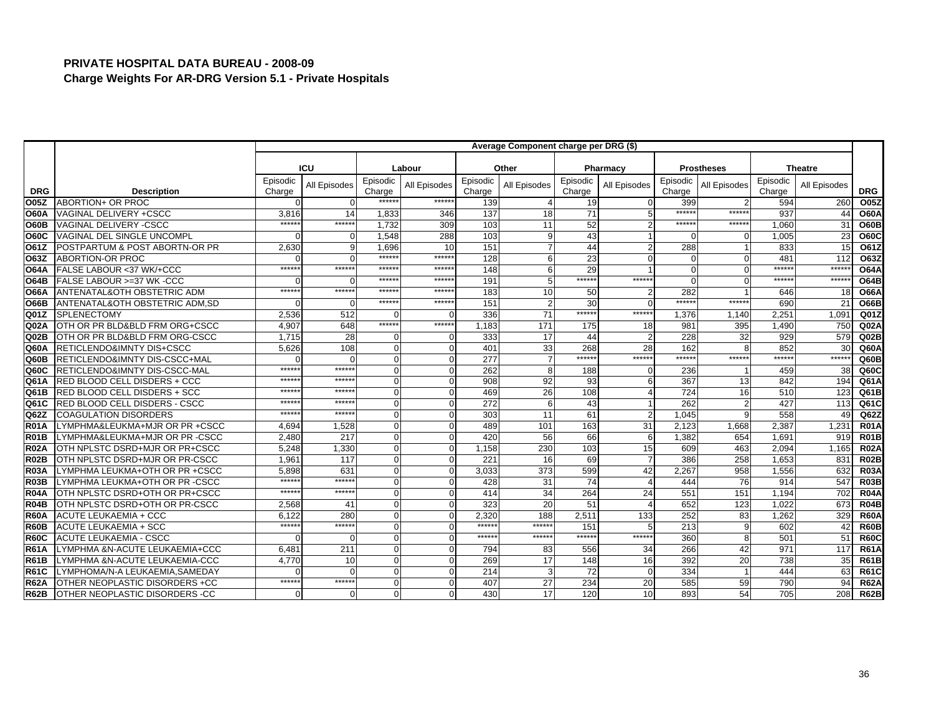|                   |                                           |                    |              |                    |              |                    | Average Component charge per DRG (\$) |                    |                |                    |                   |                    |                |                  |
|-------------------|-------------------------------------------|--------------------|--------------|--------------------|--------------|--------------------|---------------------------------------|--------------------|----------------|--------------------|-------------------|--------------------|----------------|------------------|
|                   |                                           |                    |              |                    |              |                    |                                       |                    |                |                    |                   |                    |                |                  |
|                   |                                           |                    | ICU          |                    | Labour       |                    | Other                                 |                    | Pharmacy       |                    | <b>Prostheses</b> |                    | <b>Theatre</b> |                  |
| <b>DRG</b>        | <b>Description</b>                        | Episodic<br>Charge | All Episodes | Episodic<br>Charge | All Episodes | Episodic<br>Charge | All Episodes                          | Episodic<br>Charge | All Episodes   | Episodic<br>Charge | All Episodes      | Episodic<br>Charge | All Episodes   | <b>DRG</b>       |
| O05Z              | ABORTION+ OR PROC                         |                    | $\Omega$     | ******             | *****:       | 139                |                                       | 19                 | $\mathbf{0}$   | 399                |                   | 594                | 260            | O05Z             |
| <b>O60A</b>       | VAGINAL DELIVERY +CSCC                    | 3,816              | 14           | 1,833              | 346          | 137                | 18                                    | 71                 | 5              | $*****$            | $******$          | 937                | 44             | <b>O60A</b>      |
| <b>O60B</b>       | <b>VAGINAL DELIVERY -CSCC</b>             | $****$             | ******       | 1.732              | 309          | 103                | 11                                    | 52                 |                | $******$           | *****             | 1.060              | 31             | <b>O60B</b>      |
| <b>O60C</b>       | VAGINAL DEL SINGLE UNCOMPL                |                    | $\Omega$     | 1,548              | 288          | 103                |                                       | 43                 |                | ∩                  |                   | 1,005              | 23             | <b>O60C</b>      |
| O61Z              | POSTPARTUM & POST ABORTN-OR PR            | 2,630              | 9            | 1,696              | 10           | 151                |                                       | 44                 | $\overline{2}$ | 288                |                   | 833                | 15             | O61Z             |
| O63Z              | <b>ABORTION-OR PROC</b>                   |                    | $\Omega$     | ******             | ******       | 128                |                                       | 23                 | $\Omega$       | $\Omega$           |                   | 481                | 112            | O63Z             |
| <b>O64A</b>       | FALSE LABOUR <37 WK/+CCC                  | $*****$            | ******       | ******             | ******       | 148                |                                       | 29                 |                | $\Omega$           |                   | *****              | ******         | <b>O64A</b>      |
| <b>O64B</b>       | FALSE LABOUR >=37 WK -CCC                 |                    | $\Omega$     | $*****$            | ******       | 191                |                                       | ******             | ******         | $\Omega$           | U                 | $****$             | *****          | <b>O64B</b>      |
| <b>O66A</b>       | ANTENATAL&OTH OBSTETRIC ADM               | $*****$            | $*****$      | $*****$            | ******       | 183                | 10                                    | 50                 | $\overline{2}$ | 282                |                   | 646                | 18             | <b>O66A</b>      |
| <b>O66B</b>       | <b>ANTENATAL&amp;OTH OBSTETRIC ADM.SD</b> |                    | $\Omega$     | ******             | ******       | 151                |                                       | 30                 | $\Omega$       | *****              | $******$          | 690                | 21             | <b>O66B</b>      |
| Q01Z              | <b>SPLENECTOMY</b>                        | 2.536              | 512          | $\Omega$           | $\Omega$     | 336                | 71                                    | ******             | ******         | 1,376              | 1.140             | 2.25 <sup>1</sup>  | 1.091          | Q <sub>01Z</sub> |
| Q02A              | OTH OR PR BLD&BLD FRM ORG+CSCC            | 4,907              | 648          | ******             | ******       | 1,183              | 171                                   | 175                | 18             | 981                | 395               | 1,490              | 750            | Q02A             |
| Q02B              | OTH OR PR BLD&BLD FRM ORG-CSCC            | 1.715              | 28           | $\Omega$           | $\Omega$     | 333                | 17                                    | 44                 | $\overline{2}$ | 228                | 32                | 929                | 579            | QO2B             |
| Q60A              | RETICLENDO&IMNTY DIS+CSCC                 | 5,626              | 108          | $\Omega$           |              | 401                | 33                                    | 268                | 28             | 162                |                   | 852                | 30             | Q60A             |
| Q60B              | RETICLENDO&IMNTY DIS-CSCC+MAL             |                    | $\Omega$     | $\Omega$           | $\Omega$     | 277                |                                       | ******             | ******         | $******$           | ******            | $****$             | ******         | Q60B             |
| Q60C              | <b>RETICLENDO&amp;IMNTY DIS-CSCC-MAL</b>  | *****              | ******       | $\Omega$           |              | 262                |                                       | 188                | $\Omega$       | 236                |                   | 459                | 38             | Q60C             |
| Q61A              | RED BLOOD CELL DISDERS + CCC              | $*****$            | $*****$      | $\Omega$           | $\Omega$     | 908                | 92                                    | 93                 | 6              | 367                | 13                | 842                | 194            | Q61A             |
| Q61B              | <b>RED BLOOD CELL DISDERS + SCC</b>       | *****              | *****        | $\Omega$           | $\Omega$     | 469                | 26                                    | 108                | $\overline{4}$ | 724                | 16                | 510                | 123            | Q61B             |
| Q61C              | <b>RED BLOOD CELL DISDERS - CSCC</b>      | *****              | *****        | $\overline{0}$     |              | 272                |                                       | 43                 |                | 262                | $\overline{2}$    | 427                | 113            | Q61C             |
| Q62Z              | <b>COAGULATION DISORDERS</b>              | $*****$            | $*****$      | $\Omega$           |              | 303                | 11                                    | 61                 | $\overline{2}$ | 1,045              | a                 | 558                | 49             | Q62Z             |
| R <sub>01</sub> A | LYMPHMA&LEUKMA+MJR OR PR +CSCC            | 4.694              | 1,528        | $\Omega$           |              | 489                | 101                                   | 163                | 31             | 2,123              | 1.668             | 2,387              | 1.231          | <b>R01A</b>      |
| <b>R01B</b>       | LYMPHMA&LEUKMA+MJR OR PR -CSCC            | 2,480              | 217          | $\Omega$           | ∩            | 420                | 56                                    | 66                 | 6              | 1,382              | 654               | 1,691              | 919            | <b>R01B</b>      |
| <b>R02A</b>       | OTH NPLSTC DSRD+MJR OR PR+CSCC            | 5.248              | 1,330        | $\Omega$           | $\Omega$     | 1,158              | 230                                   | 103                | 15             | 609                | 463               | 2,094              | 1,165          | <b>R02A</b>      |
| <b>R02B</b>       | OTH NPLSTC DSRD+MJR OR PR-CSCC            | 1.96'              | 117          | $\overline{0}$     |              | 221                | 16                                    | 69                 | $\overline{7}$ | 386                | 258               | 1.653              | 831            | <b>R02B</b>      |
| <b>R03A</b>       | LYMPHMA LEUKMA+OTH OR PR +CSCC            | 5,898              | 631          | $\Omega$           | $\Omega$     | 3,033              | 373                                   | 599                | 42             | 2,267              | 958               | 1,556              | 632            | <b>R03A</b>      |
| <b>R03B</b>       | LYMPHMA LEUKMA+OTH OR PR -CSCC            | *****              | $*****$      | $\Omega$           |              | 428                | 31                                    | 74                 | $\overline{4}$ | 444                | 76                | 914                | 547            | <b>R03B</b>      |
| <b>R04A</b>       | OTH NPLSTC DSRD+OTH OR PR+CSCC            | *****              | ******       | $\Omega$           |              | 414                | 34                                    | 264                | 24             | 551                | 151               | 1,194              | 702            | <b>R04A</b>      |
| <b>R04B</b>       | OTH NPLSTC DSRD+OTH OR PR-CSCC            | 2,568              | 41           | $\Omega$           | $\Omega$     | 323                | 20                                    | 51                 | $\overline{A}$ | 652                | 123               | 1.022              | 673            | <b>R04B</b>      |
| <b>R60A</b>       | <b>ACUTE LEUKAEMIA + CCC</b>              | 6.122              | 280          | $\Omega$           |              | 2.320              | 188                                   | 2,511              | 133            | 252                | 83                | 1,262              | 329            | <b>R60A</b>      |
| <b>R60B</b>       | <b>ACUTE LEUKAEMIA + SCC</b>              | $*****$            | ******       | $\Omega$           |              | ******             | $****$                                | 151                | 5              | 213                | q                 | 602                | 42             | <b>R60B</b>      |
| <b>R60C</b>       | <b>ACUTE LEUKAEMIA - CSCC</b>             |                    | $\Omega$     | $\Omega$           | $\Omega$     | $*****$            | ******                                | ******             | ******         | 360                | 8                 | 501                | 51             | <b>R60C</b>      |
| <b>R61A</b>       | LYMPHMA &N-ACUTE LEUKAEMIA+CCC            | 6,48'              | 211          | $\Omega$           | $\Omega$     | 794                | 83                                    | 556                | 34             | 266                | 42                | 971                | 117            | <b>R61A</b>      |
| <b>R61B</b>       | LYMPHMA &N-ACUTE LEUKAEMIA-CCC            | 4,770              | 10           | $\Omega$           | $\Omega$     | 269                | 17                                    | 148                | 16             | 392                | 20                | 738                | 35             | <b>R61B</b>      |
| <b>R61C</b>       | LYMPHOMA/N-A LEUKAEMIA.SAMEDAY            |                    | $\Omega$     | $\Omega$           | $\Omega$     | 214                |                                       | 72                 | $\mathbf 0$    | 334                |                   | 444                | 63             | <b>R61C</b>      |
| <b>R62A</b>       | OTHER NEOPLASTIC DISORDERS +CC            | *****              | ******       | $\overline{0}$     | ∩            | 407                | 27                                    | 234                | 20             | 585                | 59                | 790                | 94             | <b>R62A</b>      |
| <b>R62B</b>       | OTHER NEOPLASTIC DISORDERS -CC            |                    | $\mathbf 0$  | $\Omega$           |              | 430                | 17                                    | 120                | 10             | 893                | 54                | 705                | 208            | <b>R62B</b>      |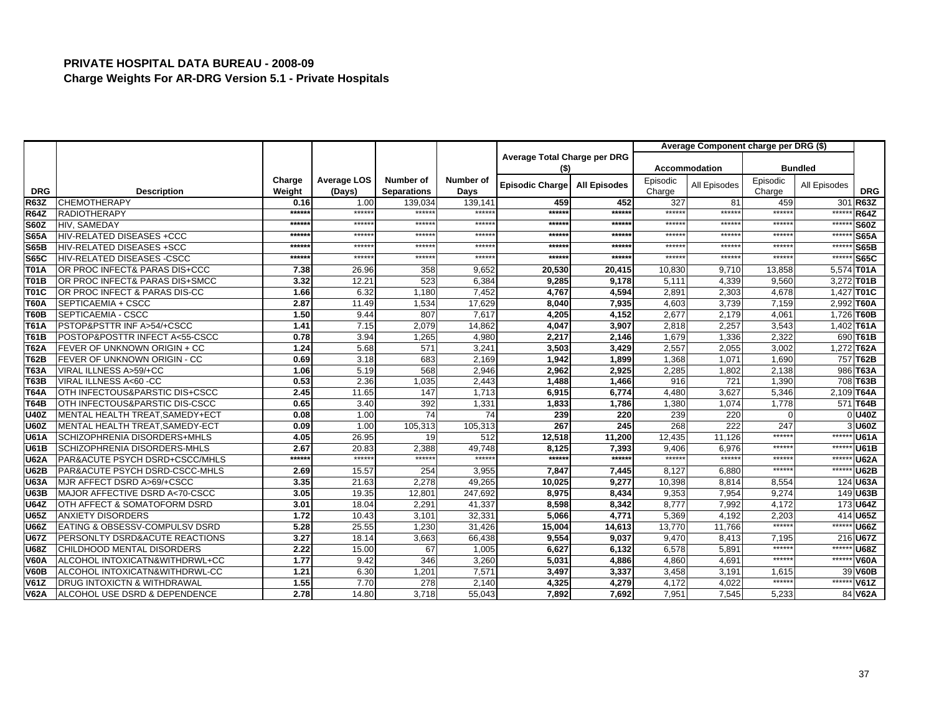|             |                                        |         |                    |                    |           |                              |                     |          | Average Component charge per DRG (\$) |          |                |             |
|-------------|----------------------------------------|---------|--------------------|--------------------|-----------|------------------------------|---------------------|----------|---------------------------------------|----------|----------------|-------------|
|             |                                        |         |                    |                    |           | Average Total Charge per DRG |                     |          |                                       |          |                |             |
|             |                                        |         |                    |                    |           | (\$)                         |                     |          | Accommodation                         |          | <b>Bundled</b> |             |
|             |                                        | Charge  | <b>Average LOS</b> | Number of          | Number of | Episodic Charge              | <b>All Episodes</b> | Episodic | All Episodes                          | Episodic | All Episodes   |             |
| <b>DRG</b>  | <b>Description</b>                     | Weight  | (Days)             | <b>Separations</b> | Days      |                              |                     | Charge   |                                       | Charge   |                | <b>DRG</b>  |
| <b>R63Z</b> | <b>CHEMOTHERAPY</b>                    | 0.16    | 1.00               | 139.034            | 139.141   | 459                          | 452                 | 327      | 81                                    | 459      | 301            | <b>R63Z</b> |
| <b>R64Z</b> | <b>RADIOTHERAPY</b>                    | ******  | ******             | ******             | $***$ *** | ******                       | ******              | ******   | $*****$                               | ******   | $*****$        | <b>R64Z</b> |
| <b>S60Z</b> | HIV, SAMEDAY                           | $*****$ | $***$ **           | $*****$            | *****     | ******                       | *****:              | $*****$  | *****                                 | ******   | ******         | <b>S60Z</b> |
| <b>S65A</b> | <b>HIV-RELATED DISEASES +CCC</b>       | *****   | $*****$            | $***$ **           | $***$ *** | ******                       | *****               | $*****$  | *****                                 | ******   | $*****$        | <b>S65A</b> |
| <b>S65B</b> | <b>HIV-RELATED DISEASES +SCC</b>       | *****   | $*****$            | $*****$            | ******    | ******                       | *****:              | ******   | $*****$                               | *****:   | $*****$        | <b>S65B</b> |
| <b>S65C</b> | <b>HIV-RELATED DISEASES -CSCC</b>      | ******  | $*****$            | *****:             | *****     | ******                       | *****               | ******   | $*****$                               | *****    | $*****$        | <b>S65C</b> |
| <b>T01A</b> | OR PROC INFECT& PARAS DIS+CCC          | 7.38    | 26.96              | 358                | 9,652     | 20,530                       | 20,415              | 10,830   | 9,710                                 | 13,858   |                | 5,574 T01A  |
| <b>T01B</b> | OR PROC INFECT& PARAS DIS+SMCC         | 3.32    | 12.21              | 523                | 6,384     | 9,285                        | 9,178               | 5,111    | 4,339                                 | 9,560    |                | 3,272 T01B  |
| T01C        | OR PROC INFECT & PARAS DIS-CC          | 1.66    | 6.32               | 1,180              | 7,452     | 4,767                        | 4,594               | 2,891    | 2,303                                 | 4.678    |                | 1,427 T01C  |
| <b>T60A</b> | SEPTICAEMIA + CSCC                     | 2.87    | 11.49              | 1,534              | 17,629    | 8,040                        | 7,935               | 4,603    | 3,739                                 | 7,159    |                | 2,992 T60A  |
| <b>T60B</b> | SEPTICAEMIA - CSCC                     | 1.50    | 9.44               | 807                | 7,617     | 4,205                        | 4,152               | 2,677    | 2,179                                 | 4,061    |                | 1.726 T60B  |
| <b>T61A</b> | PSTOP&PSTTR INF A>54/+CSCC             | 1.41    | 7.15               | 2,079              | 14,862    | 4,047                        | 3,907               | 2,818    | 2,257                                 | 3,543    |                | 1,402 T61A  |
| <b>T61B</b> | POSTOP&POSTTR INFECT A<55-CSCC         | 0.78    | 3.94               | 1,265              | 4,980     | 2,217                        | 2,146               | 1,679    | 1,336                                 | 2,322    |                | 690 T61B    |
| <b>T62A</b> | FEVER OF UNKNOWN ORIGIN + CC           | 1.24    | 5.68               | 571                | 3,241     | 3,503                        | 3,429               | 2,557    | 2,055                                 | 3.002    |                | 1,272 T62A  |
| <b>T62B</b> | FEVER OF UNKNOWN ORIGIN - CC           | 0.69    | 3.18               | 683                | 2,169     | 1,942                        | 1,899               | 1,368    | 1,071                                 | 1,690    |                | 757 T62B    |
| <b>T63A</b> | VIRAL ILLNESS A>59/+CC                 | 1.06    | 5.19               | 568                | 2,946     | 2,962                        | 2,925               | 2,285    | 1,802                                 | 2,138    |                | 986 T63A    |
| <b>T63B</b> | VIRAL ILLNESS A<60 -CC                 | 0.53    | 2.36               | 1,035              | 2,443     | 1,488                        | 1,466               | 916      | 721                                   | 1,390    |                | 708 T63B    |
| <b>T64A</b> | OTH INFECTOUS&PARSTIC DIS+CSCC         | 2.45    | 11.65              | 147                | 1,713     | 6,915                        | 6,774               | 4,480    | 3,627                                 | 5,346    |                | 2,109 T64A  |
| T64B        | OTH INFECTOUS&PARSTIC DIS-CSCC         | 0.65    | 3.40               | 392                | 1,331     | 1,833                        | 1,786               | 1,380    | 1.074                                 | 1.778    |                | 571 T64B    |
| <b>U40Z</b> | MENTAL HEALTH TREAT, SAMEDY+ECT        | 0.08    | 1.00               | 74                 | 74        | 239                          | 220                 | 239      | 220                                   | $\Omega$ |                | 0U40Z       |
| <b>U60Z</b> | MENTAL HEALTH TREAT, SAMEDY-ECT        | 0.09    | 1.00               | 105,313            | 105,313   | 267                          | 245                 | 268      | 222                                   | 247      |                | 3 U60Z      |
| <b>U61A</b> | SCHIZOPHRENIA DISORDERS+MHLS           | 4.05    | 26.95              | 19                 | 512       | 12,518                       | 11,200              | 12,435   | 11,126                                | ******   | $******$       | <b>U61A</b> |
| <b>U61B</b> | SCHIZOPHRENIA DISORDERS-MHLS           | 2.67    | 20.83              | 2,388              | 49,748    | 8,125                        | 7,393               | 9,406    | 6,976                                 | ******   | $***$ ****     | <b>U61B</b> |
| <b>U62A</b> | PAR&ACUTE PSYCH DSRD+CSCC/MHLS         | $*****$ | $*****$            | $*****$            | ******    | ******                       | ******              | ******   | $****$                                | $*****$  | ******         | <b>U62A</b> |
| <b>U62B</b> | PAR&ACUTE PSYCH DSRD-CSCC-MHLS         | 2.69    | 15.57              | 254                | 3,955     | 7,847                        | 7,445               | 8,127    | 6,880                                 | ******   | $******$       | <b>U62B</b> |
| <b>U63A</b> | MJR AFFECT DSRD A>69/+CSCC             | 3.35    | 21.63              | 2,278              | 49,265    | 10,025                       | 9,277               | 10,398   | 8,814                                 | 8,554    |                | 124 U63A    |
| <b>U63B</b> | MAJOR AFFECTIVE DSRD A<70-CSCC         | 3.05    | 19.35              | 12,801             | 247,692   | 8,975                        | 8,434               | 9,353    | 7,954                                 | 9.274    |                | 149 U63B    |
| <b>U64Z</b> | OTH AFFECT & SOMATOFORM DSRD           | 3.01    | 18.04              | 2,291              | 41,337    | 8,598                        | 8,342               | 8,777    | 7,992                                 | 4,172    |                | 173 U64Z    |
| <b>U65Z</b> | <b>ANXIETY DISORDERS</b>               | 1.72    | 10.43              | 3,101              | 32,331    | 5,066                        | 4.771               | 5,369    | 4,192                                 | 2.203    |                | 414 U65Z    |
| <b>U66Z</b> | EATING & OBSESSV-COMPULSV DSRD         | 5.28    | 25.55              | 1,230              | 31,426    | 15,004                       | 14,613              | 13,770   | 11,766                                | ******   | $*****$        | <b>U66Z</b> |
| <b>U67Z</b> | PERSONLTY DSRD&ACUTE REACTIONS         | 3.27    | 18.14              | 3,663              | 66,438    | 9,554                        | 9,037               | 9,470    | 8,413                                 | 7,195    |                | 216 U67Z    |
| <b>U68Z</b> | CHILDHOOD MENTAL DISORDERS             | 2.22    | 15.00              | 67                 | 1,005     | 6,627                        | 6,132               | 6,578    | 5,891                                 | ******   | $****$         | <b>U68Z</b> |
| <b>V60A</b> | ALCOHOL INTOXICATN&WITHDRWL+CC         | 1.77    | 9.42               | 346                | 3,260     | 5,031                        | 4,886               | 4,860    | 4,691                                 | ******   | $******$       | <b>V60A</b> |
| <b>V60B</b> | ALCOHOL INTOXICATN&WITHDRWL-CC         | 1.21    | 6.30               | 1,201              | 7,571     | 3,497                        | 3,337               | 3,458    | 3,191                                 | 1,615    | 39             | <b>V60B</b> |
| <b>V61Z</b> | <b>DRUG INTOXICTN &amp; WITHDRAWAL</b> | 1.55    | 7.70               | $\overline{278}$   | 2,140     | 4,325                        | 4,279               | 4,172    | 4,022                                 | ******   | $******$       | V61Z        |
| <b>V62A</b> | ALCOHOL USE DSRD & DEPENDENCE          | 2.78    | 14.80              | 3,718              | 55,043    | 7,892                        | 7,692               | 7,951    | 7,545                                 | 5,233    |                | 84 V62A     |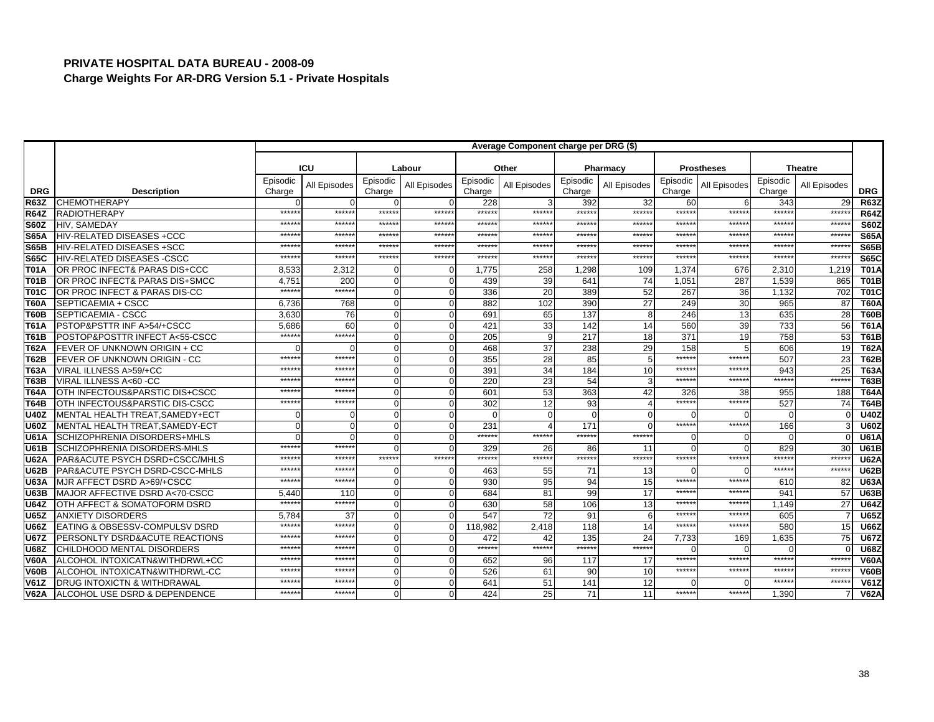|             |                                        |                    |              |                    |              |                    | Average Component charge per DRG (\$) |                    |              |                    |                   |                    |                |             |
|-------------|----------------------------------------|--------------------|--------------|--------------------|--------------|--------------------|---------------------------------------|--------------------|--------------|--------------------|-------------------|--------------------|----------------|-------------|
|             |                                        |                    |              |                    |              |                    |                                       |                    |              |                    |                   |                    |                |             |
|             |                                        |                    | <b>ICU</b>   |                    | Labour       |                    | Other                                 |                    | Pharmacy     |                    | <b>Prostheses</b> |                    | <b>Theatre</b> |             |
| <b>DRG</b>  | <b>Description</b>                     | Episodic<br>Charge | All Episodes | Episodic<br>Charge | All Episodes | Episodic<br>Charge | All Episodes                          | Episodic<br>Charge | All Episodes | Episodic<br>Charge | All Episodes      | Episodic<br>Charge | All Episodes   | <b>DRG</b>  |
| <b>R63Z</b> | <b>CHEMOTHERAPY</b>                    |                    |              | O                  |              | 228                |                                       | 392                | 32           | 60                 | 6                 | 343                | 29             | <b>R63Z</b> |
| <b>R64Z</b> | <b>RADIOTHERAPY</b>                    | $****$             | ******       | ******             | ******       | ******             | $*****$                               | ******             | ******       | ******             | $*****$           | $*****$            | ******         | <b>R64Z</b> |
| <b>S60Z</b> | HIV, SAMEDAY                           | *****              | $*****$      | *****              | ******       | $*****$            | *****                                 | *****              | ******       | ******             | *****             | *****              | $******$       | <b>S60Z</b> |
| <b>S65A</b> | HIV-RELATED DISEASES +CCC              | $****$             | *****        | $*****$            | $*****$      | $******$           | $*****$                               | $****$             | $*****$      | *****:             | $*****$           | $*****$            | *****          | <b>S65A</b> |
| <b>S65B</b> | <b>HIV-RELATED DISEASES +SCC</b>       | $****$             | *****        | *****              | *****:       | *****              | $*****$                               | $****$             | $*****$      | *****:             | *****:            | $*****$            | *****          | <b>S65B</b> |
| <b>S65C</b> | <b>HIV-RELATED DISEASES -CSCC</b>      | $****$             | $*****$      | *****              | ******       | *****              | $*****$                               | $*****$            | ******       | ******             | *****:            | *****              | ******         | <b>S65C</b> |
| T01A        | OR PROC INFECT& PARAS DIS+CCC          | 8,533              | 2,312        | n                  | $\Omega$     | 1,775              | 258                                   | 1,298              | 109          | 1,374              | 676               | 2,310              | 1,219          | <b>T01A</b> |
| <b>T01B</b> | OR PROC INFECT& PARAS DIS+SMCC         | 4.75'              | 200          | $\Omega$           | $\Omega$     | 439                | 39                                    | 641                | 74           | 1,051              | 287               | 1,539              | 865            | <b>T01B</b> |
| T01C        | OR PROC INFECT & PARAS DIS-CC          | $****$             | ******       | $\mathbf{O}$       |              | 336                | 20                                    | 389                | 52           | 267                | 36                | 1.132              | 702            | <b>T01C</b> |
| T60A        | SEPTICAEMIA + CSCC                     | 6,736              | 768          | $\Omega$           | $\Omega$     | 882                | 102                                   | 390                | 27           | 249                | 30                | 965                | 87             | <b>T60A</b> |
| T60B        | SEPTICAEMIA - CSCC                     | 3.630              | 76           | $\Omega$           |              | 691                | 65                                    | 137                | 8            | 246                | 13                | 635                | 28             | <b>T60B</b> |
| <b>T61A</b> | PSTOP&PSTTR INF A>54/+CSCC             | 5,686              | 60           | $\Omega$           | $\Omega$     | 421                | 33                                    | 142                | 14           | 560                | 39                | 733                | 56             | <b>T61A</b> |
| <b>T61B</b> | POSTOP&POSTTR INFECT A<55-CSCC         | $****$             | ******       | $\Omega$           | $\Omega$     | 205                |                                       | 217                | 18           | 371                | 19                | 758                | 53             | <b>T61B</b> |
| <b>T62A</b> | FEVER OF UNKNOWN ORIGIN + CC           |                    |              | $\mathbf{0}$       |              | 468                | 37                                    | 238                | 29           | 158                | 5                 | 606                | 19             | <b>T62A</b> |
| T62B        | FEVER OF UNKNOWN ORIGIN - CC           | $****$             | $****$       | $\Omega$           | O            | 355                | 28                                    | 85                 | 5            | ******             | ******            | 507                | 23             | <b>T62B</b> |
| <b>T63A</b> | VIRAL ILLNESS A>59/+CC                 | *****              | *****        | $\Omega$           | $\Omega$     | 391                | 34                                    | 184                | 10           | ******             | *****             | 943                | 25             | <b>T63A</b> |
| <b>T63B</b> | VIRAL ILLNESS A<60 -CC                 | *****              | *****        | $\Omega$           |              | 220                | 23                                    | 54                 | 3            | ******             | ******            | ******             | *****:         | <b>T63B</b> |
| <b>T64A</b> | OTH INFECTOUS&PARSTIC DIS+CSCC         | *****              | $****$       | $\Omega$           | $\Omega$     | 601                | 53                                    | 363                | 42           | 326                | 38                | 955                | 188            | <b>T64A</b> |
| <b>T64B</b> | OTH INFECTOUS&PARSTIC DIS-CSCC         | *****              | *****        | $\Omega$           | 0            | 302                | 12                                    | 93                 |              | *****              | *****             | 527                | 74             | <b>T64B</b> |
| <b>U40Z</b> | MENTAL HEALTH TREAT, SAMEDY+ECT        |                    | ∩            | $\Omega$           |              | $\Omega$           |                                       |                    | $\Omega$     |                    |                   |                    |                | <b>U40Z</b> |
| <b>U60Z</b> | <b>MENTAL HEALTH TREAT.SAMEDY-ECT</b>  |                    | $\Omega$     | $\Omega$           | $\Omega$     | 231                |                                       | 171                | $\Omega$     | ******             | *****:            | 166                |                | <b>U60Z</b> |
| <b>U61A</b> | SCHIZOPHRENIA DISORDERS+MHLS           |                    | ∩            | $\Omega$           |              | ******             | *****                                 | ******             | ******       | $\Omega$           |                   |                    |                | <b>U61A</b> |
| <b>U61B</b> | SCHIZOPHRENIA DISORDERS-MHLS           | $****$             | $*****$      | $\Omega$           | $\cap$       | 329                | 26                                    | 86                 | 11           | $\Omega$           |                   | 829                | 30             | <b>U61B</b> |
| <b>U62A</b> | PAR&ACUTE PSYCH DSRD+CSCC/MHLS         | *****              | $*****$      | ******             | *****:       | ******             | $*****$                               | ******             | ******       | ******             | ******            | $*****$            | $*****$        | <b>U62A</b> |
| <b>U62B</b> | PAR&ACUTE PSYCH DSRD-CSCC-MHLS         | $****$             | $****$       | 0                  | $\Omega$     | 463                | 55                                    | 71                 | 13           | ∩                  | ∩                 | *****              | ******         | <b>U62B</b> |
| <b>U63A</b> | MJR AFFECT DSRD A>69/+CSCC             | $****$             | $****$       | $\Omega$           | $\Omega$     | 930                | 95                                    | 94                 | 15           | $*****$            | $*****$           | 610                | 82             | <b>U63A</b> |
| U63B        | MAJOR AFFECTIVE DSRD A<70-CSCC         | 5.440              | 110          | $\Omega$           |              | 684                | 81                                    | 99                 | 17           | *****              | *****             | 94'                | 57             | <b>U63B</b> |
| <b>U64Z</b> | OTH AFFECT & SOMATOFORM DSRD           | $****$             | ******       | $\Omega$           | $\Omega$     | 630                | 58                                    | 106                | 13           | ******             | $*****$           | 1.149              | 27             | <b>U64Z</b> |
| <b>U65Z</b> | <b>ANXIETY DISORDERS</b>               | 5.784              | 37           | $\Omega$           |              | 547                | 72                                    | 91                 | 6            | ******             | *****             | 605                |                | <b>U65Z</b> |
| <b>U66Z</b> | EATING & OBSESSV-COMPULSV DSRD         | $****$             | ******       | $\Omega$           |              | 118,982            | 2,418                                 | 118                | 14           | *****:             | $*****$           | 580                | 15             | <b>U66Z</b> |
| <b>U67Z</b> | PERSONLTY DSRD&ACUTE REACTIONS         | $****$             | *****        | $\Omega$           |              | 472                | 42                                    | 135                | 24           | 7,733              | 169               | 1,635              | 75             | <b>U67Z</b> |
| <b>U68Z</b> | CHILDHOOD MENTAL DISORDERS             | *****              | *****        | $\Omega$           | $\Omega$     | ******             | ******                                | ******             | ******       |                    | U                 |                    |                | <b>U68Z</b> |
| <b>V60A</b> | ALCOHOL INTOXICATN&WITHDRWL+CC         | $****$             | $*****$      | $\Omega$           | $\Omega$     | 652                | 96                                    | 117                | 17           | ******             | ******            | $****$             | *****          | <b>V60A</b> |
| <b>V60B</b> | ALCOHOL INTOXICATN&WITHDRWL-CC         | *****              | $*****$      | $\Omega$           | $\Omega$     | 526                | 61                                    | 90                 | 10           | $*****$            | *****             | *****              | *****          | <b>V60B</b> |
| V61Z        | <b>DRUG INTOXICTN &amp; WITHDRAWAL</b> | *****              | *****        | $\Omega$           |              | 641                | 51                                    | 141                | 12           |                    |                   | $****$             | *****          | V61Z        |
| <b>V62A</b> | ALCOHOL USE DSRD & DEPENDENCE          | *****              | *****        | $\Omega$           | $\Omega$     | 424                | 25                                    | 71                 | 11           | ******             | ******            | 1.390              |                | <b>V62A</b> |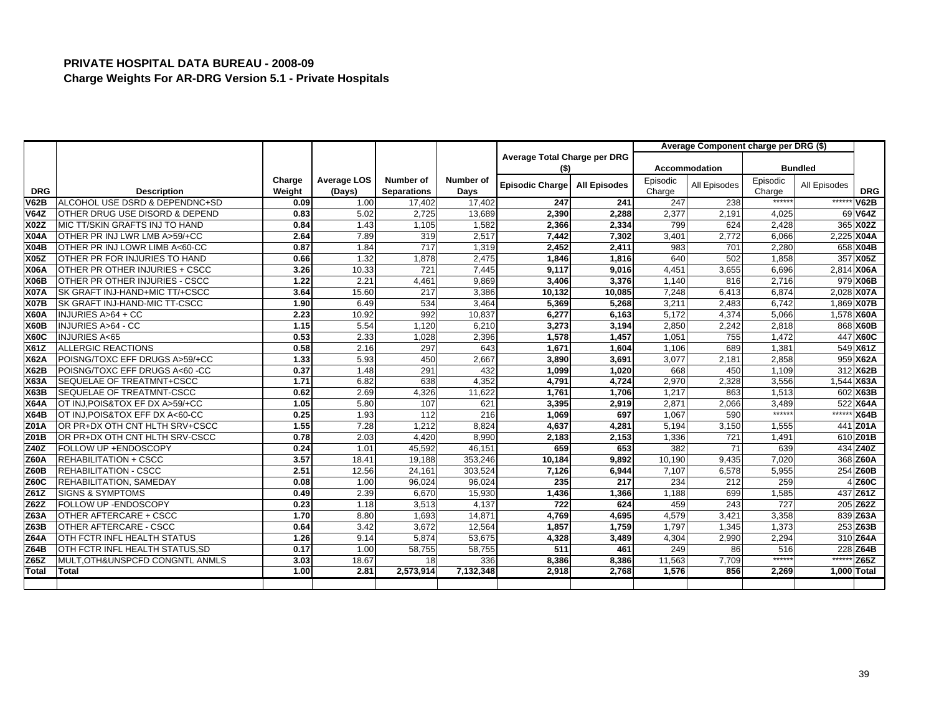|              |                                 |        |             |                    |           |                              |                     |          | Average Component charge per DRG (\$) |          |                |             |
|--------------|---------------------------------|--------|-------------|--------------------|-----------|------------------------------|---------------------|----------|---------------------------------------|----------|----------------|-------------|
|              |                                 |        |             |                    |           | Average Total Charge per DRG |                     |          |                                       |          |                |             |
|              |                                 |        |             |                    |           | (\$)                         |                     |          | <b>Accommodation</b>                  |          | <b>Bundled</b> |             |
|              |                                 | Charge | Average LOS | Number of          | Number of | <b>Episodic Charge</b>       | <b>All Episodes</b> | Episodic | All Episodes                          | Episodic | All Episodes   |             |
| <b>DRG</b>   | <b>Description</b>              | Weight | (Days)      | <b>Separations</b> | Days      |                              |                     | Charge   |                                       | Charge   |                | <b>DRG</b>  |
| <b>V62B</b>  | ALCOHOL USE DSRD & DEPENDNC+SD  | 0.09   | 1.00        | 17,402             | 17,402    | 247                          | 241                 | 247      | 238                                   | ******   | ******         | <b>V62B</b> |
| <b>V64Z</b>  | OTHER DRUG USE DISORD & DEPEND  | 0.83   | 5.02        | 2,725              | 13,689    | 2,390                        | 2,288               | 2,377    | 2,191                                 | 4,025    |                | 69 V64Z     |
| <b>X02Z</b>  | MIC TT/SKIN GRAFTS INJ TO HAND  | 0.84   | 1.43        | 1,105              | 1,582     | 2,366                        | 2,334               | 799      | 624                                   | 2.428    |                | 365 X02Z    |
| <b>X04A</b>  | OTHER PR INJ LWR LMB A>59/+CC   | 2.64   | 7.89        | 319                | 2,517     | 7,442                        | 7,302               | 3,401    | 2,772                                 | 6,066    |                | 2,225 X04A  |
| <b>X04B</b>  | OTHER PR INJ LOWR LIMB A<60-CC  | 0.87   | 1.84        | 717                | 1,319     | 2,452                        | 2,411               | 983      | 701                                   | 2,280    |                | 658 X04B    |
| <b>X05Z</b>  | OTHER PR FOR INJURIES TO HAND   | 0.66   | 1.32        | 1,878              | 2.475     | 1.846                        | 1.816               | 640      | 502                                   | 1.858    |                | 357 X05Z    |
| <b>X06A</b>  | OTHER PR OTHER INJURIES + CSCC  | 3.26   | 10.33       | $\overline{721}$   | 7,445     | 9,117                        | 9,016               | 4,451    | 3,655                                 | 6,696    |                | 2,814 X06A  |
| <b>X06B</b>  | OTHER PR OTHER INJURIES - CSCC  | 1.22   | 2.21        | 4,461              | 9,869     | 3,406                        | 3,376               | 1,140    | 816                                   | 2,716    |                | 979 X06B    |
| <b>X07A</b>  | SK GRAFT INJ-HAND+MIC TT/+CSCC  | 3.64   | 15.60       | 217                | 3,386     | 10,132                       | 10.085              | 7.248    | 6.413                                 | 6.874    |                | 2.028 X07A  |
| <b>X07B</b>  | SK GRAFT INJ-HAND-MIC TT-CSCC   | 1.90   | 6.49        | 534                | 3,464     | 5,369                        | 5,268               | 3,211    | 2,483                                 | 6,742    |                | 1,869 X07B  |
| <b>X60A</b>  | INJURIES A>64 + CC              | 2.23   | 10.92       | 992                | 10,837    | 6,277                        | 6,163               | 5,172    | 4,374                                 | 5,066    |                | 1,578 X60A  |
| <b>X60B</b>  | INJURIES A>64 - CC              | 1.15   | 5.54        | 1,120              | 6.210     | 3,273                        | 3.194               | 2,850    | 2,242                                 | 2.818    |                | 868 X60B    |
| <b>X60C</b>  | <b>INJURIES A&lt;65</b>         | 0.53   | 2.33        | 1,028              | 2,396     | 1,578                        | 1,457               | 1,051    | 755                                   | 1,472    |                | 447 X60C    |
| <b>X61Z</b>  | <b>ALLERGIC REACTIONS</b>       | 0.58   | 2.16        | 297                | 643       | 1,671                        | 1,604               | 1,106    | 689                                   | 1,381    |                | 549 X61Z    |
| <b>X62A</b>  | POISNG/TOXC EFF DRUGS A>59/+CC  | 1.33   | 5.93        | 450                | 2,667     | 3.890                        | 3.691               | 3,077    | 2,181                                 | 2,858    |                | 959 X62A    |
| <b>X62B</b>  | POISNG/TOXC EFF DRUGS A<60 -CC  | 0.37   | 1.48        | 291                | 432       | 1.099                        | 1.020               | 668      | 450                                   | 1,109    |                | 312 X62B    |
| <b>X63A</b>  | SEQUELAE OF TREATMNT+CSCC       | 1.71   | 6.82        | 638                | 4,352     | 4,791                        | 4,724               | 2,970    | 2,328                                 | 3,556    |                | 1,544 X63A  |
| <b>X63B</b>  | SEQUELAE OF TREATMNT-CSCC       | 0.62   | 2.69        | 4,326              | 11,622    | 1,761                        | 1,706               | 1,217    | 863                                   | 1,513    |                | 602 X63B    |
| <b>X64A</b>  | OT INJ, POIS&TOX EF DX A>59/+CC | 1.05   | 5.80        | 107                | 621       | 3.395                        | 2.919               | 2.871    | 2.066                                 | 3.489    |                | 522 X64A    |
| <b>X64B</b>  | OT INJ, POIS&TOX EFF DX A<60-CC | 0.25   | 1.93        | 112                | 216       | 1,069                        | 697                 | 1,067    | 590                                   | ******   | ******         | <b>X64B</b> |
| Z01A         | OR PR+DX OTH CNT HLTH SRV+CSCC  | 1.55   | 7.28        | 1,212              | 8,824     | 4,637                        | 4,281               | 5,194    | 3,150                                 | 1,555    |                | 441 Z01A    |
| <b>Z01B</b>  | OR PR+DX OTH CNT HLTH SRV-CSCC  | 0.78   | 2.03        | 4,420              | 8,990     | 2,183                        | 2,153               | 1,336    | 721                                   | 1,491    |                | 610 Z01B    |
| Z40Z         | FOLLOW UP +ENDOSCOPY            | 0.24   | 1.01        | 45,592             | 46,151    | 659                          | 653                 | 382      | 71                                    | 639      |                | 434 Z40Z    |
| <b>Z60A</b>  | <b>REHABILITATION + CSCC</b>    | 3.57   | 18.41       | 19,188             | 353,246   | 10,184                       | 9,892               | 10,190   | 9,435                                 | 7,020    |                | 368 Z60A    |
| <b>Z60B</b>  | <b>REHABILITATION - CSCC</b>    | 2.51   | 12.56       | 24,161             | 303,524   | 7,126                        | 6,944               | 7,107    | 6,578                                 | 5,955    |                | 254 Z60B    |
| <b>Z60C</b>  | REHABILITATION, SAMEDAY         | 0.08   | 1.00        | 96.024             | 96.024    | 235                          | 217                 | 234      | 212                                   | 259      |                | 4 Z60C      |
| Z61Z         | <b>SIGNS &amp; SYMPTOMS</b>     | 0.49   | 2.39        | 6,670              | 15,930    | 1,436                        | 1,366               | 1,188    | 699                                   | 1,585    |                | 437 Z61Z    |
| <b>Z62Z</b>  | FOLLOW UP - ENDOSCOPY           | 0.23   | 1.18        | 3,513              | 4,137     | 722                          | 624                 | 459      | 243                                   | 727      |                | 205 Z62Z    |
| <b>Z63A</b>  | OTHER AFTERCARE + CSCC          | 1.70   | 8.80        | 1,693              | 14,871    | 4.769                        | 4.695               | 4.579    | 3.42'                                 | 3,358    |                | 839 Z63A    |
| Z63B         | OTHER AFTERCARE - CSCC          | 0.64   | 3.42        | 3,672              | 12,564    | 1,857                        | 1,759               | 1,797    | 1,345                                 | 1,373    |                | 253 Z63B    |
| <b>Z64A</b>  | OTH FCTR INFL HEALTH STATUS     | 1.26   | 9.14        | 5.874              | 53,675    | 4,328                        | 3,489               | 4,304    | 2,990                                 | 2,294    |                | 310 Z64A    |
| <b>Z64B</b>  | OTH FCTR INFL HEALTH STATUS, SD | 0.17   | 1.00        | 58,755             | 58,755    | 511                          | 461                 | 249      | 86                                    | 516      |                | 228 Z64B    |
| Z65Z         | MULT, OTH&UNSPCFD CONGNTL ANMLS | 3.03   | 18.67       | 18                 | 336       | 8,386                        | 8,386               | 11,563   | 7,709                                 | ******   | $***$          | Z65Z        |
| <b>Total</b> | <b>Total</b>                    | 1.00   | 2.81        | 2,573,914          | 7,132,348 | 2,918                        | 2,768               | 1,576    | 856                                   | 2,269    |                | 1,000 Total |
|              |                                 |        |             |                    |           |                              |                     |          |                                       |          |                |             |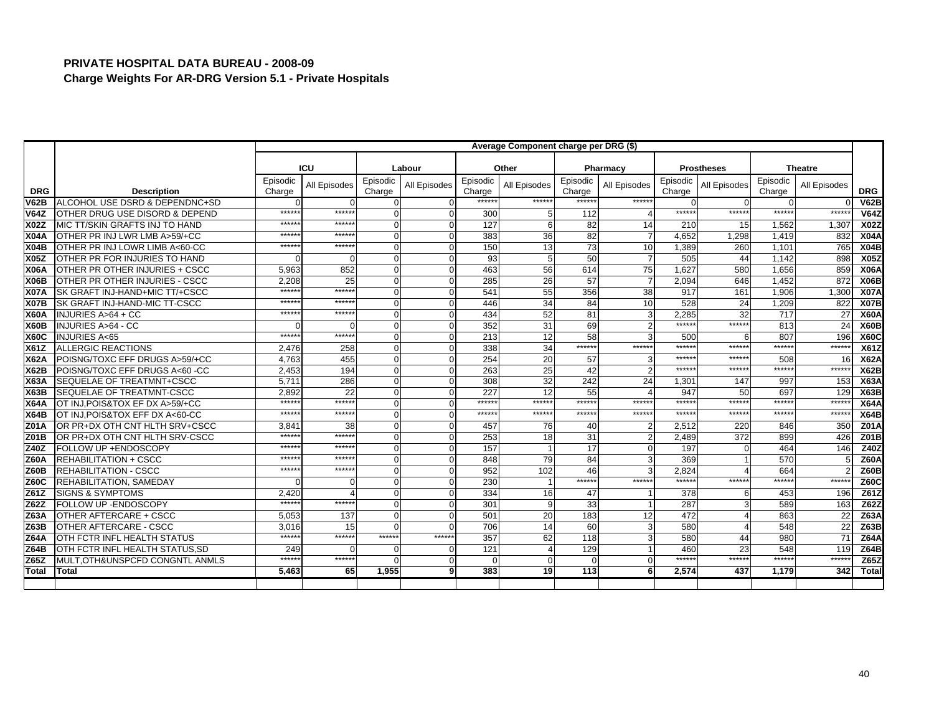| ICU<br>Labour<br>Other<br>Pharmacy<br><b>Prostheses</b><br>Episodic<br>Episodic<br>Episodic<br>Episodic<br>Episodic<br>Episodic<br>All Episodes<br>All Episodes<br>All Episodes<br>All Episodes<br>All Episodes<br><b>DRG</b><br><b>Description</b><br>Charge<br>Charge<br>Charge<br>Charge<br>Charge<br>Charge<br>******<br>******<br>******<br>ALCOHOL USE DSRD & DEPENDNC+SD<br>******<br><b>V62B</b><br>$\Omega$<br>$\Omega$<br>$\Omega$<br>$\Omega$<br>U<br>******<br>$*****$<br>******<br>******<br>$****$<br>OTHER DRUG USE DISORD & DEPEND<br><b>V64Z</b><br>300<br>112<br>$\Omega$<br>$\boldsymbol{\Delta}$<br>$\Omega$<br>$****$<br>$\overline{127}$<br>82<br>14<br><b>X02Z</b><br>MIC TT/SKIN GRAFTS INJ TO HAND<br>*****<br>1,562<br>$\Omega$<br>210<br>15<br>6<br>*****<br>******<br>383<br>82<br>4,652<br>OTHER PR INJ LWR LMB A>59/+CC<br>36<br>$\overline{7}$<br>1,298<br>1,419<br><b>X04A</b><br>$\Omega$<br>$\Omega$<br>73<br>$*****$<br>13<br>*****<br>150<br>10<br>OTHER PR INJ LOWR LIMB A<60-CC<br>1,389<br>260<br>1,101<br><b>X04B</b><br>$\Omega$<br>$\Omega$<br>50<br>93<br>505<br><b>X05Z</b><br>OTHER PR FOR INJURIES TO HAND<br>$\overline{7}$<br>44<br>1.142<br>$\overline{0}$<br>$\Omega$<br>OTHER PR OTHER INJURIES + CSCC<br>852<br>56<br>614<br>75<br>1.627<br><b>X06A</b><br>5,963<br>463<br>1,656<br>$\Omega$<br>580<br>$\Omega$<br><b>X06B</b><br>OTHER PR OTHER INJURIES - CSCC<br>26<br>57<br>$\overline{7}$<br>2,094<br>1,452<br>2.208<br>25<br>$\Omega$<br>285<br>646<br>$\Omega$<br>$*****$<br>$*****$<br>55<br>356<br>38<br><b>X07A</b><br>SK GRAFT INJ-HAND+MIC TT/+CSCC<br>$\Omega$<br>541<br>917<br>1.906<br>161<br>*****<br>34<br>******<br>84<br>10<br>528<br><b>X07B</b><br>SK GRAFT INJ-HAND-MIC TT-CSCC<br>24<br>1,209<br>$\Omega$<br>446<br>52<br>81<br>*****<br>******<br>434<br>3<br>2,285<br>32<br>717<br><b>X60A</b><br><b>INJURIES A&gt;64 + CC</b><br>$\Omega$<br>$\Omega$<br>$*****$<br>69<br>$*****$<br>352<br>31<br><b>INJURIES A&gt;64 - CC</b><br>$\overline{2}$<br>813<br><b>X60B</b><br>$\Omega$<br>$\Omega$<br>$\Omega$<br>58<br>$*****$<br>******<br>12<br>3<br><b>INJURIES A&lt;65</b><br>213<br>500<br>807<br><b>X60C</b><br>$\Omega$<br>6<br>$*****$<br>$****$<br>******<br>******<br>******<br>ALLERGIC REACTIONS<br>34<br><b>X61Z</b><br>2,476<br>258<br>338<br>$\Omega$<br>$\Omega$<br>******<br>******<br>POISNG/TOXC EFF DRUGS A>59/+CC<br>455<br>254<br>20<br><b>X62A</b><br>4.763<br>$\Omega$<br>57<br>508<br>3<br>$\Omega$<br>$****$<br>25<br>$\overline{2}$<br>******<br>*****:<br><b>X62B</b><br>POISNG/TOXC EFF DRUGS A<60 -CC<br>2,453<br>194<br>263<br>42<br>$\Omega$<br>32<br>242<br>24<br>SEQUELAE OF TREATMNT+CSCC<br>5,711<br>286<br>308<br>997<br><b>X63A</b><br>$\Omega$<br>1,301<br>147<br>$\Omega$<br>55<br>22<br>227<br>12<br>947<br>697<br><b>X63B</b><br><b>SEQUELAE OF TREATMNT-CSCC</b><br>2,892<br>50<br>$\Omega$<br>$\Delta$<br>$\Omega$<br>$****$<br>$*****$<br>$*****$<br>******<br>$****$<br>******<br>******<br>$******$<br>$******$<br>OT INJ.POIS&TOX EF DX A>59/+CC<br>$\Omega$<br><b>X64A</b><br>$\Omega$ | <b>Theatre</b><br>All Episodes<br><b>DRG</b><br><b>V62B</b><br>******<br><b>V64Z</b><br><b>X02Z</b><br>1,307<br>832 |
|--------------------------------------------------------------------------------------------------------------------------------------------------------------------------------------------------------------------------------------------------------------------------------------------------------------------------------------------------------------------------------------------------------------------------------------------------------------------------------------------------------------------------------------------------------------------------------------------------------------------------------------------------------------------------------------------------------------------------------------------------------------------------------------------------------------------------------------------------------------------------------------------------------------------------------------------------------------------------------------------------------------------------------------------------------------------------------------------------------------------------------------------------------------------------------------------------------------------------------------------------------------------------------------------------------------------------------------------------------------------------------------------------------------------------------------------------------------------------------------------------------------------------------------------------------------------------------------------------------------------------------------------------------------------------------------------------------------------------------------------------------------------------------------------------------------------------------------------------------------------------------------------------------------------------------------------------------------------------------------------------------------------------------------------------------------------------------------------------------------------------------------------------------------------------------------------------------------------------------------------------------------------------------------------------------------------------------------------------------------------------------------------------------------------------------------------------------------------------------------------------------------------------------------------------------------------------------------------------------------------------------------------------------------------------------------------------------------------------------------------------------------------------------------------------------------------------------------------------------------------------------------------------------------------------------------------------------------------------------------------------------------------------------------------------------------------------------------------------------------------|---------------------------------------------------------------------------------------------------------------------|
|                                                                                                                                                                                                                                                                                                                                                                                                                                                                                                                                                                                                                                                                                                                                                                                                                                                                                                                                                                                                                                                                                                                                                                                                                                                                                                                                                                                                                                                                                                                                                                                                                                                                                                                                                                                                                                                                                                                                                                                                                                                                                                                                                                                                                                                                                                                                                                                                                                                                                                                                                                                                                                                                                                                                                                                                                                                                                                                                                                                                                                                                                                                    |                                                                                                                     |
|                                                                                                                                                                                                                                                                                                                                                                                                                                                                                                                                                                                                                                                                                                                                                                                                                                                                                                                                                                                                                                                                                                                                                                                                                                                                                                                                                                                                                                                                                                                                                                                                                                                                                                                                                                                                                                                                                                                                                                                                                                                                                                                                                                                                                                                                                                                                                                                                                                                                                                                                                                                                                                                                                                                                                                                                                                                                                                                                                                                                                                                                                                                    |                                                                                                                     |
|                                                                                                                                                                                                                                                                                                                                                                                                                                                                                                                                                                                                                                                                                                                                                                                                                                                                                                                                                                                                                                                                                                                                                                                                                                                                                                                                                                                                                                                                                                                                                                                                                                                                                                                                                                                                                                                                                                                                                                                                                                                                                                                                                                                                                                                                                                                                                                                                                                                                                                                                                                                                                                                                                                                                                                                                                                                                                                                                                                                                                                                                                                                    |                                                                                                                     |
|                                                                                                                                                                                                                                                                                                                                                                                                                                                                                                                                                                                                                                                                                                                                                                                                                                                                                                                                                                                                                                                                                                                                                                                                                                                                                                                                                                                                                                                                                                                                                                                                                                                                                                                                                                                                                                                                                                                                                                                                                                                                                                                                                                                                                                                                                                                                                                                                                                                                                                                                                                                                                                                                                                                                                                                                                                                                                                                                                                                                                                                                                                                    |                                                                                                                     |
|                                                                                                                                                                                                                                                                                                                                                                                                                                                                                                                                                                                                                                                                                                                                                                                                                                                                                                                                                                                                                                                                                                                                                                                                                                                                                                                                                                                                                                                                                                                                                                                                                                                                                                                                                                                                                                                                                                                                                                                                                                                                                                                                                                                                                                                                                                                                                                                                                                                                                                                                                                                                                                                                                                                                                                                                                                                                                                                                                                                                                                                                                                                    |                                                                                                                     |
|                                                                                                                                                                                                                                                                                                                                                                                                                                                                                                                                                                                                                                                                                                                                                                                                                                                                                                                                                                                                                                                                                                                                                                                                                                                                                                                                                                                                                                                                                                                                                                                                                                                                                                                                                                                                                                                                                                                                                                                                                                                                                                                                                                                                                                                                                                                                                                                                                                                                                                                                                                                                                                                                                                                                                                                                                                                                                                                                                                                                                                                                                                                    |                                                                                                                     |
|                                                                                                                                                                                                                                                                                                                                                                                                                                                                                                                                                                                                                                                                                                                                                                                                                                                                                                                                                                                                                                                                                                                                                                                                                                                                                                                                                                                                                                                                                                                                                                                                                                                                                                                                                                                                                                                                                                                                                                                                                                                                                                                                                                                                                                                                                                                                                                                                                                                                                                                                                                                                                                                                                                                                                                                                                                                                                                                                                                                                                                                                                                                    | <b>X04A</b>                                                                                                         |
|                                                                                                                                                                                                                                                                                                                                                                                                                                                                                                                                                                                                                                                                                                                                                                                                                                                                                                                                                                                                                                                                                                                                                                                                                                                                                                                                                                                                                                                                                                                                                                                                                                                                                                                                                                                                                                                                                                                                                                                                                                                                                                                                                                                                                                                                                                                                                                                                                                                                                                                                                                                                                                                                                                                                                                                                                                                                                                                                                                                                                                                                                                                    | 765<br>X04B                                                                                                         |
|                                                                                                                                                                                                                                                                                                                                                                                                                                                                                                                                                                                                                                                                                                                                                                                                                                                                                                                                                                                                                                                                                                                                                                                                                                                                                                                                                                                                                                                                                                                                                                                                                                                                                                                                                                                                                                                                                                                                                                                                                                                                                                                                                                                                                                                                                                                                                                                                                                                                                                                                                                                                                                                                                                                                                                                                                                                                                                                                                                                                                                                                                                                    | <b>X05Z</b><br>898                                                                                                  |
|                                                                                                                                                                                                                                                                                                                                                                                                                                                                                                                                                                                                                                                                                                                                                                                                                                                                                                                                                                                                                                                                                                                                                                                                                                                                                                                                                                                                                                                                                                                                                                                                                                                                                                                                                                                                                                                                                                                                                                                                                                                                                                                                                                                                                                                                                                                                                                                                                                                                                                                                                                                                                                                                                                                                                                                                                                                                                                                                                                                                                                                                                                                    | 859<br><b>X06A</b>                                                                                                  |
|                                                                                                                                                                                                                                                                                                                                                                                                                                                                                                                                                                                                                                                                                                                                                                                                                                                                                                                                                                                                                                                                                                                                                                                                                                                                                                                                                                                                                                                                                                                                                                                                                                                                                                                                                                                                                                                                                                                                                                                                                                                                                                                                                                                                                                                                                                                                                                                                                                                                                                                                                                                                                                                                                                                                                                                                                                                                                                                                                                                                                                                                                                                    | 872<br>X06B                                                                                                         |
|                                                                                                                                                                                                                                                                                                                                                                                                                                                                                                                                                                                                                                                                                                                                                                                                                                                                                                                                                                                                                                                                                                                                                                                                                                                                                                                                                                                                                                                                                                                                                                                                                                                                                                                                                                                                                                                                                                                                                                                                                                                                                                                                                                                                                                                                                                                                                                                                                                                                                                                                                                                                                                                                                                                                                                                                                                                                                                                                                                                                                                                                                                                    | 1,300<br><b>X07A</b>                                                                                                |
|                                                                                                                                                                                                                                                                                                                                                                                                                                                                                                                                                                                                                                                                                                                                                                                                                                                                                                                                                                                                                                                                                                                                                                                                                                                                                                                                                                                                                                                                                                                                                                                                                                                                                                                                                                                                                                                                                                                                                                                                                                                                                                                                                                                                                                                                                                                                                                                                                                                                                                                                                                                                                                                                                                                                                                                                                                                                                                                                                                                                                                                                                                                    | 822<br><b>X07B</b>                                                                                                  |
|                                                                                                                                                                                                                                                                                                                                                                                                                                                                                                                                                                                                                                                                                                                                                                                                                                                                                                                                                                                                                                                                                                                                                                                                                                                                                                                                                                                                                                                                                                                                                                                                                                                                                                                                                                                                                                                                                                                                                                                                                                                                                                                                                                                                                                                                                                                                                                                                                                                                                                                                                                                                                                                                                                                                                                                                                                                                                                                                                                                                                                                                                                                    | X60A<br>27                                                                                                          |
|                                                                                                                                                                                                                                                                                                                                                                                                                                                                                                                                                                                                                                                                                                                                                                                                                                                                                                                                                                                                                                                                                                                                                                                                                                                                                                                                                                                                                                                                                                                                                                                                                                                                                                                                                                                                                                                                                                                                                                                                                                                                                                                                                                                                                                                                                                                                                                                                                                                                                                                                                                                                                                                                                                                                                                                                                                                                                                                                                                                                                                                                                                                    | 24<br><b>X60B</b>                                                                                                   |
|                                                                                                                                                                                                                                                                                                                                                                                                                                                                                                                                                                                                                                                                                                                                                                                                                                                                                                                                                                                                                                                                                                                                                                                                                                                                                                                                                                                                                                                                                                                                                                                                                                                                                                                                                                                                                                                                                                                                                                                                                                                                                                                                                                                                                                                                                                                                                                                                                                                                                                                                                                                                                                                                                                                                                                                                                                                                                                                                                                                                                                                                                                                    | 196<br><b>X60C</b>                                                                                                  |
|                                                                                                                                                                                                                                                                                                                                                                                                                                                                                                                                                                                                                                                                                                                                                                                                                                                                                                                                                                                                                                                                                                                                                                                                                                                                                                                                                                                                                                                                                                                                                                                                                                                                                                                                                                                                                                                                                                                                                                                                                                                                                                                                                                                                                                                                                                                                                                                                                                                                                                                                                                                                                                                                                                                                                                                                                                                                                                                                                                                                                                                                                                                    | ******<br>X61Z                                                                                                      |
|                                                                                                                                                                                                                                                                                                                                                                                                                                                                                                                                                                                                                                                                                                                                                                                                                                                                                                                                                                                                                                                                                                                                                                                                                                                                                                                                                                                                                                                                                                                                                                                                                                                                                                                                                                                                                                                                                                                                                                                                                                                                                                                                                                                                                                                                                                                                                                                                                                                                                                                                                                                                                                                                                                                                                                                                                                                                                                                                                                                                                                                                                                                    | <b>X62A</b><br>16                                                                                                   |
|                                                                                                                                                                                                                                                                                                                                                                                                                                                                                                                                                                                                                                                                                                                                                                                                                                                                                                                                                                                                                                                                                                                                                                                                                                                                                                                                                                                                                                                                                                                                                                                                                                                                                                                                                                                                                                                                                                                                                                                                                                                                                                                                                                                                                                                                                                                                                                                                                                                                                                                                                                                                                                                                                                                                                                                                                                                                                                                                                                                                                                                                                                                    | *****:<br><b>X62B</b>                                                                                               |
|                                                                                                                                                                                                                                                                                                                                                                                                                                                                                                                                                                                                                                                                                                                                                                                                                                                                                                                                                                                                                                                                                                                                                                                                                                                                                                                                                                                                                                                                                                                                                                                                                                                                                                                                                                                                                                                                                                                                                                                                                                                                                                                                                                                                                                                                                                                                                                                                                                                                                                                                                                                                                                                                                                                                                                                                                                                                                                                                                                                                                                                                                                                    | <b>X63A</b><br>153                                                                                                  |
|                                                                                                                                                                                                                                                                                                                                                                                                                                                                                                                                                                                                                                                                                                                                                                                                                                                                                                                                                                                                                                                                                                                                                                                                                                                                                                                                                                                                                                                                                                                                                                                                                                                                                                                                                                                                                                                                                                                                                                                                                                                                                                                                                                                                                                                                                                                                                                                                                                                                                                                                                                                                                                                                                                                                                                                                                                                                                                                                                                                                                                                                                                                    | <b>X63B</b><br>129                                                                                                  |
|                                                                                                                                                                                                                                                                                                                                                                                                                                                                                                                                                                                                                                                                                                                                                                                                                                                                                                                                                                                                                                                                                                                                                                                                                                                                                                                                                                                                                                                                                                                                                                                                                                                                                                                                                                                                                                                                                                                                                                                                                                                                                                                                                                                                                                                                                                                                                                                                                                                                                                                                                                                                                                                                                                                                                                                                                                                                                                                                                                                                                                                                                                                    | *****:<br><b>X64A</b>                                                                                               |
| ******<br>$*****$<br>******<br>$******$<br>$****$<br>$*****$<br>******<br>******<br>******<br>OT INJ, POIS&TOX EFF DX A<60-CC<br><b>X64B</b><br>$\Omega$<br>$\Omega$                                                                                                                                                                                                                                                                                                                                                                                                                                                                                                                                                                                                                                                                                                                                                                                                                                                                                                                                                                                                                                                                                                                                                                                                                                                                                                                                                                                                                                                                                                                                                                                                                                                                                                                                                                                                                                                                                                                                                                                                                                                                                                                                                                                                                                                                                                                                                                                                                                                                                                                                                                                                                                                                                                                                                                                                                                                                                                                                               | ******<br><b>X64B</b>                                                                                               |
| OR PR+DX OTH CNT HLTH SRV+CSCC<br><b>Z01A</b><br>3,84'<br>38<br>$\Omega$<br>457<br>76<br>40<br>$\overline{2}$<br>2,512<br>220<br>$\Omega$<br>846                                                                                                                                                                                                                                                                                                                                                                                                                                                                                                                                                                                                                                                                                                                                                                                                                                                                                                                                                                                                                                                                                                                                                                                                                                                                                                                                                                                                                                                                                                                                                                                                                                                                                                                                                                                                                                                                                                                                                                                                                                                                                                                                                                                                                                                                                                                                                                                                                                                                                                                                                                                                                                                                                                                                                                                                                                                                                                                                                                   | 350<br><b>Z01A</b>                                                                                                  |
| Z01B<br>$*****$<br>$*****$<br>OR PR+DX OTH CNT HLTH SRV-CSCC<br>253<br>18<br>31<br>$\overline{2}$<br>372<br>$\Omega$<br>2,489<br>899                                                                                                                                                                                                                                                                                                                                                                                                                                                                                                                                                                                                                                                                                                                                                                                                                                                                                                                                                                                                                                                                                                                                                                                                                                                                                                                                                                                                                                                                                                                                                                                                                                                                                                                                                                                                                                                                                                                                                                                                                                                                                                                                                                                                                                                                                                                                                                                                                                                                                                                                                                                                                                                                                                                                                                                                                                                                                                                                                                               | 426<br><b>Z01B</b>                                                                                                  |
| 17<br>Z40Z<br>157<br>*****<br>*****<br>$\mathbf{O}$<br>197<br>464<br>FOLLOW UP + ENDOSCOPY<br>$\Omega$                                                                                                                                                                                                                                                                                                                                                                                                                                                                                                                                                                                                                                                                                                                                                                                                                                                                                                                                                                                                                                                                                                                                                                                                                                                                                                                                                                                                                                                                                                                                                                                                                                                                                                                                                                                                                                                                                                                                                                                                                                                                                                                                                                                                                                                                                                                                                                                                                                                                                                                                                                                                                                                                                                                                                                                                                                                                                                                                                                                                             | Z40Z<br>146                                                                                                         |
| 84<br>*****<br>*****<br>79<br>3<br>369<br>570<br><b>REHABILITATION + CSCC</b><br>$\Omega$<br>848<br><b>Z60A</b><br>$\Omega$                                                                                                                                                                                                                                                                                                                                                                                                                                                                                                                                                                                                                                                                                                                                                                                                                                                                                                                                                                                                                                                                                                                                                                                                                                                                                                                                                                                                                                                                                                                                                                                                                                                                                                                                                                                                                                                                                                                                                                                                                                                                                                                                                                                                                                                                                                                                                                                                                                                                                                                                                                                                                                                                                                                                                                                                                                                                                                                                                                                        | <b>Z60A</b>                                                                                                         |
| $*****$<br>*****<br>46<br>952<br>102<br>2,824<br>664<br>REHABILITATION - CSCC<br>3<br><b>Z60B</b><br>$\Omega$<br>$\Omega$                                                                                                                                                                                                                                                                                                                                                                                                                                                                                                                                                                                                                                                                                                                                                                                                                                                                                                                                                                                                                                                                                                                                                                                                                                                                                                                                                                                                                                                                                                                                                                                                                                                                                                                                                                                                                                                                                                                                                                                                                                                                                                                                                                                                                                                                                                                                                                                                                                                                                                                                                                                                                                                                                                                                                                                                                                                                                                                                                                                          | <b>Z60B</b>                                                                                                         |
| $*****$<br>$****$<br>******<br>******<br>******<br><b>Z60C</b><br>REHABILITATION, SAMEDAY<br>230<br>$\Omega$<br>$\Omega$                                                                                                                                                                                                                                                                                                                                                                                                                                                                                                                                                                                                                                                                                                                                                                                                                                                                                                                                                                                                                                                                                                                                                                                                                                                                                                                                                                                                                                                                                                                                                                                                                                                                                                                                                                                                                                                                                                                                                                                                                                                                                                                                                                                                                                                                                                                                                                                                                                                                                                                                                                                                                                                                                                                                                                                                                                                                                                                                                                                           | $***$ ****<br><b>Z60C</b>                                                                                           |
| <b>SIGNS &amp; SYMPTOMS</b><br>47<br>378<br>Z61Z<br>2,420<br>334<br>16<br>$\Omega$<br>453<br>6                                                                                                                                                                                                                                                                                                                                                                                                                                                                                                                                                                                                                                                                                                                                                                                                                                                                                                                                                                                                                                                                                                                                                                                                                                                                                                                                                                                                                                                                                                                                                                                                                                                                                                                                                                                                                                                                                                                                                                                                                                                                                                                                                                                                                                                                                                                                                                                                                                                                                                                                                                                                                                                                                                                                                                                                                                                                                                                                                                                                                     | Z61Z<br>196                                                                                                         |
| $*****$<br>******<br>Z62Z<br>287<br>FOLLOW UP - ENDOSCOPY<br>301<br>33<br>$\Omega$<br>$\overline{1}$<br>589<br>$\Omega$                                                                                                                                                                                                                                                                                                                                                                                                                                                                                                                                                                                                                                                                                                                                                                                                                                                                                                                                                                                                                                                                                                                                                                                                                                                                                                                                                                                                                                                                                                                                                                                                                                                                                                                                                                                                                                                                                                                                                                                                                                                                                                                                                                                                                                                                                                                                                                                                                                                                                                                                                                                                                                                                                                                                                                                                                                                                                                                                                                                            | Z62Z<br>163                                                                                                         |
| 12<br>472<br>Z63A<br>OTHER AFTERCARE + CSCC<br>5.053<br>137<br>$\Omega$<br>501<br>20<br>183<br>863                                                                                                                                                                                                                                                                                                                                                                                                                                                                                                                                                                                                                                                                                                                                                                                                                                                                                                                                                                                                                                                                                                                                                                                                                                                                                                                                                                                                                                                                                                                                                                                                                                                                                                                                                                                                                                                                                                                                                                                                                                                                                                                                                                                                                                                                                                                                                                                                                                                                                                                                                                                                                                                                                                                                                                                                                                                                                                                                                                                                                 | Z63A<br>22                                                                                                          |
| 60<br>3<br>580<br><b>Z63B</b><br>OTHER AFTERCARE - CSCC<br>3,016<br>15<br>706<br>14<br>548<br>ŋ                                                                                                                                                                                                                                                                                                                                                                                                                                                                                                                                                                                                                                                                                                                                                                                                                                                                                                                                                                                                                                                                                                                                                                                                                                                                                                                                                                                                                                                                                                                                                                                                                                                                                                                                                                                                                                                                                                                                                                                                                                                                                                                                                                                                                                                                                                                                                                                                                                                                                                                                                                                                                                                                                                                                                                                                                                                                                                                                                                                                                    | Z63B<br>22                                                                                                          |
| $*****$<br>******<br>******<br>******<br>357<br>118<br>3<br>580<br>980<br>OTH FCTR INFL HEALTH STATUS<br>62<br>44<br><b>Z64A</b>                                                                                                                                                                                                                                                                                                                                                                                                                                                                                                                                                                                                                                                                                                                                                                                                                                                                                                                                                                                                                                                                                                                                                                                                                                                                                                                                                                                                                                                                                                                                                                                                                                                                                                                                                                                                                                                                                                                                                                                                                                                                                                                                                                                                                                                                                                                                                                                                                                                                                                                                                                                                                                                                                                                                                                                                                                                                                                                                                                                   | 71<br><b>Z64A</b>                                                                                                   |
| 129<br>121<br>460<br>23<br>548<br><b>Z64B</b><br>OTH FCTR INFL HEALTH STATUS, SD<br>249<br>$\mathbf 1$<br>$\Omega$<br>$\Omega$<br>$\Omega$                                                                                                                                                                                                                                                                                                                                                                                                                                                                                                                                                                                                                                                                                                                                                                                                                                                                                                                                                                                                                                                                                                                                                                                                                                                                                                                                                                                                                                                                                                                                                                                                                                                                                                                                                                                                                                                                                                                                                                                                                                                                                                                                                                                                                                                                                                                                                                                                                                                                                                                                                                                                                                                                                                                                                                                                                                                                                                                                                                         | 119<br><b>Z64B</b>                                                                                                  |
| $****$<br>$*****$<br>$*****$<br>******<br>$*****$<br><b>Z65Z</b><br>MULT, OTH&UNSPCFD CONGNTL ANMLS<br>$\Omega$<br>$\Omega$<br>$\Omega$<br>$\sqrt{ }$                                                                                                                                                                                                                                                                                                                                                                                                                                                                                                                                                                                                                                                                                                                                                                                                                                                                                                                                                                                                                                                                                                                                                                                                                                                                                                                                                                                                                                                                                                                                                                                                                                                                                                                                                                                                                                                                                                                                                                                                                                                                                                                                                                                                                                                                                                                                                                                                                                                                                                                                                                                                                                                                                                                                                                                                                                                                                                                                                              | ******<br>Z65Z                                                                                                      |
| 6<br>1,955<br>5,463<br>383<br>19<br>113<br>2,574<br>437<br>1.179<br>Total<br>Total<br>65<br><b>q</b>                                                                                                                                                                                                                                                                                                                                                                                                                                                                                                                                                                                                                                                                                                                                                                                                                                                                                                                                                                                                                                                                                                                                                                                                                                                                                                                                                                                                                                                                                                                                                                                                                                                                                                                                                                                                                                                                                                                                                                                                                                                                                                                                                                                                                                                                                                                                                                                                                                                                                                                                                                                                                                                                                                                                                                                                                                                                                                                                                                                                               | 342<br>Total                                                                                                        |
|                                                                                                                                                                                                                                                                                                                                                                                                                                                                                                                                                                                                                                                                                                                                                                                                                                                                                                                                                                                                                                                                                                                                                                                                                                                                                                                                                                                                                                                                                                                                                                                                                                                                                                                                                                                                                                                                                                                                                                                                                                                                                                                                                                                                                                                                                                                                                                                                                                                                                                                                                                                                                                                                                                                                                                                                                                                                                                                                                                                                                                                                                                                    |                                                                                                                     |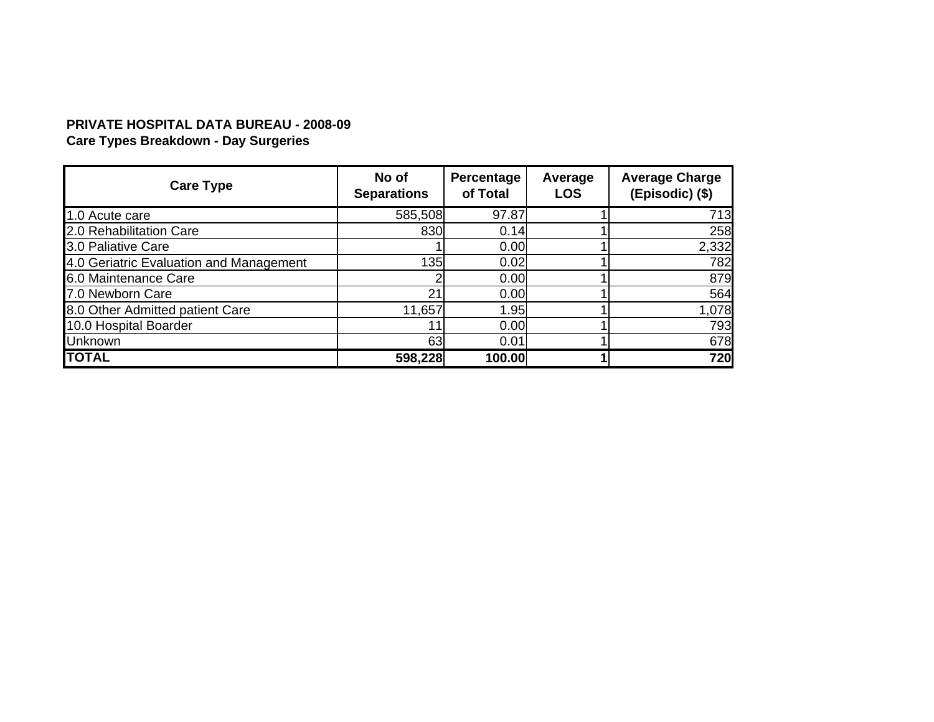# **PRIVATE HOSPITAL DATA BUREAU - 2008-09**

**Care Types Breakdown - Day Surgeries**

| <b>Care Type</b>                        | No of<br><b>Separations</b> | Percentage<br>of Total | Average<br><b>LOS</b> | <b>Average Charge</b><br>(Episodic) (\$) |
|-----------------------------------------|-----------------------------|------------------------|-----------------------|------------------------------------------|
| 1.0 Acute care                          | 585,508                     | 97.87                  |                       | 713                                      |
| 2.0 Rehabilitation Care                 | 830                         | 0.14                   |                       | 258                                      |
| 3.0 Paliative Care                      |                             | 0.00                   |                       | 2,332                                    |
| 4.0 Geriatric Evaluation and Management | 135                         | 0.02                   |                       | 782                                      |
| 6.0 Maintenance Care                    |                             | 0.00                   |                       | 879                                      |
| 7.0 Newborn Care                        | 21                          | 0.00                   |                       | 564                                      |
| 8.0 Other Admitted patient Care         | 11,657                      | 1.95                   |                       | 1,078                                    |
| 10.0 Hospital Boarder                   |                             | 0.00                   |                       | <b>793</b>                               |
| <b>Unknown</b>                          | 63                          | 0.01                   |                       | 678                                      |
| <b>TOTAL</b>                            | 598,228                     | 100.00                 |                       | 720                                      |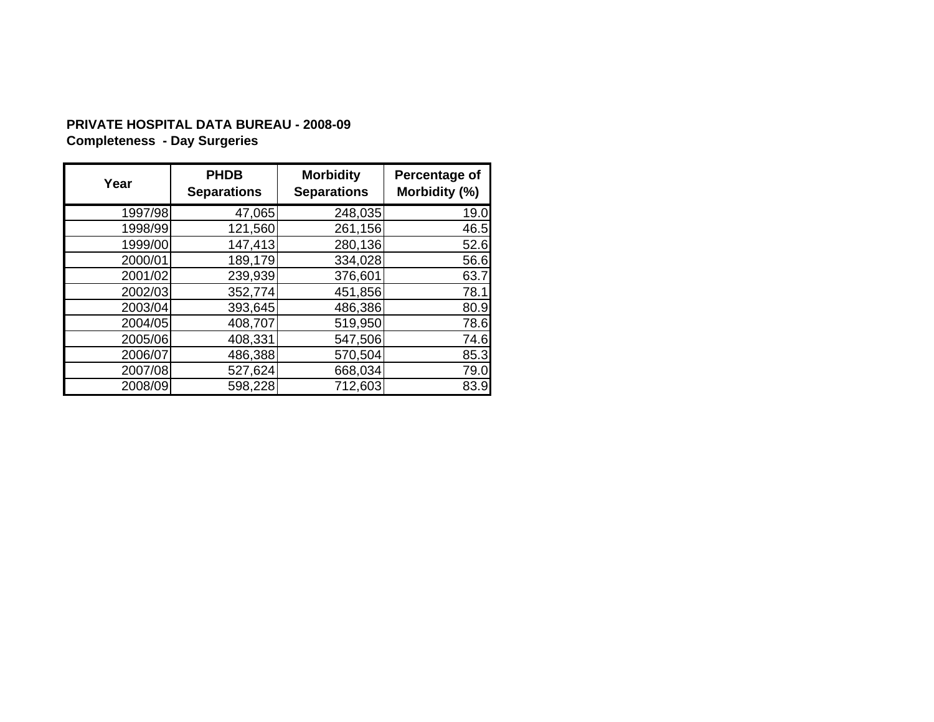# **PRIVATE HOSPITAL DATA BUREAU - 2008-09 Completeness - Day Surgeries**

| Year    | <b>PHDB</b><br><b>Separations</b> | <b>Morbidity</b><br><b>Separations</b> | Percentage of<br>Morbidity (%) |
|---------|-----------------------------------|----------------------------------------|--------------------------------|
| 1997/98 | 47,065                            | 248,035                                | 19.0                           |
| 1998/99 | 121,560                           | 261,156                                | 46.5                           |
| 1999/00 | 147,413                           | 280,136                                | 52.6                           |
| 2000/01 | 189,179                           | 334,028                                | 56.6                           |
| 2001/02 | 239,939                           | 376,601                                | 63.7                           |
| 2002/03 | 352,774                           | 451,856                                | 78.1                           |
| 2003/04 | 393,645                           | 486,386                                | 80.9                           |
| 2004/05 | 408,707                           | 519,950                                | 78.6                           |
| 2005/06 | 408,331                           | 547,506                                | 74.6                           |
| 2006/07 | 486,388                           | 570,504                                | 85.3                           |
| 2007/08 | 527,624                           | 668,034                                | 79.0                           |
| 2008/09 | 598,228                           | 712,603                                | 83.9                           |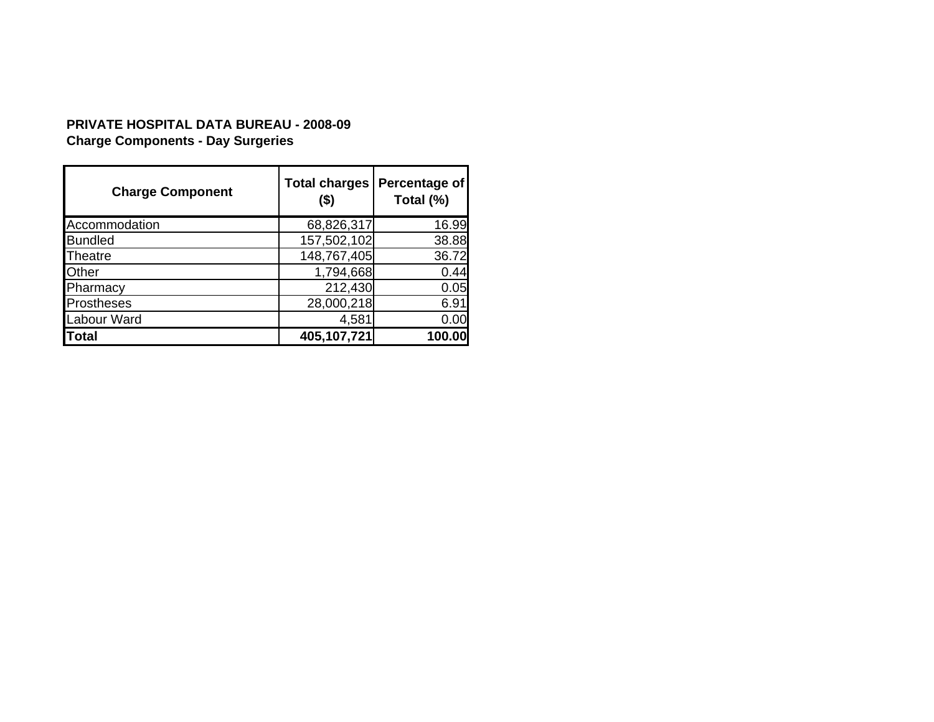# **PRIVATE HOSPITAL DATA BUREAU - 2008-09 Charge Components - Day Surgeries**

| <b>Charge Component</b> | <b>Total charges</b><br>$($ \$) | Percentage of<br>Total (%) |
|-------------------------|---------------------------------|----------------------------|
| Accommodation           | 68,826,317                      | 16.99                      |
| <b>Bundled</b>          | 157,502,102                     | 38.88                      |
| Theatre                 | 148,767,405                     | 36.72                      |
| Other                   | 1,794,668                       | 0.44                       |
| Pharmacy                | 212,430                         | 0.05                       |
| <b>Prostheses</b>       | 28,000,218                      | 6.91                       |
| Labour Ward             | 4,581                           | 0.00                       |
| Total                   | 405,107,721                     | 100.00                     |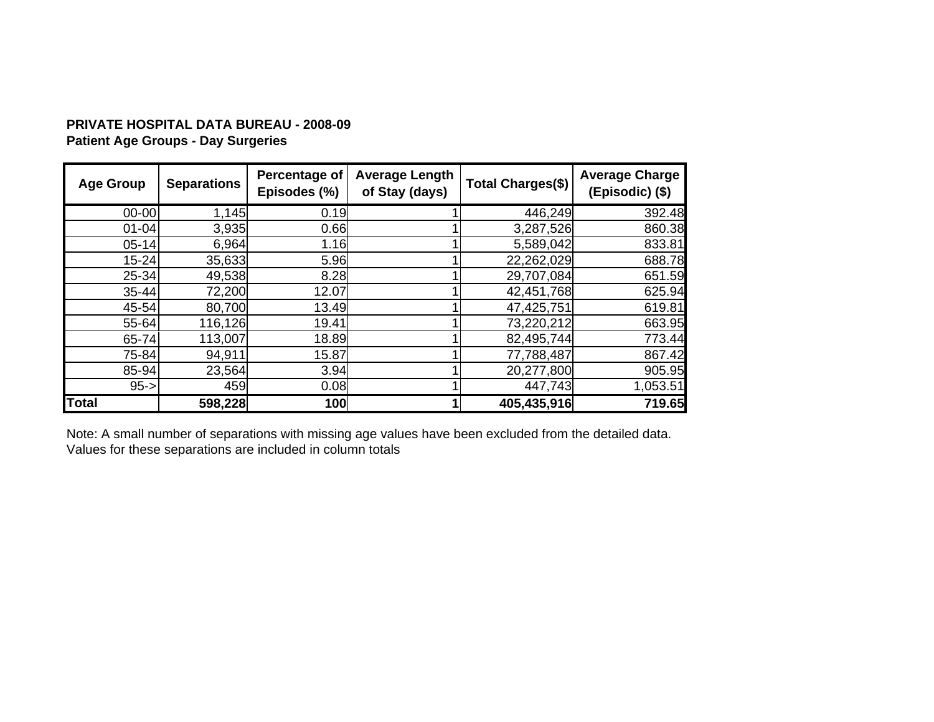## **PRIVATE HOSPITAL DATA BUREAU - 2008-09 Patient Age Groups - Day Surgeries**

| <b>Age Group</b> | <b>Separations</b> | Percentage of<br>Episodes (%) | <b>Average Length</b><br>of Stay (days) | <b>Total Charges(\$)</b> | <b>Average Charge</b><br>(Episodic) (\$) |
|------------------|--------------------|-------------------------------|-----------------------------------------|--------------------------|------------------------------------------|
| $00 - 00$        | 1,145              | 0.19                          |                                         | 446,249                  | 392.48                                   |
| $01 - 04$        | 3,935              | 0.66                          |                                         | 3,287,526                | 860.38                                   |
| $05 - 14$        | 6,964              | 1.16                          |                                         | 5,589,042                | 833.81                                   |
| $15 - 24$        | 35,633             | 5.96                          |                                         | 22,262,029               | 688.78                                   |
| $25 - 34$        | 49,538             | 8.28                          |                                         | 29,707,084               | 651.59                                   |
| $35 - 44$        | 72,200             | 12.07                         |                                         | 42,451,768               | 625.94                                   |
| 45-54            | 80,700             | 13.49                         |                                         | 47,425,751               | 619.81                                   |
| 55-64            | 116,126            | 19.41                         |                                         | 73,220,212               | 663.95                                   |
| 65-74            | 113,007            | 18.89                         |                                         | 82,495,744               | 773.44                                   |
| 75-84            | 94,911             | 15.87                         |                                         | 77,788,487               | 867.42                                   |
| 85-94            | 23,564             | 3.94                          |                                         | 20,277,800               | 905.95                                   |
| $95 - >$         | 459                | 0.08                          |                                         | 447,743                  | 1,053.51                                 |
| <b>Total</b>     | 598,228            | 100                           |                                         | 405,435,916              | 719.65                                   |

Note: A small number of separations with missing age values have been excluded from the detailed data. Values for these separations are included in column totals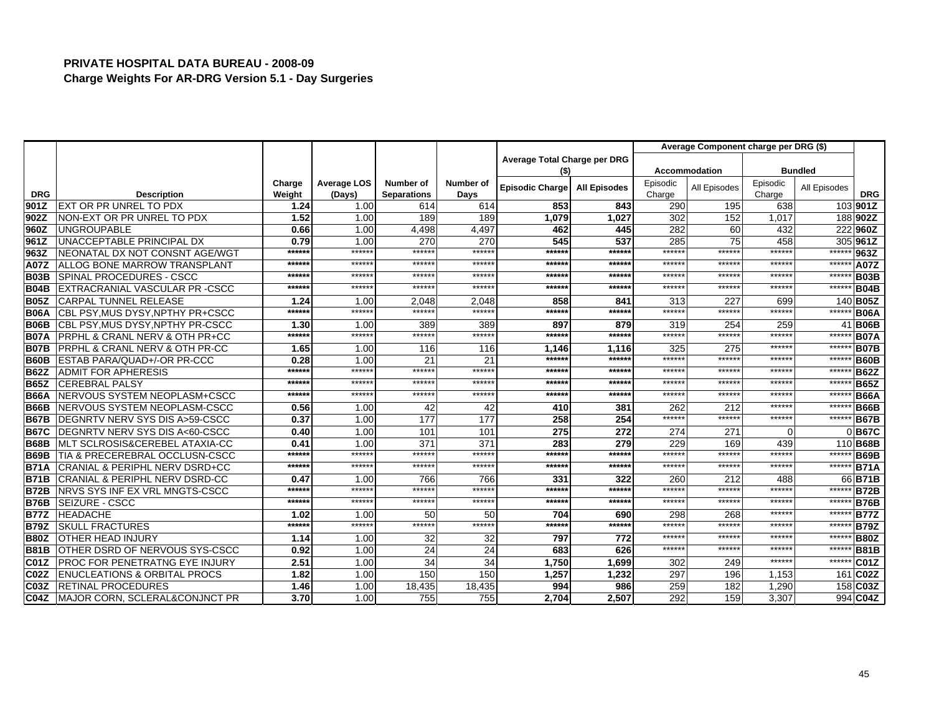|                    |                                               |                |                    |                           |             |                              |                     |               | Average Component charge per DRG (\$) |               |                |                        |
|--------------------|-----------------------------------------------|----------------|--------------------|---------------------------|-------------|------------------------------|---------------------|---------------|---------------------------------------|---------------|----------------|------------------------|
|                    |                                               |                |                    |                           |             | Average Total Charge per DRG |                     |               |                                       |               |                |                        |
|                    |                                               |                |                    |                           |             | (\$)                         |                     |               | <b>Accommodation</b>                  |               | <b>Bundled</b> |                        |
|                    |                                               | Charge         | <b>Average LOS</b> | Number of                 | Number of   | <b>Episodic Charge</b>       | <b>All Episodes</b> | Episodic      | All Episodes                          | Episodic      | All Episodes   |                        |
| <b>DRG</b><br>901Z | <b>Description</b><br>EXT OR PR UNREL TO PDX  | Weight<br>1.24 | (Days)<br>1.00     | <b>Separations</b><br>614 | Days<br>614 | 853                          | 843                 | Charge<br>290 | 195                                   | Charge<br>638 |                | <b>DRG</b><br>103 901Z |
| 902Z               | NON-EXT OR PR UNREL TO PDX                    | 1.52           | 1.00               | 189                       | 189         | 1,079                        | 1,027               | 302           | 152                                   | 1,017         |                | 188 902Z               |
| 960Z               | <b>UNGROUPABLE</b>                            | 0.66           | 1.00               | 4,498                     | 4,497       | 462                          | 445                 | 282           | 60                                    | 432           |                | 222960Z                |
| 961Z               | UNACCEPTABLE PRINCIPAL DX                     | 0.79           | 1.00               | 270                       | 270         | 545                          | 537                 | 285           | 75                                    | 458           |                | 305 961Z               |
| 963Z               | INEONATAL DX NOT CONSNT AGE/WGT               | ******         | ******             | ******                    | ******      | ******                       | ******              | ******        | *****:                                | ******        | *****          | 963Z                   |
| A07Z               | <b>ALLOG BONE MARROW TRANSPLANT</b>           | ******         | ******             | ******                    | ******      | ******                       | *****:              | ******        | *****                                 | ******        | ******         | <b>A07Z</b>            |
| <b>B03B</b>        | SPINAL PROCEDURES - CSCC                      | $*****$        | *****:             | *****                     | ******      | $*****$                      | *****:              | ******        | *****                                 | ******        | ******         | <b>B03B</b>            |
| <b>B04B</b>        | <b>IEXTRACRANIAL VASCULAR PR -CSCC</b>        | ******         | ******             | ******                    | ******      | ******                       | *****               | ******        | *****                                 | ******        | *****          | <b>B04B</b>            |
| <b>B05Z</b>        | <b>CARPAL TUNNEL RELEASE</b>                  | 1.24           | 1.00               | 2.048                     | 2.048       | 858                          | 841                 | 313           | 227                                   | 699           |                | 140 <b>B05Z</b>        |
| <b>B06A</b>        | CBL PSY, MUS DYSY, NPTHY PR+CSCC              | ******         | ******             | ******                    | ******      | ******                       | ******              | ******        | *****:                                | ******        | $***$          | <b>B06A</b>            |
| <b>B06B</b>        | CBL PSY, MUS DYSY, NPTHY PR-CSCC              | 1.30           | 1.00               | 389                       | 389         | 897                          | 879                 | 319           | 254                                   | 259           |                | 41 B06B                |
| <b>B07A</b>        | <b>PRPHL &amp; CRANL NERV &amp; OTH PR+CC</b> | ******         | ******             | ******                    | ******      | ******                       | *****:              | ******        | *****                                 | ******        | *****          | <b>B07A</b>            |
| <b>B07B</b>        | PRPHL & CRANL NERV & OTH PR-CC                | 1.65           | 1.00               | 116                       | 116         | 1,146                        | 1,116               | 325           | 275                                   | ******        | ******         | <b>B07B</b>            |
| <b>B60B</b>        | <b>ESTAB PARA/QUAD+/-OR PR-CCC</b>            | 0.28           | 1.00               | 21                        | 21          | ******                       | *****:              | ******        | *****                                 | ******        | ******         | <b>B60B</b>            |
| <b>B62Z</b>        | <b>ADMIT FOR APHERESIS</b>                    | ******         | ******             | ******                    | ******      | ******                       | ******              | ******        | *****                                 | ******        | ******         | <b>B62Z</b>            |
| <b>B65Z</b>        | <b>CEREBRAL PALSY</b>                         | ******         | ******             | ******                    | ******      | ******                       | ******              | ******        | *****                                 | ******        | ******         | <b>B65Z</b>            |
| <b>B66A</b>        | NERVOUS SYSTEM NEOPLASM+CSCC                  | ******         | $*****$            | *****                     | ******      | ******                       | *****:              | ******        | *****                                 | *****:        | *****          | <b>B66A</b>            |
| <b>B66B</b>        | NERVOUS SYSTEM NEOPLASM-CSCC                  | 0.56           | 1.00               | 42                        | 42          | 410                          | 381                 | 262           | 212                                   | ******        | $*****$        | <b>B66B</b>            |
| <b>B67B</b>        | DEGNRTV NERV SYS DIS A>59-CSCC                | 0.37           | 1.00               | 177                       | 177         | 258                          | 254                 | ******        | *****                                 | ******        | *****          | <b>B67B</b>            |
| <b>B67C</b>        | DEGNRTV NERV SYS DIS A<60-CSCC                | 0.40           | 1.00               | 101                       | 101         | 275                          | 272                 | 274           | 271                                   | $\Omega$      |                | 0B67C                  |
| <b>B68B</b>        | IMLT SCLROSIS&CEREBEL ATAXIA-CC               | 0.41           | 1.00               | 371                       | 371         | 283                          | 279                 | 229           | 169                                   | 439           |                | 110 <b>B68B</b>        |
| <b>B69B</b>        | TIA & PRECEREBRAL OCCLUSN-CSCC                | $*****$        | ******             | *****                     | ******      | ******                       | ******              | ******        | *****                                 | ******        | *****          | <b>B69B</b>            |
| <b>B71A</b>        | <b>CRANIAL &amp; PERIPHL NERV DSRD+CC</b>     | ******         | *****:             | ******                    | ******      | ******                       | *****               | ******        | *****                                 | ******        | *****          | <b>B71A</b>            |
| <b>B71B</b>        | <b>CRANIAL &amp; PERIPHL NERV DSRD-CC</b>     | 0.47           | 1.00               | 766                       | 766         | 331                          | 322                 | 260           | 212                                   | 488           |                | 66 B71B                |
| <b>B72B</b>        | NRVS SYS INF EX VRL MNGTS-CSCC                | ******         | ******             | ******                    | ******      | ******                       | ******              | ******        | *****                                 | ******        | $*****$        | <b>B72B</b>            |
| <b>B76B</b>        | <b>SEIZURE - CSCC</b>                         | ******         | ******             | ******                    | ******      | ******                       | ******              | ******        | *****                                 | ******        | ******         | <b>B76B</b>            |
| <b>B77Z</b>        | <b>HEADACHE</b>                               | 1.02           | 1.00               | 50                        | 50          | 704                          | 690                 | 298           | 268                                   | ******        | $******$       | <b>B77Z</b>            |
| <b>B79Z</b>        | <b>SKULL FRACTURES</b>                        | ******         | ******             | ******                    | ******      | ******                       | *****:              | ******        | *****                                 | ******        | ******         | <b>B79Z</b>            |
| <b>B80Z</b>        | <b>OTHER HEAD INJURY</b>                      | 1.14           | 1.00               | 32                        | 32          | 797                          | 772                 | ******        | *****                                 | ******        | ******         | <b>B80Z</b>            |
| <b>B81B</b>        | <b>I</b> OTHER DSRD OF NERVOUS SYS-CSCC       | 0.92           | 1.00               | 24                        | 24          | 683                          | 626                 | ******        | ******                                | ******        | *****          | <b>B81B</b>            |
| <b>C01Z</b>        | <b>PROC FOR PENETRATNG EYE INJURY</b>         | 2.51           | 1.00               | 34                        | 34          | 1,750                        | 1,699               | 302           | 249                                   | ******        | $*****$        | <b>C01Z</b>            |
| <b>C02Z</b>        | <b>IENUCLEATIONS &amp; ORBITAL PROCS</b>      | 1.82           | 1.00               | 150                       | 150         | 1,257                        | 1,232               | 297           | 196                                   | 1,153         |                | 161 C02Z               |
| C03Z               | <b>RETINAL PROCEDURES</b>                     | 1.46           | 1.00               | 18,435                    | 18,435      | 994                          | 986                 | 259           | 182                                   | 1,290         |                | 158 C03Z               |
| <b>C04Z</b>        | MAJOR CORN, SCLERAL&CONJNCT PR                | 3.70           | 1.00               | 755                       | 755         | 2.704                        | 2.507               | 292           | 159                                   | 3,307         |                | 994 C04Z               |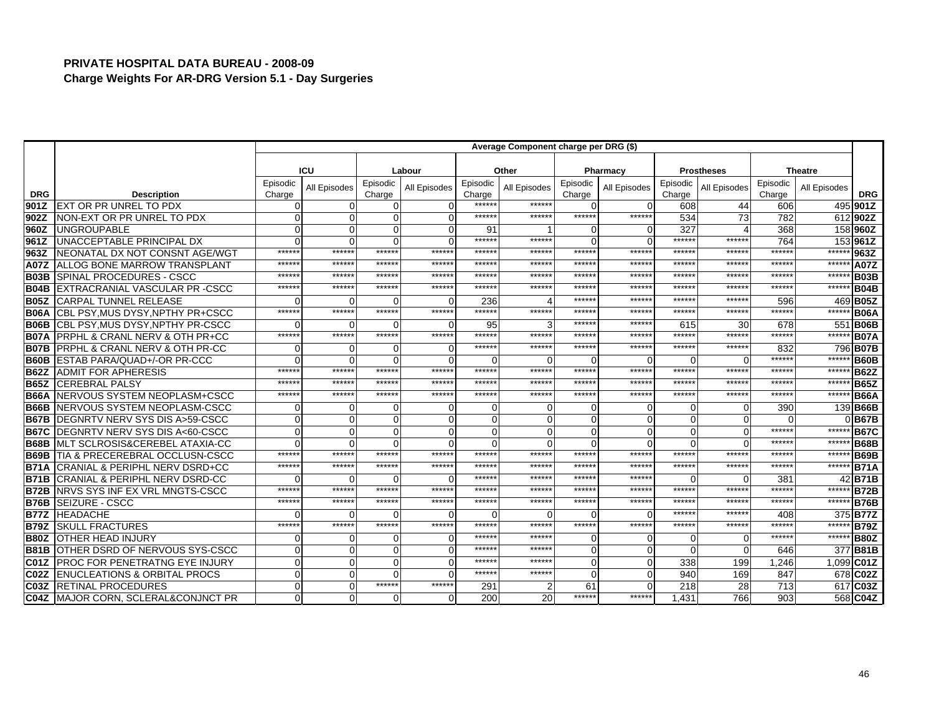|                   |                                               | Average Component charge per DRG (\$) |              |                    |              |                    |              |                    |                |                    |                   |                    |                |             |
|-------------------|-----------------------------------------------|---------------------------------------|--------------|--------------------|--------------|--------------------|--------------|--------------------|----------------|--------------------|-------------------|--------------------|----------------|-------------|
|                   |                                               |                                       |              |                    |              |                    |              |                    |                |                    |                   |                    |                |             |
|                   |                                               |                                       | ICU          |                    | Labour       |                    | Other        |                    | Pharmacy       |                    | <b>Prostheses</b> |                    | <b>Theatre</b> |             |
| <b>DRG</b>        | <b>Description</b>                            | Episodic<br>Charge                    | All Episodes | Episodic<br>Charge | All Episodes | Episodic<br>Charge | All Episodes | Episodic<br>Charge | All Episodes   | Episodic<br>Charge | All Episodes      | Episodic<br>Charge | All Episodes   | <b>DRG</b>  |
| 901Z              | <b>EXT OR PR UNREL TO PDX</b>                 |                                       | 0            | $\Omega$           |              | ******             | ******       | $\Omega$           | $\mathbf 0$    | 608                | 44                | 606                |                | 495 901Z    |
| 902Z              | NON-EXT OR PR UNREL TO PDX                    |                                       | $\Omega$     | $\Omega$           |              | ******             | $****$       | ******             | ******         | 534                | 73                | 782                |                | 612902Z     |
| 960Z              | <b>UNGROUPABLE</b>                            |                                       | $\Omega$     | $\Omega$           |              | 91                 |              | $\Omega$           | $\overline{0}$ | 327                | Δ                 | 368                |                | 158 960Z    |
| 961Z              | UNACCEPTABLE PRINCIPAL DX                     |                                       | $\Omega$     | $\Omega$           |              | ******             | *****        | $\Omega$           | $\Omega$       | ******             | ******            | 764                |                | 153 961Z    |
| 963Z              | NEONATAL DX NOT CONSNT AGE/WGT                | *****                                 | ******       | ******             | ******       | ******             | *****        | ******             | ******         | ******             | *****:            | ******             | ******         | 963Z        |
| <b>A07Z</b>       | <b>ALLOG BONE MARROW TRANSPLANT</b>           | *****                                 | ******       | ******             | ******       | ******             | *****        | ******             | ******         | ******             | ******            | ******             | ******         | A07Z        |
| B03B              | <b>ISPINAL PROCEDURES - CSCC</b>              | *****                                 | ******       | ******             | ******       | ******             | *****        | ******             | ******         | ******             | *****             | ******             | ******         | <b>B03B</b> |
| <b>B04B</b>       | EXTRACRANIAL VASCULAR PR - CSCC               | *****                                 | ******       | *****:             | ******       | *****              | *****        | ******             | ******         | $*****$            | *****             | *****              | ******         | <b>B04B</b> |
| <b>B05Z</b>       | <b>CARPAL TUNNEL RELEASE</b>                  |                                       | ∩            | $\Omega$           | ∩            | 236                |              | ******             | ******         | ******             | *****             | 596                |                | 469 B05Z    |
| <b>B06A</b>       | CBL PSY, MUS DYSY, NPTHY PR+CSCC              | $****$                                | ******       | ******             | ******       | ******             | *****        | ******             | ******         | $*****$            | *****:            | *****:             | ******         | <b>B06A</b> |
| <b>B06B</b>       | CBL PSY, MUS DYSY, NPTHY PR-CSCC              |                                       | $\Omega$     | $\Omega$           | $\Omega$     | 95                 |              | ******             | ******         | 615                | 30                | 678                |                | 551 B06B    |
| <b>B07A</b>       | <b>PRPHL &amp; CRANL NERV &amp; OTH PR+CC</b> | $*****$                               | ******       | ******             | ******       | ******             | $****$       | ******             | ******         | ******             | ******            | *****:             | ******         | <b>B07A</b> |
| <b>B07B</b>       | <b>PRPHL &amp; CRANL NERV &amp; OTH PR-CC</b> |                                       | $\Omega$     | $\Omega$           | U            | ******             | $****$       | *****:             | ******         | ******             | ******            | 832                |                | 796 B07B    |
| <b>B60B</b>       | <b>ESTAB PARA/QUAD+/-OR PR-CCC</b>            |                                       | $\Omega$     | $\Omega$           |              | 0                  |              | $\Omega$           | $\Omega$       | ∩                  |                   | $*****$            | ******         | <b>B60B</b> |
| <b>B62Z</b>       | <b>ADMIT FOR APHERESIS</b>                    | *****                                 | ******       | ******             | ******       | ******             | *****        | ******             | ******         | ******             | ******            | ******             | ******         | <b>B62Z</b> |
| <b>B65Z</b>       | <b>CEREBRAL PALSY</b>                         | *****                                 | ******       | ******             | ******       | ******             | *****        | ******             | ******         | ******             | *****:            | *****:             | ******         | <b>B65Z</b> |
| <b>B66A</b>       | NERVOUS SYSTEM NEOPLASM+CSCC                  | *****                                 | ******       | ******             | ******       | ******             | ******       | ******             | ******         | ******             | *****:            | ******             | ******         | <b>B66A</b> |
| <b>B66B</b>       | NERVOUS SYSTEM NEOPLASM-CSCC                  |                                       | O            | $\Omega$           |              |                    |              | $\Omega$           | 0              | ∩                  |                   | 390                |                | 139 B66B    |
| <b>B67B</b>       | DEGNRTV NERV SYS DIS A>59-CSCC                |                                       | $\Omega$     | $\Omega$           |              | 0                  |              | $\Omega$           | $\mathbf 0$    | $\Omega$           |                   |                    |                | $0$ B67B    |
| <b>B67C</b>       | DEGNRTV NERV SYS DIS A<60-CSCC                |                                       | $\Omega$     | $\Omega$           |              | 0                  |              | $\Omega$           | $\Omega$       | $\Omega$           |                   | ******             | ******         | <b>B67C</b> |
| <b>B68B</b>       | <b>I</b> MLT SCLROSIS&CEREBEL ATAXIA-CC       |                                       | $\Omega$     | $\Omega$           |              | 0                  |              | $\Omega$           | $\Omega$       | $\Omega$           |                   | ******             | ******         | <b>B68B</b> |
| <b>B69B</b>       | TIA & PRECEREBRAL OCCLUSN-CSCC                | *****                                 | ******       | ******             | ******       | ******             | *****        | ******             | ******         | ******             | ******            | $*****$            | ******         | <b>B69B</b> |
| <b>B71A</b>       | <b>CRANIAL &amp; PERIPHL NERV DSRD+CC</b>     | *****                                 | *****        | ******             | ******       | *****              | *****        | *****              | ******         | ******             | *****:            | *****              | ******         | <b>B71A</b> |
| <b>B71B</b>       | CRANIAL & PERIPHL NERV DSRD-CC                |                                       |              | ∩                  |              | *****              | *****        | *****              | ******         | ∩                  |                   | 381                |                | 42 B71B     |
| <b>B72B</b>       | <b>INRVS SYS INF EX VRL MNGTS-CSCC</b>        | *****                                 | ******       | ******             | ******       | *****              | *****        | *****              | ******         | ******             | *****             | $*****$            | *****          | <b>B72B</b> |
| <b>B76B</b>       | <b>SEIZURE - CSCC</b>                         | *****                                 | ******       | ******             | ******       | ******             | *****        | ******             | ******         | ******             | *****:            | ******             | ******         | <b>B76B</b> |
| <b>B77Z</b>       | <b>HEADACHE</b>                               |                                       | $\Omega$     | ∩                  |              | O                  |              | $\Omega$           | $\Omega$       | ******             | *****             | 408                |                | 375 B77Z    |
| <b>B79Z</b>       | <b>SKULL FRACTURES</b>                        | $****$                                | ******       | ******             | ******       | ******             | *****        | ******             | ******         | ******             | *****:            | ******             | ******         | <b>B79Z</b> |
| <b>B80Z</b>       | <b>OTHER HEAD INJURY</b>                      |                                       | 0            | $\Omega$           | ∩            | *****              | $****$       | $\Omega$           | 0              | $\Omega$           | O                 | *****              | ******         | <b>B80Z</b> |
| <b>B81B</b>       | OTHER DSRD OF NERVOUS SYS-CSCC                |                                       | $\Omega$     | $\Omega$           |              | *****              | *****        | $\Omega$           | $\mathbf 0$    | $\Omega$           | $\Omega$          | 646                |                | 377 B81B    |
| <b>C01Z</b>       | <b>PROC FOR PENETRATNG EYE INJURY</b>         |                                       | $\Omega$     | $\mathbf 0$        | U            | ******             | *****        | $\mathbf 0$        | $\mathbf 0$    | 338                | 199               | 1.246              |                | 1.099 C01Z  |
| C <sub>02</sub> Z | <b>IENUCLEATIONS &amp; ORBITAL PROCS</b>      |                                       | $\Omega$     | $\Omega$           | U            | ******             | ******       | $\Omega$           | $\overline{0}$ | 940                | 169               | 847                |                | 678 C02Z    |
| C <sub>03</sub> Z | <b>RETINAL PROCEDURES</b>                     | $\cap$                                | $\Omega$     | ******             | ******       | 291                |              | 61                 | $\Omega$       | 218                | 28                | 713                |                | 617 C03Z    |
| <b>C04Z</b>       | MAJOR CORN, SCLERAL&CONJNCT PR                |                                       | $\mathbf 0$  | $\Omega$           | $\Omega$     | 200                | 20           | ******             | ******         | 1,431              | 766               | 903                |                | 568 C04Z    |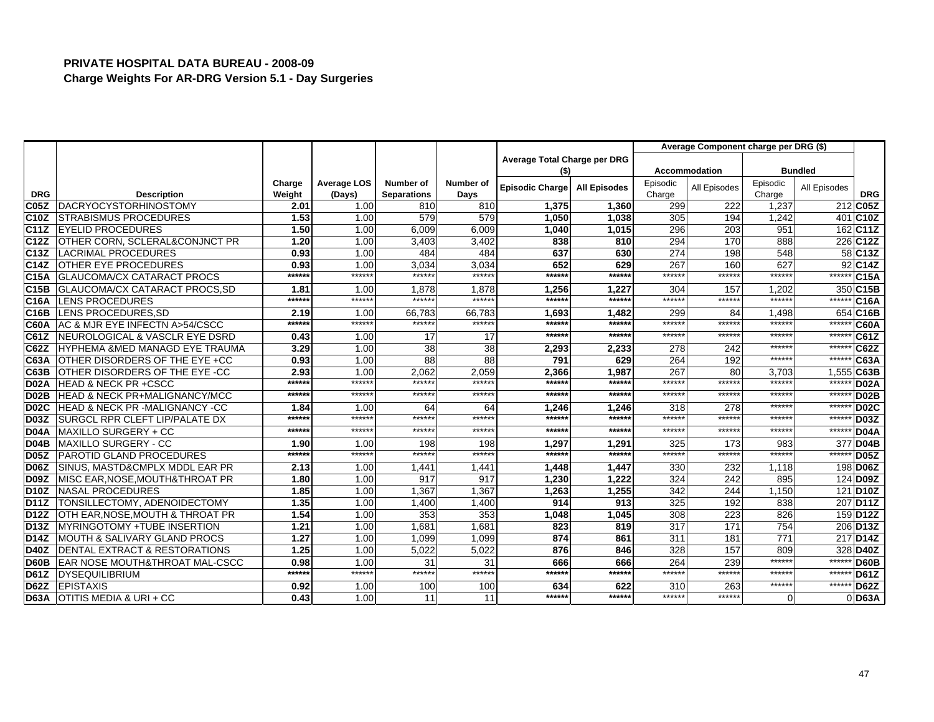|                   |                                                       |              |                    |                    |                  |                              |                     |            | Average Component charge per DRG (\$) |                  |                |                       |
|-------------------|-------------------------------------------------------|--------------|--------------------|--------------------|------------------|------------------------------|---------------------|------------|---------------------------------------|------------------|----------------|-----------------------|
|                   |                                                       |              |                    |                    |                  | Average Total Charge per DRG |                     |            |                                       |                  |                |                       |
|                   |                                                       |              |                    |                    |                  | (\$)                         |                     |            | <b>Accommodation</b>                  |                  | <b>Bundled</b> |                       |
|                   |                                                       | Charge       | <b>Average LOS</b> | <b>Number of</b>   | <b>Number of</b> | <b>Episodic Charge</b>       | <b>All Episodes</b> | Episodic   | All Episodes                          | Episodic         | All Episodes   |                       |
| <b>DRG</b>        | <b>Description</b>                                    | Weight       | (Days)             | <b>Separations</b> | Days             |                              |                     | Charge     |                                       | Charge           |                | <b>DRG</b>            |
| <b>C05Z</b>       | DACRYOCYSTORHINOSTOMY<br><b>STRABISMUS PROCEDURES</b> | 2.01         | 1.00               | 810<br>579         | 810<br>579       | 1,375                        | 1,360               | 299        | 222                                   | 1,237            |                | 212 C05Z              |
| C10Z<br>C11Z      | <b>EYELID PROCEDURES</b>                              | 1.53<br>1.50 | 1.00               |                    | 6.009            | 1,050                        | 1,038               | 305        | 194<br>203                            | 1,242<br>951     |                | 401 C10Z<br>162 C11Z  |
| C12Z              | OTHER CORN, SCLERAL&CONJNCT PR                        | 1.20         | 1.00<br>1.00       | 6.009              | 3,402            | 1,040<br>838                 | 1,015<br>810        | 296<br>294 | 170                                   | 888              |                | 226 C12Z              |
| C13Z              | <b>LACRIMAL PROCEDURES</b>                            | 0.93         | 1.00               | 3,403<br>484       | 484              | 637                          | 630                 | 274        | 198                                   | 548              |                | 58 C13Z               |
| C14Z              | OTHER EYE PROCEDURES                                  | 0.93         | 1.00               |                    | 3,034            | 652                          | 629                 | 267        | 160                                   | 627              |                | 92 C14Z               |
| C15A              | <b>GLAUCOMA/CX CATARACT PROCS</b>                     | ******       | ******             | 3,034<br>******    | ******           | ******                       | ******              | ******     | *****                                 | ******           | *****          | C <sub>15A</sub>      |
| <b>C15B</b>       | GLAUCOMA/CX CATARACT PROCS, SD                        | 1.81         | 1.00               | 1,878              | 1,878            | 1,256                        | 1,227               | 304        | 157                                   | 1,202            |                | 350 C15B              |
| <b>C16A</b>       | <b>LENS PROCEDURES</b>                                | ******       | ******             | ******             | ******           | ******                       | ******              | ******     | *****:                                | ******           | *****          | C16A                  |
| C16B              | LENS PROCEDURES, SD                                   | 2.19         | 1.00               | 66,783             | 66,783           | 1,693                        | 1,482               | 299        | 84                                    | 1,498            |                | 654 C16B              |
| <b>C60A</b>       | AC & MJR EYE INFECTN A>54/CSCC                        | ******       | ******             | ******             | ******           | ******                       | ******              | ******     | *****                                 | ******           | $***$ **       | <b>C60A</b>           |
| C61Z              | NEUROLOGICAL & VASCLR EYE DSRD                        | 0.43         | 1.00               | 17                 | 17               | ******                       | *****:              | ******     | *****                                 | ******           | $*****$        | C61Z                  |
| C62Z              | <b>I</b> HYPHEMA &MED MANAGD EYE TRAUMA               | 3.29         | 1.00               | 38                 | 38               | 2,293                        | 2,233               | 278        | 242                                   | ******           | ******         | <b>C62Z</b>           |
| C63A              | OTHER DISORDERS OF THE EYE +CC                        | 0.93         | 1.00               | 88                 | 88               | 791                          | 629                 | 264        | 192                                   | ******           | *****          | C63A                  |
| <b>C63B</b>       | OTHER DISORDERS OF THE EYE -CC                        | 2.93         | 1.00               | 2,062              | 2,059            | 2,366                        | 1,987               | 267        | 80                                    | 3,703            | 1,555          | C63B                  |
| <b>D02A</b>       | <b>HEAD &amp; NECK PR +CSCC</b>                       | ******       | ******             | ******             | ******           | ******                       | ******              | ******     | *****                                 | ******           | $****$         | <b>D02A</b>           |
| <b>D02B</b>       | HEAD & NECK PR+MALIGNANCY/MCC                         | $*****$      | $*****$            | ******             | ******           | ******                       | *****:              | ******     | *****                                 | ******           | $*****$        | <b>D02B</b>           |
| <b>D02C</b>       | <b>HEAD &amp; NECK PR -MALIGNANCY -CC</b>             | 1.84         | 1.00               | 64                 | 64               | 1,246                        | 1.246               | 318        | 278                                   | ******           | *****          | D <sub>02</sub> C     |
| <b>D03Z</b>       | SURGCL RPR CLEFT LIP/PALATE DX                        | ******       | ******             | ******             | ******           | ******                       | ******              | ******     | *****                                 | ******           | $*****$        | <b>D03Z</b>           |
| <b>D04A</b>       | MAXILLO SURGERY + CC                                  | ******       | ******             | ******             | ******           | ******                       | ******              | ******     | ******                                | ******           | $***$          | <b>D04A</b>           |
| <b>D04B</b>       | <b>MAXILLO SURGERY - CC</b>                           | 1.90         | 1.00               | 198                | 198              | 1,297                        | 1,291               | 325        | 173                                   | 983              |                | 377 D04B              |
| <b>D05Z</b>       | <b>PAROTID GLAND PROCEDURES</b>                       | ******       | *****:             | ******             | ******           | ******                       | *****:              | ******     | *****                                 | ******           | ****:          | <b>D05Z</b>           |
| <b>D06Z</b>       | SINUS, MASTD&CMPLX MDDL EAR PR                        | 2.13         | 1.00               | 1,44'              | 1,44'            | 1,448                        | 1,447               | 330        | 232                                   | 1.118            |                | 198 D06Z              |
| <b>D09Z</b>       | IMISC EAR.NOSE.MOUTH&THROAT PR                        | 1.80         | 1.00               | 917                | 917              | 1.230                        | 1.222               | 324        | 242                                   | 895              |                | 124 D09Z              |
| <b>D10Z</b>       | <b>NASAL PROCEDURES</b>                               | 1.85         | 1.00               | 1,367              | 1,367            | 1,263                        | 1,255               | 342        | 244                                   | 1,150            |                | 121 D <sub>10</sub> Z |
| <b>D11Z</b>       | TONSILLECTOMY, ADENOIDECTOMY                          | 1.35         | 1.00               | 1,400              | 1,400            | 914                          | 913                 | 325        | 192                                   | 838              |                | 207 D <sub>11</sub> Z |
| D <sub>12</sub> Z | OTH EAR, NOSE, MOUTH & THROAT PR                      | 1.54         | 1.00               | 353                | 353              | 1,048                        | 1,045               | 308        | 223                                   | 826              |                | 159 D12Z              |
| D13Z              | <b>IMYRINGOTOMY +TUBE INSERTION</b>                   | 1.21         | 1.00               | 1.681              | 1.681            | 823                          | 819                 | 317        | 171                                   | 754              |                | 206 D <sub>13</sub> Z |
| <b>D14Z</b>       | MOUTH & SALIVARY GLAND PROCS                          | 1.27         | 1.00               | 1,099              | 1.099            | 874                          | 861                 | 311        | 181                                   | $\overline{771}$ |                | 217 D14Z              |
| <b>D40Z</b>       | <b>IDENTAL EXTRACT &amp; RESTORATIONS</b>             | 1.25         | 1.00               | 5,022              | 5.022            | 876                          | 846                 | 328        | 157                                   | 809              |                | 328 D40Z              |
| <b>D60B</b>       | EAR NOSE MOUTH&THROAT MAL-CSCC                        | 0.98         | 1.00               | 31                 | 31               | 666                          | 666                 | 264        | 239                                   | ******           | *****          | <b>D60B</b>           |
| <b>D61Z</b>       | <b>DYSEQUILIBRIUM</b>                                 | ******       | ******             | ******             | ******           | ******                       | ******              | ******     | ******                                | ******           | ******         | <b>D61Z</b>           |
| <b>D62Z</b>       | <b>EPISTAXIS</b>                                      | 0.92         | 1.00               | 100                | 100              | 634                          | 622                 | 310        | 263                                   | ******           | ******         | <b>D62Z</b>           |
| <b>D63A</b>       | OTITIS MEDIA & URI + CC                               | 0.43         | 1.00               | 11                 | 11               | ******                       | ******              | ******     | ******                                | $\Omega$         |                | $0$ D63A              |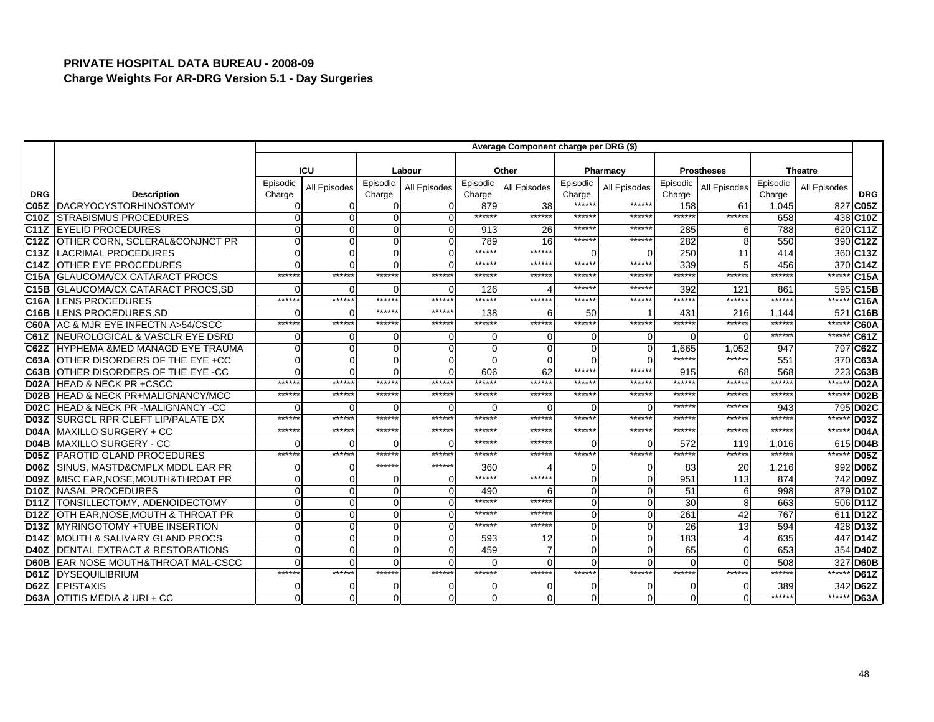|                   |                                           | Average Component charge per DRG (\$) |              |                    |              |                    |              |                    |                |                    |                   |                    |                |                       |
|-------------------|-------------------------------------------|---------------------------------------|--------------|--------------------|--------------|--------------------|--------------|--------------------|----------------|--------------------|-------------------|--------------------|----------------|-----------------------|
|                   |                                           |                                       |              |                    |              |                    |              |                    |                |                    |                   |                    |                |                       |
|                   |                                           |                                       | ICU          |                    | Labour       |                    | Other        |                    | Pharmacy       |                    | <b>Prostheses</b> |                    | <b>Theatre</b> |                       |
| <b>DRG</b>        | <b>Description</b>                        | Episodic<br>Charge                    | All Episodes | Episodic<br>Charge | All Episodes | Episodic<br>Charge | All Episodes | Episodic<br>Charge | All Episodes   | Episodic<br>Charge | All Episodes      | Episodic<br>Charge | All Episodes   | <b>DRG</b>            |
| C <sub>05</sub> Z | DACRYOCYSTORHINOSTOMY                     |                                       | 0            | $\Omega$           |              | 879                | 38           | ******             | ******         | 158                | 61                | 1.045              |                | 827 C05Z              |
| <b>C10Z</b>       | <b>STRABISMUS PROCEDURES</b>              |                                       | $\Omega$     | $\Omega$           |              | ******             | $*****$      | ******             | ******         | ******             | ******            | 658                |                | 438 C10Z              |
| <b>C11Z</b>       | <b>EYELID PROCEDURES</b>                  |                                       | $\Omega$     | $\Omega$           | $\Omega$     | 913                | 26           | ******             | *****          | 285                | 6                 | 788                |                | 620 C11Z              |
| C12Z              | OTHER CORN, SCLERAL&CONJNCT PR            |                                       | $\Omega$     | $\Omega$           |              | 789                | 16           | ******             | ******         | 282                | 8                 | 550                |                | 390 C12Z              |
| C <sub>13</sub> Z | <b>LACRIMAL PROCEDURES</b>                |                                       | $\Omega$     | $\Omega$           | $\Omega$     | ******             | ******       | $\Omega$           | $\Omega$       | 250                | 11                | 414                |                | 360 C13Z              |
| C <sub>14Z</sub>  | <b>OTHER EYE PROCEDURES</b>               |                                       | $\Omega$     | $\Omega$           |              | ******             | *****        | ******             | ******         | 339                | 5                 | 456                |                | 370 C14Z              |
| C15A              | GLAUCOMA/CX CATARACT PROCS                | $****$                                | ******       | ******             | ******       | ******             | *****        | ******             | ******         | ******             | ******            | ******             | ******         | C15A                  |
| C <sub>15</sub> B | GLAUCOMA/CX CATARACT PROCS, SD            |                                       | $\Omega$     | $\Omega$           | $\Omega$     | 126                |              | ******             | ******         | 392                | 121               | 861                |                | 595 C15B              |
| C <sub>16</sub> A | LENS PROCEDURES                           | $****$                                | ******       | ******             | ******       | ******             | $****$       | ******             | ******         | ******             | ******            | ******             |                | ****** C16A           |
| C <sub>16</sub> B | LENS PROCEDURES, SD                       |                                       | $\Omega$     | ******             | ******       | 138                |              | 50                 |                | 431                | 216               | 1.144              |                | 521 C16B              |
| C60A              | AC & MJR EYE INFECTN A>54/CSCC            | *****                                 | ******       | ******             | ******       | ******             | ******       | ******             | ******         | ******             | ******            | ******             | ******         | <b>C60A</b>           |
| CG1Z              | NEUROLOGICAL & VASCLR EYE DSRD            |                                       | $\Omega$     | $\Omega$           |              | 0                  |              | $\Omega$           | $\overline{0}$ | $\Omega$           | $\Omega$          | ******             | ******         | C61Z                  |
| C62Z              | <b>HYPHEMA &amp;MED MANAGD EYE TRAUMA</b> |                                       | $\Omega$     | $\Omega$           |              | $\Omega$           |              | $\Omega$           | $\Omega$       | 1.665              | 1.052             | 947                |                | 797 C62Z              |
| C63A              | OTHER DISORDERS OF THE EYE +CC            |                                       | $\Omega$     | $\Omega$           | O            | 0                  |              | $\Omega$           | $\Omega$       | ******             | ******            | 551                |                | 370 C63A              |
| C63B              | OTHER DISORDERS OF THE EYE -CC            |                                       | $\Omega$     | $\Omega$           |              | 606                | 62           | ******             | ******         | 915                | 68                | 568                |                | 223 C63B              |
| D <sub>02</sub> A | <b>HEAD &amp; NECK PR +CSCC</b>           | *****                                 | ******       | ******             | ******       | ******             | *****        | ******             | ******         | ******             | ******            | ******             | ******         | D <sub>02</sub> A     |
| D <sub>02</sub> B | <b>HEAD &amp; NECK PR+MALIGNANCY/MCC</b>  | *****                                 | ******       | ******             | ******       | ******             | ******       | ******             | ******         | ******             | ******            | ******             | ******         | D <sub>02</sub> B     |
| <b>D02C</b>       | <b>HEAD &amp; NECK PR -MALIGNANCY -CC</b> |                                       |              | $\Omega$           | ∩            | ŋ                  |              | $\Omega$           | $\Omega$       | *****:             | *****             | 943                |                | 795 D02C              |
| D <sub>03</sub> Z | <b>SURGCL RPR CLEFT LIP/PALATE DX</b>     | *****                                 | ******       | ******             | ******       | ******             | *****        | ******             | ******         | ******             | *****             | ******             | ******         | <b>D03Z</b>           |
| D04A              | MAXILLO SURGERY + CC                      | *****                                 | $*****$      | *****:             | ******       | *****              | $****$       | ******             | ******         | $*****$            | *****             | *****              | ******         | <b>D04A</b>           |
| <b>D04B</b>       | <b>MAXILLO SURGERY - CC</b>               |                                       | $\Omega$     | $\Omega$           | $\Omega$     | ******             | *****        | $\Omega$           | $\Omega$       | 572                | 119               | 1,016              |                | 615 D04B              |
| <b>D05Z</b>       | <b>PAROTID GLAND PROCEDURES</b>           | *****                                 | ******       | ******             | ******       | ******             | ******       | ******             | ******         | ******             | ******            | ******             | ******         | <b>D05Z</b>           |
| <b>D06Z</b>       | SINUS, MASTD&CMPLX MDDL EAR PR            |                                       | $\Omega$     | ******             | ******       | 360                |              | $\Omega$           | $\overline{0}$ | 83                 | 20                | 1,216              |                | 992 D06Z              |
| D <sub>09</sub> Z | MISC EAR, NOSE, MOUTH& THROAT PR          |                                       | $\Omega$     | $\Omega$           | $\Omega$     | ******             | *****        | $\Omega$           | $\Omega$       | 951                | 113               | 874                |                | 742 D09Z              |
| <b>D10Z</b>       | NASAL PROCEDURES                          |                                       | $\Omega$     | $\Omega$           | O            | 490                |              | $\Omega$           | $\Omega$       | 51                 | 6                 | 998                |                | 879 D10Z              |
| <b>D11Z</b>       | TONSILLECTOMY, ADENOIDECTOMY              |                                       | $\Omega$     | $\Omega$           |              | *****              | $****$       | $\Omega$           | $\Omega$       | 30                 | 8                 | 663                |                | 506 D11Z              |
| <b>D12Z</b>       | OTH EAR, NOSE, MOUTH & THROAT PR          |                                       | $\Omega$     | $\Omega$           | O            | ******             | ******       | $\Omega$           | $\Omega$       | 261                | 42                | 767                |                | 611 D <sub>12</sub> Z |
| <b>D13Z</b>       | <b>MYRINGOTOMY +TUBE INSERTION</b>        |                                       | $\Omega$     | $\Omega$           | ∩            | ******             | ******       | $\Omega$           | $\Omega$       | 26                 | 13                | 594                |                | 428 D13Z              |
| <b>D14Z</b>       | MOUTH & SALIVARY GLAND PROCS              |                                       | $\Omega$     | $\Omega$           | $\Omega$     | 593                | 12           | $\Omega$           | $\Omega$       | 183                |                   | 635                |                | 447 D <sub>14</sub> Z |
| <b>D40Z</b>       | <b>DENTAL EXTRACT &amp; RESTORATIONS</b>  |                                       | $\Omega$     | $\Omega$           |              | 459                |              | $\Omega$           | $\Omega$       | 65                 | $\Omega$          | 653                |                | 354 D40Z              |
| <b>D60B</b>       | <b>EAR NOSE MOUTH&amp;THROAT MAL-CSCC</b> |                                       | $\Omega$     | $\Omega$           |              | $\Omega$           |              | $\Omega$           | $\Omega$       | $\Omega$           | U                 | 508                |                | 327 D60B              |
| <b>D61Z</b>       | <b>DYSEQUILIBRIUM</b>                     | ******                                | ******       | ******             | ******       | ******             | ******       | ******             | ******         | ******             | ******            | *****              | ******         | $\sqrt{1061Z}$        |
| <b>D62Z</b>       | <b>EPISTAXIS</b>                          |                                       | $\Omega$     | $\Omega$           |              | 0                  |              | $\Omega$           | $\overline{0}$ | $\Omega$           | $\Omega$          | 389                |                | 342 D62Z              |
|                   | <b>D63A OTITIS MEDIA &amp; URI + CC</b>   |                                       | $\mathbf 0$  | $\Omega$           | $\Omega$     | 0                  |              | $\Omega$           | $\mathbf 0$    | $\Omega$           | $\Omega$          | ******             |                | ****** D63A           |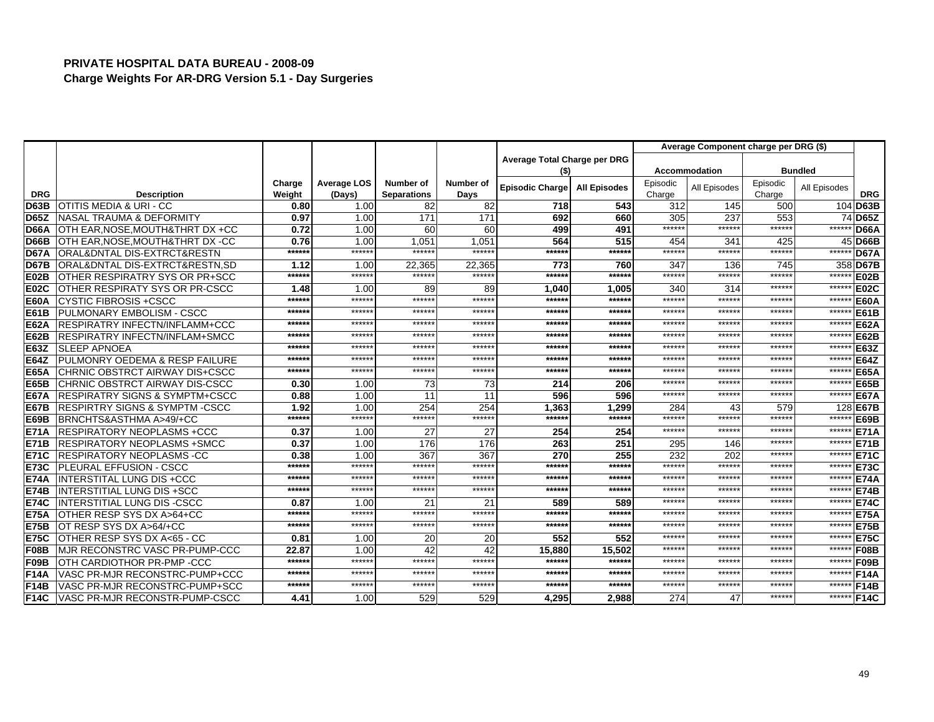|             |                                           |                  |                              |                                 |                   |                              |                     |                    | Average Component charge per DRG (\$) |                    |                |             |
|-------------|-------------------------------------------|------------------|------------------------------|---------------------------------|-------------------|------------------------------|---------------------|--------------------|---------------------------------------|--------------------|----------------|-------------|
|             |                                           |                  |                              |                                 |                   | Average Total Charge per DRG |                     |                    |                                       |                    |                |             |
|             |                                           |                  |                              |                                 |                   | (\$)                         |                     |                    | <b>Accommodation</b>                  |                    | <b>Bundled</b> |             |
| <b>DRG</b>  | <b>Description</b>                        | Charge<br>Weight | <b>Average LOS</b><br>(Days) | Number of<br><b>Separations</b> | Number of<br>Days | <b>Episodic Charge</b>       | <b>All Episodes</b> | Episodic<br>Charge | All Episodes                          | Episodic<br>Charge | All Episodes   | <b>DRG</b>  |
| <b>D63B</b> | <b>OTITIS MEDIA &amp; URI - CC</b>        | 0.80             | 1.00                         | 82                              | 82                | 718                          | 543                 | 312                | 145                                   | 500                |                | 104 D63B    |
| <b>D65Z</b> | <b>NASAL TRAUMA &amp; DEFORMITY</b>       | 0.97             | 1.00                         | 171                             | 171               | 692                          | 660                 | 305                | 237                                   | 553                |                | 74 D65Z     |
| <b>D66A</b> | OTH EAR, NOSE, MOUTH& THRT DX +CC         | 0.72             | 1.00                         | 60                              | 60                | 499                          | 491                 | ******             | ******                                | ******             | *****          | <b>D66A</b> |
| <b>D66B</b> | OTH EAR.NOSE.MOUTH&THRT DX -CC            | 0.76             | 1.00                         | 1.051                           | 1.051             | 564                          | 515                 | 454                | 341                                   | 425                | 45             | <b>D66B</b> |
| <b>D67A</b> | ORAL&DNTAL DIS-EXTRCT&RESTN               | ******           | ******                       | ******                          | ******            | ******                       | ******              | ******             | ******                                | ******             | ******         | <b>D67A</b> |
| <b>D67B</b> | ORAL&DNTAL DIS-EXTRCT&RESTN.SD            | 1.12             | 1.00                         | 22,365                          | 22.365            | 773                          | 760                 | 347                | 136                                   | 745                | 358            | <b>D67B</b> |
| <b>E02B</b> | OTHER RESPIRATRY SYS OR PR+SCC            | ******           | ******                       | ******                          | ******            | $*****$                      | ******              | ******             | ******                                | ******             | ******         | <b>E02B</b> |
| E02C        | OTHER RESPIRATY SYS OR PR-CSCC            | 1.48             | 1.00                         | 89                              | 89                | 1.040                        | 1.005               | 340                | 314                                   | ******             | ******         | <b>E02C</b> |
| <b>E60A</b> | <b>CYSTIC FIBROSIS +CSCC</b>              | ******           | ******                       | ******                          | ******            | $*****$                      | ******              | ******             | *****                                 | ******             | ******         | <b>E60A</b> |
| <b>E61B</b> | <b>PULMONARY EMBOLISM - CSCC</b>          | ******           | ******                       | ******                          | ******            | ******                       | ******              | ******             | ******                                | ******             | ******         | <b>E61B</b> |
| <b>E62A</b> | <b>RESPIRATRY INFECTN/INFLAMM+CCC</b>     | $*****$          | ******                       | ******                          | *****:            | ******                       | ******              | ******             | ******                                | ******             | ******         | <b>E62A</b> |
| <b>E62B</b> | <b>RESPIRATRY INFECTN/INFLAM+SMCC</b>     | $*****$          | ******                       | ******                          | ******            | ******                       | ******              | ******             | ******                                | ******             | ******         | <b>E62B</b> |
| <b>E63Z</b> | <b>SLEEP APNOEA</b>                       | ******           | ******                       | ******                          | *****:            | ******                       | ******              | ******             | ******                                | ******             | ******         | E63Z        |
| <b>E64Z</b> | <b>PULMONRY OEDEMA &amp; RESP FAILURE</b> | ******           | ******                       | ******                          | ******            | $*****$                      | ******              | ******             | ******                                | ******             | ******         | <b>E64Z</b> |
| <b>E65A</b> | CHRNIC OBSTRCT AIRWAY DIS+CSCC            | ******           | ******                       | ******                          | ******            | ******                       | ******              | ******             | ******                                | *****              | ******         | <b>E65A</b> |
| <b>E65B</b> | CHRNIC OBSTRCT AIRWAY DIS-CSCC            | 0.30             | 1.00                         | 73                              | 73                | 214                          | 206                 | ******             | ******                                | ******             | ******         | <b>E65B</b> |
| <b>E67A</b> | <b>RESPIRATRY SIGNS &amp; SYMPTM+CSCC</b> | 0.88             | 1.00                         | 11                              | 11                | 596                          | 596                 | ******             | ******                                | *****              | ******         | <b>E67A</b> |
| <b>E67B</b> | <b>RESPIRTRY SIGNS &amp; SYMPTM-CSCC</b>  | 1.92             | 1.00                         | 254                             | 254               | 1,363                        | 1,299               | 284                | 43                                    | 579                | 128            | <b>E67B</b> |
| <b>E69B</b> | BRNCHTS&ASTHMA A>49/+CC                   | ******           | ******                       | ******                          | ******            | ******                       | ******              | ******             | ******                                | ******             | ******         | <b>E69B</b> |
| <b>E71A</b> | <b>RESPIRATORY NEOPLASMS +CCC</b>         | 0.37             | 1.00                         | 27                              | 27                | 254                          | 254                 | ******             | ******                                | $*****$            | $*****$        | <b>E71A</b> |
| <b>E71B</b> | <b>IRESPIRATORY NEOPLASMS +SMCC</b>       | 0.37             | 1.00                         | 176                             | 176               | 263                          | 251                 | 295                | 146                                   | ******             | ******         | <b>E71B</b> |
| <b>E71C</b> | <b>RESPIRATORY NEOPLASMS -CC</b>          | 0.38             | 1.00                         | 367                             | 367               | 270                          | 255                 | 232                | 202                                   | ******             | ******         | <b>E71C</b> |
| <b>E73C</b> | <b>PLEURAL EFFUSION - CSCC</b>            | ******           | ******                       | ******                          | *****:            | $*****$                      | ******              | ******             | ******                                | ******             | *****          | <b>E73C</b> |
| <b>E74A</b> | <b>INTERSTITAL LUNG DIS +CCC</b>          | ******           | ******                       | *****                           | *****:            | ******                       | ******              | ******             | *****                                 | *****              | ******         | <b>E74A</b> |
| <b>E74B</b> | <b>IINTERSTITIAL LUNG DIS +SCC</b>        | ******           | ******                       | ******                          | ******            | ******                       | ******              | ******             | ******                                | ******             | ******         | <b>E74B</b> |
| <b>E74C</b> | INTERSTITIAL LUNG DIS -CSCC               | 0.87             | 1.00                         | 21                              | 21                | 589                          | 589                 | ******             | ******                                | ******             | ******         | <b>E74C</b> |
| <b>E75A</b> | OTHER RESP SYS DX A>64+CC                 | ******           | ******                       | ******                          | ******            | $*****$                      | ******              | ******             | ******                                | ******             | ******         | <b>E75A</b> |
| <b>E75B</b> | OT RESP SYS DX A>64/+CC                   | ******           | ******                       | ******                          | ******            | ******                       | ******              | *****              | *****                                 | *****              | ******         | <b>E75B</b> |
| <b>E75C</b> | OTHER RESP SYS DX A<65 - CC               | 0.81             | 1.00                         | 20                              | 20                | 552                          | 552                 | ******             | ******                                | $****$             | ******         | <b>E75C</b> |
| F08B        | MJR RECONSTRC VASC PR-PUMP-CCC            | 22.87            | 1.00                         | 42                              | 42                | 15.880                       | 15.502              | ******             | ******                                | ******             | ******         | <b>F08B</b> |
| <b>F09B</b> | OTH CARDIOTHOR PR-PMP-CCC                 | ******           | ******                       | ******                          | ******            | ******                       | ******              | ******             | ******                                | ******             | ******         | <b>F09B</b> |
| <b>F14A</b> | VASC PR-MJR RECONSTRC-PUMP+CCC            | $*****$          | ******                       | ******                          | ******            | ******                       | ******              | ******             | ******                                | ******             | ******         | <b>F14A</b> |
| <b>F14B</b> | VASC PR-MJR RECONSTRC-PUMP+SCC            | ******           | ******                       | ******                          | ******            | ******                       | ******              | ******             | ******                                | *****              | ******         | <b>F14B</b> |
| <b>F14C</b> | VASC PR-MJR RECONSTR-PUMP-CSCC            | 4.41             | 1.00                         | 529                             | 529               | 4,295                        | 2,988               | 274                | 47                                    | ******             | ******         | <b>F14C</b> |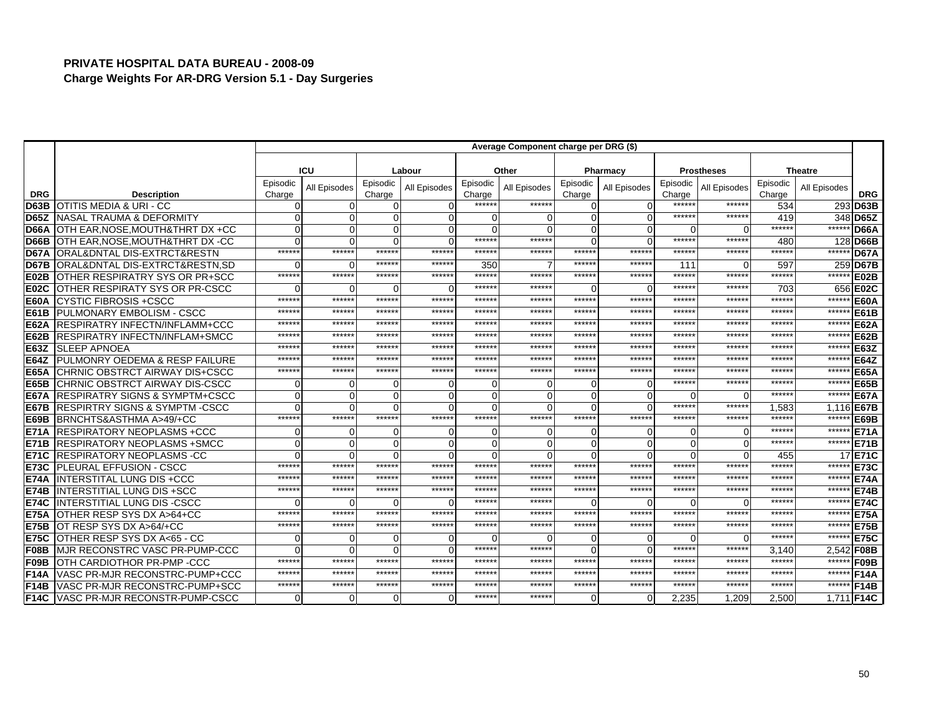|                   |                                           | Average Component charge per DRG (\$) |              |                    |              |                    |              |                    |                |                    |                   |                    |                |             |
|-------------------|-------------------------------------------|---------------------------------------|--------------|--------------------|--------------|--------------------|--------------|--------------------|----------------|--------------------|-------------------|--------------------|----------------|-------------|
|                   |                                           |                                       |              |                    |              |                    |              |                    |                |                    |                   |                    |                |             |
|                   |                                           |                                       | <b>ICU</b>   |                    | Labour       |                    | Other        |                    | Pharmacy       |                    | <b>Prostheses</b> |                    | <b>Theatre</b> |             |
| <b>DRG</b>        | <b>Description</b>                        | Episodic<br>Charge                    | All Episodes | Episodic<br>Charge | All Episodes | Episodic<br>Charge | All Episodes | Episodic<br>Charge | All Episodes   | Episodic<br>Charge | All Episodes      | Episodic<br>Charge | All Episodes   | <b>DRG</b>  |
| D63B              | <b>OTITIS MEDIA &amp; URI - CC</b>        |                                       | $\Omega$     | $\Omega$           |              | *****:             | ******       | $\Omega$           | $\Omega$       | *****:             | ******            | 534                |                | 293 D63B    |
| <b>D65Z</b>       | <b>NASAL TRAUMA &amp; DEFORMITY</b>       |                                       | $\Omega$     | $\Omega$           |              |                    |              | $\Omega$           | $\Omega$       | ******             | *****:            | 419                |                | 348 D65Z    |
| <b>D66A</b>       | OTH EAR, NOSE, MOUTH& THRT DX +CC         |                                       |              | $\Omega$           |              |                    |              | $\Omega$           | $\Omega$       | O                  |                   | ******             | ******         | D66A        |
| D66B              | OTH EAR.NOSE.MOUTH&THRT DX -CC            |                                       | $\Omega$     | $\Omega$           |              | ******             | *****        | $\Omega$           | 0              | ******             | *****             | 480                |                | 128 D66B    |
| <b>D67A</b>       | ORAL&DNTAL DIS-EXTRCT&RESTN               | ******                                | ******       | ******             | ******       | ******             | ******       | ******             | ******         | ******             | ******            | ******             | ******         | <b>D67A</b> |
| D67B              | ORAL&DNTAL DIS-EXTRCT&RESTN,SD            |                                       | $\Omega$     | ******             | ******       | 350                |              | ******             | ******         | 111                | $\Omega$          | 597                |                | 259 D67B    |
| E02B              | OTHER RESPIRATRY SYS OR PR+SCC            | *****                                 | ******       | $***$ ****         | ******       | *****:             | ******       | ******             | ******         | ******             | $*****$           | ******             | ******         | E02B        |
| E02C              | OTHER RESPIRATY SYS OR PR-CSCC            |                                       | ∩            | $\Omega$           | n            | *****              | ******       | $\Omega$           | $\Omega$       | ******             | *****             | 703                |                | 656 E02C    |
| <b>E60A</b>       | <b>CYSTIC FIBROSIS +CSCC</b>              | *****                                 | ******       | ******             | ******       | ******             | *****        | ******             | ******         | ******             | ******            | *****:             | ******         | E60A        |
| E61B              | PULMONARY EMBOLISM - CSCC                 | $*****$                               | ******       | ******             | ******       | ******             | *****        | ******             | ******         | ******             | ******            | ******             | ******         | <b>E61B</b> |
| <b>E62A</b>       | <b>RESPIRATRY INFECTN/INFLAMM+CCC</b>     | *****                                 | ******       | ******             | *****:       | *****              | *****        | ******             | ******         | ******             | *****             | *****              | ******         | <b>E62A</b> |
| <b>E62B</b>       | RESPIRATRY INFECTN/INFLAM+SMCC            | *****                                 | *****        | *****              | *****        | *****              | *****        | *****              | ******         | *****:             | *****             | *****              | ******         | <b>E62B</b> |
| <b>E63Z</b>       | <b>SLEEP APNOEA</b>                       | *****                                 | ******       | *****              | *****        | *****              | *****        | *****              | *****          | ******             | *****             | *****              | ******         | E63Z        |
| <b>E64Z</b>       | PULMONRY OEDEMA & RESP FAILURE            | *****                                 | *****        | *****:             | *****:       | *****              | *****        | *****              | *****          | *****:             | *****             | *****              | ******         | <b>E64Z</b> |
| <b>E65A</b>       | CHRNIC OBSTRCT AIRWAY DIS+CSCC            | *****:                                | ******       | ******             | ******       | ******             | *****:       | ******             | ******         | ******             | *****             | *****:             | ******         | <b>E65A</b> |
| <b>E65B</b>       | CHRNIC OBSTRCT AIRWAY DIS-CSCC            |                                       | $\Omega$     | $\Omega$           |              |                    |              | $\Omega$           | $\Omega$       | ******             | ******            | ******             | ******         | <b>E65B</b> |
| <b>E67A</b>       | <b>RESPIRATRY SIGNS &amp; SYMPTM+CSCC</b> |                                       | $\Omega$     | $\Omega$           |              |                    |              | $\Omega$           | $\Omega$       | $\Omega$           |                   | *****              | ******         | <b>E67A</b> |
| <b>E67B</b>       | <b>RESPIRTRY SIGNS &amp; SYMPTM-CSCC</b>  |                                       | $\Omega$     | $\Omega$           |              |                    |              | $\Omega$           | $\Omega$       | ******             | *****             | 1.583              |                | 1,116 E67B  |
| <b>E69B</b>       | BRNCHTS&ASTHMA A>49/+CC                   | *****                                 | ******       | ******             | ******       | ******             | ******       | ******             | ******         | ******             | ******            | *****:             | ******         | <b>E69B</b> |
| <b>E71A</b>       | <b>RESPIRATORY NEOPLASMS +CCC</b>         |                                       | $\Omega$     | 0                  |              |                    |              | $\Omega$           | 0              | $\Omega$           | O                 | ******             | ******         | <b>E71A</b> |
| <b>E71B</b>       | <b>RESPIRATORY NEOPLASMS +SMCC</b>        |                                       | $\Omega$     | $\Omega$           |              | U                  |              | $\Omega$           | $\Omega$       | $\Omega$           | $\Omega$          | ******             | ******         | <b>E71B</b> |
| <b>E71C</b>       | <b>RESPIRATORY NEOPLASMS -CC</b>          |                                       | $\Omega$     | $\Omega$           |              | ∩                  |              | $\Omega$           | $\Omega$       | $\Omega$           | $\Omega$          | 455                |                | 17 E71C     |
| <b>E73C</b>       | <b>PLEURAL EFFUSION - CSCC</b>            | *****                                 | *****        | ******             | *****        | ******             | ******       | ******             | ******         | ******             | *****             | ******             | ******         | <b>E73C</b> |
| <b>E74A</b>       | INTERSTITAL LUNG DIS +CCC                 | *****                                 | *****        | ******             | ******       | *****              | *****        | ******             | ******         | *****:             | *****             | ******             | ******         | <b>E74A</b> |
| <b>E74B</b>       | <b>INTERSTITIAL LUNG DIS +SCC</b>         | *****                                 | ******       | ******             | ******       | *****              | *****        | ******             | ******         | ******             | *****:            | ******             | ******         | <b>E74B</b> |
| <b>E74C</b>       | INTERSTITIAL LUNG DIS -CSCC               |                                       | $\Omega$     | O                  |              | ******             | ******       | $\Omega$           | $\Omega$       | O                  |                   | ******             | ******         | <b>E74C</b> |
| <b>E75A</b>       | OTHER RESP SYS DX A>64+CC                 | *****                                 | ******       | ******             | ******       | ******             | *****        | ******             | ******         | ******             | ******            | ******             | ******         | <b>E75A</b> |
| <b>E75B</b>       | OT RESP SYS DX A>64/+CC                   | *****                                 | ******       | $*****$            | *****:       | *****              | *****        | ******             | ******         | ******             | *****             | ******             | ******         | <b>E75B</b> |
| <b>E75C</b>       | OTHER RESP SYS DX A<65 - CC               |                                       | 0            | $\Omega$           | $\Omega$     |                    |              | $\Omega$           | 0              | $\Omega$           | $\Omega$          | $****$             | ******         | <b>E75C</b> |
| <b>F08B</b>       | MJR RECONSTRC VASC PR-PUMP-CCC            |                                       | $\Omega$     | $\Omega$           |              | ******             | *****        | $\Omega$           | $\Omega$       | ******             | ******            | 3.140              | 2.542          | F08B        |
| F09B              | OTH CARDIOTHOR PR-PMP -CCC                | *****                                 | ******       | ******             | ******       | ******             | $*****$      | ******             | ******         | ******             | $*****$           | ******             | ******         | <b>F09B</b> |
| <b>F14A</b>       | VASC PR-MJR RECONSTRC-PUMP+CCC            | ******                                | ******       | ******             | ******       | ******             | ******       | ******             | ******         | ******             | *****:            | ******             | ******         | <b>F14A</b> |
| F <sub>14</sub> B | VASC PR-MJR RECONSTRC-PUMP+SCC            | ******                                | ******       | *****:             | ******       | *****              | *****        | ******             | ******         | ******             | *****             | *****              | ******         | F14B        |
| <b>F14C</b>       | VASC PR-MJR RECONSTR-PUMP-CSCC            |                                       | 0            | $\Omega$           | $\Omega$     | *****              | ******       | $\Omega$           | $\overline{0}$ | 2,235              | 1,209             | 2,500              |                | 1,711 F14C  |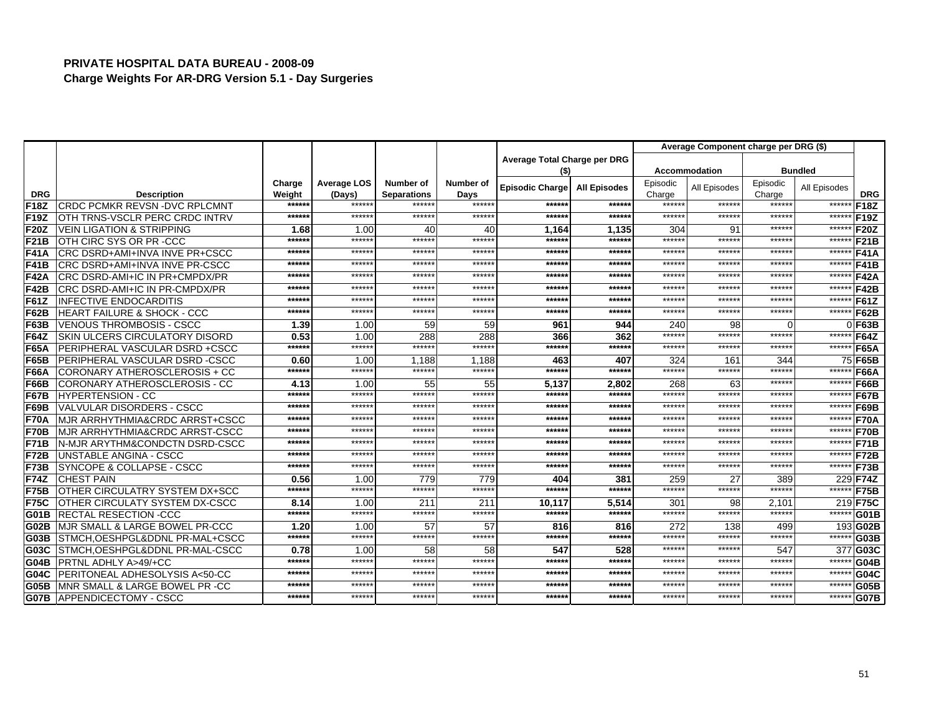|             |                                            |                   |                  |                              |                  |                              |                     |                  | Average Component charge per DRG (\$) |                  |                   |             |
|-------------|--------------------------------------------|-------------------|------------------|------------------------------|------------------|------------------------------|---------------------|------------------|---------------------------------------|------------------|-------------------|-------------|
|             |                                            |                   |                  |                              |                  | Average Total Charge per DRG |                     |                  |                                       |                  |                   |             |
|             |                                            |                   |                  |                              |                  | (\$)                         |                     |                  | <b>Accommodation</b>                  |                  | <b>Bundled</b>    |             |
|             |                                            | Charge            | Average LOS      | Number of                    | Number of        | Episodic Charge              | <b>All Episodes</b> | Episodic         | All Episodes                          | Episodic         | All Episodes      |             |
| <b>DRG</b>  | <b>Description</b>                         | Weight            | (Days)<br>****** | <b>Separations</b><br>****** | Days<br>******   |                              |                     | Charge<br>****** | ******                                | Charge<br>****** |                   | <b>DRG</b>  |
| F18Z        | <b>CRDC PCMKR REVSN-DVC RPLCMNT</b>        | ******<br>$*****$ | ******           | ******                       | ******           | ******<br>$*****$            | ******<br>******    | ******           | ******                                | ******           | ******<br>$*****$ | F18Z        |
| <b>F19Z</b> | OTH TRNS-VSCLR PERC CRDC INTRV             |                   |                  |                              |                  |                              |                     |                  |                                       |                  |                   | F19Z        |
| <b>F20Z</b> | <b>VEIN LIGATION &amp; STRIPPING</b>       | 1.68              | 1.00<br>******   | 40                           | 40               | 1,164                        | 1.135               | 304              | 91                                    | ******           | ******            | <b>F20Z</b> |
| <b>F21B</b> | OTH CIRC SYS OR PR-CCC                     | ******            | ******           | ******<br>******             | ******<br>****** | $*****$                      | ******              | ******<br>****** | ******<br>******                      | ******<br>****** | ******            | <b>F21B</b> |
| <b>F41A</b> | CRC DSRD+AMI+INVA INVE PR+CSCC             | ******            |                  |                              |                  | $*****$                      | ******              |                  |                                       |                  | ******            | <b>F41A</b> |
| F41B        | CRC DSRD+AMI+INVA INVE PR-CSCC             | ******            | ******           | ******                       | ******           | ******                       | ******              | ******           | ******                                | ******           | ******            | <b>F41B</b> |
| <b>F42A</b> | CRC DSRD-AMI+IC IN PR+CMPDX/PR             | ******            | ******           | ******                       | ******           | $*****$                      | ******              | ******           | ******                                | ******           | ******            | <b>F42A</b> |
| F42B        | CRC DSRD-AMI+IC IN PR-CMPDX/PR             | ******            | ******           | *****                        | ******           | ******                       | ******              | ******           | *****                                 | ******           | ******            | <b>F42B</b> |
| <b>F61Z</b> | <b>INFECTIVE ENDOCARDITIS</b>              | ******            | ******           | ******                       | ******           | ******                       | ******              | ******           | ******                                | ******           | ******            | F61Z        |
| <b>F62B</b> | <b>HEART FAILURE &amp; SHOCK - CCC</b>     | ******            | ******           | ******                       | ******           | ******                       | $******$            | ******           | ******                                | ******           | ******            | <b>F62B</b> |
| <b>F63B</b> | <b>VENOUS THROMBOSIS - CSCC</b>            | 1.39              | 1.00             | 59                           | 59               | 961                          | 944                 | 240              | 98                                    | $\Omega$         |                   | $0$ F63B    |
| <b>F64Z</b> | <b>SKIN ULCERS CIRCULATORY DISORD</b>      | 0.53              | 1.00             | 288                          | 288              | 366                          | 362                 | ******           | ******                                | ******           | ******            | <b>F64Z</b> |
| <b>F65A</b> | PERIPHERAL VASCULAR DSRD +CSCC             | ******            | ******           | ******                       | ******           | ******                       | ******              | ******           | ******                                | ******           | ******            | <b>F65A</b> |
| <b>F65B</b> | PERIPHERAL VASCULAR DSRD-CSCC              | 0.60              | 1.00             | 1.188                        | 1.188            | 463                          | 407                 | 324              | 161                                   | 344              | 75                | <b>F65B</b> |
| F66A        | CORONARY ATHEROSCLEROSIS + CC              | ******            | ******           | ******                       | ******           | ******                       | ******              | ******           | ******                                | ******           | ******            | <b>F66A</b> |
| <b>F66B</b> | CORONARY ATHEROSCLEROSIS - CC              | 4.13              | 1.00             | 55                           | 55               | 5,137                        | 2,802               | 268              | 63                                    | ******           | ******            | F66B        |
| F67B        | <b>HYPERTENSION - CC</b>                   | ******            | ******           | ******                       | ******           | ******                       | ******              | ******           | ******                                | *****            | ******            | <b>F67B</b> |
| F69B        | VALVULAR DISORDERS - CSCC                  | $*****$           | ******           | ******                       | ******           | $*****$                      | ******              | ******           | ******                                | ******           | ******            | <b>F69B</b> |
| <b>F70A</b> | <b>MJR ARRHYTHMIA&amp;CRDC ARRST+CSCC</b>  | ******            | ******           | ******                       | ******           | ******                       | ******              | ******           | ******                                | ******           | ******            | <b>F70A</b> |
| <b>F70B</b> | <b>MJR ARRHYTHMIA&amp;CRDC ARRST-CSCC</b>  | $*****$           | ******           | ******                       | ******           | $*****$                      | ******              | ******           | ******                                | ******           | ******            | <b>F70B</b> |
| <b>F71B</b> | <b>IN-MJR ARYTHM&amp;CONDCTN DSRD-CSCC</b> | ******            | ******           | ******                       | ******           | ******                       | ******              | ******           | ******                                | ******           | ******            | <b>F71B</b> |
| F72B        | <b>UNSTABLE ANGINA - CSCC</b>              | ******            | ******           | ******                       | ******           | ******                       | ******              | ******           | ******                                | ******           | $*****$           | <b>F72B</b> |
| F73B        | SYNCOPE & COLLAPSE - CSCC                  | ******            | ******           | ******                       | *****:           | ******                       | ******              | ******           | ******                                | ******           | ******            | <b>F73B</b> |
| <b>F74Z</b> | <b>CHEST PAIN</b>                          | 0.56              | 1.00             | 779                          | 779              | 404                          | 381                 | 259              | 27                                    | 389              | 229               | <b>F74Z</b> |
| <b>F75B</b> | OTHER CIRCULATRY SYSTEM DX+SCC             | ******            | ******           | ******                       | ******           | $*****$                      | ******              | ******           | ******                                | ******           | ******            | <b>F75B</b> |
| F75C        | OTHER CIRCULATY SYSTEM DX-CSCC             | 8.14              | 1.00             | 211                          | 211              | 10,117                       | 5,514               | 301              | 98                                    | 2.101            | 219               | <b>F75C</b> |
| G01B        | <b>RECTAL RESECTION -CCC</b>               | ******            | ******           | ******                       | ******           | ******                       | ******              | ******           | ******                                | ******           | ******            | <b>G01B</b> |
| <b>G02B</b> | <b>IMJR SMALL &amp; LARGE BOWEL PR-CCC</b> | 1.20              | 1.00             | 57                           | 57               | 816                          | 816                 | 272              | 138                                   | 499              | 193               | G02B        |
| G03B        | STMCH, OESHPGL&DDNL PR-MAL+CSCC            | ******            | ******           | ******                       | ******           | ******                       | ******              | ******           | ******                                | ******           | ******            | G03B        |
| G03C        | <b>ISTMCH.OESHPGL&amp;DDNL PR-MAL-CSCC</b> | 0.78              | 1.00             | 58                           | 58               | 547                          | 528                 | ******           | ******                                | 547              | 377               | G03C        |
| <b>G04B</b> | <b>PRTNL ADHLY A&gt;49/+CC</b>             | ******            | ******           | ******                       | ******           | $*****$                      | ******              | ******           | ******                                | ******           | ******            | <b>G04B</b> |
| G04C        | <b>PERITONEAL ADHESOLYSIS A&lt;50-CC</b>   | ******            | ******           | ******                       | ******           | ******                       | ******              | ******           | *****                                 | ******           | *****             | G04C        |
| G05B        | MNR SMALL & LARGE BOWEL PR -CC             | ******            | ******           | ******                       | *****:           | ******                       | ******              | ******           | ******                                | ******           | $****$            | <b>G05B</b> |
| <b>G07B</b> | <b>APPENDICECTOMY - CSCC</b>               | ******            | ******           | *****                        | ******           | $*****$                      | ******              | ******           | ******                                | *****            | ******            | <b>G07B</b> |
|             |                                            |                   |                  |                              |                  |                              |                     |                  |                                       |                  |                   |             |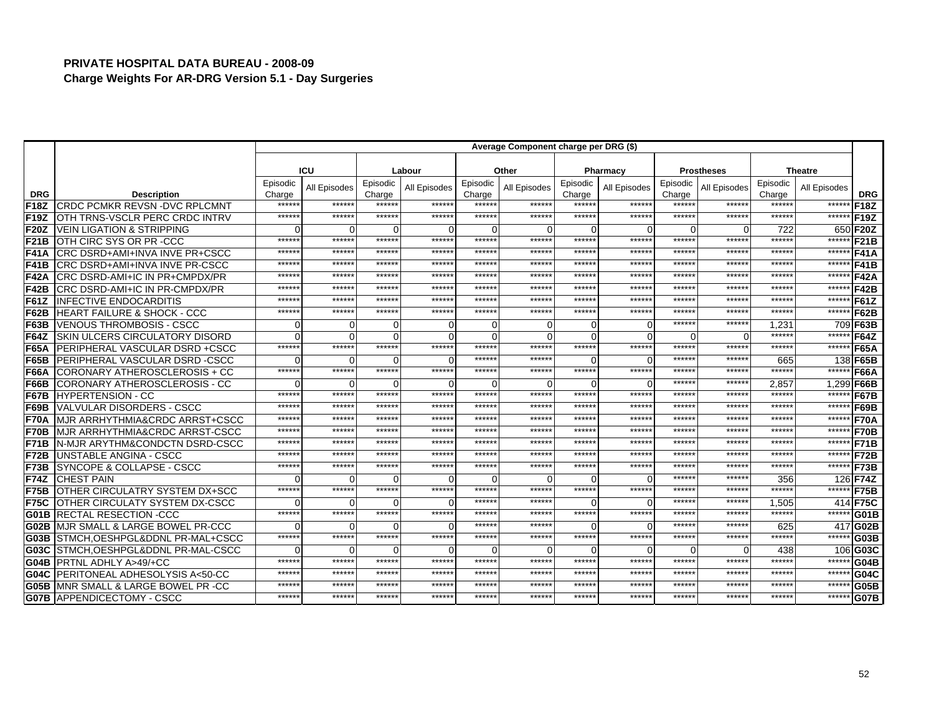|                   |                                            |                 |              |                    |              |                 | Average Component charge per DRG (\$) |                    |                    |                  |                   |                  |                |                   |
|-------------------|--------------------------------------------|-----------------|--------------|--------------------|--------------|-----------------|---------------------------------------|--------------------|--------------------|------------------|-------------------|------------------|----------------|-------------------|
|                   |                                            |                 |              |                    |              |                 |                                       |                    |                    |                  |                   |                  |                |                   |
|                   |                                            |                 | ICU          |                    | Labour       |                 | Other                                 |                    | Pharmacy           |                  | <b>Prostheses</b> |                  | <b>Theatre</b> |                   |
|                   |                                            | Episodic        | All Episodes | Episodic           | All Episodes | Episodic        | All Episodes                          | Episodic           | All Episodes       | Episodic         | All Episodes      | Episodic         | All Episodes   |                   |
| <b>DRG</b>        | <b>Description</b>                         | Charge<br>***** | *****:       | Charge<br>******   | *****:       | Charge<br>***** | ******                                | Charge<br>******   | ******             | Charge<br>*****: | ******            | Charge<br>*****: | ******         | <b>DRG</b>        |
| F18Z              | <b>CRDC PCMKR REVSN-DVC RPLCMNT</b>        | *****           | ******       | *****:             | *****:       | *****           | ******                                | ******             | ******             | ******           | *****:            | *****:           | ******         | F <sub>18Z</sub>  |
| F19Z              | OTH TRNS-VSCLR PERC CRDC INTRV             |                 |              |                    |              |                 |                                       |                    |                    |                  |                   |                  |                | F <sub>19</sub> Z |
| F20Z              | <b>VEIN LIGATION &amp; STRIPPING</b>       | *****           | O<br>******  | $\Omega$<br>****** | C<br>******  | ******          | ******                                | $\Omega$<br>****** | $\Omega$<br>****** | O<br>******      | ******            | 722<br>******    | ******         | 650 F20Z          |
| F <sub>21</sub> B | OTH CIRC SYS OR PR-CCC                     | *****           | ******       | ******             | ******       | ******          | ******                                | ******             | ******             | ******           | *****:            | ******           |                | F <sub>21</sub> B |
| F41A              | CRC DSRD+AMI+INVA INVE PR+CSCC             | *****           | ******       | ******             | ******       | ******          | *****                                 | ******             | ******             | ******           | *****:            | ******           | ******         | <b>F41A</b>       |
| F41B              | CRC DSRD+AMI+INVA INVE PR-CSCC             |                 |              |                    |              |                 |                                       |                    |                    |                  |                   |                  | ******         | <b>F41B</b>       |
| F42A              | CRC DSRD-AMI+IC IN PR+CMPDX/PR             | *****           | *****        | ******             | ******       | *****           | *****                                 | *****              | ******             | ******           | *****             | ******           | ******         | <b>F42A</b>       |
| <b>F42B</b>       | CRC DSRD-AMI+IC IN PR-CMPDX/PR             | $****$          | ******       | *****:             | ******       | *****           | *****                                 | ******             | ******             | ******           | *****             | $*****$          | ******         | <b>F42B</b>       |
| <b>F61Z</b>       | <b>INFECTIVE ENDOCARDITIS</b>              | *****           | *****        | *****:             | *****:       | *****           | *****                                 | ******             | ******             | ******           | *****             | *****            | ******         | F61Z              |
| <b>F62B</b>       | HEART FAILURE & SHOCK - CCC                | *****           | ******       | ******             | ******       | ******          | ******                                | ******             | ******             | ******           | ******            | *****:           | ******         | <b>F62B</b>       |
| F63B              | <b>VENOUS THROMBOSIS - CSCC</b>            |                 | 0            | 0                  |              |                 |                                       | $\Omega$           | 0                  | ******           | *****             | 1,231            |                | 709 F63B          |
| <b>F64Z</b>       | <b>SKIN ULCERS CIRCULATORY DISORD</b>      |                 | ∩            | $\Omega$           |              |                 |                                       | $\Omega$           | $\Omega$           | O                |                   | *****            | *****          | <b>F64Z</b>       |
| F65A              | PERIPHERAL VASCULAR DSRD +CSCC             | ******          | ******       | ******             | ******       | ******          | ******                                | ******             | ******             | ******           | ******            | ******           | ******         | <b>F65A</b>       |
| F65B              | PERIPHERAL VASCULAR DSRD-CSCC              |                 |              | 0                  |              | *****           | *****                                 | $\Omega$           | 0                  | ******           | *****             | 665              |                | 138 F65B          |
| F66A              | CORONARY ATHEROSCLEROSIS + CC              | ******          | ******       | ******             | ******       | ******          | ******                                | ******             | ******             | ******           | *****             | ******           | ******         | F66A              |
| <b>F66B</b>       | CORONARY ATHEROSCLEROSIS - CC              |                 | ∩            | $\Omega$           |              |                 |                                       | $\Omega$           | $\Omega$           | ******           | *****             | 2,857            |                | 1,299 F66B        |
| <b>F67B</b>       | <b>HYPERTENSION - CC</b>                   | $****$          | $*****$      | ******             | ******       | ******          | $*****$                               | ******             | ******             | ******           | *****             | *****:           | ******         | <b>F67B</b>       |
| F69B              | <b>VALVULAR DISORDERS - CSCC</b>           | *****           | ******       | *****:             | ******       | ******          | ******                                | ******             | ******             | ******           | *****             | ******           | ******         | <b>F69B</b>       |
| F70A              | MJR ARRHYTHMIA&CRDC ARRST+CSCC             | *****           | ******       | ******             | ******       | ******          | ******                                | ******             | ******             | ******           | *****             | ******           | ******         | <b>F70A</b>       |
| F70B              | MJR ARRHYTHMIA&CRDC ARRST-CSCC             | *****           | ******       | ******             | ******       | ******          | *****                                 | ******             | ******             | ******           | *****             | ******           | ******         | <b>F70B</b>       |
| F71B              | N-MJR ARYTHM&CONDCTN DSRD-CSCC             | *****           | ******       | *****:             | ******       | *****:          | *****                                 | ******             | ******             | ******           | *****             | $*****$          | ******         | F71B              |
| F72B              | UNSTABLE ANGINA - CSCC                     | *****           | ******       | *****              | ******       | ******          | *****                                 | ******             | ******             | ******           | *****             | ******           | ******         | <b>F72B</b>       |
| F73B              | SYNCOPE & COLLAPSE - CSCC                  | *****           | *****        | *****:             | *****:       | *****           | *****                                 | *****              | ******             | ******           | *****             | ******           | ******         | F73B              |
| <b>F74Z</b>       | <b>CHEST PAIN</b>                          |                 | n            | O                  | C            |                 |                                       | $\Omega$           | $\Omega$           | ******           | *****             | 356              |                | 126 F74Z          |
| F75B              | OTHER CIRCULATRY SYSTEM DX+SCC             | ******          | ******       | ******             | ******       | ******          | ******                                | ******             | ******             | ******           | *****             | ******           | ******         | F75B              |
| <b>F75C</b>       | OTHER CIRCULATY SYSTEM DX-CSCC             |                 | $\Omega$     | O                  | C            | ******          | ******                                | $\Omega$           | $\Omega$           | ******           | *****             | 1,505            | 414            | <b>F75C</b>       |
| <b>G01B</b>       | <b>RECTAL RESECTION -CCC</b>               | *****           | ******       | ******             | ******       | ******          | *****                                 | ******             | ******             | ******           | *****             | ******           | ******         | G01B              |
| IG02B             | MJR SMALL & LARGE BOWEL PR-CCC             |                 | ∩            | $\Omega$           | C            | *****           | *****                                 | $\Omega$           | 0                  | ******           | *****             | 625              |                | 417 G02B          |
| G03B              | STMCH.OESHPGL&DDNL PR-MAL+CSCC             | $****$          | ******       | ******             | ******       | *****:          | *****                                 | ******             | ******             | ******           | $*****$           | *****:           | ******         | G03B              |
| G03C              | STMCH.OESHPGL&DDNL PR-MAL-CSCC             |                 | ∩            | $\Omega$           | C            |                 |                                       | $\Omega$           | $\Omega$           | $\Omega$         | $\Omega$          | 438              |                | 106 G03C          |
| G04B              | PRTNL ADHLY A>49/+CC                       | *****           | ******       | ******             | ******       | ******          | $*****$                               | ******             | ******             | ******           | $*****$           | ******           | ******         | G04B              |
| G04C              | PERITONEAL ADHESOLYSIS A<50-CC             | ******          | ******       | ******             | ******       | ******          | ******                                | ******             | ******             | ******           | *****:            | ******           | ******         | G04C              |
| G05B              | <b>IMNR SMALL &amp; LARGE BOWEL PR -CC</b> | *****           | *****        | *****              | *****:       | *****           | *****                                 | *****              | ******             | ******           | *****             | *****            | *****          | G05B              |
| <b>G07B</b>       | <b>APPENDICECTOMY - CSCC</b>               | ******          | ******       | ******             | ******       | *****           | *****                                 | ******             | ******             | ******           | *****             | *****            | ******         | G07B              |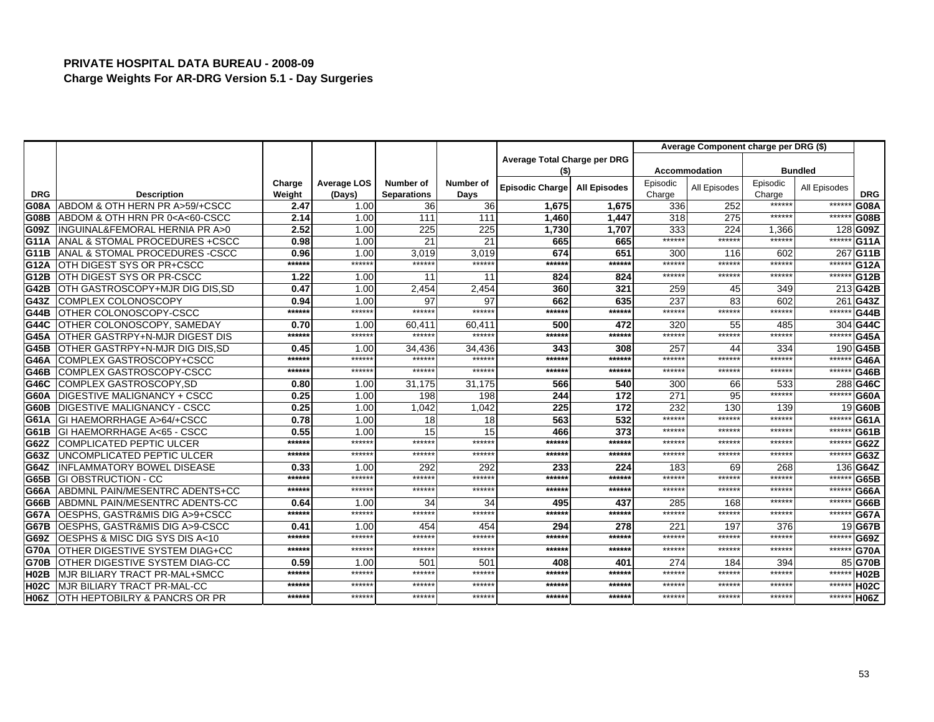|             |                                                                                                                                                                                                      |                  |                              |                                 |                   |                              |                     |                    | Average Component charge per DRG (\$) |                    |                |                   |
|-------------|------------------------------------------------------------------------------------------------------------------------------------------------------------------------------------------------------|------------------|------------------------------|---------------------------------|-------------------|------------------------------|---------------------|--------------------|---------------------------------------|--------------------|----------------|-------------------|
|             |                                                                                                                                                                                                      |                  |                              |                                 |                   | Average Total Charge per DRG |                     |                    |                                       |                    |                |                   |
|             |                                                                                                                                                                                                      |                  |                              |                                 |                   | (\$)                         |                     |                    | <b>Accommodation</b>                  |                    | <b>Bundled</b> |                   |
| <b>DRG</b>  | <b>Description</b>                                                                                                                                                                                   | Charge<br>Weight | <b>Average LOS</b><br>(Days) | Number of<br><b>Separations</b> | Number of<br>Days | Episodic Charge              | <b>All Episodes</b> | Episodic<br>Charge | All Episodes                          | Episodic<br>Charge | All Episodes   | <b>DRG</b>        |
| G08A        | ABDOM & OTH HERN PR A>59/+CSCC                                                                                                                                                                       | 2.47             | 1.00                         | 36 <sup>l</sup>                 | 36                | 1,675                        | 1,675               | 336                | 252                                   | ******             | *****          | G08A              |
| <b>G08B</b> | ABDOM & OTH HRN PR 0 <a<60-cscc< th=""><th>2.14</th><th>1.00</th><th>111</th><th>111</th><th>1,460</th><th>1,447</th><th>318</th><th>275</th><th>******</th><th>*****</th><th>G08B</th></a<60-cscc<> | 2.14             | 1.00                         | 111                             | 111               | 1,460                        | 1,447               | 318                | 275                                   | ******             | *****          | G08B              |
| G09Z        | INGUINAL&FEMORAL HERNIA PR A>0                                                                                                                                                                       | 2.52             | 1.00                         | 225                             | 225               | 1,730                        | 1,707               | 333                | 224                                   | 1,366              |                | 128 G09Z          |
| G11A        | ANAL & STOMAL PROCEDURES + CSCC                                                                                                                                                                      | 0.98             | 1.00                         | 21                              | 21                | 665                          | 665                 | ******             | *****                                 | ******             | *****          | G11A              |
| G11B        | ANAL & STOMAL PROCEDURES - CSCC                                                                                                                                                                      | 0.96             | 1.00                         | 3,019                           | 3,019             | 674                          | 651                 | 300                | 116                                   | 602                | 267            | G <sub>11</sub> B |
| G12A        | OTH DIGEST SYS OR PR+CSCC                                                                                                                                                                            | ******           | ******                       | ******                          | ******            | ******                       | ******              | ******             | ******                                | ******             | ******         | G <sub>12</sub> A |
| G12B        | OTH DIGEST SYS OR PR-CSCC                                                                                                                                                                            | 1.22             | 1.00                         | 11                              | 11                | 824                          | 824                 | ******             | *****                                 | ******             | $*****$        | G12B              |
| <b>G42B</b> | OTH GASTROSCOPY+MJR DIG DIS, SD                                                                                                                                                                      | 0.47             | 1.00                         | 2.454                           | 2.454             | 360                          | 321                 | 259                | 45                                    | 349                |                | 213 G42B          |
| G43Z        | COMPLEX COLONOSCOPY                                                                                                                                                                                  | 0.94             | 1.00                         | 97                              | 97                | 662                          | 635                 | 237                | 83                                    | 602                |                | 261 G43Z          |
| <b>G44B</b> | OTHER COLONOSCOPY-CSCC                                                                                                                                                                               | ******           | ******                       | ******                          | ******            | ******                       | ******              | ******             | *****                                 | ******             | *****          | <b>G44B</b>       |
| G44C        | OTHER COLONOSCOPY, SAMEDAY                                                                                                                                                                           | 0.70             | 1.00                         | 60.411                          | 60.411            | 500                          | 472                 | 320                | 55                                    | 485                |                | 304 G44C          |
| G45A        | OTHER GASTRPY+N-MJR DIGEST DIS                                                                                                                                                                       | ******           | ******                       | ******                          | *****:            | ******                       | *****               | ******             | *****                                 | ******             | *****          | <b>G45A</b>       |
| G45B        | OTHER GASTRPY+N-MJR DIG DIS.SD                                                                                                                                                                       | 0.45             | 1.00                         | 34,436                          | 34,436            | 343                          | 308                 | 257                | 44                                    | 334                |                | 190 G45B          |
| G46A        | COMPLEX GASTROSCOPY+CSCC                                                                                                                                                                             | ******           | ******                       | ******                          | ******            | ******                       | *****:              | ******             | *****                                 | ******             | $*****$        | G46A              |
| G46B        | COMPLEX GASTROSCOPY-CSCC                                                                                                                                                                             | ******           | ******                       | ******                          | ******            | ******                       | ******              | ******             | *****:                                | ******             | $*****$        | <b>G46B</b>       |
| G46C        | COMPLEX GASTROSCOPY, SD                                                                                                                                                                              | 0.80             | 1.00                         | 31,175                          | 31,175            | 566                          | 540                 | 300                | 66                                    | 533                |                | 288 G46C          |
| G60A        | <b>DIGESTIVE MALIGNANCY + CSCC</b>                                                                                                                                                                   | 0.25             | 1.00                         | 198                             | 198               | 244                          | 172                 | 271                | 95                                    | ******             | ****:          | <b>G60A</b>       |
| G60B        | <b>DIGESTIVE MALIGNANCY - CSCC</b>                                                                                                                                                                   | 0.25             | 1.00                         | 1.042                           | 1.042             | 225                          | 172                 | 232                | 130                                   | 139                |                | 19 <b>G60B</b>    |
| G61A        | <b>IGI HAEMORRHAGE A&gt;64/+CSCC</b>                                                                                                                                                                 | 0.78             | 1.00                         | 18                              | 18                | 563                          | 532                 | ******             | *****                                 | ******             | $****$         | G61A              |
| G61B        | GI HAEMORRHAGE A<65 - CSCC                                                                                                                                                                           | 0.55             | 1.00                         | 15                              | 15                | 466                          | 373                 | ******             | *****:                                | ******             | $***$ **       | G61B              |
| G62Z        | <b>COMPLICATED PEPTIC ULCER</b>                                                                                                                                                                      | ******           | ******                       | ******                          | ******            | ******                       | *****:              | ******             | *****                                 | ******             | $***$          | G62Z              |
| G63Z        | UNCOMPLICATED PEPTIC ULCER                                                                                                                                                                           | ******           | ******                       | ******                          | $*****$           | ******                       | *****               | ******             | *****                                 | *****:             | *****          | G63Z              |
| G64Z        | <b>INFLAMMATORY BOWEL DISEASE</b>                                                                                                                                                                    | 0.33             | 1.00                         | 292                             | 292               | 233                          | 224                 | 183                | 69                                    | 268                | 136            | G64Z              |
| G65B        | <b>GI OBSTRUCTION - CC</b>                                                                                                                                                                           | ******           | ******                       | ******                          | ******            | ******                       | ******              | ******             | *****                                 | ******             | $****$         | G65B              |
| G66A        | ABDMNL PAIN/MESENTRC ADENTS+CC                                                                                                                                                                       | ******           | ******                       | ******                          | ******            | ******                       | ******              | ******             | *****                                 | ******             | *****          | G66A              |
| G66B        | ABDMNL PAIN/MESENTRC ADENTS-CC                                                                                                                                                                       | 0.64             | 1.00                         | 34                              | 34                | 495                          | 437                 | 285                | 168                                   | ******             | $*****$        | G66B              |
| G67A        | OESPHS, GASTR&MIS DIG A>9+CSCC                                                                                                                                                                       | ******           | ******                       | ******                          | ******            | ******                       | *****:              | ******             | *****                                 | ******             | $****$         | <b>G67A</b>       |
| <b>G67B</b> | OESPHS, GASTR&MIS DIG A>9-CSCC                                                                                                                                                                       | 0.41             | 1.00                         | 454                             | 454               | 294                          | 278                 | 221                | 197                                   | 376                |                | 19 G67B           |
| G69Z        | OESPHS & MISC DIG SYS DIS A<10                                                                                                                                                                       | ******           | ******                       | ******                          | ******            | ******                       | ******              | ******             | *****                                 | ******             | $****$         | G69Z              |
| <b>G70A</b> | OTHER DIGESTIVE SYSTEM DIAG+CC                                                                                                                                                                       | ******           | ******                       | ******                          | ******            | ******                       | ******              | ******             | ******                                | ******             | *****          | <b>G70A</b>       |
| <b>G70B</b> | OTHER DIGESTIVE SYSTEM DIAG-CC                                                                                                                                                                       | 0.59             | 1.00                         | 501                             | 501               | 408                          | 401                 | 274                | 184                                   | 394                |                | 85 G70B           |
| <b>H02B</b> | MJR BILIARY TRACT PR-MAL+SMCC                                                                                                                                                                        | ******           | ******                       | ******                          | ******            | ******                       | *****               | ******             | *****                                 | ******             | *****          | <b>H02B</b>       |
| <b>H02C</b> | MJR BILIARY TRACT PR-MAL-CC                                                                                                                                                                          | ******           | ******                       | ******                          | ******            | ******                       | *****:              | ******             | *****                                 | ******             | *****          | <b>H02C</b>       |
| <b>H06Z</b> | OTH HEPTOBILRY & PANCRS OR PR                                                                                                                                                                        | ******           | ******                       | ******                          | ******            | ******                       | ******              | ******             | ******                                | ******             | ******         | H <sub>06</sub> Z |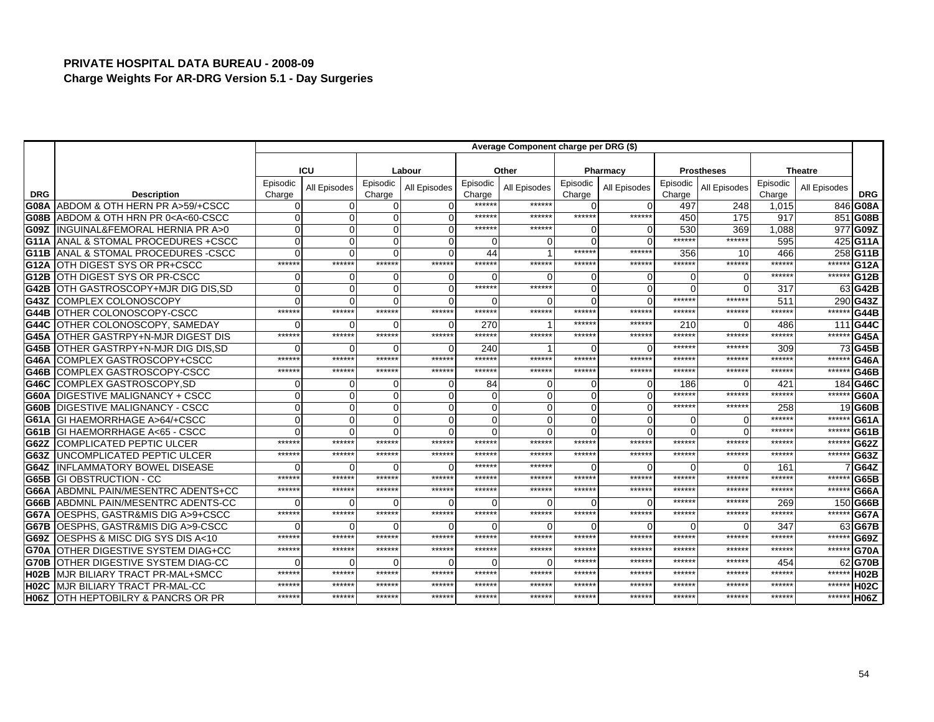|                   |                                                                                                                                                                                                                                                  |                    |              |                    |              |                    | Average Component charge per DRG (\$) |                    |              |                    |                   |                    |                |                   |
|-------------------|--------------------------------------------------------------------------------------------------------------------------------------------------------------------------------------------------------------------------------------------------|--------------------|--------------|--------------------|--------------|--------------------|---------------------------------------|--------------------|--------------|--------------------|-------------------|--------------------|----------------|-------------------|
|                   |                                                                                                                                                                                                                                                  |                    |              |                    |              |                    |                                       |                    |              |                    |                   |                    |                |                   |
|                   |                                                                                                                                                                                                                                                  |                    | <b>ICU</b>   |                    | Labour       |                    | Other                                 |                    | Pharmacy     |                    | <b>Prostheses</b> |                    | <b>Theatre</b> |                   |
| <b>DRG</b>        | <b>Description</b>                                                                                                                                                                                                                               | Episodic<br>Charge | All Episodes | Episodic<br>Charge | All Episodes | Episodic<br>Charge | All Episodes                          | Episodic<br>Charge | All Episodes | Episodic<br>Charge | All Episodes      | Episodic<br>Charge | All Episodes   | <b>DRG</b>        |
| <b>G08A</b>       | ABDOM & OTH HERN PR A>59/+CSCC                                                                                                                                                                                                                   | $\Omega$           | 0            | $\Omega$           |              | *****              | ******                                | $\Omega$           | $\Omega$     | 497                | 248               | 1,015              |                | 846 G08A          |
| G08B              | ABDOM & OTH HRN PR 0 <a<60-cscc< td=""><td></td><td><math>\Omega</math></td><td></td><td></td><td>*****</td><td><math>*****</math></td><td>******</td><td>******</td><td>450</td><td>175</td><td>917</td><td></td><td>851 G08B</td></a<60-cscc<> |                    | $\Omega$     |                    |              | *****              | $*****$                               | ******             | ******       | 450                | 175               | 917                |                | 851 G08B          |
| G09Z              | INGUINAL&FEMORAL HERNIA PR A>0                                                                                                                                                                                                                   | $\Omega$           | $\Omega$     | $\Omega$           |              | *****              | $*****$                               | $\Omega$           | $\Omega$     | 530                | 369               | 1,088              |                | 977 G09Z          |
| <b>G11A</b>       | ANAL & STOMAL PROCEDURES + CSCC                                                                                                                                                                                                                  | $\Omega$           | $\Omega$     | $\Omega$           |              |                    |                                       | $\Omega$           | $\Omega$     | ******             | ******            | 595                |                | 425 G11A          |
| G <sub>11</sub> B | ANAL & STOMAL PROCEDURES - CSCC                                                                                                                                                                                                                  |                    | $\Omega$     | U                  |              | 44                 |                                       | ******             | ******       | 356                | 10                | 466                |                | 258 G11B          |
| G <sub>12</sub> A | OTH DIGEST SYS OR PR+CSCC                                                                                                                                                                                                                        | ******             | ******       | ******             | ******       | ******             | ******                                | ******             | ******       | ******             | ******            | ******             | ******         | G12A              |
| G12B              | OTH DIGEST SYS OR PR-CSCC                                                                                                                                                                                                                        |                    | 0            | ∩                  | n            |                    |                                       | ∩                  | 0            | O                  | <sup>0</sup>      | *****:             | ******         | G12B              |
| <b>G42B</b>       | OTH GASTROSCOPY+MJR DIG DIS,SD                                                                                                                                                                                                                   | $\Omega$           | $\mathbf 0$  | $\Omega$           | $\Omega$     | ******             | ******                                | $\Omega$           | $\Omega$     | $\Omega$           | $\Omega$          | 317                |                | 63 G42B           |
| G43Z              | <b>COMPLEX COLONOSCOPY</b>                                                                                                                                                                                                                       | $\Omega$           | $\Omega$     | $\Omega$           |              | ∩                  | $\Omega$                              | $\Omega$           | $\Omega$     | ******             | ******            | 511                |                | 290 G43Z          |
| G44B              | OTHER COLONOSCOPY-CSCC                                                                                                                                                                                                                           | *****              | ******       | ******             | ******       | *****:             | ******                                | ******             | ******       | ******             | ******            | ******             | ******         | G44B              |
| G44C              | OTHER COLONOSCOPY, SAMEDAY                                                                                                                                                                                                                       |                    | $\Omega$     | O                  | $\Omega$     | 270                |                                       | ******             | ******       | 210                | $\Omega$          | 486                |                | 111 G44C          |
| G45A              | OTHER GASTRPY+N-MJR DIGEST DIS                                                                                                                                                                                                                   | ******             | ******       | ******             | ******       | ******             | ******                                | ******             | ******       | ******             | ******            | ******             | ******         | G45A              |
| G45B              | OTHER GASTRPY+N-MJR DIG DIS.SD                                                                                                                                                                                                                   |                    | $\Omega$     | ∩                  |              | <b>240</b>         |                                       | $\Omega$           | U            | ******             | *****             | 309                |                | 73 G45B           |
| <b>G46A</b>       | COMPLEX GASTROSCOPY+CSCC                                                                                                                                                                                                                         | ******             | ******       | ******             | ******       | *****:             | ******                                | ******             | ******       | $*****$            | *****             | ******             | ******         | G46A              |
| G46B              | COMPLEX GASTROSCOPY-CSCC                                                                                                                                                                                                                         | ******             | *****        | ******             | ******       | *****:             | ******                                | ******             | ******       | ******             | *****:            | *****:             | ******         | G46B              |
| G46C              | COMPLEX GASTROSCOPY, SD                                                                                                                                                                                                                          | n                  | $\Omega$     |                    |              | 84                 |                                       | $\Omega$           | 0            | 186                | <sup>0</sup>      | 421                |                | 184 G46C          |
| G60A              | <b>DIGESTIVE MALIGNANCY + CSCC</b>                                                                                                                                                                                                               | $\Omega$           | $\Omega$     | $\Omega$           |              |                    |                                       | $\Omega$           | $\Omega$     | ******             | ******            | ******             | ******         | G60A              |
| G60B              | <b>DIGESTIVE MALIGNANCY - CSCC</b>                                                                                                                                                                                                               | $\Omega$           | $\Omega$     | $\Omega$           |              |                    |                                       | $\Omega$           | 0            | ******             | *****             | 258                |                | 19 G60B           |
| G61A              | GI HAEMORRHAGE A>64/+CSCC                                                                                                                                                                                                                        | $\Omega$           | $\Omega$     | $\Omega$           |              |                    |                                       | $\Omega$           | $\Omega$     | $\Omega$           | $\Omega$          | $*****$            | ******         | G61A              |
| G61B              | GI HAEMORRHAGE A<65 - CSCC                                                                                                                                                                                                                       | $\Omega$           | $\Omega$     | $\Omega$           |              |                    |                                       | $\Omega$           | $\Omega$     | $\Omega$           |                   | *****:             | $*****$        | G61B              |
| G62Z              | <b>COMPLICATED PEPTIC ULCER</b>                                                                                                                                                                                                                  | *****              | ******       | ******             | ******       | *****              | ******                                | ******             | ******       | ******             | ******            | ******             | ******         | G62Z              |
| G63Z              | UNCOMPLICATED PEPTIC ULCER                                                                                                                                                                                                                       | *****              | ******       | ******             | ******       | *****              | ******                                | ******             | ******       | ******             | ******            | ******             | ******         | G63Z              |
| G64Z              | <b>INFLAMMATORY BOWEL DISEASE</b>                                                                                                                                                                                                                |                    | $\Omega$     | ሰ                  | ſ            | *****              | *****                                 | $\cap$             | $\Omega$     | $\Omega$           |                   | 161                |                | G64Z              |
| G65B              | <b>GI OBSTRUCTION - CC</b>                                                                                                                                                                                                                       | *****              | *****        | ******             | ******       | *****              | *****                                 | ******             | ******       | ******             | *****             | *****              | ******         | G65B              |
| G66A              | ABDMNL PAIN/MESENTRC ADENTS+CC                                                                                                                                                                                                                   | *****              | ******       | ******             | ******       | *****              | ******                                | ******             | ******       | ******             | *****:            | ******             | ******         | G66A              |
| G66B              | ABDMNL PAIN/MESENTRC ADENTS-CC                                                                                                                                                                                                                   | ∩                  | $\Omega$     | ∩                  |              |                    | $\Omega$                              | $\Omega$           | $\Omega$     | ******             | *****             | 269                |                | 150 G66B          |
| <b>G67A</b>       | OESPHS, GASTR&MIS DIG A>9+CSCC                                                                                                                                                                                                                   | $*****$            | ******       | ******             | ******       | *****:             | $*****$                               | ******             | ******       | ******             | *****:            | ******             | ******         | <b>G67A</b>       |
| G67B              | OESPHS, GASTR&MIS DIG A>9-CSCC                                                                                                                                                                                                                   | $\Omega$           | $\Omega$     | ∩                  | O            |                    | $\Omega$                              | $\Omega$           | $\Omega$     | $\Omega$           |                   | 347                |                | 63 G67B           |
| G69Z              | OESPHS & MISC DIG SYS DIS A<10                                                                                                                                                                                                                   | $****$             | ******       | ******             | ******       | *****              | ******                                | ******             | ******       | ******             | *****             | *****              | ******         | G69Z              |
| <b>G70A</b>       | OTHER DIGESTIVE SYSTEM DIAG+CC                                                                                                                                                                                                                   | *****              | ******       | ******             | ******       | *****:             | ******                                | ******             | ******       | ******             | ******            | *****:             | *****          | <b>G70A</b>       |
| <b>G70B</b>       | OTHER DIGESTIVE SYSTEM DIAG-CC                                                                                                                                                                                                                   | $\Omega$           | $\Omega$     | $\Omega$           |              | ∩                  |                                       | ******             | ******       | ******             | *****             | 454                |                | 62 G70B           |
| H <sub>02</sub> B | MJR BILIARY TRACT PR-MAL+SMCC                                                                                                                                                                                                                    | ******             | ******       | ******             | ******       | ******             | ******                                | ******             | ******       | ******             | ******            | ******             | ******         | <b>H02B</b>       |
| H <sub>02</sub> C | MJR BILIARY TRACT PR-MAL-CC                                                                                                                                                                                                                      | *****              | *****        | *****              | ******       | *****              | *****                                 | *****              | *****        | *****              | *****             | *****              | ******         | H <sub>02</sub> C |
| <b>H06Z</b>       | OTH HEPTOBILRY & PANCRS OR PR                                                                                                                                                                                                                    | *****              | ******       | ******             | ******       | *****              | ******                                | ******             | ******       | ******             | *****             | *****              | ******         | <b>H06Z</b>       |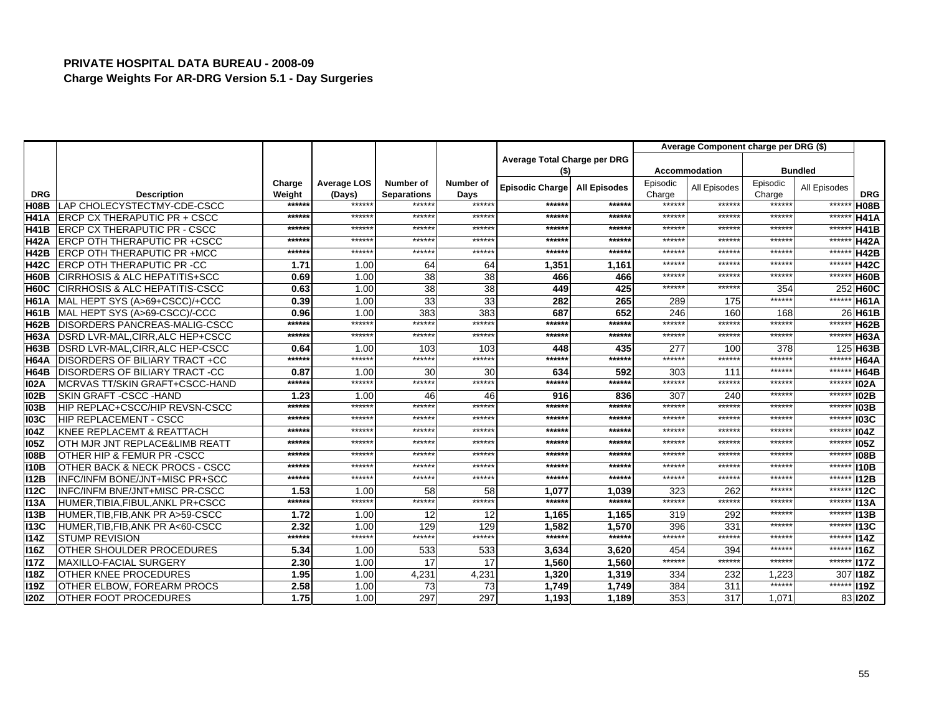|             |                                           |                  |                  |                              |               |                              |                     |                 | Average Component charge per DRG (\$) |                 |                |             |
|-------------|-------------------------------------------|------------------|------------------|------------------------------|---------------|------------------------------|---------------------|-----------------|---------------------------------------|-----------------|----------------|-------------|
|             |                                           |                  |                  |                              |               | Average Total Charge per DRG |                     |                 |                                       |                 |                |             |
|             |                                           |                  |                  |                              |               | (\$)                         |                     |                 | <b>Accommodation</b>                  |                 | <b>Bundled</b> |             |
|             |                                           | Charge           | Average LOS      | Number of                    | Number of     | <b>Episodic Charge</b>       | <b>All Episodes</b> | Episodic        | All Episodes                          | Episodic        | All Episodes   |             |
| <b>DRG</b>  | <b>Description</b>                        | Weight<br>****** | (Days)<br>****** | <b>Separations</b><br>****** | Days<br>***** | *****:                       | ******              | Charge<br>***** | ******                                | Charge<br>***** | $***$ **       | <b>DRG</b>  |
| <b>H08B</b> | LAP CHOLECYSTECTMY-CDE-CSCC               | ******           | ******           | *****:                       | ******        | *****                        | ******              | ******          | *****                                 | *****           | $***$          | <b>H08B</b> |
| <b>H41A</b> | <b>ERCP CX THERAPUTIC PR + CSCC</b>       | ******           | ******           | ******                       | ******        | *****                        | ******              | ******          | *****                                 | *****           | $***$          | <b>H41A</b> |
| <b>H41B</b> | <b>ERCP CX THERAPUTIC PR - CSCC</b>       |                  | ******           | ******                       | ******        |                              |                     | ******          | ******                                | *****:          | $***$          | <b>H41B</b> |
| <b>H42A</b> | <b>IERCP OTH THERAPUTIC PR +CSCC</b>      | ******           | ******           | ******                       | ******        | *****:                       | ******              | ******          |                                       | *****:          | $***$ **       | <b>H42A</b> |
| <b>H42B</b> | <b>ERCP OTH THERAPUTIC PR +MCC</b>        | ******           |                  |                              |               | *****:                       | ******              |                 | ******                                |                 |                | <b>H42B</b> |
| <b>H42C</b> | <b>ERCP OTH THERAPUTIC PR -CC</b>         | 1.71             | 1.00             | 64                           | 64            | 1,351                        | 1.161               | ******          | *****                                 | *****           | *****          | <b>H42C</b> |
| <b>H60B</b> | <b>CIRRHOSIS &amp; ALC HEPATITIS+SCC</b>  | 0.69             | 1.00             | 38                           | 38            | 466                          | 466                 | ******          | ******                                | *****           | $***$          | <b>H60B</b> |
| <b>H60C</b> | <b>CIRRHOSIS &amp; ALC HEPATITIS-CSCC</b> | 0.63             | 1.00             | $\overline{38}$              | 38            | 449                          | 425                 | ******          | *****:                                | 354             |                | 252 H60C    |
| <b>H61A</b> | MAL HEPT SYS (A>69+CSCC)/+CCC             | 0.39             | 1.00             | 33                           | 33            | 282                          | 265                 | 289             | 175                                   | *****:          | $***$          | <b>H61A</b> |
| <b>H61B</b> | MAL HEPT SYS (A>69-CSCC)/-CCC             | 0.96             | 1.00             | 383                          | 383           | 687                          | 652                 | 246             | 160                                   | 168             |                | 26 H61B     |
| <b>H62B</b> | DISORDERS PANCREAS-MALIG-CSCC             | ******           | ******           | ******                       | *****:        | *****:                       | ******              | ******          | *****                                 | ******          | $***$          | H62B        |
| <b>H63A</b> | DSRD LVR-MAL, CIRR, ALC HEP+CSCC          | ******           | ******           | ******                       | ******        | *****:                       | ******              | ******          | *****:                                | *****           | $****$         | <b>H63A</b> |
| <b>H63B</b> | DSRD LVR-MAL, CIRR, ALC HEP-CSCC          | 0.64             | 1.00             | 103                          | 103           | 448                          | 435                 | 277             | 100                                   | 378             |                | 125 H63B    |
| <b>H64A</b> | <b>DISORDERS OF BILIARY TRACT +CC</b>     | ******           | ******           | ******                       | ******        | ******                       | ******              | ******          | ******                                | ******          | $*****$        | <b>H64A</b> |
| <b>H64B</b> | <b>DISORDERS OF BILIARY TRACT -CC</b>     | 0.87             | 1.00             | 30                           | 30            | 634                          | 592                 | 303             | 111                                   | ******          | $*****$        | <b>H64B</b> |
| <b>102A</b> | MCRVAS TT/SKIN GRAFT+CSCC-HAND            | ******           | ******           | ******                       | ******        | *****:                       | ******              | ******          | ******                                | *****:          | *****          | <b>102A</b> |
| <b>102B</b> | SKIN GRAFT - CSCC - HAND                  | 1.23             | 1.00             | 46                           | 46            | 916                          | 836                 | 307             | 240                                   | *****           | $*****$        | <b>102B</b> |
| <b>103B</b> | <b>HIP REPLAC+CSCC/HIP REVSN-CSCC</b>     | ******           | ******           | ******                       | ******        | *****                        | ******              | ******          | *****:                                | *****           | $***$ **       | <b>103B</b> |
| <b>103C</b> | <b>HIP REPLACEMENT - CSCC</b>             | ******           | ******           | ******                       | ******        | *****:                       | ******              | ******          | $*****$                               | *****:          | $****$         | <b>103C</b> |
| <b>104Z</b> | <b>I</b> KNEE REPLACEMT & REATTACH        | ******           | ******           | ******                       | ******        | *****                        | ******              | ******          | ******                                | *****           | $****$         | <b>104Z</b> |
| <b>105Z</b> | OTH MJR JNT REPLACE&LIMB REATT            | ******           | *****            | ******                       | $*****$       | *****                        | ******              | *****:          | *****                                 | *****           | $****$         | 105Z        |
| <b>108B</b> | OTHER HIP & FEMUR PR -CSCC                | ******           | ******           | ******                       | ******        | *****                        | ******              | ******          | *****                                 | *****           | $***$          | <b>108B</b> |
| <b>I10B</b> | OTHER BACK & NECK PROCS - CSCC            | ******           | ******           | ******                       | ******        | *****                        | ******              | ******          | *****:                                | *****           | $****$         | 110B        |
| <b>I12B</b> | <b>INFC/INFM BONE/JNT+MISC PR+SCC</b>     | ******           | ******           | ******                       | ******        | ******                       | ******              | ******          | ******                                | ******          | $*****$        | <b>I12B</b> |
| <b>112C</b> | INFC/INFM BNE/JNT+MISC PR-CSCC            | 1.53             | 1.00             | 58                           | 58            | 1,077                        | 1,039               | 323             | 262                                   | ******          | $****$         | <b>I12C</b> |
| <b>I13A</b> | HUMER, TIBIA, FIBUL, ANKL PR+CSCC         | ******           | ******           | ******                       | ******        | *****:                       | ******              | ******          | ******                                | *****           | *****          | <b>I13A</b> |
| <b>I13B</b> | HUMER, TIB, FIB, ANK PR A>59-CSCC         | 1.72             | 1.00             | 12                           | 12            | 1,165                        | 1,165               | 319             | 292                                   | *****           | $****$         | <b>I13B</b> |
| <b>I13C</b> | HUMER, TIB, FIB, ANK PR A<60-CSCC         | 2.32             | 1.00             | 129                          | 129           | 1.582                        | 1.570               | 396             | 331                                   | ******          | *****          | <b>113C</b> |
| <b>I14Z</b> | <b>STUMP REVISION</b>                     | ******           | ******           | ******                       | ******        | ******                       | ******              | ******          | ******                                | ******          | $***$          | 114Z        |
| <b>I16Z</b> | OTHER SHOULDER PROCEDURES                 | 5.34             | 1.00             | 533                          | 533           | 3,634                        | 3,620               | 454             | 394                                   | ******          | $***$ **       | <b>116Z</b> |
| <b>I17Z</b> | MAXILLO-FACIAL SURGERY                    | 2.30             | 1.00             | 17                           | 17            | 1,560                        | 1,560               | ******          | ******                                | *****           | $*****$        | 117Z        |
| <b>I18Z</b> | <b>OTHER KNEE PROCEDURES</b>              | 1.95             | 1.00             | 4,231                        | 4,231         | 1,320                        | 1,319               | 334             | 232                                   | 1.223           | 307            | <b>I18Z</b> |
| <b>I19Z</b> | OTHER ELBOW. FOREARM PROCS                | 2.58             | 1.00             | 73                           | 73            | 1,749                        | 1,749               | 384             | 311                                   | ******          | ******         | <b>119Z</b> |
| <b>I20Z</b> | <b>IOTHER FOOT PROCEDURES</b>             | 1.75             | 1.00             | 297                          | 297           | 1,193                        | 1.189               | 353             | 317                                   | 1.071           |                | 83 120Z     |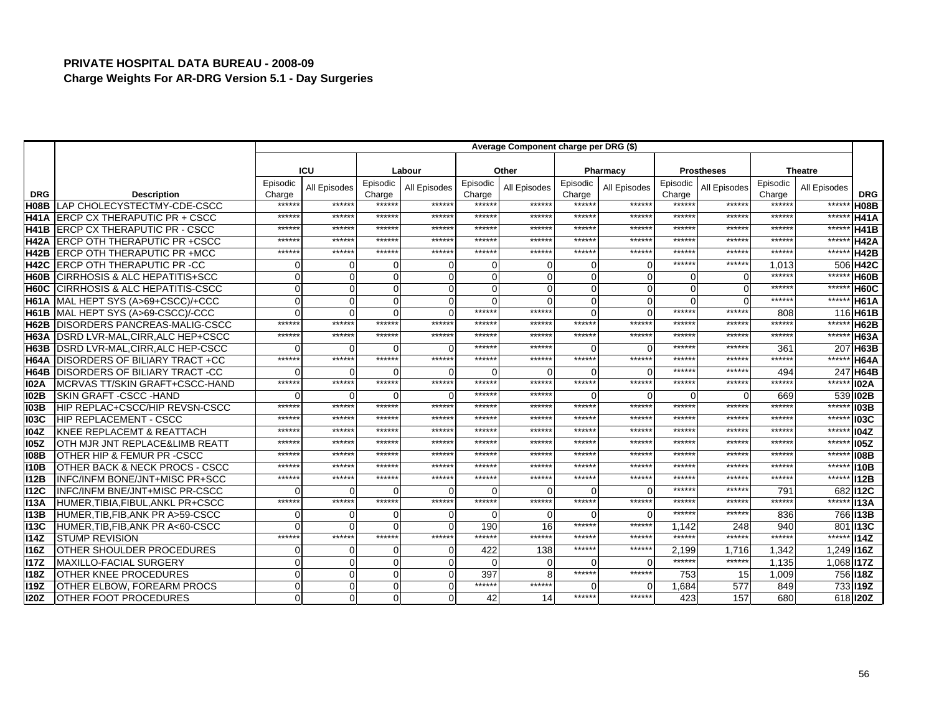|                                  |                                                   |                 |              |                  |              |                  | Average Component charge per DRG (\$) |                  |                |                  |                   |                  |                |                            |
|----------------------------------|---------------------------------------------------|-----------------|--------------|------------------|--------------|------------------|---------------------------------------|------------------|----------------|------------------|-------------------|------------------|----------------|----------------------------|
|                                  |                                                   |                 |              |                  |              |                  |                                       |                  |                |                  |                   |                  |                |                            |
|                                  |                                                   |                 | ICU          |                  | Labour       |                  | Other                                 |                  | Pharmacy       |                  | <b>Prostheses</b> |                  | <b>Theatre</b> |                            |
|                                  |                                                   | Episodic        | All Episodes | Episodic         | All Episodes | Episodic         | All Episodes                          | Episodic         | All Episodes   | Episodic         | All Episodes      | Episodic         | All Episodes   |                            |
| <b>DRG</b>                       | <b>Description</b><br>LAP CHOLECYSTECTMY-CDE-CSCC | Charge<br>***** | ******       | Charge<br>****** | ******       | Charge<br>****** | *****                                 | Charge<br>****** | ******         | Charge<br>****** | ******            | Charge<br>*****: | ******         | <b>DRG</b>                 |
| H <sub>08</sub> B<br><b>H41A</b> | <b>LERCP CX THERAPUTIC PR + CSCC</b>              | *****           | ******       | ******           | ******       | *****            | *****                                 | ******           | ******         | *****:           | *****             | ******           | *****          | <b>H08B</b><br><b>H41A</b> |
| <b>H41B</b>                      | ERCP CX THERAPUTIC PR - CSCC                      | *****           | ******       | ******           | ******       | *****            | *****                                 | ******           | ******         | $*****$          | *****             | *****            | ******         | <b>H41B</b>                |
| <b>H42A</b>                      | <b>ERCP OTH THERAPUTIC PR +CSCC</b>               | *****           | *****        | ******           | ******       | ******           | *****                                 | ******           | ******         | ******           | *****             | *****:           | ******         | <b>H42A</b>                |
| H42B                             | <b>ERCP OTH THERAPUTIC PR +MCC</b>                | $****$          | ******       | ******           | ******       | ******           | ******                                | ******           | ******         | ******           | ******            | *****:           | ******         | <b>H42B</b>                |
| <b>H42C</b>                      | <b>ERCP OTH THERAPUTIC PR -CC</b>                 |                 | $\Omega$     | $\Omega$         |              |                  |                                       | $\Omega$         | $\Omega$       | ******           | ******            | 1,013            |                | 506 H42C                   |
| H60B                             | <b>CIRRHOSIS &amp; ALC HEPATITIS+SCC</b>          |                 | $\Omega$     | $\mathbf{0}$     |              | 0                |                                       | $\Omega$         | $\mathbf 0$    | $\Omega$         | U                 | *****            | *****          | H60B                       |
| H60C                             | <b>CIRRHOSIS &amp; ALC HEPATITIS-CSCC</b>         |                 | $\Omega$     | $\Omega$         | ∩            | 0                |                                       | $\Omega$         | $\overline{0}$ | $\Omega$         | $\Omega$          | $*****$          | ******         | <b>H60C</b>                |
| IH61A                            | MAL HEPT SYS (A>69+CSCC)/+CCC                     |                 | $\Omega$     | $\Omega$         |              | O                |                                       | $\Omega$         | $\Omega$       | $\Omega$         | $\Omega$          | *****            | ******         | <b>H61A</b>                |
| H61B                             | MAL HEPT SYS (A>69-CSCC)/-CCC                     |                 | $\Omega$     | $\Omega$         | ∩            | ******           | ******                                | $\Omega$         | $\Omega$       | ******           | ******            | 808              |                | 116 H61B                   |
| <b>H62B</b>                      | <b>DISORDERS PANCREAS-MALIG-CSCC</b>              | ******          | ******       | ******           | ******       | ******           | ******                                | ******           | ******         | ******           | ******            | ******           | ******         | <b>H62B</b>                |
| H63A                             | DSRD LVR-MAL, CIRR, ALC HEP+CSCC                  | *****           | ******       | ******           | ******       | *****            | *****                                 | ******           | ******         | ******           | *****             | ******           | ******         | <b>H63A</b>                |
| H63B                             | <b>DSRD LVR-MAL, CIRR, ALC HEP-CSCC</b>           |                 |              | $\Omega$         | ∩            | *****            | *****                                 | $\Omega$         | $\Omega$       | ******           | *****             | 361              |                | 207 H63B                   |
| H64A                             | <b>IDISORDERS OF BILIARY TRACT +CC</b>            | *****           | ******       | ******           | ******       | ******           | ******                                | ******           | ******         | ******           | *****:            | ******           | ******         | <b>H64A</b>                |
| H64B                             | <b>DISORDERS OF BILIARY TRACT -CC</b>             |                 |              | ∩                |              | 0                |                                       | $\Omega$         | $\Omega$       | ******           | *****             | 494              | 247            | H64B                       |
| <b>102A</b>                      | MCRVAS TT/SKIN GRAFT+CSCC-HAND                    | $****$          | ******       | ******           | ******       | ******           | ******                                | ******           | ******         | ******           | ******            | ******           | *****          | <b>I02A</b>                |
| <b>102B</b>                      | SKIN GRAFT - CSCC - HAND                          |                 | $\Omega$     | $\Omega$         | ∩            | *****            | *****                                 | $\Omega$         | $\Omega$       | ∩                |                   | 669              |                | 539 102B                   |
| <b>103B</b>                      | HIP REPLAC+CSCC/HIP REVSN-CSCC                    | *****           | ******       | ******           | ******       | *****            | *****                                 | ******           | ******         | ******           | ******            | $*****$          | ******         | <b>103B</b>                |
| <b>103C</b>                      | <b>HIP REPLACEMENT - CSCC</b>                     | *****           | ******       | ******           | ******       | ******           | *****                                 | ******           | ******         | ******           | *****:            | *****            | ******         | <b>103C</b>                |
| <b>104Z</b>                      | <b>KNEE REPLACEMT &amp; REATTACH</b>              | *****           | ******       | ******           | ******       | ******           | *****                                 | ******           | ******         | ******           | ******            | ******           | ******         | <b>104Z</b>                |
| <b>105Z</b>                      | OTH MJR JNT REPLACE&LIMB REATT                    | *****           | *****        | ******           | ******       | ******           | *****                                 | ******           | ******         | ******           | *****             | $*****$          | ******         | <b>105Z</b>                |
| <b>108B</b>                      | OTHER HIP & FEMUR PR -CSCC                        | *****           | *****        | ******           | ******       | ******           | *****                                 | ******           | ******         | ******           | *****             | *****            | ******         | <b>I08B</b>                |
| <b>I10B</b>                      | OTHER BACK & NECK PROCS - CSCC                    | *****           | ******       | *****:           | ******       | *****            | *****                                 | ******           | ******         | ******           | *****             | ******           | ******         | <b>I10B</b>                |
| <b>I12B</b>                      | INFC/INFM BONE/JNT+MISC PR+SCC                    | *****           | *****:       | ******           | ******       | *****            | *****                                 | ******           | ******         | ******           | *****             | *****            | ******         | <b>I12B</b>                |
| <b>112C</b>                      | <b>INFC/INFM BNE/JNT+MISC PR-CSCC</b>             |                 |              | $\Omega$         |              | U                |                                       | $\Omega$         | $\Omega$       | ******           | *****             | 791              |                | 682 112C                   |
| <b>I13A</b>                      | HUMER.TIBIA.FIBUL.ANKL PR+CSCC                    | $*****$         | ******       | ******           | ******       | ******           | ******                                | ******           | ******         | ******           | ******            | ******           | ******         | <b>I13A</b>                |
| <b>I13B</b>                      | HUMER, TIB, FIB, ANK PR A>59-CSCC                 |                 | $\Omega$     | $\Omega$         | $\Omega$     | 0                |                                       | $\Omega$         | $\Omega$       | ******           | *****             | 836              |                | 766 113B                   |
| <b>I13C</b>                      | HUMER, TIB, FIB, ANK PR A<60-CSCC                 |                 | $\Omega$     | $\Omega$         | ∩            | 190              | 16                                    | ******           | ******         | 1.142            | 248               | 940              |                | 801 13C                    |
| <b>I14Z</b>                      | <b>STUMP REVISION</b>                             | $*****$         | ******       | ******           | ******       | ******           | ******                                | ******           | ******         | ******           | ******            | ******           |                | ****** 114Z                |
| <b>I16Z</b>                      | OTHER SHOULDER PROCEDURES                         |                 | $\Omega$     | $\Omega$         | $\Omega$     | 422              | 138                                   | ******           | ******         | 2.199            | 1.716             | 1.342            | 1,249 116Z     |                            |
| <b>I17Z</b>                      | <b>MAXILLO-FACIAL SURGERY</b>                     | ∩               | $\Omega$     | $\overline{0}$   | ∩            | $\Omega$         |                                       | $\Omega$         | $\Omega$       | ******           | ******            | 1,135            | $1,068$ 117Z   |                            |
| <b>I18Z</b>                      | OTHER KNEE PROCEDURES                             |                 | $\mathbf 0$  | $\Omega$         | $\Omega$     | 397              |                                       | ******           | ******         | 753              | 15                | 1,009            |                | 756 118Z                   |
| <b>I19Z</b>                      | OTHER ELBOW. FOREARM PROCS                        | $\Omega$        | $\mathbf 0$  | $\overline{0}$   | ∩            | ******           | ******                                | $\Omega$         | $\Omega$       | 1,684            | 577               | 849              |                | 733 19Z                    |
| <b>I20Z</b>                      | <b>OTHER FOOT PROCEDURES</b>                      |                 | $\mathbf 0$  | $\Omega$         | $\Omega$     | 42               | 14                                    | ******           | ******         | 423              | 157               | 680              |                | 618 <b>120Z</b>            |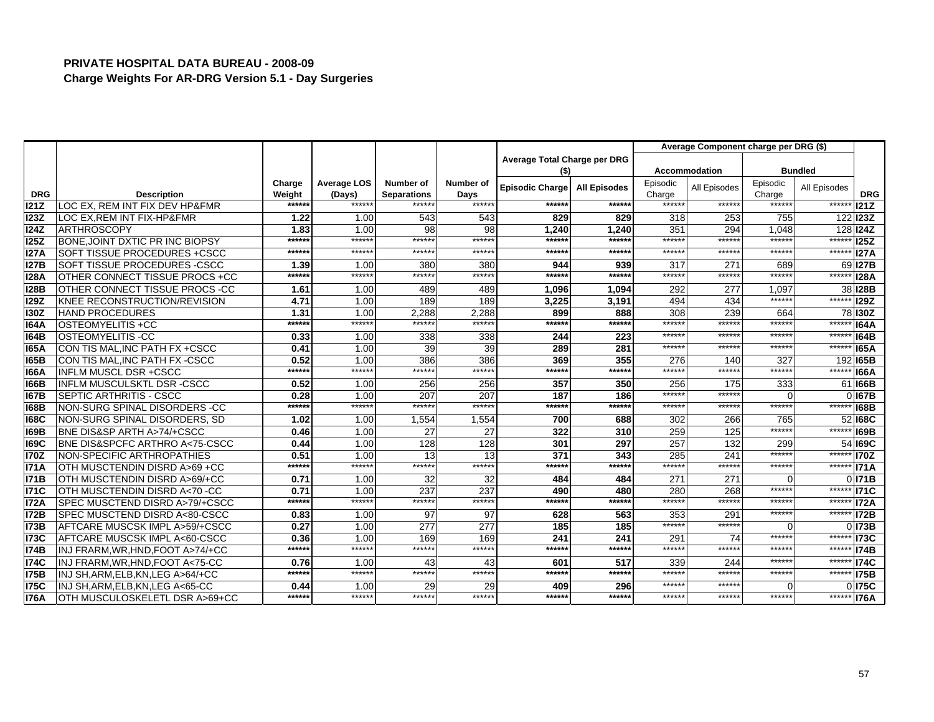|             |                                              |                |                    |                              |                |                              |                     |                 | Average Component charge per DRG (\$) |                  |                |                      |
|-------------|----------------------------------------------|----------------|--------------------|------------------------------|----------------|------------------------------|---------------------|-----------------|---------------------------------------|------------------|----------------|----------------------|
|             |                                              |                |                    |                              |                | Average Total Charge per DRG |                     |                 |                                       |                  |                |                      |
|             |                                              |                |                    |                              |                | $($ \$                       |                     |                 | <b>Accommodation</b>                  |                  | <b>Bundled</b> |                      |
|             |                                              | Charge         | <b>Average LOS</b> | Number of                    | Number of      | <b>Episodic Charge</b>       | <b>All Episodes</b> | Episodic        | All Episodes                          | Episodic         | All Episodes   |                      |
| <b>DRG</b>  | <b>Description</b>                           | Weight         | (Days)<br>******   | <b>Separations</b><br>****** | Days<br>****** |                              |                     | Charge<br>***** |                                       | Charge<br>****** |                | <b>DRG</b>           |
| 121Z        | LOC EX, REM INT FIX DEV HP&FMR               | ******         |                    |                              |                | ******                       | ******              |                 | ******                                |                  | ******         | 121Z                 |
| 123Z        | LOC EX.REM INT FIX-HP&FMR                    | 1.22           | 1.00               | 543                          | 543            | 829                          | 829                 | 318             | 253                                   | 755              |                | 122 <b>123Z</b>      |
| 124Z        | <b>ARTHROSCOPY</b>                           | 1.83<br>****** | 1.00<br>******     | 98                           | 98<br>******   | 1.240                        | 1.240<br>******     | 351<br>******   | 294<br>******                         | 1.048<br>******  |                | 128 124Z             |
| 125Z        | BONE.JOINT DXTIC PR INC BIOPSY               |                | ******             | ******                       |                | ******                       |                     | ******          |                                       |                  | ******         | 125Z                 |
| <b>I27A</b> | SOFT TISSUE PROCEDURES +CSCC                 | ******         |                    | ******                       | ******         | ******                       | ******              |                 | ******                                | ******           | ******         | 127A                 |
| <b>I27B</b> | <b>SOFT TISSUE PROCEDURES -CSCC</b>          | 1.39           | 1.00               | 380                          | 380            | 944                          | 939                 | 317             | 271                                   | 689              | 69             | <b>I27B</b>          |
| <b>I28A</b> | OTHER CONNECT TISSUE PROCS +CC               | ******         | ******             | ******                       | ******         | ******                       | ******              | ******          | ******                                | ******           | *****          | <b>128A</b>          |
| <b>I28B</b> | OTHER CONNECT TISSUE PROCS -CC               | 1.61           | 1.00               | 489                          | 489            | 1,096                        | 1,094               | 292             | 277                                   | 1,097            |                | 38 128 B             |
| <b>129Z</b> | KNEE RECONSTRUCTION/REVISION                 | 4.71           | 1.00               | 189                          | 189            | 3.225                        | 3.191               | 494             | 434                                   | ******           | ******         | <b>I29Z</b>          |
| 130Z        | <b>HAND PROCEDURES</b>                       | 1.31           | 1.00               | 2,288                        | 2,288          | 899                          | 888                 | 308             | 239                                   | 664              |                | 78 130Z              |
| <b>164A</b> | OSTEOMYELITIS +CC                            | ******         | ******             | ******                       | ******         | ******                       | ******              | ******          | ******                                | ******           | *****          | 164A                 |
| <b>164B</b> | OSTEOMYELITIS -CC                            | 0.33           | 1.00               | 338                          | 338            | 244                          | 223                 | ******          | *****                                 | *****            | $****$         | <b>164B</b>          |
| <b>165A</b> | CON TIS MAL, INC PATH FX +CSCC               | 0.41           | 1.00               | 39                           | 39             | 289                          | 281                 | ******          | ******                                | *****            | *****          | <b>165A</b>          |
| <b>165B</b> | CON TIS MAL. INC PATH FX - CSCC              | 0.52           | 1.00               | 386                          | 386            | 369                          | 355                 | 276             | 140                                   | 327              |                | 192165B              |
| <b>166A</b> | <b>INFLM MUSCL DSR +CSCC</b>                 | ******         | ******             | ******                       | ******         | ******                       | ******              | ******          | ******                                | ******           | ******         | <b>166A</b>          |
| 166B        | <b>INFLM MUSCULSKTL DSR-CSCC</b>             | 0.52           | 1.00               | 256                          | 256            | 357                          | 350                 | 256             | 175                                   | 333              |                | 61 <b>166B</b>       |
| <b>167B</b> | SEPTIC ARTHRITIS - CSCC                      | 0.28           | 1.00               | 207                          | 207            | 187                          | 186                 | ******          | $*****$                               | $\Omega$         |                | 0 167B               |
| <b>168B</b> | NON-SURG SPINAL DISORDERS -CC                | ******         | ******             | ******                       | ******         | ******                       | ******              | ******          | *****:                                | ******           | ******         | <b>168B</b>          |
| <b>168C</b> | NON-SURG SPINAL DISORDERS, SD                | 1.02           | 1.00               | 1,554                        | 1,554          | 700                          | 688                 | 302             | 266                                   | 765              |                | 52 168C              |
| <b>169B</b> | BNE DIS&SP ARTH A>74/+CSCC                   | 0.46           | 1.00               | 27                           | 27             | 322                          | 310                 | 259             | 125                                   | ******           | $*****$        | <b>169B</b>          |
| <b>169C</b> | <b>BNE DIS&amp;SPCFC ARTHRO A&lt;75-CSCC</b> | 0.44           | 1.00               | 128                          | 128            | 301                          | 297                 | 257             | 132                                   | 299              |                | 54 169C              |
| <b>I70Z</b> | NON-SPECIFIC ARTHROPATHIES                   | 0.51           | 1.00               | 13                           | 13             | 371                          | 343                 | 285             | 241                                   | ******           | $***$ **       | 170Z                 |
| <b>I71A</b> | OTH MUSCTENDIN DISRD A>69 +CC                | ******         | ******             | ******                       | ******         | ******                       | ******              | ******          | ******                                | ******           | ******         | <b>I71A</b>          |
| <b>I71B</b> | OTH MUSCTENDIN DISRD A>69/+CC                | 0.71           | 1.00               | 32                           | 32             | 484                          | 484                 | 271             | 27'                                   | ∩                |                | $0$ <sub>171</sub> B |
| <b>I71C</b> | OTH MUSCTENDIN DISRD A<70 -CC                | 0.71           | 1.00               | 237                          | 237            | 490                          | 480                 | 280             | 268                                   | ******           | ******         | <b>I71C</b>          |
| <b>I72A</b> | SPEC MUSCTEND DISRD A>79/+CSCC               | ******         | ******             | ******                       | ******         | ******                       | ******              | ******          | *****:                                | ******           | ******         | <b>I72A</b>          |
| <b>I72B</b> | SPEC MUSCTEND DISRD A<80-CSCC                | 0.83           | 1.00               | 97                           | 97             | 628                          | 563                 | 353             | 291                                   | ******           | ******         | <b>172B</b>          |
| <b>I73B</b> | AFTCARE MUSCSK IMPL A>59/+CSCC               | 0.27           | 1.00               | $\overline{277}$             | 277            | 185                          | 185                 | ******          | *****                                 | $\Omega$         |                | 0173B                |
| <b>I73C</b> | AFTCARE MUSCSK IMPL A<60-CSCC                | 0.36           | 1.00               | 169                          | 169            | 241                          | 241                 | 291             | 74                                    | ******           | ****** I73C    |                      |
| <b>I74B</b> | INJ FRARM, WR, HND, FOOT A>74/+CC            | ******         | ******             | ******                       | ******         | ******                       | ******              | ******          | ******                                | ******           | ******         | <b>I74B</b>          |
| <b>I74C</b> | INJ FRARM, WR, HND, FOOT A<75-CC             | 0.76           | 1.00               | 43                           | 43             | 601                          | 517                 | 339             | 244                                   | ******           | $*****$        | <b>I74C</b>          |
| <b>I75B</b> | INJ SH, ARM, ELB, KN, LEG A>64/+CC           | ******         | ******             | ******                       | ******         | ******                       | ******              | ******          | ******                                | ******           | *****          | <b>I75B</b>          |
| <b>I75C</b> | INJ SH.ARM.ELB.KN.LEG A<65-CC                | 0.44           | 1.00               | 29                           | 29             | 409                          | 296                 | ******          | *****                                 | ⋂                |                | 0 175C               |
| <b>I76A</b> | OTH MUSCULOSKELETL DSR A>69+CC               | ******         | ******             | ******                       | ******         | ******                       | ******              | ******          | ******                                | ******           | ****** I76A    |                      |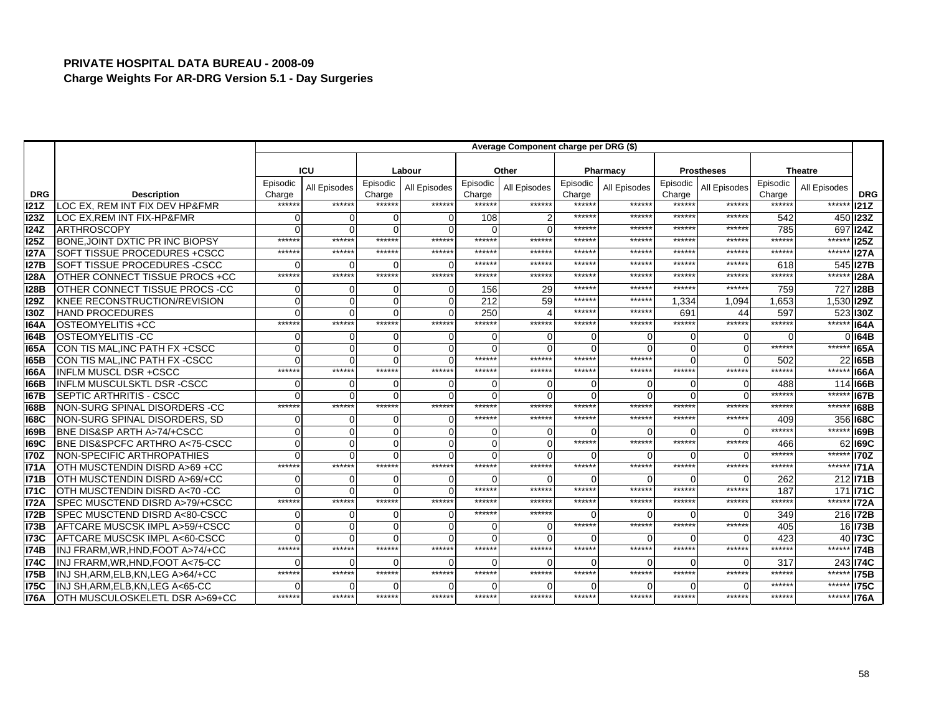|                    |                                                      |                  |                |                 |              |                  | Average Component charge per DRG (\$) |                  |              |                 |                   |                  |                   |                    |
|--------------------|------------------------------------------------------|------------------|----------------|-----------------|--------------|------------------|---------------------------------------|------------------|--------------|-----------------|-------------------|------------------|-------------------|--------------------|
|                    |                                                      |                  |                |                 |              |                  |                                       |                  |              |                 |                   |                  |                   |                    |
|                    |                                                      |                  | <b>ICU</b>     |                 | Labour       |                  | Other                                 |                  | Pharmacy     |                 | <b>Prostheses</b> |                  | <b>Theatre</b>    |                    |
|                    |                                                      | Episodic         | All Episodes   | Episodic        | All Episodes | Episodic         | All Episodes                          | Episodic         | All Episodes | Episodic        | All Episodes      | Episodic         | All Episodes      |                    |
| <b>DRG</b><br>121Z | <b>Description</b><br>LOC EX, REM INT FIX DEV HP&FMR | Charge<br>****** | ******         | Charge<br>***** | ******       | Charge<br>*****: | ******                                | Charge<br>****** | ******       | Charge<br>***** | $*****$           | Charge<br>****** | ******            | <b>DRG</b><br>121Z |
| <b>I23Z</b>        | LOC EX, REM INT FIX-HP&FMR                           |                  | 0              |                 | ∩            | 108              |                                       | ******           | ******       | *****:          | *****             | 542              |                   | 450 123Z           |
| 124Z               | <b>ARTHROSCOPY</b>                                   |                  | $\Omega$       |                 | $\Omega$     | ∩                |                                       | ******           | *****        | *****:          | *****             | 785              | 697               | 124Z               |
| <b>I25Z</b>        | BONE, JOINT DXTIC PR INC BIOPSY                      | ******           | ******         | ******          | ******       | ******           | *****:                                | ******           | ******       | ******          | *****             | ******           | ******            | <b>I25Z</b>        |
| <b>I27A</b>        | SOFT TISSUE PROCEDURES +CSCC                         | ******           | ******         | ******          | ******       | ******           | *****:                                | ******           | ******       | ******          | *****             | ******           | ******            | <b>I27A</b>        |
| <b>I27B</b>        | SOFT TISSUE PROCEDURES - CSCC                        | $\Omega$         | $\Omega$       |                 | $\Omega$     | ******           | ******                                | ******           | ******       | ******          | *****             | 618              | 545               | <b>I27B</b>        |
| <b>I28A</b>        | OTHER CONNECT TISSUE PROCS +CC                       | ******           | ******         | ******          | ******       | ******           | *****:                                | *****            | ******       | *****:          | *****             | ******           | ******            | <b>I28A</b>        |
| <b>I28B</b>        | OTHER CONNECT TISSUE PROCS -CC                       | $\Omega$         | 0              | ∩               | $\Omega$     | 156              | 29                                    | $*****$          | ******       | *****:          | *****             | 759              |                   | 727 128B           |
| <b>I29Z</b>        | <b>KNEE RECONSTRUCTION/REVISION</b>                  | $\Omega$         | $\mathbf 0$    |                 | $\Omega$     | 212              | 59                                    | ******           | ******       | 1.334           | 1.094             | 1.653            | 1.530 <b>129Z</b> |                    |
| <b>I30Z</b>        | <b>HAND PROCEDURES</b>                               |                  | $\Omega$       | ∩               | ∩            | 250              |                                       | *****            | ******       | 691             | 44                | 597              | 523               | <b>I30Z</b>        |
| <b>164A</b>        | OSTEOMYELITIS +CC                                    | ******           | ******         | ******          | ******       | ******           | ******                                | ******           | ******       | ******          | $*****$           | ******           | ******            | <b>164A</b>        |
| <b>164B</b>        | <b>OSTEOMYELITIS-CC</b>                              | $\Omega$         | $\Omega$       |                 | $\Omega$     | U                |                                       |                  |              |                 |                   |                  |                   | $0$ I64B           |
| <b>165A</b>        | CON TIS MAL, INC PATH FX + CSCC                      | ∩                | $\mathbf 0$    | $\Omega$        | $\Omega$     | ∩                |                                       | $\Omega$         |              | $\Omega$        |                   | ******           | ******            | <b>I65A</b>        |
| <b>165B</b>        | CON TIS MAL, INC PATH FX - CSCC                      | ∩                | $\Omega$       |                 | $\Omega$     | ******           | *****:                                | ******           | ******       | $\Omega$        |                   | 502              | 22                | <b>165B</b>        |
| <b>166A</b>        | <b>INFLM MUSCL DSR +CSCC</b>                         | ******           | ******         | ******          | ******       | ******           | ******                                | ******           | ******       | ******          | ******            | ******           | ******            | <b>166A</b>        |
| <b>166B</b>        | <b>INFLM MUSCULSKTL DSR -CSCC</b>                    | 0                | 0              |                 | ∩            |                  |                                       |                  |              |                 |                   | 488              | 114               | <b>166B</b>        |
| <b>167B</b>        | SEPTIC ARTHRITIS - CSCC                              | ∩                | $\Omega$       |                 | $\Omega$     | n                |                                       | $\Omega$         |              |                 |                   | *****:           | ******            | <b>167B</b>        |
| <b>168B</b>        | NON-SURG SPINAL DISORDERS -CC                        | ******           | ******         | ******          | ******       | ******           | ******                                | ******           | ******       | ******          | *****             | *****:           | ******            | <b>I68B</b>        |
| <b>168C</b>        | NON-SURG SPINAL DISORDERS, SD                        | $\Omega$         | 0              |                 | $\Omega$     | *****:           | ******                                | ******           | ******       | ******          | $****$            | 409              | 356               | <b>168C</b>        |
| <b>169B</b>        | BNE DIS&SP ARTH A>74/+CSCC                           | $\Omega$         | $\Omega$       |                 | $\Omega$     | O                |                                       | ∩                | ŋ            | $\Omega$        |                   | *****:           | ******            | <b>169B</b>        |
| <b>169C</b>        | BNE DIS&SPCFC ARTHRO A<75-CSCC                       |                  | $\overline{0}$ | $\Omega$        | $\Omega$     | 0                |                                       | ******           | ******       | ******          | ******            | 466              |                   | 62 169C            |
| <b>I70Z</b>        | NON-SPECIFIC ARTHROPATHIES                           |                  | $\Omega$       |                 | ∩            | ∩                |                                       | $\Omega$         | 0            | $\Omega$        |                   | *****            | ******            | <b>I70Z</b>        |
| <b>I71A</b>        | OTH MUSCTENDIN DISRD A>69 +CC                        | ******           | ******         | *****           | ******       | ******           | ******                                | ******           | ******       | ******          | $*****$           | *****:           | ******            | <b>I71A</b>        |
| I71B               | OTH MUSCTENDIN DISRD A>69/+CC                        | $\Omega$         | $\mathbf 0$    |                 | $\Omega$     |                  |                                       | ∩                | U            | $\Omega$        |                   | 262              |                   | 212 <b>171B</b>    |
| <b>I71C</b>        | OTH MUSCTENDIN DISRD A<70 -CC                        |                  | $\Omega$       |                 | ∩            | *****:           | *****:                                | ******           | ******       | ******          | $****$            | 187              |                   | 171 <b>171 C</b>   |
| <b>I72A</b>        | SPEC MUSCTEND DISRD A>79/+CSCC                       | ******           | ******         | *****           | ******       | ******           | *****                                 | *****            | ******       | *****:          | ******            | ******           | ******            | <b>I72A</b>        |
| <b>I72B</b>        | SPEC MUSCTEND DISRD A<80-CSCC                        | 0                | 0              |                 | ∩            | *****:           | ******                                | ∩                |              | $\epsilon$      |                   | 34 <sup>°</sup>  |                   | 216 72B            |
| <b>I73B</b>        | AFTCARE MUSCSK IMPL A>59/+CSCC                       | $\Omega$         | $\mathbf 0$    |                 | ∩            | U                |                                       | ******           | ******       | ******          | $*****$           | 405              |                   | 16 73B             |
| <b>I73C</b>        | AFTCARE MUSCSK IMPL A<60-CSCC                        | $\Omega$         | $\Omega$       |                 | $\Omega$     | n                |                                       | $\Omega$         | $\Omega$     | $\Omega$        |                   | 423              |                   | 40 173C            |
| <b>I74B</b>        | INJ FRARM, WR, HND, FOOT A>74/+CC                    | *****:           | ******         | $******$        | ******       | ******           | ******                                | ******           | ******       | ******          | ******            | ******           | ******            | <b>I74B</b>        |
| <b>174C</b>        | INJ FRARM.WR.HND.FOOT A<75-CC                        | $\Omega$         | $\Omega$       |                 | $\Omega$     | O                | ∩                                     | ∩                | O            | $\Omega$        |                   | 317              |                   | 243 74C            |
| <b>I75B</b>        | INJ SH, ARM, ELB, KN, LEG A>64/+CC                   | ******           | ******         | ******          | ******       | ******           | ******                                | ******           | ******       | ******          | *****             | $*****$          | ******            | <b>I75B</b>        |
| <b>I75C</b>        | INJ SH, ARM, ELB, KN, LEG A<65-CC                    | O                | $\Omega$       |                 | ∩            | O                |                                       | $\Omega$         |              | $\Omega$        |                   | *****            | ******            | <b>I75C</b>        |
| <b>I76A</b>        | OTH MUSCULOSKELETL DSR A>69+CC                       | ******           | ******         | ******          | ******       | ******           | ******                                | ******           | ******       | ******          | ******            | *****:           | ******            | <b>I76A</b>        |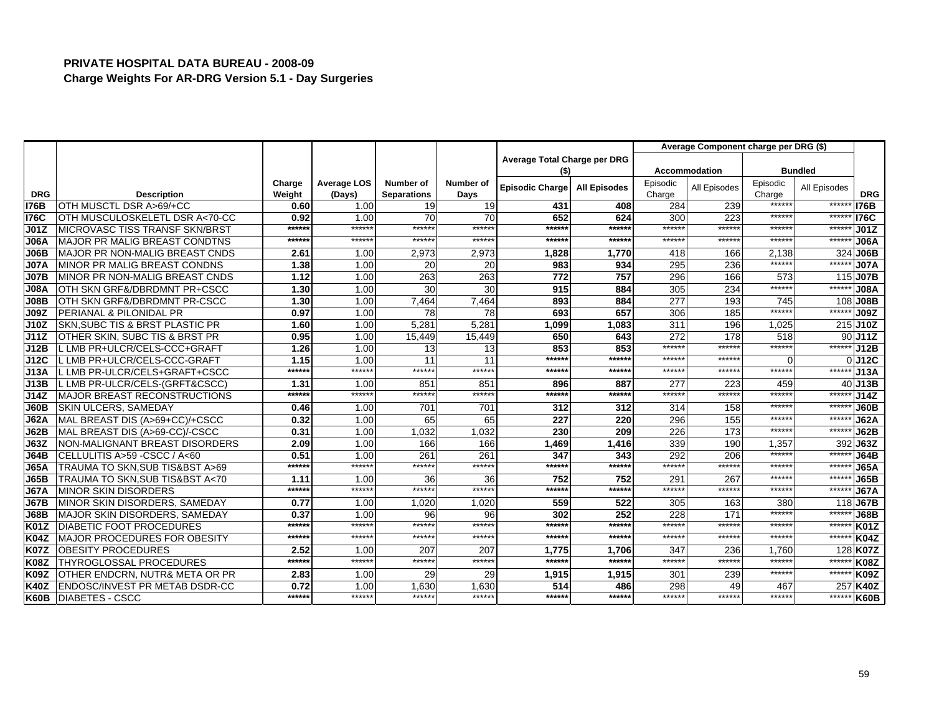|             |                                       |                  |                              |                                 |                   |                              |                     |                    | Average Component charge per DRG (\$) |                    |                |             |
|-------------|---------------------------------------|------------------|------------------------------|---------------------------------|-------------------|------------------------------|---------------------|--------------------|---------------------------------------|--------------------|----------------|-------------|
|             |                                       |                  |                              |                                 |                   | Average Total Charge per DRG |                     |                    |                                       |                    |                |             |
|             |                                       |                  |                              |                                 |                   | (S)                          |                     |                    | <b>Accommodation</b>                  |                    | <b>Bundled</b> |             |
| <b>DRG</b>  | <b>Description</b>                    | Charge<br>Weight | <b>Average LOS</b><br>(Days) | Number of<br><b>Separations</b> | Number of<br>Days | Episodic Charge              | <b>All Episodes</b> | Episodic<br>Charge | All Episodes                          | Episodic<br>Charge | All Episodes   | <b>DRG</b>  |
| <b>I76B</b> | OTH MUSCTL DSR A>69/+CC               | 0.60             | 1.00                         | 19                              | 19                | 431                          | 408                 | 284                | 239                                   | ******             | ******         | <b>I76B</b> |
| <b>I76C</b> | OTH MUSCULOSKELETL DSR A<70-CC        | 0.92             | 1.00                         | 70                              | 70                | 652                          | 624                 | 300                | 223                                   | ******             | *****          | <b>I76C</b> |
| J01Z        | <b>MICROVASC TISS TRANSF SKN/BRST</b> | ******           | ******                       | ******                          | ******            | ******                       | ******              | ******             | ******                                | ******             | ******         | J01Z        |
| <b>J06A</b> | <b>IMAJOR PR MALIG BREAST CONDTNS</b> | ******           | ******                       | ******                          | ******            | ******                       | ******              | ******             | ******                                | ******             | ******         | <b>J06A</b> |
| J06B        | MAJOR PR NON-MALIG BREAST CNDS        | 2.61             | 1.00                         | 2,973                           | 2,973             | 1,828                        | 1,770               | 418                | 166                                   | 2,138              | 324            | <b>J06B</b> |
| <b>J07A</b> | <b>IMINOR PR MALIG BREAST CONDNS</b>  | 1.38             | 1.00                         | 20                              | 20                | 983                          | 934                 | 295                | 236                                   | ******             | ******         | <b>J07A</b> |
| <b>J07B</b> | MINOR PR NON-MALIG BREAST CNDS        | 1.12             | 1.00                         | 263                             | 263               | 772                          | 757                 | 296                | 166                                   | 573                | 115            | <b>J07B</b> |
| <b>J08A</b> | OTH SKN GRF&/DBRDMNT PR+CSCC          | 1.30             | 1.00                         | 30                              | 30                | 915                          | 884                 | 305                | 234                                   | ******             | ******         | <b>J08A</b> |
| <b>J08B</b> | OTH SKN GRF&/DBRDMNT PR-CSCC          | 1.30             | 1.00                         | 7.464                           | 7.464             | 893                          | 884                 | 277                | 193                                   | 745                |                | 108 J08B    |
| <b>J09Z</b> | PERIANAL & PILONIDAL PR               | 0.97             | 1.00                         | 78                              | 78                | 693                          | 657                 | 306                | 185                                   | ******             | ******         | <b>J09Z</b> |
| J10Z        | SKN, SUBC TIS & BRST PLASTIC PR       | 1.60             | 1.00                         | 5,281                           | 5.281             | 1,099                        | 1,083               | 311                | 196                                   | 1,025              |                | 215 J10Z    |
| J11Z        | OTHER SKIN, SUBC TIS & BRST PR        | 0.95             | 1.00                         | 15,449                          | 15,449            | 650                          | 643                 | 272                | 178                                   | 518                |                | 90J11Z      |
| J12B        | L LMB PR+ULCR/CELS-CCC+GRAFT          | 1.26             | 1.00                         | 13                              | 13                | 853                          | 853                 | ******             | ******                                | ******             | ******         | J12B        |
| J12C        | L LMB PR+ULCR/CELS-CCC-GRAFT          | 1.15             | 1.00                         | 11                              | 11                | ******                       | ******              | ******             | ******                                | 0                  |                | $0$ J12 $C$ |
| J13A        | L LMB PR-ULCR/CELS+GRAFT+CSCC         | ******           | ******                       | ******                          | ******            | ******                       | ******              | ******             | ******                                | ******             | ******         | J13A        |
| J13B        | L LMB PR-ULCR/CELS-(GRFT&CSCC)        | 1.31             | 1.00                         | 851                             | 851               | 896                          | 887                 | 277                | 223                                   | 459                | 40             | J13B        |
| J14Z        | <b>MAJOR BREAST RECONSTRUCTIONS</b>   | ******           | ******                       | ******                          | ******            | ******                       | ******              | ******             | ******                                | ******             | ******         | J14Z        |
| <b>J60B</b> | <b>SKIN ULCERS, SAMEDAY</b>           | 0.46             | 1.00                         | 701                             | 701               | 312                          | 312                 | 314                | 158                                   | ******             | ******         | <b>J60B</b> |
| <b>J62A</b> | MAL BREAST DIS (A>69+CC)/+CSCC        | 0.32             | 1.00                         | 65                              | 65                | 227                          | 220                 | 296                | 155                                   | ******             | ******         | <b>J62A</b> |
| J62B        | MAL BREAST DIS (A>69-CC)/-CSCC        | 0.31             | 1.00                         | 1,032                           | 1,032             | 230                          | 209                 | 226                | 173                                   | ******             | $*****$        | <b>J62B</b> |
| <b>J63Z</b> | INON-MALIGNANT BREAST DISORDERS       | 2.09             | 1.00                         | 166                             | 166               | 1,469                        | 1,416               | 339                | 190                                   | 1,357              | 392            | <b>J63Z</b> |
| <b>J64B</b> | CELLULITIS A>59 - CSCC / A<60         | 0.51             | 1.00                         | 261                             | 261               | 347                          | 343                 | 292                | 206                                   | ******             | $*****$        | <b>J64B</b> |
| <b>J65A</b> | TRAUMA TO SKN.SUB TIS&BST A>69        | ******           | ******                       | ******                          | ******            | ******                       | ******              | ******             | ******                                | ******             | ******         | <b>J65A</b> |
| <b>J65B</b> | TRAUMA TO SKN, SUB TIS&BST A<70       | 1.11             | 1.00                         | 36                              | 36                | 752                          | 752                 | 291                | 267                                   | ******             | ******         | <b>J65B</b> |
| <b>J67A</b> | <b>MINOR SKIN DISORDERS</b>           | ******           | ******                       | ******                          | ******            | ******                       | ******              | ******             | ******                                | ******             | $*****$        | <b>J67A</b> |
| <b>J67B</b> | MINOR SKIN DISORDERS, SAMEDAY         | 0.77             | 1.00                         | 1,020                           | 1.020             | 559                          | 522                 | 305                | 163                                   | 380                | 118            | <b>J67B</b> |
| <b>J68B</b> | MAJOR SKIN DISORDERS, SAMEDAY         | 0.37             | 1.00                         | 96                              | 96                | 302                          | 252                 | 228                | 17'                                   | ******             | ******         | <b>J68B</b> |
| <b>K01Z</b> | <b>DIABETIC FOOT PROCEDURES</b>       | ******           | ******                       | ******                          | ******            | ******                       | ******              | ******             | ******                                | ******             | ******         | <b>K01Z</b> |
| <b>K04Z</b> | MAJOR PROCEDURES FOR OBESITY          | ******           | ******                       | ******                          | ******            | ******                       | ******              | ******             | ******                                | ******             | $****$         | <b>K04Z</b> |
| <b>K07Z</b> | <b>OBESITY PROCEDURES</b>             | 2.52             | 1.00                         | 207                             | 207               | 1,775                        | 1.706               | 347                | 236                                   | 1.760              |                | 128 K07Z    |
| <b>K08Z</b> | <b>THYROGLOSSAL PROCEDURES</b>        | $*****$          | ******                       | ******                          | ******            | ******                       | ******              | ******             | ******                                | ******             | $*****$        | <b>K08Z</b> |
| <b>K09Z</b> | OTHER ENDCRN, NUTR& META OR PR        | 2.83             | 1.00                         | 29                              | 29                | 1,915                        | 1.915               | 301                | 239                                   | ******             | *****          | <b>K09Z</b> |
| <b>K40Z</b> | <b>ENDOSC/INVEST PR METAB DSDR-CC</b> | 0.72             | 1.00                         | 1.630                           | 1.630             | 514                          | 486                 | 298                | 49                                    | 467                |                | 257 K40Z    |
| K60B        | <b>DIABETES - CSCC</b>                | ******           | ******                       | ******                          | ******            | ******                       | ******              | ******             | ******                                | ******             | ******         | <b>K60B</b> |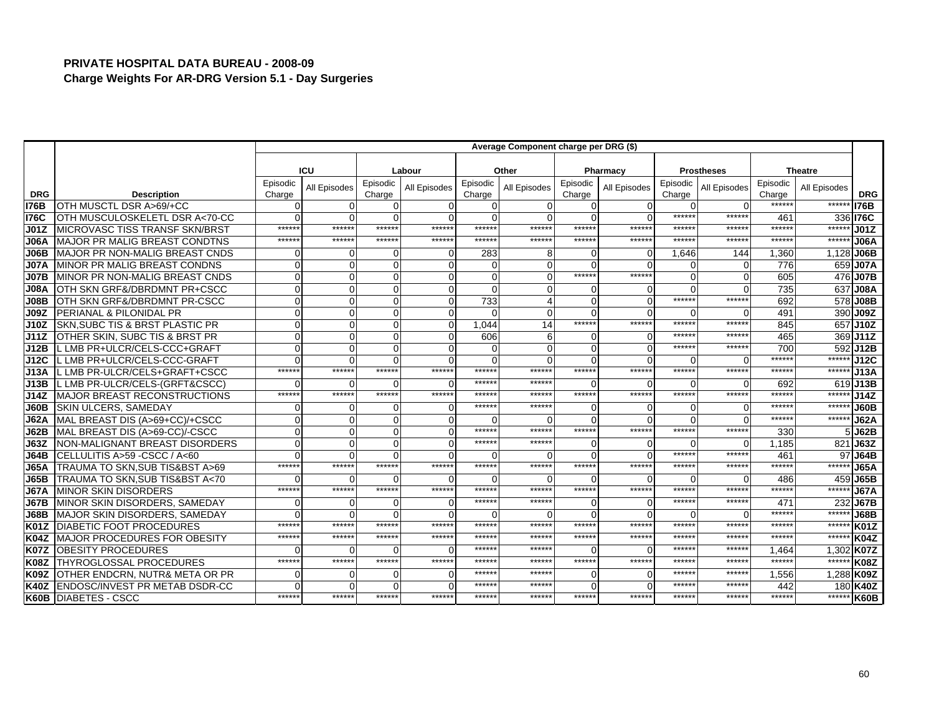|             |                                       |                    |              |                    |              |                    | Average Component charge per DRG (\$) |                    |              |                    |                   |                    |                |             |
|-------------|---------------------------------------|--------------------|--------------|--------------------|--------------|--------------------|---------------------------------------|--------------------|--------------|--------------------|-------------------|--------------------|----------------|-------------|
|             |                                       |                    |              |                    |              |                    |                                       |                    |              |                    |                   |                    |                |             |
|             |                                       |                    | ICU          |                    | Labour       |                    | Other                                 |                    | Pharmacy     |                    | <b>Prostheses</b> |                    | <b>Theatre</b> |             |
| <b>DRG</b>  | <b>Description</b>                    | Episodic<br>Charge | All Episodes | Episodic<br>Charge | All Episodes | Episodic<br>Charge | All Episodes                          | Episodic<br>Charge | All Episodes | Episodic<br>Charge | All Episodes      | Episodic<br>Charge | All Episodes   | <b>DRG</b>  |
| <b>I76B</b> | OTH MUSCTL DSR A>69/+CC               |                    | 0            | $\Omega$           |              |                    | U                                     | $\mathbf 0$        | $\Omega$     | ∩                  |                   | ******             | ******         | <b>I76B</b> |
| <b>I76C</b> | OTH MUSCULOSKELETL DSR A<70-CC        |                    | $\Omega$     | $\Omega$           |              |                    |                                       |                    |              | ******             | $*****$           | 461                |                | 336 76C     |
| J01Z        | <b>MICROVASC TISS TRANSF SKN/BRST</b> | *****              | ******       | ******             | ******       | *****              | ******                                | ******             | ******       | ******             | *****             | *****:             | ******         | J01Z        |
| J06A        | <b>IMAJOR PR MALIG BREAST CONDTNS</b> | *****              | ******       | ******             | ******       | *****              | ******                                | ******             | ******       | ******             | *****             | ******             | ******         | <b>J06A</b> |
| J06B        | MAJOR PR NON-MALIG BREAST CNDS        |                    | $\Omega$     | O                  |              | 283                | 8                                     |                    | $\Omega$     | 1,646              | 144               | 1,360              | 1,128          | <b>J06B</b> |
| <b>J07A</b> | MINOR PR MALIG BREAST CONDNS          |                    | $\Omega$     | $\Omega$           |              |                    |                                       | $\Omega$           | $\Omega$     | $\Omega$           |                   | 776                | 659            | <b>J07A</b> |
| <b>J07B</b> | MINOR PR NON-MALIG BREAST CNDS        |                    | $\Omega$     | $\Omega$           |              |                    |                                       | ******             | ******       | $\Omega$           |                   | 605                | 476            | <b>J07B</b> |
| <b>J08A</b> | OTH SKN GRF&/DBRDMNT PR+CSCC          |                    | 0            | $\Omega$           |              |                    |                                       | $\Omega$           | O            | $\Omega$           |                   | 735                | 637            | <b>J08A</b> |
| <b>J08B</b> | OTH SKN GRF&/DBRDMNT PR-CSCC          |                    | $\Omega$     | $\Omega$           |              | 733                |                                       | $\Omega$           | $\Omega$     | ******             | *****             | 692                | 578            | <b>J08B</b> |
| <b>J09Z</b> | <b>PERIANAL &amp; PILONIDAL PR</b>    |                    | $\Omega$     | $\Omega$           |              |                    | $\Omega$                              | $\Omega$           | $\Omega$     | $\Omega$           |                   | 491                |                | 390 J09Z    |
| J10Z        | SKN, SUBC TIS & BRST PLASTIC PR       |                    | $\Omega$     | $\Omega$           |              | 1.044              | 14                                    | ******             | ******       | ******             | *****             | 845                |                | 657 J10Z    |
| J11Z        | OTHER SKIN, SUBC TIS & BRST PR        |                    | $\Omega$     | $\Omega$           |              | 606                | 6                                     | $\Omega$           | $\Omega$     | ******             | ******            | 465                |                | 369 J11Z    |
| J12B        | L LMB PR+ULCR/CELS-CCC+GRAFT          |                    | $\Omega$     | $\Omega$           |              |                    | $\Omega$                              | $\Omega$           | $\Omega$     | ******             | *****             | <b>700</b>         | 592            | J12B        |
| J12C        | L LMB PR+ULCR/CELS-CCC-GRAFT          |                    | $\Omega$     | $\Omega$           |              |                    |                                       | $\Omega$           | $\Omega$     | $\Omega$           |                   | ******             | ******         | <b>J12C</b> |
| J13A        | L LMB PR-ULCR/CELS+GRAFT+CSCC         | ******             | ******       | ******             | ******       | ******             | ******                                | ******             | ******       | ******             | $*****$           | ******             | ******         | J13A        |
| J13B        | L LMB PR-ULCR/CELS-(GRFT&CSCC)        |                    | ∩            | U                  |              | *****              | ******                                | $\Omega$           |              | ∩                  |                   | 692                | 619            | J13B        |
| J14Z        | <b>IMAJOR BREAST RECONSTRUCTIONS</b>  | ******             | ******       | ******             | ******       | *****              | ******                                | ******             | ******       | ******             | ******            | ******             | ******         | J14Z        |
| <b>J60B</b> | <b>SKIN ULCERS, SAMEDAY</b>           |                    | 0            | 0                  |              | *****              | ******                                | $\Omega$           |              | ∩                  |                   | *****              | ******         | J60B        |
| <b>J62A</b> | MAL BREAST DIS (A>69+CC)/+CSCC        |                    |              | $\Omega$           |              |                    |                                       |                    |              | $\Omega$           |                   | *****              | ******         | <b>J62A</b> |
| <b>J62B</b> | MAL BREAST DIS (A>69-CC)/-CSCC        |                    | $\Omega$     | $\overline{0}$     |              | *****              | ******                                | ******             | *****        | ******             | $*****$           | 330                |                | 5 J62B      |
| <b>J63Z</b> | NON-MALIGNANT BREAST DISORDERS        |                    | $\Omega$     | $\Omega$           |              | ******             | ******                                | $\Omega$           | $\Omega$     | $\Omega$           |                   | 1,185              | 821            | <b>J63Z</b> |
| <b>J64B</b> | CELLULITIS A>59 -CSCC / A<60          |                    | $\Omega$     | $\Omega$           |              |                    | U                                     | $\Omega$           | ∩            | ******             | *****             | 461                |                | 97 J64B     |
| <b>J65A</b> | TRAUMA TO SKN, SUB TIS&BST A>69       | ******             | ******       | ******             | ******       | *****              | ******                                | ******             | ******       | ******             | $*****$           | *****:             | *****          | <b>J65A</b> |
| J65B        | TRAUMA TO SKN.SUB TIS&BST A<70        |                    | $\Omega$     | O                  | $\Omega$     |                    | $\Omega$                              | $\Omega$           |              | $\Omega$           |                   | 486                | 459            | <b>J65B</b> |
| <b>J67A</b> | <b>MINOR SKIN DISORDERS</b>           | *****              | ******       | ******             | ******       | *****              | ******                                | ******             | ******       | ******             | *****             | ******             | ******         | <b>J67A</b> |
| <b>J67B</b> | MINOR SKIN DISORDERS, SAMEDAY         |                    | $\Omega$     | $\Omega$           |              | *****:             | ******                                | $\Omega$           | $\Omega$     | ******             | ******            | 471                | 232            | <b>J67B</b> |
| <b>J68B</b> | MAJOR SKIN DISORDERS, SAMEDAY         |                    | $\Omega$     | $\Omega$           |              |                    | $\Omega$                              | $\Omega$           | $\Omega$     | $\Omega$           |                   | ******             | ******         | <b>J68B</b> |
| <b>K01Z</b> | <b>DIABETIC FOOT PROCEDURES</b>       | *****              | ******       | ******             | ******       | *****              | ******                                | ******             | ******       | ******             | *****             | ******             | ******         | <b>K01Z</b> |
| <b>K04Z</b> | <b>MAJOR PROCEDURES FOR OBESITY</b>   | $****$             | ******       | ******             | ******       | *****              | ******                                | ******             | *****:       | ******             | $*****$           | $*****$            | ******         | <b>K04Z</b> |
| <b>K07Z</b> | <b>OBESITY PROCEDURES</b>             |                    | $\Omega$     | $\Omega$           |              | *****              | ******                                | $\Omega$           | $\Omega$     | ******             | *****             | 1.464              |                | 1,302 K07Z  |
| <b>K08Z</b> | <b>THYROGLOSSAL PROCEDURES</b>        | *****              | ******       | ******             | ******       | *****              | ******                                | ******             | ******       | ******             | *****             | *****:             | ******         | <b>K08Z</b> |
| <b>K09Z</b> | OTHER ENDCRN, NUTR& META OR PR        |                    | $\Omega$     | $\Omega$           |              | *****              | ******                                |                    | $\Omega$     | ******             | *****             | 1,556              |                | 1,288 K09Z  |
| <b>K40Z</b> | ENDOSC/INVEST PR METAB DSDR-CC        |                    | $\Omega$     | $\Omega$           |              | *****              | *****                                 | $\Omega$           | C            | ******             | *****             | 442                |                | 180 K40Z    |
| <b>K60B</b> | <b>DIABETES - CSCC</b>                | ******             | ******       | ******             | ******       | *****              | ******                                | ******             | *****:       | ******             | *****             | ******             |                | ****** K60B |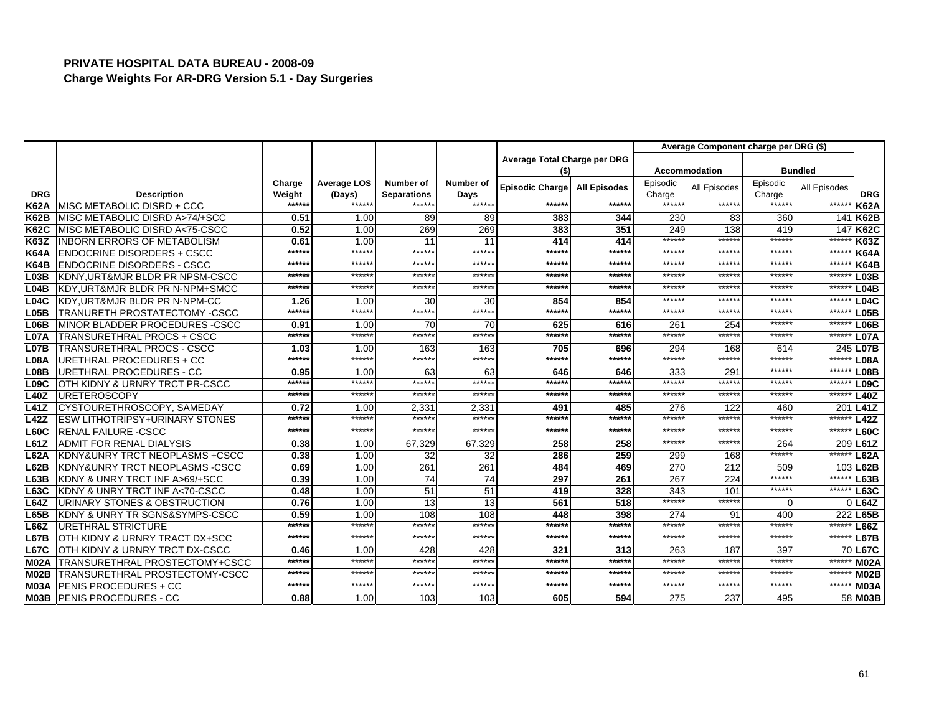|                   |                                            |                  |                       |                                 |                   |                              |                     |                    | Average Component charge per DRG (\$) |                    |                |                  |
|-------------------|--------------------------------------------|------------------|-----------------------|---------------------------------|-------------------|------------------------------|---------------------|--------------------|---------------------------------------|--------------------|----------------|------------------|
|                   |                                            |                  |                       |                                 |                   | Average Total Charge per DRG |                     |                    |                                       |                    |                |                  |
|                   |                                            |                  |                       |                                 |                   | (\$)                         |                     |                    | <b>Accommodation</b>                  |                    | <b>Bundled</b> |                  |
| <b>DRG</b>        | <b>Description</b>                         | Charge<br>Weight | Average LOS<br>(Days) | Number of<br><b>Separations</b> | Number of<br>Days | <b>Episodic Charge</b>       | <b>All Episodes</b> | Episodic<br>Charge | All Episodes                          | Episodic<br>Charge | All Episodes   | <b>DRG</b>       |
| <b>K62A</b>       | MISC METABOLIC DISRD + CCC                 | ******           | ******                | ******                          | ******            | ******                       | ******              | ******             | ******                                | ******             | ******         | <b>K62A</b>      |
| <b>K62B</b>       | MISC METABOLIC DISRD A>74/+SCC             | 0.51             | 1.00                  | 89                              | 89                | 383                          | 344                 | 230                | 83                                    | 360                | 141            | <b>K62B</b>      |
| <b>K62C</b>       | MISC METABOLIC DISRD A<75-CSCC             | 0.52             | 1.00                  | 269                             | 269               | 383                          | 351                 | 249                | 138                                   | 419                | 147            | <b>K62C</b>      |
| <b>K63Z</b>       | <b>INBORN ERRORS OF METABOLISM</b>         | 0.61             | 1.00                  | 11                              | 11                | 414                          | 414                 | ******             | ******                                | ******             | ******         | <b>K63Z</b>      |
| <b>K64A</b>       | <b>ENDOCRINE DISORDERS + CSCC</b>          | ******           | ******                | ******                          | ******            | ******                       | ******              | ******             | ******                                | ******             | ******         | <b>K64A</b>      |
| <b>K64B</b>       | <b>ENDOCRINE DISORDERS - CSCC</b>          | ******           | ******                | ******                          | *****:            | ******                       | ******              | ******             | ******                                | ******             | ******         | <b>K64B</b>      |
| L <sub>03B</sub>  | KDNY, URT&MJR BLDR PR NPSM-CSCC            | ******           | ******                | ******                          | ******            | ******                       | ******              | ******             | *****                                 | ******             | ******         | L03B             |
| L04B              | KDY, URT&MJR BLDR PR N-NPM+SMCC            | $*****$          | ******                | ******                          | *****:            | $*****$                      | ******              | ******             | *****                                 | $****$             | ******         | L04B             |
| <b>L04C</b>       | KDY.URT&MJR BLDR PR N-NPM-CC               | 1.26             | 1.00                  | 30                              | 30                | 854                          | 854                 | ******             | ******                                | ******             | ******         | L04C             |
| L <sub>05B</sub>  | TRANURETH PROSTATECTOMY -CSCC              | $******$         | ******                | ******                          | ******            | $******$                     | ******              | ******             | ******                                | ******             | ******         | L <sub>05B</sub> |
| L <sub>06</sub> B | MINOR BLADDER PROCEDURES - CSCC            | 0.91             | 1.00                  | 70                              | 70                | 625                          | 616                 | 261                | 254                                   | ******             | ******         | L06B             |
| <b>L07A</b>       | TRANSURETHRAL PROCS + CSCC                 | ******           | ******                | ******                          | ******            | $*****$                      | ******              | ******             | ******                                | ******             | ******         | <b>L07A</b>      |
| <b>L07B</b>       | TRANSURETHRAL PROCS - CSCC                 | 1.03             | 1.00                  | 163                             | 163               | 705                          | 696                 | 294                | 168                                   | 614                | 245            | L07B             |
| <b>L08A</b>       | URETHRAL PROCEDURES + CC                   | ******           | ******                | ******                          | ******            | ******                       | ******              | ******             | ******                                | ******             | ******         | L08A             |
| <b>L08B</b>       | URETHRAL PROCEDURES - CC                   | 0.95             | 1.00                  | 63                              | 63                | 646                          | 646                 | 333                | 291                                   | ******             | ******         | L08B             |
| L09C              | OTH KIDNY & URNRY TRCT PR-CSCC             | ******           | ******                | ******                          | ******            | $*****$                      | ******              | ******             | ******                                | ******             | ******         | L09C             |
| <b>L40Z</b>       | <b>URETEROSCOPY</b>                        | $*****$          | ******                | ******                          | ******            | $*****$                      | ******              | ******             | ******                                | $****$             | ******         | L40Z             |
| <b>L41Z</b>       | CYSTOURETHROSCOPY, SAMEDAY                 | 0.72             | 1.00                  | 2,331                           | 2,331             | 491                          | 485                 | 276                | 122                                   | 460                | 201            | <b>L41Z</b>      |
| <b>L42Z</b>       | <b>ESW LITHOTRIPSY+URINARY STONES</b>      | ******           | ******                | ******                          | ******            | $*****$                      | ******              | ******             | ******                                | ******             | $*****$        | <b>L42Z</b>      |
| L60C              | <b>RENAL FAILURE -CSCC</b>                 | ******           | ******                | ******                          | ******            | $*****$                      | ******              | ******             | ******                                | ******             | ******         | <b>L60C</b>      |
| <b>L61Z</b>       | <b>ADMIT FOR RENAL DIALYSIS</b>            | 0.38             | 1.00                  | 67,329                          | 67,329            | 258                          | 258                 | ******             | ******                                | 264                | 209            | L61Z             |
| <b>L62A</b>       | <b>IKDNY&amp;UNRY TRCT NEOPLASMS +CSCC</b> | 0.38             | 1.00                  | 32                              | 32                | 286                          | 259                 | 299                | 168                                   | ******             | *****          | <b>L62A</b>      |
| L62B              | <b>KDNY&amp;UNRY TRCT NEOPLASMS -CSCC</b>  | 0.69             | 1.00                  | 261                             | 261               | 484                          | 469                 | 270                | 212                                   | 509                | 103            | L62B             |
| <b>L63B</b>       | KDNY & UNRY TRCT INF A>69/+SCC             | 0.39             | 1.00                  | 74                              | 74                | 297                          | 261                 | 267                | 224                                   | ******             | ******         | L63B             |
| <b>L63C</b>       | KDNY & UNRY TRCT INF A<70-CSCC             | 0.48             | 1.00                  | 51                              | 51                | 419                          | 328                 | 343                | 101                                   | ******             | ******         | L63C             |
| <b>L64Z</b>       | URINARY STONES & OBSTRUCTION               | 0.76             | 1.00                  | 13                              | 13                | 561                          | 518                 | ******             | ******                                | $\Omega$           |                | L64Z             |
| <b>L65B</b>       | KDNY & UNRY TR SGNS&SYMPS-CSCC             | 0.59             | 1.00                  | 108                             | 108               | 448                          | 398                 | 274                | 91                                    | 400                | 222            | L65B             |
| <b>L66Z</b>       | <b>URETHRAL STRICTURE</b>                  | ******           | ******                | ******                          | ******            | $*****$                      | ******              | ******             | ******                                | ******             | ******         | L66Z             |
| <b>L67B</b>       | OTH KIDNY & URNRY TRACT DX+SCC             | $*****$          | ******                | ******                          | ******            | $*****$                      | ******              | ******             | ******                                | ******             | ******         | L67B             |
| <b>L67C</b>       | OTH KIDNY & URNRY TRCT DX-CSCC             | 0.46             | 1.00                  | 428                             | 428               | 321                          | 313                 | 263                | 187                                   | 397                | 70             | <b>L67C</b>      |
| <b>M02A</b>       | TRANSURETHRAL PROSTECTOMY+CSCC             | $*****$          | ******                | ******                          | ******            | $*****$                      | ******              | ******             | ******                                | ******             | ******         | <b>M02A</b>      |
| M02B              | TRANSURETHRAL PROSTECTOMY-CSCC             | ******           | ******                | ******                          | ******            | ******                       | ******              | ******             | ******                                | ******             | ******         | <b>M02B</b>      |
| <b>M03A</b>       | PENIS PROCEDURES + CC                      | ******           | ******                | ******                          | ******            | $*****$                      | ******              | ******             | ******                                | ******             | ******         | <b>M03A</b>      |
|                   | <b>M03B PENIS PROCEDURES - CC</b>          | 0.88             | 1.00                  | 103                             | 103               | 605                          | 594                 | 275                | 237                                   | 495                |                | 58 M03B          |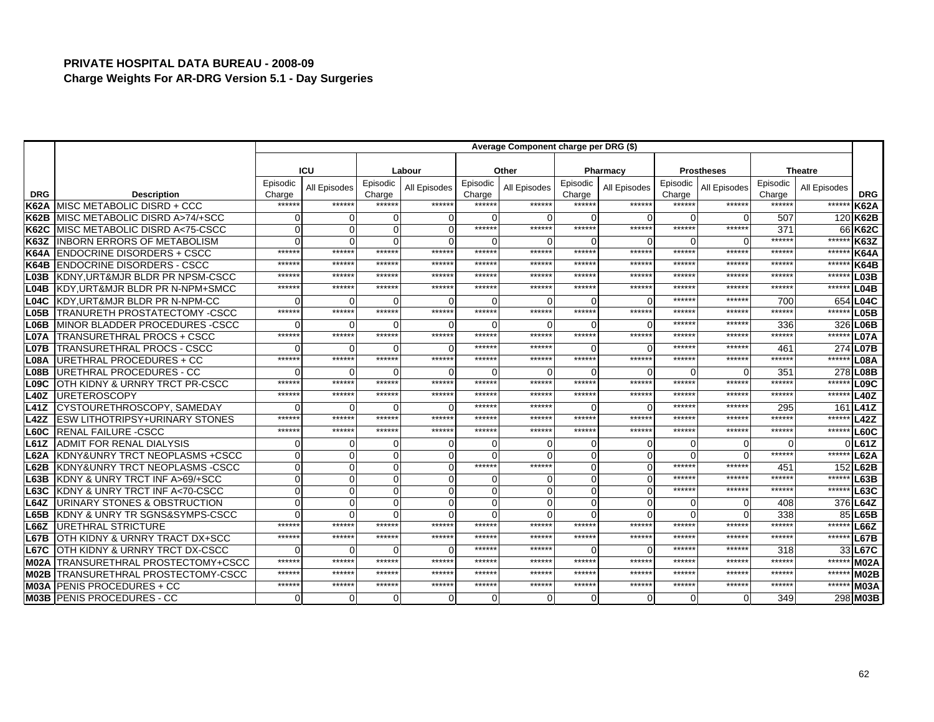|                   |                                           |                    |              |                    |              |                    | Average Component charge per DRG (\$) |                    |                |                    |                   |                    |                |                   |
|-------------------|-------------------------------------------|--------------------|--------------|--------------------|--------------|--------------------|---------------------------------------|--------------------|----------------|--------------------|-------------------|--------------------|----------------|-------------------|
|                   |                                           |                    |              |                    |              |                    |                                       |                    |                |                    |                   |                    |                |                   |
|                   |                                           |                    | ICU          |                    | Labour       |                    | Other                                 |                    | Pharmacy       |                    | <b>Prostheses</b> |                    | <b>Theatre</b> |                   |
| <b>DRG</b>        | <b>Description</b>                        | Episodic<br>Charge | All Episodes | Episodic<br>Charge | All Episodes | Episodic<br>Charge | All Episodes                          | Episodic<br>Charge | All Episodes   | Episodic<br>Charge | All Episodes      | Episodic<br>Charge | All Episodes   | <b>DRG</b>        |
| <b>K62A</b>       | MISC METABOLIC DISRD + CCC                | *****              | ******       | ******             | ******       | ******             | ******                                | ******             | ******         | ******             | ******            | ******             | ******         | <b>K62A</b>       |
| <b>K62B</b>       | MISC METABOLIC DISRD A>74/+SCC            |                    | $\Omega$     | U                  | O            | O                  |                                       | $\Omega$           | $\Omega$       | ∩                  | ∩                 | 507                |                | 120 K62B          |
| <b>K62C</b>       | MISC METABOLIC DISRD A<75-CSCC            |                    | $\Omega$     | 0                  | O            | ******             | *****                                 | ******             | ******         | ******             | ******            | 37'                |                | 66 K62C           |
| <b>K63Z</b>       | <b>INBORN ERRORS OF METABOLISM</b>        |                    | $\Omega$     | 0                  |              | $\Omega$           |                                       | $\Omega$           | $\Omega$       | ∩                  | ∩                 | ******             | ******         | <b>K63Z</b>       |
| <b>K64A</b>       | <b>ENDOCRINE DISORDERS + CSCC</b>         | *****              | ******       | ******             | ******       | ******             | ******                                | ******             | ******         | ******             | ******            | ******             | ******         | <b>K64A</b>       |
| <b>K64B</b>       | <b>ENDOCRINE DISORDERS - CSCC</b>         | *****              | ******       | ******             | ******       | ******             | *****                                 | ******             | ******         | ******             | ******            | ******             | ******         | <b>K64B</b>       |
| L <sub>03</sub> B | KDNY, URT&MJR BLDR PR NPSM-CSCC           | *****              | ******       | *****              | ******       | ******             | *****                                 | ******             | ******         | ******             | *****             | ******             | ******         | L03B              |
| L <sub>04</sub> B | KDY, URT&MJR BLDR PR N-NPM+SMCC           | *****              | ******       | *****              | ******       | ******             | *****                                 | ******             | ******         | ******             | *****             | ******             | ******         | L <sub>04</sub> B |
| L04C              | KDY, URT&MJR BLDR PR N-NPM-CC             |                    | ∩            | O                  | O            | O                  |                                       | $\cap$             | $\Omega$       | $*****$            | *****             | <b>700</b>         |                | 654 L04C          |
| L <sub>05B</sub>  | TRANURETH PROSTATECTOMY -CSCC             | *****              | ******       | ******             | ******       | ******             | *****                                 | ******             | ******         | ******             | *****             | ******             | ******         | L <sub>05</sub> B |
| L06B              | MINOR BLADDER PROCEDURES - CSCC           |                    | $\Omega$     | 0                  | O            | $\Omega$           |                                       | $\Omega$           | $\Omega$       | ******             | *****             | 336                |                | 326 L06B          |
| L <sub>07</sub> A | TRANSURETHRAL PROCS + CSCC                | *****              | ******       | ******             | ******       | ******             | *****                                 | ******             | ******         | ******             | *****             | *****:             | ******         | L <sub>07</sub> A |
| L <sub>07</sub> B | TRANSURETHRAL PROCS - CSCC                |                    | ∩            | U                  | ∩            | ******             | *****                                 | $\cap$             | $\Omega$       | ******             | *****             | 461                |                | 274 L07B          |
| L08A              | URETHRAL PROCEDURES + CC                  | ******             | ******       | ******             | ******       | ******             | *****                                 | ******             | ******         | ******             | ******            | $*****$            | ******         | L <sub>08</sub> A |
| L08B              | URETHRAL PROCEDURES - CC                  |                    | O            | 0                  |              | $\Omega$           |                                       | $\Omega$           | $\Omega$       | ∩                  |                   | 351                |                | 278 L08B          |
| <b>L09C</b>       | OTH KIDNY & URNRY TRCT PR-CSCC            | *****              | ******       | ******             | ******       | ******             | ******                                | ******             | ******         | ******             | ******            | *****:             | ******         | L09C              |
| <b>L40Z</b>       | URETEROSCOPY                              | ******             | ******       | ******             | ******       | ******             | *****                                 | ******             | ******         | ******             | ******            | *****:             | ******         | L40Z              |
| <b>L41Z</b>       | CYSTOURETHROSCOPY, SAMEDAY                |                    | ∩            | O                  | $\Omega$     | *****              | *****                                 | $\cap$             | $\Omega$       | $*****$            | *****             | 295                |                | 161 L41Z          |
| <b>L42Z</b>       | <b>IESW LITHOTRIPSY+URINARY STONES</b>    | *****              | ******       | ******             | ******       | ******             | *****                                 | ******             | ******         | ******             | *****             | ******             |                | ****** L42Z       |
| L60C              | <b>RENAL FAILURE -CSCC</b>                | *****              | ******       | ******             | ******       | ******             | *****                                 | ******             | ******         | ******             | ******            | ******             | ******         | <b>L60C</b>       |
| L61Z              | <b>ADMIT FOR RENAL DIALYSIS</b>           |                    | $\Omega$     |                    | O            | O                  |                                       | $\Omega$           | $\mathbf 0$    | ∩                  | ∩                 |                    |                | $0$ L61Z          |
| L62A              | <b>KDNY&amp;UNRY TRCT NEOPLASMS +CSCC</b> |                    | $\Omega$     | 0                  |              | $\Omega$           |                                       | $\Omega$           | $\mathbf 0$    | ∩                  | ∩                 | $*****$            | ******         | <b>L62A</b>       |
| L62B              | <b>KDNY&amp;UNRY TRCT NEOPLASMS -CSCC</b> |                    | $\Omega$     | $\Omega$           |              | ******             | *****                                 | $\Omega$           | $\Omega$       | ******             | ******            | 451                |                | 152 L62B          |
| L63B              | KDNY & UNRY TRCT INF A>69/+SCC            |                    | $\Omega$     | $\Omega$           |              | $\Omega$           |                                       | $\Omega$           | $\Omega$       | ******             | *****             | *****              | ******         | L63B              |
| L63C              | KDNY & UNRY TRCT INF A<70-CSCC            |                    | $\Omega$     | $\Omega$           |              | $\Omega$           |                                       | $\Omega$           | $\Omega$       | ******             | ******            | *****              | ******         | L63C              |
| L64Z              | URINARY STONES & OBSTRUCTION              |                    | $\Omega$     | 0                  |              | $\Omega$           |                                       | $\Omega$           | $\Omega$       | ∩                  | n                 | 408                |                | 376 L64Z          |
| <b>L65B</b>       | KDNY & UNRY TR SGNS&SYMPS-CSCC            |                    | $\Omega$     | $\Omega$           |              | $\Omega$           |                                       | $\Omega$           | $\Omega$       | $\Omega$           |                   | 338                |                | 85 L65B           |
| L66Z              | <b>URETHRAL STRICTURE</b>                 | *****              | ******       | ******             | ******       | ******             | *****                                 | ******             | ******         | ******             | *****             | ******             | ******         | L66Z              |
| <b>L67B</b>       | OTH KIDNY & URNRY TRACT DX+SCC            | *****              | ******       | *****              | ******       | $*****$            | $****$                                | ******             | ******         | ******             | $*****$           | $*****$            | ******         | <b>L67B</b>       |
| <b>L67C</b>       | OTH KIDNY & URNRY TRCT DX-CSCC            |                    | $\Omega$     | O                  | $\Omega$     | ******             | *****                                 | $\Omega$           | $\Omega$       | ******             | *****             | 318                |                | 33 L67C           |
| <b>M02A</b>       | TRANSURETHRAL PROSTECTOMY+CSCC            | *****              | ******       | ******             | ******       | ******             | $****$                                | ******             | ******         | ******             | *****:            | ******             | ******         | <b>M02A</b>       |
| <b>M02B</b>       | TRANSURETHRAL PROSTECTOMY-CSCC            | ******             | ******       | ******             | ******       | ******             | *****                                 | ******             | ******         | ******             | ******            | ******             | ******         | <b>M02B</b>       |
| IM03A             | <b>IPENIS PROCEDURES + CC</b>             | *****              | *****        | *****              | ******       | ******             | *****                                 | ******             | ******         | ******             | *****             | *****              | ******         | M03A              |
|                   | <b>M03B PENIS PROCEDURES - CC</b>         |                    | 0            | 0                  | $\Omega$     | 0                  |                                       | $\Omega$           | $\overline{0}$ | $\Omega$           | $\Omega$          | 349                |                | 298 M03B          |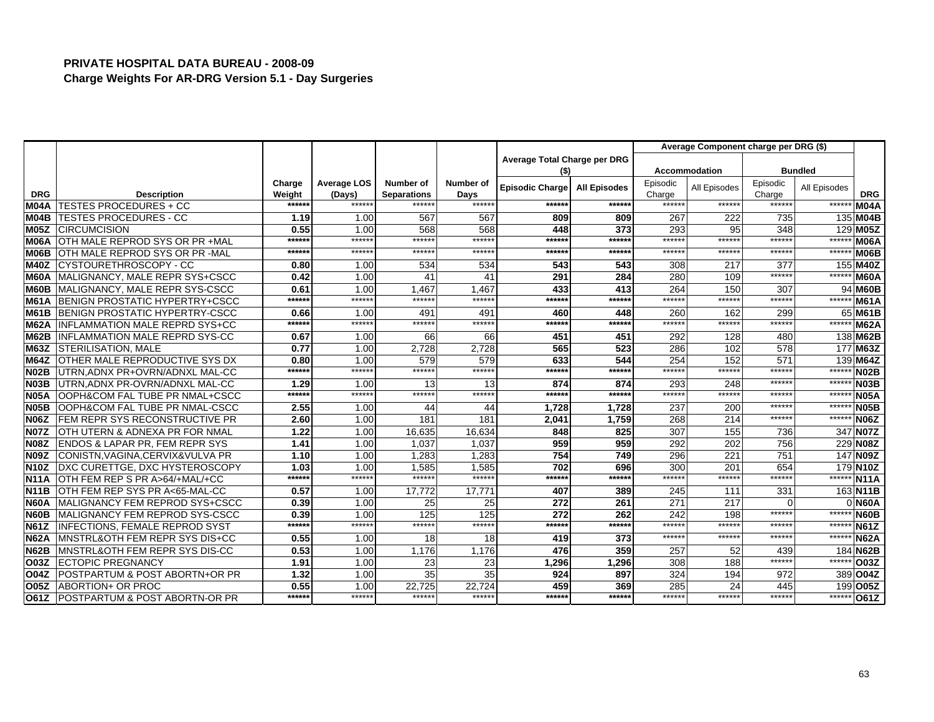|                   |                                            |                  |                              |                                 |                          |                              |                     |                    | Average Component charge per DRG (\$) |                    |                |             |
|-------------------|--------------------------------------------|------------------|------------------------------|---------------------------------|--------------------------|------------------------------|---------------------|--------------------|---------------------------------------|--------------------|----------------|-------------|
|                   |                                            |                  |                              |                                 |                          | Average Total Charge per DRG |                     |                    |                                       |                    |                |             |
|                   |                                            |                  |                              |                                 |                          | (\$)                         |                     |                    | <b>Accommodation</b>                  |                    | <b>Bundled</b> |             |
| <b>DRG</b>        | <b>Description</b>                         | Charge<br>Weight | <b>Average LOS</b><br>(Days) | Number of<br><b>Separations</b> | <b>Number of</b><br>Days | Episodic Charge              | <b>All Episodes</b> | Episodic<br>Charge | All Episodes                          | Episodic<br>Charge | All Episodes   | <b>DRG</b>  |
| M04A              | <b>TESTES PROCEDURES + CC</b>              | ******           | ******                       | ******                          | ******                   | ******                       | ******              | ******             | ******                                | ******             | ******         | <b>M04A</b> |
| M04B              | <b>TESTES PROCEDURES - CC</b>              | 1.19             | 1.00                         | 567                             | 567                      | 809                          | 809                 | 267                | 222                                   | 735                |                | 135 M04B    |
| M05Z              | <b>CIRCUMCISION</b>                        | 0.55             | 1.00                         | 568                             | 568                      | 448                          | 373                 | 293                | 95                                    | 348                |                | 129 M05Z    |
| <b>M06A</b>       | OTH MALE REPROD SYS OR PR +MAL             | ******           | ******                       | ******                          | ******                   | ******                       | ******              | ******             | *****                                 | ******             | *****          | <b>M06A</b> |
| <b>M06B</b>       | OTH MALE REPROD SYS OR PR -MAL             | ******           | ******                       | ******                          | ******                   | ******                       | ******              | ******             | ******                                | ******             | $*****$        | M06B        |
| <b>M40Z</b>       | ICYSTOURETHROSCOPY - CC                    | 0.80             | 1.00                         | 534                             | 534                      | 543                          | 543                 | 308                | 217                                   | 377                |                | 155 M40Z    |
| <b>M60A</b>       | MALIGNANCY, MALE REPR SYS+CSCC             | 0.42             | 1.00                         | 41                              | 41                       | 291                          | 284                 | 280                | 109                                   | ******             | ****           | <b>M60A</b> |
| <b>IM60B</b>      | MALIGNANCY, MALE REPR SYS-CSCC             | 0.61             | 1.00                         | 1.467                           | 1.467                    | 433                          | 413                 | 264                | 15C                                   | 307                |                | 94 M60B     |
| <b>M61A</b>       | BENIGN PROSTATIC HYPERTRY+CSCC             | ******           | ******                       | ******                          | ******                   | ******                       | *****:              | ******             | *****                                 | ******             | $***$          | <b>M61A</b> |
| <b>M61B</b>       | BENIGN PROSTATIC HYPERTRY-CSCC             | 0.66             | 1.00                         | 491                             | 491                      | 460                          | 448                 | 260                | 162                                   | 299                |                | 65 M61B     |
| <b>M62A</b>       | INFLAMMATION MALE REPRD SYS+CC             | ******           | ******                       | ******                          | ******                   | ******                       | ******              | ******             | *****:                                | ******             | $***$ **       | <b>M62A</b> |
| <b>M62B</b>       | <b>INFLAMMATION MALE REPRD SYS-CC</b>      | 0.67             | 1.00                         | 66                              | 66                       | 451                          | 451                 | 292                | 128                                   | 480                |                | 138 M62B    |
| <b>M63Z</b>       | <b>STERILISATION, MALE</b>                 | 0.77             | 1.00                         | 2,728                           | 2,728                    | 565                          | 523                 | 286                | 102                                   | 578                |                | 177 M63Z    |
| <b>M64Z</b>       | OTHER MALE REPRODUCTIVE SYS DX             | 0.80             | 1.00                         | 579                             | 579                      | 633                          | 544                 | 254                | 152                                   | 571                |                | 139 M64Z    |
| <b>N02B</b>       | UTRN, ADNX PR+OVRN/ADNXL MAL-CC            | ******           | ******                       | ******                          | ******                   | ******                       | ******              | ******             | *****:                                | ******             | *****:         | <b>N02B</b> |
| <b>N03B</b>       | UTRN, ADNX PR-OVRN/ADNXL MAL-CC            | 1.29             | 1.00                         | 13                              | 13                       | 874                          | 874                 | 293                | 248                                   | ******             | ******         | <b>N03B</b> |
| <b>N05A</b>       | OOPH&COM FAL TUBE PR NMAL+CSCC             | ******           | ******                       | ******                          | ******                   | ******                       | ******              | ******             | *****:                                | *****:             | *****          | <b>N05A</b> |
| <b>N05B</b>       | OOPH&COM FAL TUBE PR NMAL-CSCC             | 2.55             | 1.00                         | 44                              | 44                       | 1,728                        | 1,728               | 237                | 200                                   | ******             | $*****$        | <b>N05B</b> |
| <b>N06Z</b>       | <b>FEM REPR SYS RECONSTRUCTIVE PR</b>      | 2.60             | 1.00                         | 181                             | 181                      | 2.041                        | 1,759               | 268                | 214                                   | ******             | *****          | <b>N06Z</b> |
| <b>N07Z</b>       | OTH UTERN & ADNEXA PR FOR NMAL             | 1.22             | 1.00                         | 16,635                          | 16,634                   | 848                          | 825                 | 307                | 155                                   | 736                |                | 347 N07Z    |
| <b>N08Z</b>       | <b>ENDOS &amp; LAPAR PR, FEM REPR SYS</b>  | 1.41             | 1.00                         | 1,037                           | 1,037                    | 959                          | 959                 | 292                | 202                                   | 756                |                | 229 N08Z    |
| <b>N09Z</b>       | CONISTN, VAGINA, CERVIX& VULVA PR          | 1.10             | 1.00                         | 1,283                           | 1,283                    | 754                          | 749                 | 296                | 221                                   | 751                |                | 147 N09Z    |
| N <sub>10</sub> Z | DXC CURETTGE, DXC HYSTEROSCOPY             | 1.03             | 1.00                         | 1,585                           | 1,585                    | 702                          | 696                 | 300                | 201                                   | 654                |                | 179 N10Z    |
| N <sub>11</sub> A | OTH FEM REP S PR A>64/+MAL/+CC             | ******           | ******                       | ******                          | ******                   | ******                       | ******              | ******             | *****:                                | ******             | *****          | <b>N11A</b> |
| <b>N11B</b>       | OTH FEM REP SYS PR A<65-MAL-CC             | 0.57             | 1.00                         | 17,772                          | 17,771                   | 407                          | 389                 | 245                | 111                                   | 331                |                | 163 N11B    |
| <b>N60A</b>       | IMALIGNANCY FEM REPROD SYS+CSCC            | 0.39             | 1.00                         | 25                              | 25                       | 272                          | 261                 | 271                | 217                                   | $\Omega$           |                | <b>N60A</b> |
| <b>N60B</b>       | MALIGNANCY FEM REPROD SYS-CSCC             | 0.39             | 1.00                         | 125                             | 125                      | 272                          | 262                 | 242                | 198                                   | ******             | ******         | <b>N60B</b> |
| <b>N61Z</b>       | <b>INFECTIONS, FEMALE REPROD SYST</b>      | ******           | ******                       | ******                          | ******                   | ******                       | ******              | ******             | *****                                 | ******             | ******         | <b>N61Z</b> |
| <b>N62A</b>       | <b>IMNSTRL&amp;OTH FEM REPR SYS DIS+CC</b> | 0.55             | 1.00                         | 18                              | 18                       | 419                          | 373                 | ******             | *****:                                | ******             | *****          | <b>N62A</b> |
| <b>N62B</b>       | IMNSTRL&OTH FEM REPR SYS DIS-CC            | 0.53             | 1.00                         | 1.176                           | 1.176                    | 476                          | 359                 | 257                | 52                                    | 439                |                | 184 N62B    |
| O03Z              | <b>ECTOPIC PREGNANCY</b>                   | 1.91             | 1.00                         | 23                              | 23                       | 1,296                        | 1,296               | 308                | 188                                   | ******             | $*****$        | O03Z        |
| <b>O04Z</b>       | <b>POSTPARTUM &amp; POST ABORTN+OR PR</b>  | 1.32             | 1.00                         | 35                              | 35                       | 924                          | 897                 | 324                | 194                                   | 972                |                | 389 004Z    |
| <b>O05Z</b>       | ABORTION+ OR PROC                          | 0.55             | 1.00                         | 22,725                          | 22.724                   | 459                          | 369                 | 285                | 24                                    | 445                |                | 199 005Z    |
| O61Z              | POSTPARTUM & POST ABORTN-OR PR             | ******           | ******                       | ******                          | ******                   | ******                       | *****:              | ******             | *****                                 | ******             | ******         | <b>O61Z</b> |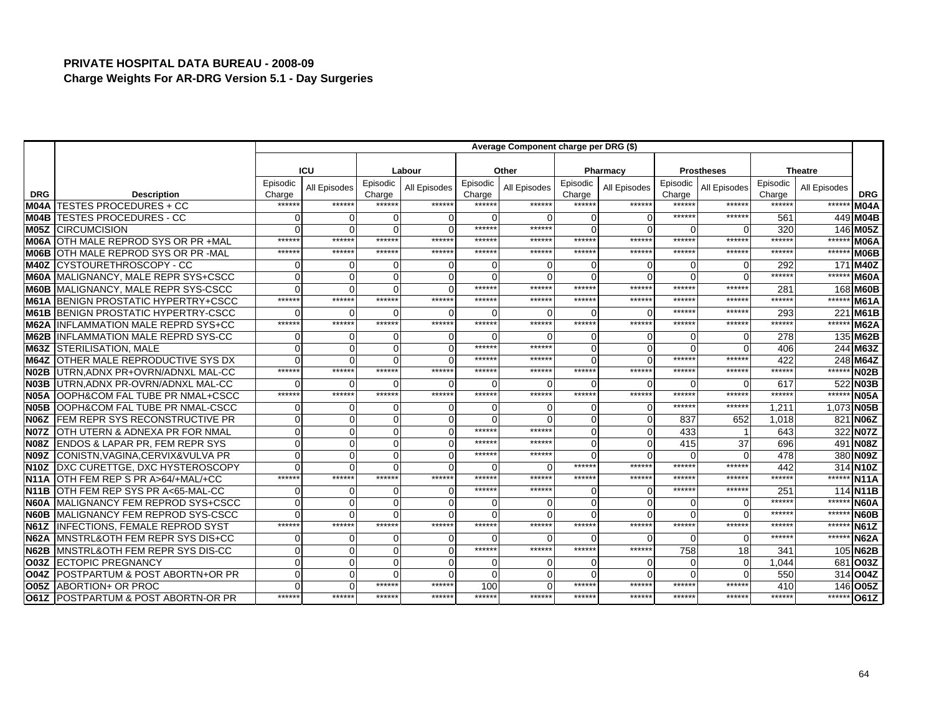|                   |                                            |                    | Average Component charge per DRG (\$) |                    |              |                    |              |                    |                |                    |                   |                        |              |                   |  |
|-------------------|--------------------------------------------|--------------------|---------------------------------------|--------------------|--------------|--------------------|--------------|--------------------|----------------|--------------------|-------------------|------------------------|--------------|-------------------|--|
|                   |                                            |                    |                                       |                    |              |                    |              |                    |                |                    |                   |                        |              |                   |  |
|                   |                                            |                    | <b>ICU</b>                            |                    | Labour       |                    | Other        |                    | Pharmacy       |                    | <b>Prostheses</b> | <b>Theatre</b>         |              |                   |  |
| <b>DRG</b>        | <b>Description</b>                         | Episodic<br>Charge | All Episodes                          | Episodic<br>Charge | All Episodes | Episodic<br>Charge | All Episodes | Episodic<br>Charge | All Episodes   | Episodic<br>Charge | All Episodes      | Episodic<br>Charge     | All Episodes | <b>DRG</b>        |  |
|                   | <b>M04A TESTES PROCEDURES + CC</b>         | *****              | ******                                | ******             | ******       | *****:             | ******       | ******             | ******         | ******             | ******            | *****:                 | ******       | <b>M04A</b>       |  |
| M04B              | <b>TESTES PROCEDURES - CC</b>              |                    | $\Omega$                              | O                  |              | O                  |              | $\Omega$           | $\Omega$       | ******             | ******            | 56'                    |              | 449 M04B          |  |
| M05Z              | <b>CIRCUMCISION</b>                        |                    | $\Omega$                              | 0                  |              | ******             | *****        | $\Omega$           | $\Omega$       | ∩                  | ∩                 | 32C                    |              | 146 M05Z          |  |
| <b>M06A</b>       | OTH MALE REPROD SYS OR PR +MAL             | *****              | ******                                | ******             | ******       | *****:             | *****        | ******             | ******         | ******             | ******            | *****:                 | ******       | <b>M06A</b>       |  |
| M06B              | OTH MALE REPROD SYS OR PR - MAL            | *****              | ******                                | ******             | ******       | ******             | *****        | ******             | ******         | ******             | ******            | ******                 | ******       | M06B              |  |
| <b>M40Z</b>       | ICYSTOURETHROSCOPY - CC                    |                    | $\Omega$                              | 0                  |              | ∩                  |              | $\Omega$           | 0              | ∩                  | ∩                 | 292                    | 171          | <b>M40Z</b>       |  |
| <b>M60A</b>       | MALIGNANCY, MALE REPR SYS+CSCC             |                    | $\Omega$                              | $\Omega$           |              | O                  |              | $\Omega$           | $\Omega$       | ∩                  | ∩                 | *****                  | ******       | <b>M60A</b>       |  |
| <b>M60B</b>       | MALIGNANCY, MALE REPR SYS-CSCC             |                    | $\Omega$                              | 0                  |              | ******             | *****        | ******             | ******         | ******             | ******            | 281                    |              | 168 M60B          |  |
| IM61A             | BENIGN PROSTATIC HYPERTRY+CSCC             | $****$             | ******                                | ******             | ******       | $*****$            | $****$       | ******             | $*****$        | $*****$            | *****             | *****                  | ******       | M61A              |  |
| <b>M61B</b>       | BENIGN PROSTATIC HYPERTRY-CSCC             |                    | $\cap$                                | O                  | O            | O                  |              | $\Omega$           | $\Omega$       | $*****$            | *****             | 293                    |              | 221 M61B          |  |
| <b>M62A</b>       | <b>IINFLAMMATION MALE REPRD SYS+CC</b>     | *****:             | ******                                | ******             | ******       | ******             | ******       | ******             | ******         | ******             | *****:            | ******                 | *****        | <b>M62A</b>       |  |
| <b>M62B</b>       | <b>INFLAMMATION MALE REPRD SYS-CC</b>      |                    | $\Omega$                              | O                  | O            | O                  |              | $\Omega$           | $\Omega$       | $\Omega$           | ∩                 | 278                    |              | 135 M62B          |  |
| <b>M63Z</b>       | <b>STERILISATION, MALE</b>                 |                    | $\Omega$                              | 0                  | $\Omega$     | ******             | *****        | $\Omega$           | $\Omega$       | ∩                  | ∩                 | 406                    |              | 244 M63Z          |  |
| <b>M64Z</b>       | <b>OTHER MALE REPRODUCTIVE SYS DX</b>      |                    | $\Omega$                              | $\Omega$           |              | ******             | *****        | $\Omega$           | $\Omega$       | ******             | ******            | 422                    |              | 248 M64Z          |  |
| <b>N02B</b>       | UTRN, ADNX PR+OVRN/ADNXL MAL-CC            | ******             | ******                                | ******             | ******       | ******             | ******       | ******             | ******         | ******             | ******            | $***$ *** <sup>*</sup> | ******       | <b>N02B</b>       |  |
| N <sub>03</sub> B | UTRN, ADNX PR-OVRN/ADNXL MAL-CC            |                    |                                       | U                  |              | O                  |              | $\Omega$           | $\Omega$       | ∩                  | n                 | 617                    |              | 522 N03B          |  |
| <b>N05A</b>       | <b>OOPH&amp;COM FAL TUBE PR NMAL+CSCC</b>  | ******             | ******                                | ******             | ******       | ******             | ******       | ******             | ******         | ******             | ******            | *****:                 | ******       | N <sub>05</sub> A |  |
| <b>N05B</b>       | OOPH&COM FAL TUBE PR NMAL-CSCC             |                    | $\Omega$                              | 0                  |              | 0                  |              | $\Omega$           | $\Omega$       | ******             | *****             | 1,211                  |              | 1,073 N05B        |  |
| <b>N06Z</b>       | <b>FEM REPR SYS RECONSTRUCTIVE PR</b>      |                    | $\Omega$                              | $\Omega$           |              | $\Omega$           |              | $\Omega$           | $\Omega$       | 837                | 652               | 1,018                  |              | 821 N06Z          |  |
| IN07Z             | OTH UTERN & ADNEXA PR FOR NMAL             |                    | $\mathbf 0$                           | $\Omega$           |              | ******             | $****$       | $\Omega$           | $\mathbf 0$    | 433                |                   | 643                    |              | 322 NO7Z          |  |
| N <sub>08</sub> Z | <b>ENDOS &amp; LAPAR PR, FEM REPR SYS</b>  |                    | $\Omega$                              | 0                  |              | ******             | *****        | $\Omega$           | $\mathbf 0$    | 415                | 37                | 696                    |              | 491 <b>N08Z</b>   |  |
| IN09Z             | CONISTN, VAGINA, CERVIX& VULVA PR          |                    | $\Omega$                              | 0                  |              | ******             | *****        | $\Omega$           | $\Omega$       | $\Omega$           | $\Omega$          | 478                    |              | 380 N09Z          |  |
| <b>N10Z</b>       | DXC CURETTGE, DXC HYSTEROSCOPY             |                    | $\Omega$                              | O                  |              | $\Omega$           |              | ******             | ******         | ******             | ******            | 442                    |              | 314 N10Z          |  |
| <b>N11A</b>       | OTH FEM REP S PR A>64/+MAL/+CC             | *****              | ******                                | ******             | ******       | ******             | *****        | ******             | ******         | ******             | *****             | *****:                 | ******       | <b>N11A</b>       |  |
| <b>N11B</b>       | OTH FEM REP SYS PR A<65-MAL-CC             |                    | $\Omega$                              | 0                  | $\Omega$     | ******             | *****        | $\Omega$           | $\Omega$       | ******             | ******            | 251                    |              | 114 N11B          |  |
| <b>N60A</b>       | MALIGNANCY FEM REPROD SYS+CSCC             |                    | $\Omega$                              | $\Omega$           |              | O                  |              | $\Omega$           | $\Omega$       | ∩                  |                   | *****                  | ******       | <b>N60A</b>       |  |
| <b>N60B</b>       | MALIGNANCY FEM REPROD SYS-CSCC             |                    | $\Omega$                              | $\Omega$           |              | $\Omega$           |              | $\Omega$           | $\Omega$       |                    | $\Omega$          | ******                 | ******       | <b>N60B</b>       |  |
| <b>N61Z</b>       | <b>INFECTIONS, FEMALE REPROD SYST</b>      | *****              | ******                                | ******             | ******       | ******             | *****        | ******             | ******         | ******             | ******            | *****                  | ******       | <b>N61Z</b>       |  |
| <b>N62A</b>       | <b>MNSTRL&amp;OTH FEM REPR SYS DIS+CC</b>  |                    | $\Omega$                              | O                  |              | O                  |              | $\Omega$           | $\Omega$       |                    | $\Omega$          | *****                  | ******       | N62A              |  |
| <b>N62B</b>       | <b>IMNSTRL&amp;OTH FEM REPR SYS DIS-CC</b> |                    | $\Omega$                              | $\Omega$           | $\Omega$     | ******             | *****        | ******             | ******         | 758                | 18                | 341                    |              | 105 N62B          |  |
| lO03Z             | <b>ECTOPIC PREGNANCY</b>                   |                    | $\Omega$                              | 0                  | 0            | 0                  |              | $\Omega$           | $\overline{0}$ | $\Omega$           | $\Omega$          | 1,044                  |              | 681 003Z          |  |
| <b>O04Z</b>       | POSTPARTUM & POST ABORTN+OR PR             |                    | $\Omega$                              | O                  |              | $\Omega$           |              | $\cap$             | $\Omega$       | $\Omega$           |                   | 550                    |              | 314 004Z          |  |
| <b>O05Z</b>       | ABORTION+ OR PROC                          |                    | $\Omega$                              | ******             | ******       | 100                |              | ******             | ******         | ******             | *****:            | 410                    |              | 146 005Z          |  |
| O61Z              | <b>POSTPARTUM &amp; POST ABORTN-OR PR</b>  | *****              | ******                                | ******             | ******       | ******             | *****        | ******             | ******         | ******             | ******            | *****                  |              | ****** 061Z       |  |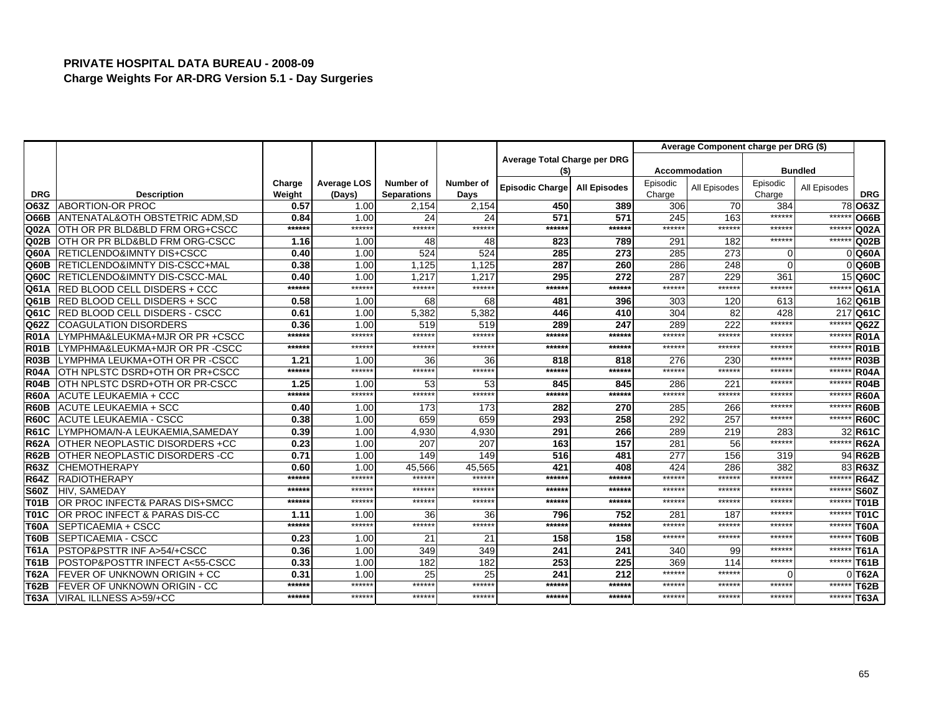|             |                                          |                  |                              |                                 |                   |                              |                     | Average Component charge per DRG (\$) |              |                    |              |                  |
|-------------|------------------------------------------|------------------|------------------------------|---------------------------------|-------------------|------------------------------|---------------------|---------------------------------------|--------------|--------------------|--------------|------------------|
|             |                                          |                  |                              |                                 |                   | Average Total Charge per DRG |                     |                                       |              |                    |              |                  |
|             |                                          |                  |                              |                                 |                   | (\$)                         |                     | <b>Accommodation</b>                  |              | <b>Bundled</b>     |              |                  |
| <b>DRG</b>  | <b>Description</b>                       | Charge<br>Weight | <b>Average LOS</b><br>(Days) | Number of<br><b>Separations</b> | Number of<br>Days | Episodic Charge              | <b>All Episodes</b> | Episodic<br>Charge                    | All Episodes | Episodic<br>Charge | All Episodes | <b>DRG</b>       |
| O63Z        | <b>ABORTION-OR PROC</b>                  | 0.57             | 1.00                         | 2,154                           | 2,154             | 450                          | 389                 | 306                                   | 70           | 384                | 78           | O63Z             |
| <b>O66B</b> | ANTENATAL&OTH OBSTETRIC ADM, SD          | 0.84             | 1.00                         | 24                              | 24                | 571                          | 571                 | 245                                   | 163          | ******             | ******       | <b>O66B</b>      |
| Q02A        | OTH OR PR BLD&BLD FRM ORG+CSCC           | ******           | ******                       | ******                          | ******            | ******                       | ******              | ******                                | ******       | ******             | $****$       | Q <sub>02A</sub> |
| Q02B        | OTH OR PR BLD&BLD FRM ORG-CSCC           | 1.16             | 1.00                         | 48                              | 48                | 823                          | 789                 | 291                                   | 182          | ******             | ******       | Q02B             |
| Q60A        | <b>RETICLENDO&amp;IMNTY DIS+CSCC</b>     | 0.40             | 1.00                         | 524                             | 524               | 285                          | 273                 | 285                                   | 273          | $\Omega$           |              | <b>Q60A</b>      |
| Q60B        | <b>RETICLENDO&amp;IMNTY DIS-CSCC+MAL</b> | 0.38             | 1.00                         | 1,125                           | 1,125             | 287                          | 260                 | 286                                   | 248          | $\Omega$           |              | Q60B             |
| Q60C        | <b>RETICLENDO&amp;IMNTY DIS-CSCC-MAL</b> | 0.40             | 1.00                         | 1.217                           | 1.217             | 295                          | 272                 | 287                                   | 229          | 361                | 15           | Q60C             |
| Q61A        | <b>RED BLOOD CELL DISDERS + CCC</b>      | ******           | ******                       | ******                          | ******            | ******                       | ******              | ******                                | ******       | ******             | ******       | Q61A             |
| Q61B        | <b>RED BLOOD CELL DISDERS + SCC</b>      | 0.58             | 1.00                         | 68                              | 68                | 481                          | 396                 | 303                                   | 120          | 613                |              | 162 Q61B         |
| Q61C        | <b>RED BLOOD CELL DISDERS - CSCC</b>     | 0.61             | 1.00                         | 5,382                           | 5,382             | 446                          | 410                 | 304                                   | 82           | 428                | 217          | Q61C             |
| Q62Z        | <b>COAGULATION DISORDERS</b>             | 0.36             | 1.00                         | 519                             | 519               | 289                          | 247                 | 289                                   | 222          | ******             | *****        | Q62Z             |
| <b>R01A</b> | LYMPHMA&LEUKMA+MJR OR PR +CSCC           | ******           | ******                       | ******                          | $*****$           | ******                       | ******              | ******                                | ******       | ******             | $****$       | <b>R01A</b>      |
| <b>R01B</b> | LYMPHMA&LEUKMA+MJR OR PR -CSCC           | ******           | ******                       | ******                          | ******            | ******                       | ******              | ******                                | ******       | ******             | $****$       | <b>R01B</b>      |
| <b>R03B</b> | <b>I</b> LYMPHMA LEUKMA+OTH OR PR -CSCC  | 1.21             | 1.00                         | 36                              | 36                | 818                          | 818                 | 276                                   | 230          | ******             | ******       | <b>R03B</b>      |
| <b>R04A</b> | IOTH NPLSTC DSRD+OTH OR PR+CSCC          | ******           | ******                       | ******                          | ******            | ******                       | ******              | ******                                | ******       | ******             | ******       | <b>R04A</b>      |
| <b>R04B</b> | OTH NPLSTC DSRD+OTH OR PR-CSCC           | 1.25             | 1.00                         | 53                              | 53                | 845                          | 845                 | 286                                   | 221          | ******             | ******       | <b>R04B</b>      |
| <b>R60A</b> | <b>ACUTE LEUKAEMIA + CCC</b>             | ******           | ******                       | ******                          | *****:            | ******                       | ******              | ******                                | ******       | *****              | ******       | <b>R60A</b>      |
| <b>R60B</b> | <b>ACUTE LEUKAEMIA + SCC</b>             | 0.40             | 1.00                         | 173                             | 173               | 282                          | 270                 | 285                                   | 266          | ******             | ******       | <b>R60B</b>      |
| <b>R60C</b> | <b>ACUTE LEUKAEMIA - CSCC</b>            | 0.38             | 1.00                         | 659                             | 659               | 293                          | 258                 | 292                                   | 257          | $*****$            | $*****$      | <b>R60C</b>      |
| <b>R61C</b> | LYMPHOMA/N-A LEUKAEMIA.SAMEDAY           | 0.39             | 1.00                         | 4,930                           | 4,930             | 291                          | 266                 | 289                                   | 219          | 283                | 32           | <b>R61C</b>      |
| <b>R62A</b> | OTHER NEOPLASTIC DISORDERS +CC           | 0.23             | 1.00                         | 207                             | 207               | 163                          | 157                 | 281                                   | 56           | ******             | *****        | <b>R62A</b>      |
| <b>R62B</b> | OTHER NEOPLASTIC DISORDERS -CC           | 0.71             | 1.00                         | 149                             | 149               | 516                          | 481                 | 277                                   | 156          | 319                | 94           | <b>R62B</b>      |
| <b>R63Z</b> | <b>CHEMOTHERAPY</b>                      | 0.60             | 1.00                         | 45,566                          | 45,565            | 421                          | 408                 | 424                                   | 286          | 382                | 83           | <b>R63Z</b>      |
| <b>R64Z</b> | <b>RADIOTHERAPY</b>                      | ******           | ******                       | *****:                          | ******            | ******                       | ******              | ******                                | ******       | ******             | ******       | <b>R64Z</b>      |
| <b>S60Z</b> | HIV, SAMEDAY                             | ******           | ******                       | *****:                          | ******            | ******                       | ******              | ******                                | ******       | ******             | ******       | <b>S60Z</b>      |
| <b>T01B</b> | OR PROC INFECT& PARAS DIS+SMCC           | ******           | ******                       | ******                          | ******            | ******                       | ******              | ******                                | ******       | ******             | ******       | <b>T01B</b>      |
| <b>T01C</b> | OR PROC INFECT & PARAS DIS-CC            | 1.11             | 1.00                         | 36                              | 36                | 796                          | 752                 | 281                                   | 187          | ******             | ******       | <b>T01C</b>      |
| <b>T60A</b> | <b>SEPTICAEMIA + CSCC</b>                | ******           | ******                       | ******                          | ******            | ******                       | ******              | ******                                | ******       | ******             | ******       | <b>T60A</b>      |
| <b>T60B</b> | <b>SEPTICAEMIA - CSCC</b>                | 0.23             | 1.00                         | 21                              | 21                | 158                          | 158                 | ******                                | ******       | ******             | $*****$      | <b>T60B</b>      |
| <b>T61A</b> | PSTOP&PSTTR INF A>54/+CSCC               | 0.36             | 1.00                         | 349                             | 349               | 241                          | 241                 | 340                                   | 99           | ******             | ******       | <b>T61A</b>      |
| <b>T61B</b> | POSTOP&POSTTR INFECT A<55-CSCC           | 0.33             | 1.00                         | 182                             | 182               | 253                          | 225                 | 369                                   | 114          | ******             | ******       | <b>T61B</b>      |
| <b>T62A</b> | <b>IFEVER OF UNKNOWN ORIGIN + CC</b>     | 0.31             | 1.00                         | 25                              | 25                | 241                          | 212                 | ******                                | ******       | $\Omega$           |              | $0$ T62A         |
| <b>T62B</b> | <b>FEVER OF UNKNOWN ORIGIN - CC</b>      | ******           | ******                       | *****:                          | ******            | ******                       | ******              | ******                                | ******       | ******             | ******       | <b>T62B</b>      |
| <b>T63A</b> | VIRAL ILLNESS A>59/+CC                   | ******           | ******                       | ******                          | ******            | ******                       | ******              | ******                                | ******       | ******             | ******       | <b>T63A</b>      |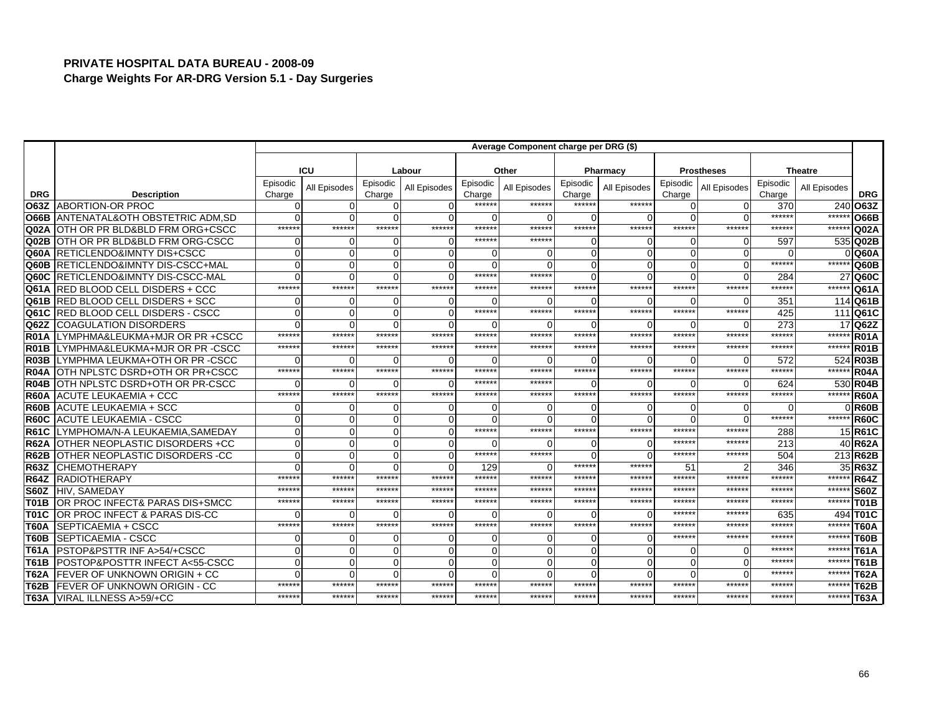|                   |                                           |                    |              |                    |              |                    | Average Component charge per DRG (\$) |                    |              |                    |                   |                    |                |                   |
|-------------------|-------------------------------------------|--------------------|--------------|--------------------|--------------|--------------------|---------------------------------------|--------------------|--------------|--------------------|-------------------|--------------------|----------------|-------------------|
|                   |                                           |                    |              |                    |              |                    |                                       |                    |              |                    |                   |                    |                |                   |
|                   |                                           |                    | ICU          |                    | Labour       |                    | Other                                 |                    | Pharmacy     |                    | <b>Prostheses</b> |                    | <b>Theatre</b> |                   |
| <b>DRG</b>        | <b>Description</b>                        | Episodic<br>Charge | All Episodes | Episodic<br>Charge | All Episodes | Episodic<br>Charge | All Episodes                          | Episodic<br>Charge | All Episodes | Episodic<br>Charge | All Episodes      | Episodic<br>Charge | All Episodes   | <b>DRG</b>        |
| O63Z              | <b>ABORTION-OR PROC</b>                   |                    | 0            | $\Omega$           |              | ******             | ******                                | ******             | ******       | $\Omega$           | $\Omega$          | 370                |                | 240 063Z          |
| <b>O66B</b>       | ANTENATAL&OTH OBSTETRIC ADM, SD           |                    | $\Omega$     | U                  |              | O                  |                                       | $\Omega$           | $\Omega$     | $\Omega$           |                   | *****              | ******         | <b>O66B</b>       |
| Q02A              | OTH OR PR BLD&BLD FRM ORG+CSCC            | $****$             | ******       | ******             | ******       | ******             | $****$                                | ******             | ******       | ******             | ******            | *****:             | ******         | Q02A              |
| Q02B              | <b>OTH OR PR BLD&amp;BLD FRM ORG-CSCC</b> |                    | $\Omega$     | $\Omega$           |              | ******             | *****                                 | $\Omega$           | $\Omega$     | $\Omega$           | U                 | 597                |                | 535 Q02B          |
| Q60A              | <b>RETICLENDO&amp;IMNTY DIS+CSCC</b>      |                    | $\Omega$     | $\Omega$           |              | O                  |                                       | $\Omega$           | $\Omega$     | $\Omega$           | U                 |                    |                | 0 Q60A            |
| Q60B              | <b>RETICLENDO&amp;IMNTY DIS-CSCC+MAL</b>  |                    | $\Omega$     | $\Omega$           | ∩            | O                  |                                       | $\Omega$           | $\Omega$     | $\Omega$           | $\Omega$          | ******             | ******         | Q60B              |
| <b>Q60C</b>       | <b>RETICLENDO&amp;IMNTY DIS-CSCC-MAL</b>  |                    | $\Omega$     | $\Omega$           |              | ******             | *****                                 | $\Omega$           | $\Omega$     | $\Omega$           | $\Omega$          | 284                | 27             | Q60C              |
| Q61A              | RED BLOOD CELL DISDERS + CCC              | $****$             | *****:       | ******             | ******       | ******             | $****$                                | ******             | ******       | ******             | ******            | ******             | ******         | Q61A              |
| Q61B              | <b>RED BLOOD CELL DISDERS + SCC</b>       |                    | O            | $\Omega$           | ∩            | O                  |                                       | $\Omega$           | $\Omega$     | $\Omega$           | $\Omega$          | 351                |                | 114 Q61B          |
| IQ61C             | <b>RED BLOOD CELL DISDERS - CSCC</b>      |                    | $\Omega$     | $\Omega$           |              | ******             | $****$                                | ******             | ******       | ******             | ******            | 425                |                | 111 Q61C          |
| Q62Z              | <b>COAGULATION DISORDERS</b>              |                    | $\Omega$     | $\Omega$           | U            | 0                  |                                       | $\Omega$           | $\Omega$     | $\Omega$           | $\Omega$          | 273                |                | 17 Q62Z           |
| <b>R01A</b>       | LYMPHMA&LEUKMA+MJR OR PR +CSCC            | *****              | ******       | ******             | ******       | ******             | $****$                                | ******             | ******       | ******             | ******            | ******             | ******         | <b>R01A</b>       |
| R <sub>01</sub> B | LYMPHMA&LEUKMA+MJR OR PR-CSCC             | $***$ **           | ******       | ******             | ******       | ******             | ******                                | ******             | ******       | ******             | ******            | *****:             | ******         | R <sub>01</sub> B |
| <b>R03B</b>       | LYMPHMA LEUKMA+OTH OR PR -CSCC            |                    |              | $\Omega$           | O            | 0                  |                                       | $\Omega$           | $\Omega$     | $\Omega$           | U                 | 572                |                | 524 R03B          |
| <b>R04A</b>       | OTH NPLSTC DSRD+OTH OR PR+CSCC            | $*****$            | ******       | ******             | ******       | ******             | ******                                | ******             | ******       | ******             | ******            | ******             | ******         | <b>R04A</b>       |
| <b>R04B</b>       | OTH NPLSTC DSRD+OTH OR PR-CSCC            |                    | $\Omega$     | $\Omega$           |              | ******             | *****                                 | $\Omega$           | $\Omega$     | $\Omega$           | U                 | 624                |                | 530 R04B          |
| <b>R60A</b>       | <b>ACUTE LEUKAEMIA + CCC</b>              | $*****$            | ******       | ******             | ******       | ******             | ******                                | ******             | ******       | ******             | ******            | ******             | *****          | <b>R60A</b>       |
| <b>R60B</b>       | <b>ACUTE LEUKAEMIA + SCC</b>              |                    | ∩            | $\Omega$           |              | ŋ                  |                                       | $\Omega$           | 0            | $\Omega$           |                   |                    |                | $0$ R60B          |
| <b>R60C</b>       | <b>ACUTE LEUKAEMIA - CSCC</b>             |                    | $\Omega$     | $\Omega$           |              | O                  |                                       | $\Omega$           | $\Omega$     | $\Omega$           | U                 | *****:             | ******         | <b>R60C</b>       |
| <b>R61C</b>       | LYMPHOMA/N-A LEUKAEMIA, SAMEDAY           |                    | $\Omega$     | $\Omega$           |              | ******             | $****$                                | ******             | ******       | ******             | ******            | 288                |                | 15 R61C           |
| <b>R62A</b>       | OTHER NEOPLASTIC DISORDERS +CC            |                    | $\Omega$     | $\Omega$           |              | 0                  |                                       | $\Omega$           | $\Omega$     | ******             | ******            | 213                |                | 40 <b>R62A</b>    |
| <b>R62B</b>       | OTHER NEOPLASTIC DISORDERS -CC            |                    | $\Omega$     | $\Omega$           |              | ******             | *****                                 | $\Omega$           | $\Omega$     | ******             | ******            | 504                |                | 213 R62B          |
| <b>R63Z</b>       | <b>CHEMOTHERAPY</b>                       |                    | $\Omega$     | $\Omega$           |              | 129                |                                       | ******             | ******       | 51                 |                   | 346                |                | 35 R63Z           |
| <b>R64Z</b>       | <b>RADIOTHERAPY</b>                       | *****              | *****        | ******             | ******       | ******             | $****$                                | ******             | ******       | ******             | *****             | *****:             | ******         | <b>R64Z</b>       |
| <b>S60Z</b>       | <b>HIV. SAMEDAY</b>                       | *****              | *****        | ******             | ******       | *****              | *****                                 | *****              | *****        | ******             | *****             | *****              | ******         | <b>S60Z</b>       |
| T01B              | OR PROC INFECT& PARAS DIS+SMCC            | *****              | ******       | ******             | ******       | ******             | *****                                 | ******             | ******       | ******             | *****             | ******             | ******         | <b>T01B</b>       |
| <b>T01C</b>       | OR PROC INFECT & PARAS DIS-CC             |                    | $\Omega$     | ∩                  |              | O                  |                                       | $\Omega$           | $\Omega$     | ******             | *****             | 635                | 494            | <b>T01C</b>       |
| T60A              | <b>SEPTICAEMIA + CSCC</b>                 | *****              | ******       | ******             | ******       | ******             | ******                                | ******             | ******       | ******             | *****             | ******             | ******         | <b>T60A</b>       |
| <b>T60B</b>       | SEPTICAEMIA - CSCC                        |                    | $\Omega$     | $\Omega$           | ∩            | 0                  |                                       | $\Omega$           | $\Omega$     | ******             | *****             | $*****$            | ******         | <b>T60B</b>       |
| T61A              | <b>PSTOP&amp;PSTTR INF A&gt;54/+CSCC</b>  |                    | $\Omega$     | $\Omega$           |              | $\Omega$           |                                       | $\Omega$           | $\Omega$     | $\Omega$           | n                 | *****              | ******         | <b>T61A</b>       |
| T61B              | POSTOP&POSTTR INFECT A<55-CSCC            |                    | $\Omega$     | $\mathbf 0$        |              | 0                  |                                       | $\Omega$           | $\mathbf 0$  | $\Omega$           | U                 | ******             | ******         | <b>T61B</b>       |
| T62A              | <b>FEVER OF UNKNOWN ORIGIN + CC</b>       |                    | $\Omega$     | $\Omega$           |              | O                  |                                       | $\Omega$           | $\Omega$     | $\Omega$           | U                 | $*****$            | ******         | <b>T62A</b>       |
| lT62B             | <b>FEVER OF UNKNOWN ORIGIN - CC</b>       | *****              | ******       | ******             | ******       | ******             | *****                                 | ******             | ******       | ******             | ******            | ******             | ******         | T62B              |
| <b>T63A</b>       | VIRAL ILLNESS A>59/+CC                    | *****              | ******       | ******             | ******       | *****              | *****                                 | ******             | ******       | ******             | *****             | *****              | ******         | T63A              |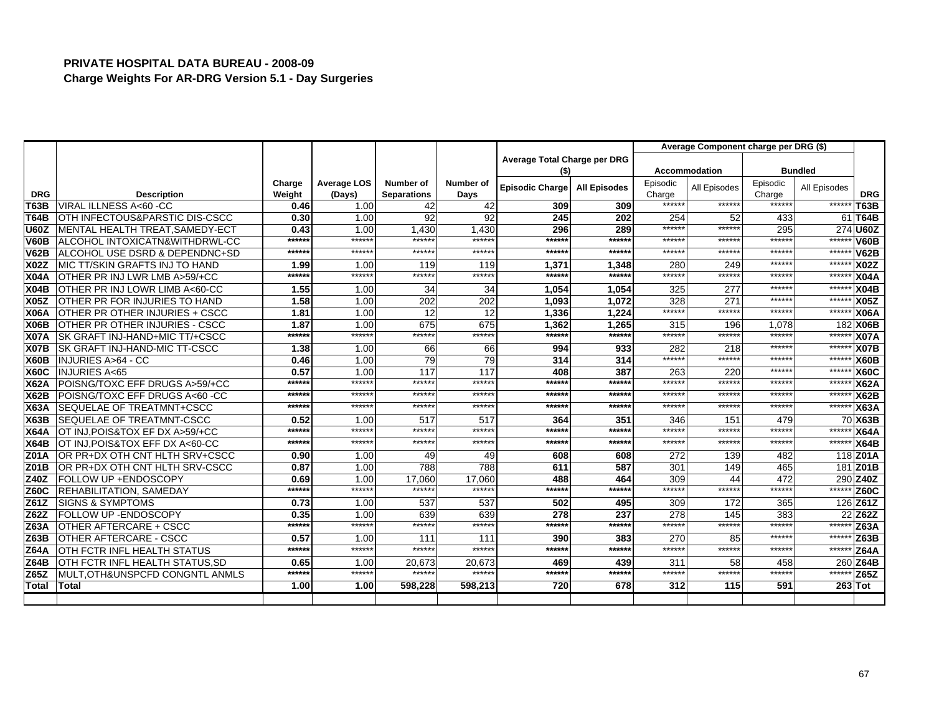|             |                                            |                  |                              |                                 |                   |                              |                     | Average Component charge per DRG (\$) |               |                    |                |             |  |
|-------------|--------------------------------------------|------------------|------------------------------|---------------------------------|-------------------|------------------------------|---------------------|---------------------------------------|---------------|--------------------|----------------|-------------|--|
|             |                                            |                  |                              |                                 |                   | Average Total Charge per DRG |                     |                                       |               |                    |                |             |  |
|             |                                            |                  |                              |                                 |                   | (\$)                         |                     |                                       | Accommodation |                    | <b>Bundled</b> |             |  |
| <b>DRG</b>  | <b>Description</b>                         | Charge<br>Weight | <b>Average LOS</b><br>(Days) | Number of<br><b>Separations</b> | Number of<br>Days | Episodic Charge              | <b>All Episodes</b> | Episodic<br>Charge                    | All Episodes  | Episodic<br>Charge | All Episodes   | <b>DRG</b>  |  |
| <b>T63B</b> | VIRAL ILLNESS A<60 -CC                     | 0.46             | 1.00                         | 42                              | 42                | 309                          | 309                 | ******                                | ******        | ******             | ******         | T63B        |  |
| <b>T64B</b> | OTH INFECTOUS&PARSTIC DIS-CSCC             | 0.30             | 1.00                         | 92                              | 92                | 245                          | 202                 | 254                                   | 52            | 433                | 61             | <b>T64B</b> |  |
| <b>U60Z</b> | <b>IMENTAL HEALTH TREAT.SAMEDY-ECT</b>     | 0.43             | 1.00                         | 1.430                           | 1.430             | 296                          | 289                 | ******                                | *****         | 295                |                | 274 U60Z    |  |
| <b>V60B</b> | ALCOHOL INTOXICATN&WITHDRWL-CC             | ******           | ******                       | ******                          | ******            | ******                       | ******              | ******                                | ******        | ******             | $*****$        | <b>V60B</b> |  |
| <b>V62B</b> | ALCOHOL USE DSRD & DEPENDNC+SD             | ******           | ******                       | ******                          | ******            | ******                       | ******              | ******                                | ******        | ******             | ******         | <b>V62B</b> |  |
| <b>X02Z</b> | <b>MIC TT/SKIN GRAFTS INJ TO HAND</b>      | 1.99             | 1.00                         | 119                             | 119               | 1,371                        | 1,348               | 280                                   | 249           | ******             | ******         | X02Z        |  |
| <b>X04A</b> | OTHER PR INJ LWR LMB A>59/+CC              | ******           | ******                       | ******                          | ******            | ******                       | ******              | ******                                | ******        | ******             | ******         | <b>X04A</b> |  |
| <b>X04B</b> | OTHER PR INJ LOWR LIMB A<60-CC             | 1.55             | 1.00                         | 34                              | 34                | 1,054                        | 1.054               | 325                                   | 277           | ******             | ******         | <b>X04B</b> |  |
| <b>X05Z</b> | <b>OTHER PR FOR INJURIES TO HAND</b>       | 1.58             | 1.00                         | 202                             | 202               | 1.093                        | 1.072               | 328                                   | 27'           | ******             | *****          | <b>X05Z</b> |  |
| <b>X06A</b> | OTHER PR OTHER INJURIES + CSCC             | 1.81             | 1.00                         | 12                              | 12                | 1,336                        | 1.224               | ******                                | ******        | ******             | $****$         | <b>X06A</b> |  |
| <b>X06B</b> | <b>IOTHER PR OTHER INJURIES - CSCC</b>     | 1.87             | 1.00                         | 675                             | 675               | 1,362                        | 1.265               | 315                                   | 196           | 1.078              | 182            | <b>X06B</b> |  |
| <b>X07A</b> | SK GRAFT INJ-HAND+MIC TT/+CSCC             | ******           | ******                       | ******                          | ******            | ******                       | ******              | ******                                | ******        | ******             | *****          | <b>X07A</b> |  |
| <b>X07B</b> | <b>ISK GRAFT INJ-HAND-MIC TT-CSCC</b>      | 1.38             | 1.00                         | 66                              | 66                | 994                          | 933                 | 282                                   | 218           | ******             | $*****$        | <b>X07B</b> |  |
| <b>X60B</b> | <b>INJURIES A&gt;64 - CC</b>               | 0.46             | 1.00                         | 79                              | 79                | 314                          | 314                 | ******                                | ******        | ******             | *****          | X60B        |  |
| <b>X60C</b> | <b>INJURIES A&lt;65</b>                    | 0.57             | 1.00                         | 117                             | 117               | 408                          | 387                 | 263                                   | 220           | ******             | ******         | <b>X60C</b> |  |
| <b>X62A</b> | POISNG/TOXC EFF DRUGS A>59/+CC             | ******           | $*****$                      | ******                          | ******            | ******                       | ******              | ******                                | ******        | ******             | $*****$        | <b>X62A</b> |  |
| <b>X62B</b> | POISNG/TOXC EFF DRUGS A<60 -CC             | ******           | $*****$                      | *****                           | ******            | ******                       | *****               | ******                                | *****         | *****              | ******         | <b>X62B</b> |  |
| <b>X63A</b> | SEQUELAE OF TREATMNT+CSCC                  | ******           | $*****$                      | ******                          | ******            | ******                       | $*****$             | ******                                | *****         | ******             | $*****$        | <b>X63A</b> |  |
| <b>X63B</b> | <b>SEQUELAE OF TREATMNT-CSCC</b>           | 0.52             | 1.00                         | 517                             | 517               | 364                          | 351                 | 346                                   | 151           | 479                |                | 70 X63B     |  |
| <b>X64A</b> | OT INJ, POIS& TOX EF DX A>59/+CC           | ******           | ******                       | ******                          | ******            | ******                       | ******              | ******                                | *****         | ******             | *****          | <b>X64A</b> |  |
| <b>X64B</b> | OT INJ, POIS& TOX EFF DX A<60-CC           | ******           | ******                       | ******                          | ******            | ******                       | ******              | ******                                | ******        | ******             | *****          | <b>X64B</b> |  |
| <b>Z01A</b> | OR PR+DX OTH CNT HLTH SRV+CSCC             | 0.90             | 1.00                         | 49                              | 49                | 608                          | 608                 | 272                                   | 139           | 482                |                | 118 Z01A    |  |
| <b>Z01B</b> | OR PR+DX OTH CNT HLTH SRV-CSCC             | 0.87             | 1.00                         | 788                             | 788               | 611                          | 587                 | 301                                   | 149           | 465                | 181            | <b>Z01B</b> |  |
| Z40Z        | FOLLOW UP + ENDOSCOPY                      | 0.69             | 1.00                         | 17.060                          | 17.060            | 488                          | 464                 | 309                                   | 44            | 472                |                | 290 Z40Z    |  |
| <b>Z60C</b> | <b>REHABILITATION, SAMEDAY</b>             | ******           | ******                       | ******                          | ******            | ******                       | ******              | ******                                | ******        | ******             | ******         | <b>Z60C</b> |  |
| Z61Z        | <b>SIGNS &amp; SYMPTOMS</b>                | 0.73             | 1.00                         | 537                             | 537               | 502                          | 495                 | 309                                   | 172           | 365                |                | 126 Z61Z    |  |
| Z62Z        | FOLLOW UP - ENDOSCOPY                      | 0.35             | 1.00                         | 639                             | 639               | 278                          | 237                 | 278                                   | 145           | 383                | 22             | <b>Z62Z</b> |  |
| <b>Z63A</b> | OTHER AFTERCARE + CSCC                     | ******           | ******                       | ******                          | ******            | ******                       | ******              | ******                                | ******        | ******             | ******         | Z63A        |  |
| <b>Z63B</b> | OTHER AFTERCARE - CSCC                     | 0.57             | 1.00                         | 111                             | 111               | 390                          | 383                 | 270                                   | 85            | ******             | ******         | <b>Z63B</b> |  |
| <b>Z64A</b> | OTH FCTR INFL HEALTH STATUS                | ******           | ******                       | ******                          | ******            | ******                       | ******              | ******                                | ******        | ******             | ******         | <b>Z64A</b> |  |
| <b>Z64B</b> | OTH FCTR INFL HEALTH STATUS, SD            | 0.65             | 1.00                         | 20,673                          | 20,673            | 469                          | 439                 | 311                                   | 58            | 458                |                | 260 Z64B    |  |
| Z65Z        | <b>MULT, OTH&amp;UNSPCFD CONGNTL ANMLS</b> | $*****$          | ******                       | ******                          | ******            | ******                       | *****:              | ******                                | ******        | ******             | ******         | <b>Z65Z</b> |  |
| Total       | <b>Total</b>                               | 1.00             | 1.00                         | 598.228                         | 598,213           | 720                          | 678                 | 312                                   | 115           | 591                |                | $263$ Tot   |  |
|             |                                            |                  |                              |                                 |                   |                              |                     |                                       |               |                    |                |             |  |